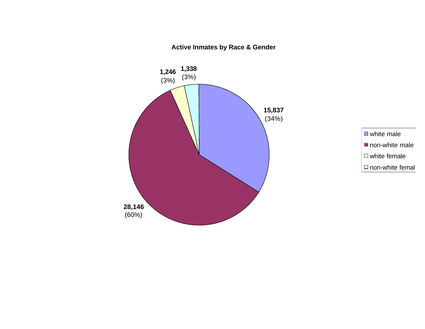**1,338** (3%) **1,246**  $(3%)$ **28,146** (60%) **15,837** (34%)



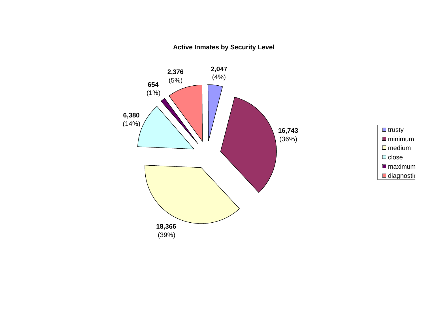**Active Inmates by Security Level**



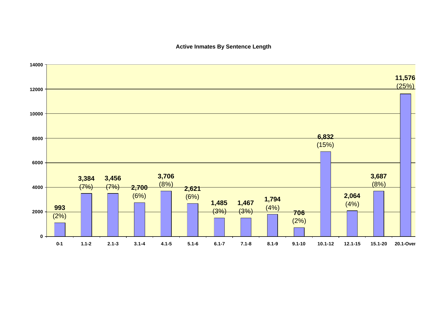## **Active Inmates By Sentence Length**

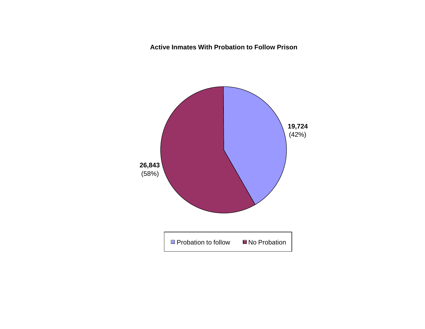**Active Inmates With Probation to Follow Prison**

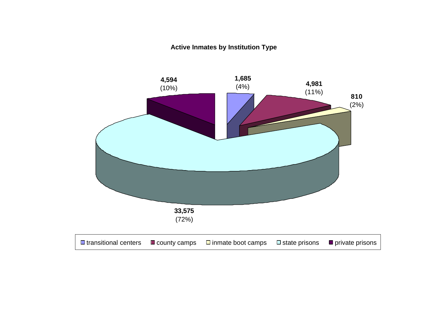**Active Inmates by Institution Type**

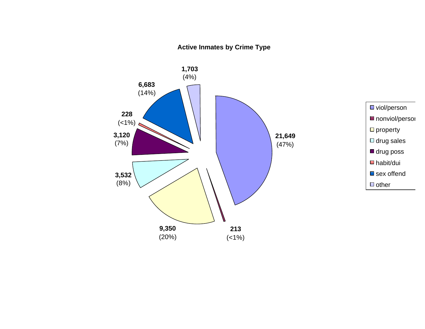## **Active Inmates by Crime Type**

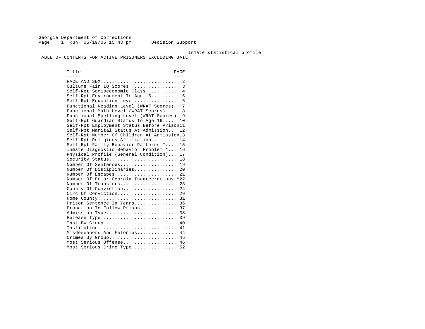Georgia Department of Corrections Page 1 Run 05/19/05 15:48 pm Decision Support

Inmate statistical profile

TABLE OF CONTENTS FOR ACTIVE PRISONERS EXCLUDING JAIL

Title PAGE ----- ---- RACE AND SEX............................ 2 Culture Fair IQ Scores.................. 3 Self-Rpt Socioeconomic Class............ 4 Self-Rpt Environment To Age 16.......... 5 Self-Rpt Education Level................... 6 Functional Reading Level (WRAT Scores).. 7 Functional Math Level (WRAT Scores)..... 8 Functional Spelling Level (WRAT Scores). 9 Self-Rpt Guardian Status To Age 16......10 Self-Rpt Employment Status Before Prison11 Self-Rpt Marital Status At Admission....12 Self-Rpt Number Of Children At Admission13 Self-Rpt Religious Affiliation..........14 Self-Rpt Family Behavior Patterns \*.....15 Inmate Diagnostic Behavior Problem \*....16 Physical Profile (General Condition)....17 Security Status............................18 Number Of Sentences......................19 Number Of Disciplinaries................20 Number Of Escapes.........................21 Number Of Prior Georgia Incarcerations \*22 Number Of Transfers.......................23 County Of Conviction....................24 Circ Of Conviction.........................29 Home County.............................31 Prison Sentence In Years................36 Probation To Follow Prison..............37 Admission Type.............................38 Release Type...............................39 Inst By Group.............................40 Institution.............................41 Misdemeanors And Felonies...............44 Crimes By Group...........................45 Most Serious Offense....................46 Most Serious Crime Type..................52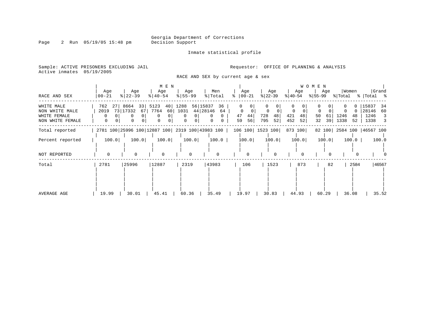Inmate statistical profile

Sample: ACTIVE PRISONERS EXCLUDING JAIL **Requestor:** OFFICE OF PLANNING & ANALYSIS Active inmates 05/19/2005

RACE AND SEX by current age & sex

|                                                                  |                              |                                                         | M E N                                            |                                                      |                                      |                                              |                                              | W O M E N              |                                                       |                                                                              |
|------------------------------------------------------------------|------------------------------|---------------------------------------------------------|--------------------------------------------------|------------------------------------------------------|--------------------------------------|----------------------------------------------|----------------------------------------------|------------------------|-------------------------------------------------------|------------------------------------------------------------------------------|
| RACE AND SEX                                                     | Age<br>  00-21               | Age<br>$ 22-39 $                                        | Age<br>$ 40-54 $                                 | Age<br>$8 55-99$                                     | Men<br>% Total                       | Age<br>$ 00-21$<br>፠                         | Age<br>$ 22-39 $                             | Age<br>% 40-54         | Women<br>Age<br>% 55-99<br>% Total                    | Grand<br>%   Total %                                                         |
| WHITE MALE<br>NON WHITE MALE<br>WHITE FEMALE<br>NON WHITE FEMALE | 762<br>2019<br>$\Omega$<br>0 | 27 8664 33 5123<br>73 17332<br>67<br>0<br>$\Omega$<br>0 | 40<br>7764<br>60<br>0 l<br>0<br>$\mathbf 0$<br>0 | 1288<br>56 15837<br>44 28146<br>1031<br>$\mathbf{0}$ | 36<br>64<br>$\mathbf{0}$<br>$\Omega$ | $\Omega$<br>$\Omega$<br>47<br>44<br>59<br>56 | $\Omega$<br>0<br>0<br>728<br>48<br>795<br>52 | 421<br>48<br>452<br>52 | 0<br>50<br>1246<br>48<br>61<br>39<br>1338<br>32<br>52 | 15837<br>34<br>28146<br>60<br>1246<br>-3<br>1338<br>$\overline{\phantom{a}}$ |
| Total reported                                                   |                              |                                                         |                                                  | 2781 100 25996 100 12887 100 2319 100 43983 100      |                                      | 106 100 1523 100                             |                                              | 873 100                | 82 100 2584 100 46567 100                             |                                                                              |
| Percent reported                                                 | 100.0                        | 100.0                                                   | 100.0                                            | 100.0                                                | 100.0                                | 100.0                                        | 100.0                                        | 100.0                  | 100.0<br>100.0                                        | 100.0                                                                        |
| NOT REPORTED                                                     | $\Omega$                     | $\Omega$                                                | $\Omega$                                         | $\Omega$                                             | $\Omega$                             | $\Omega$                                     | $\Omega$                                     |                        |                                                       |                                                                              |
| Total                                                            | 2781                         | 25996                                                   | 12887                                            | 2319                                                 | 43983                                | 106                                          | 1523                                         | 873                    | 2584<br>82                                            | 46567                                                                        |
| AVERAGE AGE                                                      | 19.99                        | 30.01                                                   | 45.41                                            | 60.36                                                | 35.49                                | 19.97                                        | 30.83                                        | 44.93                  | 60.29<br>36.08                                        | 35.52                                                                        |

Page 2 Run 05/19/05 15:48 pm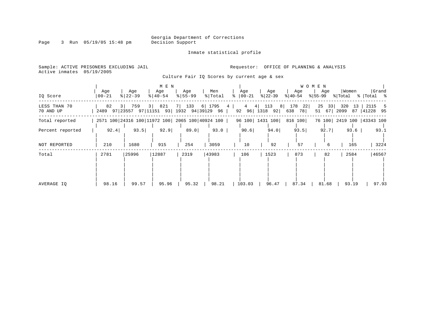Inmate statistical profile

Page 3 Run 05/19/05 15:48 pm

Sample: ACTIVE PRISONERS EXCLUDING JAIL **Requestor:** OFFICE OF PLANNING & ANALYSIS

Active inmates 05/19/2005

Culture Fair IQ Scores by current age & sex

|                           |                                                 |                  | M E N              |                           |                |                               |                                        |                     | W O M E N         |                           |                       |
|---------------------------|-------------------------------------------------|------------------|--------------------|---------------------------|----------------|-------------------------------|----------------------------------------|---------------------|-------------------|---------------------------|-----------------------|
| IQ Score                  | Age<br>00-21                                    | Age<br>$8 22-39$ | Age<br>$8140 - 54$ | Age<br>$8 55-99$          | Men<br>% Total | Age<br>$ 00-21 $<br>$\approx$ | Age<br>$ 22-39 $                       | Age<br>$ 40-54 $    | Age<br>% 55-99    | Women<br>% Total          | Grand<br>%   Total %  |
| LESS THAN 70<br>70 AND UP | 82<br>2489 97 23557 97   11151 93               | 3   759          | 3   821            | 7 133<br>1932 94 39129 96 | 6 1795         | $\overline{4}$<br>4           | 113<br>8 <br>$4 \mid$<br>92 96 1318 92 | 178<br>22<br>638 78 | 25<br>33<br>51 67 | 320<br>13<br>2099<br>87   | 2115<br>5<br>41228 95 |
| Total reported            | 2571 100 24316 100 11972 100 2065 100 40924 100 |                  |                    |                           |                |                               | 96 100 1431 100                        | 816 100             |                   | 76 100 2419 100 43343 100 |                       |
| Percent reported          | 92.4                                            | 93.5             | 92.9               | 89.0                      | $93.0$         | 90.6                          | 94.0                                   | 93.5                | 92.7              | 93.6                      | 93.1                  |
| NOT REPORTED              | 210                                             | 1680             | 915                | 254                       | 3059           | 10                            | 92                                     | 57                  | 6                 | 165                       | 3224                  |
| Total                     | 2781                                            | 25996            | 12887              | 2319                      | 43983          | 106                           | 1523                                   | 873                 | 82                | 2584                      | 46567                 |
| AVERAGE IO                | 98.16                                           | 99.57            | 95.96              | 95.32                     | 98.21          | 103.03                        | 96.47                                  | 87.34               | 81.68             | 93.19                     | 97.93                 |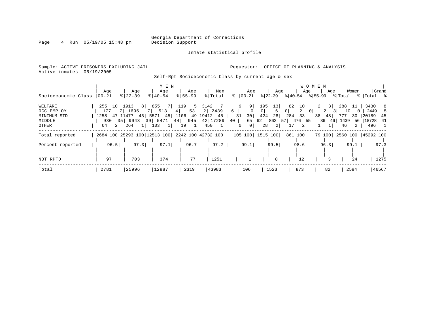Page 4 Run 05/19/05 15:48 pm

### Inmate statistical profile

Sample: ACTIVE PRISONERS EXCLUDING JAIL **Requestor:** OFFICE OF PLANNING & ANALYSIS Active inmates 05/19/2005

Self-Rpt Socioeconomic Class by current age & sex

|                     |                      |                                                 | M E N       |                |                   |                     |                     |                                  | W O M E N                                    |                     |              |
|---------------------|----------------------|-------------------------------------------------|-------------|----------------|-------------------|---------------------|---------------------|----------------------------------|----------------------------------------------|---------------------|--------------|
|                     | Age                  | Age                                             | Age         | Age            | Men               | Age                 | Age                 |                                  | Age<br>Age                                   | Women               | Grand        |
| Socioeconomic Class | 00-21                | $8$   22-39                                     | $8 40-54$   | $8 55-99$      | % Total           | %   00-21           | % 22-39             |                                  | $ 40-54 \t  55-99 \t  Total \t  Total \t  5$ |                     |              |
| WELFARE             | 255 10 1913          |                                                 | 8 855 7 119 |                | 5 3142<br>$7 - i$ | 9 <sup>1</sup><br>9 | 195<br>13           | 82<br>10                         | 2<br>3                                       | 288 11              | 3430<br>- 8  |
| OCC EMPLOY          | 177                  | 7 1696                                          | 7 513       | 53<br>$4 \mid$ | 2 2439            | 6                   | 0 <sup>1</sup><br>6 | $\overline{a}$<br>0 <sup>1</sup> | 2<br>$\overline{0}$                          | 10<br>$\Omega$      | 2449<br>-5   |
| MINIMUM STD         |                      | 1258 47 11477 45 5571 45 1106 49 19412 45       |             |                |                   | 30<br>31            | 28<br>424           | 33<br>284                        | 38<br>48                                     | 777<br>30           | 20189<br>-45 |
| MIDDLE              | 930                  | 35   9943 39   5471 44   945 42   17289         |             |                |                   | 40                  |                     | 65 62 862 57 476 55              | $36 \quad 46$                                | 1439                | 56 18728 41  |
| OTHER               | 2 <sup>1</sup><br>64 | 264<br>$1\vert$                                 | 103<br>$1$  | 19<br> 1       | 450               | $\circ$<br>$\Omega$ | 2 <br>28            | 2 <sup>1</sup><br>17             |                                              | 46<br>$\mathbf{2}$  | 496 1        |
| Total reported      |                      | 2684 100 25293 100 12513 100 2242 100 42732 100 |             |                |                   |                     | 105 100  1515 100   | 861 100                          | 79 100                                       | 2560 100  45292 100 |              |
| Percent reported    | 96.5                 | 97.3                                            | 97.1        | 96.7           | 97.2              | 99.1                | 99.5                | 98.6                             | 96.3                                         | $99.1$              | 97.3         |
|                     |                      |                                                 |             |                |                   |                     |                     |                                  |                                              |                     |              |
| NOT RPTD            | 97                   | 703                                             | 374         | 77             | 1251              |                     | 8                   | 12                               |                                              | 24                  | 1275         |
| Total               | 2781                 | 25996                                           | 12887       | 2319           | 43983             | 106                 | 1523                | 873                              | 82                                           | 2584                | 46567        |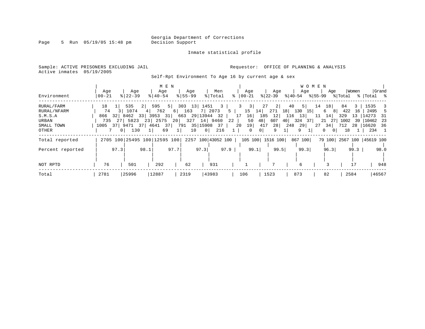Page 5 Run 05/19/05 15:48 pm

Inmate statistical profile

Active inmates 05/19/2005

Sample: ACTIVE PRISONERS EXCLUDING JAIL **Requestor:** OFFICE OF PLANNING & ANALYSIS

Self-Rpt Environment To Age 16 by current age & sex

|                  |           |                              |                 | M E N          |                    |           |                  |               |                  |                        | W O M E N |             |                           |
|------------------|-----------|------------------------------|-----------------|----------------|--------------------|-----------|------------------|---------------|------------------|------------------------|-----------|-------------|---------------------------|
|                  | Age       | Age                          | Age             |                | Age                | Men       |                  | Age           | Age              | Age                    | Age       | Women       | Grand                     |
| Environment      | $00 - 21$ | $8122 - 39$                  | $8140 - 54$     |                | $8155 - 99$        | % Total   | $ 00 - 21 $<br>° |               | $ 22-39 $        | % 40-54 % 55-99        |           | % Total     | %   Total %               |
| RURAL/FARM       | 18        | 535                          | 595<br>$2 \mid$ |                | $5$ 303 13 1451    | $3 \cdot$ | 3                | 27<br>3       | 2                | 40<br>5 <sup>1</sup>   | 18<br>14  | 84<br>3     | 1535 3                    |
| RURAL/NFARM      | 74        | 1074                         | 4 762           | 6 163          |                    | 7 2073    | 5                | 15<br>14      | 271<br>18        | 130<br>15 <sup>1</sup> | 6<br>81   | 422<br>16   | 2495 5                    |
| S.M.S.A          |           | 866 32 8462 33 3953 31       |                 |                | 663 29 13944 32    |           | 17               | 16<br>185     | 12               | 116 13                 | 14<br>11  | 329         | 13 14273<br>- 31          |
| URBAN            | 735       | 27 5823                      | 23 2575         | 20             | 327 14 9460        |           | 22               | 48<br>50      | 607<br>40        | 324<br>371             | 21 27     | 1002        | 39   10462 23             |
| SMALL TOWN       |           | 1005 37 9471 37 4641 37      |                 | 791            | 35   15908 37      |           | 20               | 19<br>417     | 28               | 248<br>29              | 34<br>27  | 712         | 28   16620<br>36          |
| OTHER            |           | 130<br>$\Omega$              | $1\vert$        | 69<br>$1\vert$ | $\circ$  <br>10    | 216       | $\mathbf{1}$     | 0<br>$\Omega$ | 9                | 9.                     | 0<br>01   | 18          | 234 1                     |
| Total reported   |           | 2705 100 25495 100 12595 100 |                 |                | 2257 100 43052 100 |           |                  |               | 105 100 1516 100 | 867 100                |           |             | 79 100 2567 100 45619 100 |
|                  |           |                              |                 |                |                    |           |                  |               |                  |                        |           |             |                           |
| Percent reported |           | 97.3                         | 98.1            | 97.7           | 97.3               | 97.9      |                  | 99.1          | 99.5             | 99.3                   | 96.3      | $99.3 \mid$ | 98.0                      |
|                  |           |                              |                 |                |                    |           |                  |               |                  |                        |           |             |                           |
| NOT RPTD         | 76        | 501                          | 292             |                | 62                 | 931       |                  |               |                  | 6                      |           |             | 948                       |
| Total            | 2781      | 25996                        | 12887           | 2319           |                    | 43983     | 106              |               | 1523             | 873                    | 82        | 2584        | 46567                     |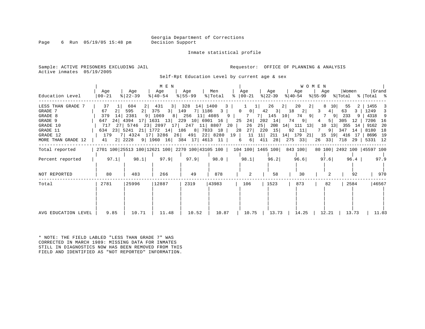Page 6 Run  $05/19/05$  15:48 pm

Inmate statistical profile

Sample: ACTIVE PRISONERS EXCLUDING JAIL **Requestor:** OFFICE OF PLANNING & ANALYSIS Active inmates 05/19/2005

Self-Rpt Education Level by current age & sex

| Education Level                                                                                              | Aqe<br>00-21                                                              | Aqe<br>$ 22-39 $               | M E N<br>Age<br>$8   40 - 54$                                                                                                                                                                                                                | Aqe<br>$8 55 - 99$              | Men<br>% Total                                                   | Aqe<br>$8   00 - 21$                                                        | Age<br>% 22-39                                                                        | Aqe<br>୫∣40-54                                                                                                                                     | <b>WOMEN</b><br>Aqe<br>%∣55-99             | Women                                                                                 | Grand<br>% Total % Total %                                                      |
|--------------------------------------------------------------------------------------------------------------|---------------------------------------------------------------------------|--------------------------------|----------------------------------------------------------------------------------------------------------------------------------------------------------------------------------------------------------------------------------------------|---------------------------------|------------------------------------------------------------------|-----------------------------------------------------------------------------|---------------------------------------------------------------------------------------|----------------------------------------------------------------------------------------------------------------------------------------------------|--------------------------------------------|---------------------------------------------------------------------------------------|---------------------------------------------------------------------------------|
| LESS THAN GRADE 7<br>GRADE 7<br>GRADE 8<br>GRADE 9<br>GRADE 10<br>GRADE 11<br>GRADE 12<br>MORE THAN GRADE 12 | 37<br>67<br>2 <sup>1</sup><br>379<br>14<br>647<br>717<br>179<br>41 2 2228 | 604<br>595<br>$2 \mid$<br>2381 | 431<br>$3 \mid$<br>3 149<br>375<br>9 1069<br>24 4394 17 1631 13 229 10 6901 16<br>27   5746 23   2097 17   247 11   8807 20  <br>634 23 5241 21 1772 14 186 8 7833 18<br>7   4324 17   3286 26   491 22   8280 19  <br>9 196016 38417 461311 | 328<br>14 1400<br>8 256 11 4085 | $\overline{\mathbf{3}}$<br>$7 \mid 1186 \mid 3 \mid$<br>$9 \mid$ | $0 \qquad 0 \mid$<br>7<br>24<br>25<br>26<br>27<br>28<br>11<br>$6 \mid$<br>6 | 26<br>$\perp$<br>$42 \quad 3$<br>7   145 10  <br>202 14<br>25 <br>220<br>15<br>411 28 | 20<br>2 <sup>1</sup><br>-2 I<br>18<br>2 <br>9<br>74<br>$9 \mid$<br>74<br>208 14 111 13<br>$92 \quad 11$<br>11 211 14 179 21 15 19 416 17<br>275 33 | 8<br>10<br>4 <br>$7\phantom{0}$<br>4<br>10 | 55<br>63<br>3<br>9 233<br>$5 \mid 305$<br>12<br>13 355 14<br>9 347 14<br>26 33 718 29 | 1455<br>1249 3<br>4318 9<br>7206 16<br>9162 20<br>8180 18<br>8696 19<br>5331 12 |
| Total reported                                                                                               |                                                                           |                                |                                                                                                                                                                                                                                              |                                 |                                                                  |                                                                             |                                                                                       | 2701 100 25513 100 12621 100 2270 100 43105 100   104 100   1465 100   843 100                                                                     |                                            | 80 100 2492 100 45597 100                                                             |                                                                                 |
| Percent reported                                                                                             | 97.1                                                                      | 98.1                           | 97.9                                                                                                                                                                                                                                         | 97.9                            | 98.0                                                             | 98.1                                                                        | 96.2                                                                                  | 96.6                                                                                                                                               | 97.6                                       | 96.4                                                                                  | 97.9                                                                            |
| NOT REPORTED                                                                                                 | 80                                                                        | 483                            | 266                                                                                                                                                                                                                                          | 49                              | 878                                                              | 2                                                                           | 58                                                                                    | 30                                                                                                                                                 |                                            | 92                                                                                    | 970                                                                             |
| Total                                                                                                        | 2781                                                                      | 25996                          | 12887                                                                                                                                                                                                                                        | 2319                            | 43983                                                            | 106                                                                         | 1523                                                                                  | 873                                                                                                                                                | 82                                         | 2584                                                                                  | 46567                                                                           |
| AVG EDUCATION LEVEL                                                                                          | 9.85                                                                      | 10.71                          | 11.48                                                                                                                                                                                                                                        | 10.52                           | 10.87                                                            | 10.75                                                                       | 13.73                                                                                 | 14.25                                                                                                                                              | 12.21                                      | 13.73                                                                                 | 11.03                                                                           |

\* NOTE: THE FIELD LABLED "LESS THAN GRADE 7" WAS CORRECTED IN MARCH 1989: MISSING DATA FOR INMATES STILL IN DIAGNOSTICS NOW HAS BEEN REMOVED FROM THIS FIELD AND IDENTIFIED AS "NOT REPORTED" INFORMATION.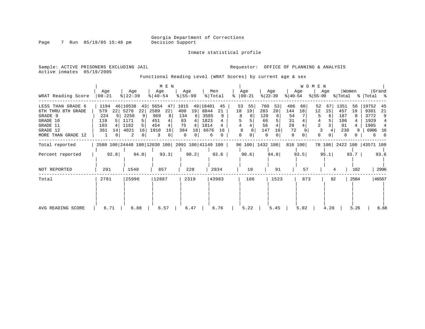Inmate statistical profile

Page 7 Run 05/19/05 15:48 pm

Active inmates 05/19/2005

Sample: ACTIVE PRISONERS EXCLUDING JAIL **Requestor:** OFFICE OF PLANNING & ANALYSIS

Functional Reading Level (WRAT Scores) by current age & sex

|                                                                                                              |                                                     |                                                                         | M E N                                                            |                                                                     |                                                                              |                                          |                                                                                 |                                                            | <b>WOMEN</b>                        |                                                              |                                                                        |
|--------------------------------------------------------------------------------------------------------------|-----------------------------------------------------|-------------------------------------------------------------------------|------------------------------------------------------------------|---------------------------------------------------------------------|------------------------------------------------------------------------------|------------------------------------------|---------------------------------------------------------------------------------|------------------------------------------------------------|-------------------------------------|--------------------------------------------------------------|------------------------------------------------------------------------|
| WRAT Reading Score                                                                                           | Age<br>$00 - 21$                                    | Age<br>$ 22-39 $                                                        | Age<br>$8   40 - 54$                                             | Age<br>$8 55-99$                                                    | Men<br>% Total                                                               | Age<br>$ 00-21$<br>ႜ                     | Age<br>$ 22-39 $                                                                | Age<br>$ 40-54 $                                           | Age<br>% 55−99                      | Women<br>% Total                                             | Grand<br>%   Total %                                                   |
| LESS THAN GRADE 6<br>6TH THRU 8TH GRADE<br>GRADE 9<br>GRADE 10<br>GRADE 11<br>GRADE 12<br>MORE THAN GRADE 12 | 1194<br>579<br>22<br>224<br>118<br>103<br>361<br>14 | 46 10538<br>43<br>5276<br>22<br>2258<br>1171<br>1182<br>4021<br>16<br>2 | 5654<br>47<br>2589<br>22<br>969<br>8<br>451<br>454<br>1910<br>16 | 1015<br>400<br>19<br>134<br>-6<br>83<br>75<br>384<br>18<br>$\Omega$ | 49 18401<br>45<br>8844<br>21<br>3585<br>9<br>1823<br>1814<br>6676<br>16<br>6 | 53<br>55<br>18<br>19<br>8<br>8<br>4<br>8 | 760<br>53<br>283<br>20<br>120<br>66<br>56<br>147<br>10 <sup>1</sup><br>$\Omega$ | 486<br>60  <br>144<br>18<br>54<br>31<br>29<br>72<br>0<br>0 | 52<br>67<br>12<br>15<br>6<br>3<br>2 | 1351<br>56<br>457<br>19<br>187<br>106<br>91<br>230<br>9<br>O | 19752<br>45<br>9301<br>21<br>3772<br>9<br>1929<br>1905<br>6906<br>- 16 |
| Total reported                                                                                               |                                                     | 2580 100 24448 100 12030 100 2091 100 41149 100                         |                                                                  |                                                                     |                                                                              |                                          | 96 100 1432 100                                                                 | 816 100                                                    |                                     | 78 100 2422 100 43571 100                                    |                                                                        |
| Percent reported                                                                                             | 92.8                                                | 94.0                                                                    | 93.3                                                             | 90.2                                                                | 93.6                                                                         | 90.6                                     | 94.0                                                                            | 93.5                                                       | 95.1                                | 93.7                                                         | 93.6                                                                   |
| NOT REPORTED                                                                                                 | 201                                                 | 1548                                                                    | 857                                                              | 228                                                                 | 2834                                                                         | 10                                       | 91                                                                              | 57                                                         |                                     | 162                                                          | 2996                                                                   |
| Total                                                                                                        | 2781                                                | 25996                                                                   | 12887                                                            | 2319                                                                | 43983                                                                        | 106                                      | 1523                                                                            | 873                                                        |                                     | 2584<br>82                                                   | 46567                                                                  |
| AVG READING SCORE                                                                                            | 6.71                                                | 6.88                                                                    | 6.57                                                             | 6.47                                                                | 6.76                                                                         | 5.22                                     | 5.45                                                                            | 5.02                                                       | 4.20                                | 5.26                                                         | 6.68                                                                   |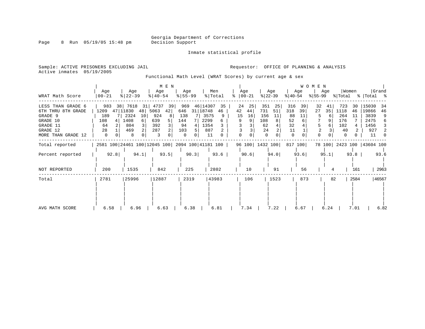Inmate statistical profile

Page 8 Run 05/19/05 15:48 pm

Sample: ACTIVE PRISONERS EXCLUDING JAIL **Requestor:** OFFICE OF PLANNING & ANALYSIS Active inmates 05/19/2005

Functional Math Level (WRAT Scores) by current age & sex

|                                                                                                              |                                                        |                                                                               | M E N                                                           |                                                           |                                                                 |         |                                                        |                                                                    |                                                                          | <b>WOMEN</b>                             |                                                                      |                                                                                     |
|--------------------------------------------------------------------------------------------------------------|--------------------------------------------------------|-------------------------------------------------------------------------------|-----------------------------------------------------------------|-----------------------------------------------------------|-----------------------------------------------------------------|---------|--------------------------------------------------------|--------------------------------------------------------------------|--------------------------------------------------------------------------|------------------------------------------|----------------------------------------------------------------------|-------------------------------------------------------------------------------------|
| WRAT Math Score                                                                                              | Age<br>$ 00-21 $                                       | Age<br>$ 22-39 $                                                              | Age<br>$ 40-54 $                                                | Age<br>$ 55 - 99 $                                        | Men<br>% Total                                                  |         | Age<br>$\approx$   00-21                               | Age<br>$ 22-39 $                                                   | Age<br>$ 40-54 $                                                         | Age<br>$ 55-99 $                         | Women<br>% Total                                                     | Grand<br>%   Total %                                                                |
| LESS THAN GRADE 6<br>6TH THRU 8TH GRADE<br>GRADE 9<br>GRADE 10<br>GRADE 11<br>GRADE 12<br>MORE THAN GRADE 12 | 983<br>1209<br>189<br>7 I<br>108<br>4<br>64<br>28<br>0 | 38 7618<br>31<br>47 11830<br>48<br>2324<br>10<br>1408<br>6<br>804<br>469<br>8 | 4737<br>39<br>5063<br>42 <br>924<br>8<br>639<br>392<br>287<br>3 | 969<br>646<br>138<br>144<br>94<br>4<br>103<br>5<br>0<br>0 | 46 14307<br>31 18748<br>46<br>3575<br>2299<br>1354<br>887<br>11 | 35<br>9 | 24<br>25<br>42<br>44<br>15<br>16<br>9<br>9<br>$\Omega$ | 351<br>25<br>731<br>51<br>156<br>11<br>108<br>62<br>24<br>$\Omega$ | 316<br>39<br>318<br>39<br>88<br>11<br>52<br>32<br>11<br>$\mathbf 0$<br>0 | 32<br>41<br>27<br>35<br>6<br>6<br>5<br>0 | 723<br>30<br>1118<br>46<br>264<br>11<br>176<br>102<br>40<br>$\Omega$ | 15030<br>34<br>19866<br>46<br>3839<br>9<br>2475<br>6<br>1456<br>3<br>927<br>2<br>11 |
| Total reported                                                                                               |                                                        | 2581 100 24461 100 12045 100 2094 100 41181 100                               |                                                                 |                                                           |                                                                 |         |                                                        | 96 100 1432 100                                                    | 817 100                                                                  |                                          | 78 100 2423 100 43604 100                                            |                                                                                     |
| Percent reported                                                                                             | 92.8                                                   | 94.1                                                                          | 93.5                                                            | 90.3                                                      | 93.6                                                            |         | 90.6                                                   | 94.0                                                               | 93.6                                                                     | 95.1                                     | 93.8                                                                 | 93.6                                                                                |
| NOT REPORTED                                                                                                 | 200                                                    | 1535                                                                          | 842                                                             | 225                                                       | 2802                                                            |         | 10                                                     | 91                                                                 | 56                                                                       |                                          | 161<br>4                                                             | 2963                                                                                |
| Total                                                                                                        | 2781                                                   | 25996                                                                         | 12887                                                           | 2319                                                      | 43983                                                           |         | 106                                                    | 1523                                                               | 873                                                                      |                                          | 2584<br>82                                                           | 46567                                                                               |
| AVG MATH SCORE                                                                                               | 6.58                                                   | 6.96                                                                          | 6.63                                                            | 6.38                                                      | 6.81                                                            |         | 7.34                                                   | 7.22                                                               | 6.67                                                                     | 6.24                                     | 7.01                                                                 | 6.82                                                                                |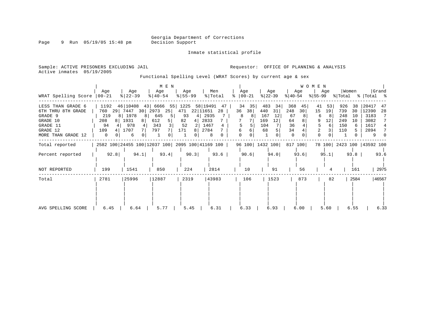Inmate statistical profile

Page 9 Run 05/19/05 15:48 pm

Active inmates 05/19/2005

Sample: ACTIVE PRISONERS EXCLUDING JAIL **Requestor:** OFFICE OF PLANNING & ANALYSIS

Functional Spelling Level (WRAT Scores) by current age & sex

|                                                                                                              |                                                                           |                                                                           | $M$ E $N$                                                   |                                                                   |                                                                |                                                    |                                                               |                                                     | <b>WOMEN</b>                                                               |                                                                |                                                                 |
|--------------------------------------------------------------------------------------------------------------|---------------------------------------------------------------------------|---------------------------------------------------------------------------|-------------------------------------------------------------|-------------------------------------------------------------------|----------------------------------------------------------------|----------------------------------------------------|---------------------------------------------------------------|-----------------------------------------------------|----------------------------------------------------------------------------|----------------------------------------------------------------|-----------------------------------------------------------------|
| WRAT Spelling Score                                                                                          | Age<br>$ 00-21$                                                           | Age<br>$ 22-39 $                                                          | Age<br>$ 40-54 $                                            | Age<br>$8 55-99$                                                  | Men<br>% Total                                                 | Age<br>$\approx$   00-21                           | Age<br>$ 22-39 $                                              | Age<br>$ 40-54 $                                    | Age<br>$ 55-99 $                                                           | Women<br>% Total                                               | Grand<br>%   Total %                                            |
| LESS THAN GRADE 6<br>6TH THRU 8TH GRADE<br>GRADE 9<br>GRADE 10<br>GRADE 11<br>GRADE 12<br>MORE THAN GRADE 12 | 1192<br>760<br>29<br>219<br>81<br>208<br>8 <sup>1</sup><br>94<br>109<br>0 | 46 10408<br>7447<br>30<br>1978<br>8<br>1931<br>8<br>978<br>4<br>1707<br>6 | $43$ 6666 55<br>25<br>2973<br>645<br>5<br>612<br>343<br>797 | 1225<br>471<br>22 11651<br>93<br>4  <br>82<br>4<br>52<br>171<br>8 | 58 19491<br>47<br>28<br>2935<br>2833<br>1467<br>4<br>2784<br>8 | 34<br>35<br>38<br>36<br>8<br>8<br>5<br>6<br>6<br>0 | 483<br>34<br>440<br>31<br>167<br>12<br>169<br>12<br>104<br>68 | 368<br>45<br>248<br>30<br>67<br>64<br>36<br>34<br>0 | 41<br>53<br>19<br>15<br>6<br>-8<br>9<br>12<br>6<br>3<br>2<br>0<br>$\Omega$ | 926<br>38<br>739<br>30<br>248<br>10<br>249<br>10<br>150<br>110 | 20417<br>47<br>12390<br>28<br>3183<br>3082<br>1617<br>2894<br>9 |
| Total reported                                                                                               |                                                                           | 2582 100 24455 100 12037 100 2095 100 41169 100                           |                                                             |                                                                   |                                                                |                                                    | 96 100 1432 100 817 100                                       |                                                     |                                                                            | 78 100 2423 100 43592 100                                      |                                                                 |
| Percent reported                                                                                             | 92.8                                                                      | 94.1                                                                      | 93.4                                                        | 90.3                                                              | 93.6                                                           | 90.6                                               | 94.0                                                          | 93.6                                                | 95.1                                                                       | 93.8                                                           | 93.6                                                            |
| NOT REPORTED                                                                                                 | 199                                                                       | 1541                                                                      | 850                                                         | 224                                                               | 2814                                                           | 10                                                 | 91                                                            | 56                                                  |                                                                            | 161                                                            | 2975                                                            |
| Total                                                                                                        | 2781                                                                      | 25996                                                                     | 12887                                                       | 2319                                                              | 43983                                                          | 106                                                | 1523                                                          | 873                                                 | 82                                                                         | 2584                                                           | 46567                                                           |
| AVG SPELLING SCORE                                                                                           | 6.45                                                                      | 6.64                                                                      | 5.77                                                        | 5.45                                                              | 6.31                                                           | 6.33                                               | 6.93                                                          | 6.00                                                | 5.60                                                                       | 6.55                                                           | 6.33                                                            |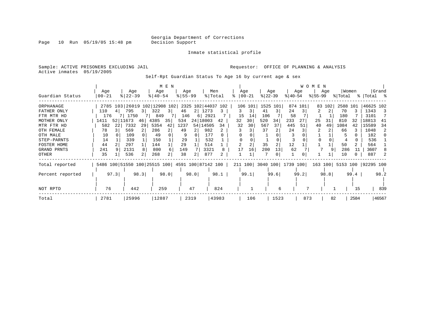Page 10 Run 05/19/05 15:48 pm

### Inmate statistical profile

Sample: ACTIVE PRISONERS EXCLUDING JAIL **Requestor:** OFFICE OF PLANNING & ANALYSIS Active inmates 05/19/2005

Self-Rpt Guardian Status To Age 16 by current age & sex

|                  |           |      |           |      |                                                 | M E N          |           |      |                    |       |         |          |           |                |                   |         | <b>WOMEN</b> |        |          |      |                     |       |
|------------------|-----------|------|-----------|------|-------------------------------------------------|----------------|-----------|------|--------------------|-------|---------|----------|-----------|----------------|-------------------|---------|--------------|--------|----------|------|---------------------|-------|
|                  | Age       |      | Age       |      | Age                                             |                | Age       |      | Men                |       | Age     |          |           | Age            |                   | Age     |              | Age    | Women    |      |                     | Grand |
| Guardian Status  | $00 - 21$ |      | $ 22-39 $ |      | $8 40-54$                                       |                | $8 55-99$ |      | % Total            |       |         | $ 00-21$ | $ 22-39 $ |                | $ 40-54 $         |         | $ 55-99$     |        | % Total  |      | %   Total %         |       |
| ORPHANAGE        |           |      |           |      | 2785 103 26019 102 12908 102                    |                |           |      | 2325 102 44037 102 |       |         | 106 101  |           | 1525 101       |                   | 874 101 |              | 83 102 | 2588 101 |      | 46625 102           |       |
| FATHER ONLY      | 110       |      | 795       | 31   | 322                                             | 3              | 46        |      | 2 1273             |       | 3       | 3        | 41        | 3 l            | 24                |         | 2            | 2      | 70       |      | 1343                | -3    |
| FTR MTR HD       | 176       |      | 7 1750    |      | 849                                             |                | 146       |      | 6 2921             |       | 15      | 14       | 106       |                | 58                |         |              |        | 180      |      | 3101                |       |
| MOTHER ONLY      | 1411      |      | 52 11673  | 46   | 4385                                            | 35             | 534       |      | 24 18003           | 42    | 32      | 30       | 520       | 34             | 233               | 27      | 25           | 31     | 810      | 32   | 18813               | -41   |
| MTR FTR HD       | 582       | 22   | 7332      | 29   | 5354                                            | 42             | 1237      |      | 54 14505           | 34    | 32      | 30       | 567       | 37             | 445               | 51      | 40           | 49     | 1084     | 42   | 15589               | -34   |
| OTH FEMALE       | 78        |      | 569       |      | 286                                             | 2              | 49        |      | 982                |       |         |          | 37        |                | 24                |         |              |        | 66       |      | 1048                | 2     |
| OTH MALE         | 10        |      | 109       |      | 49                                              |                |           |      | 177                |       |         |          |           |                |                   |         |              |        |          |      | 182                 |       |
| STEP-PARNTS      | 14        |      | 339       |      | 150                                             |                | 29        |      | 532                |       |         |          |           |                |                   |         |              |        |          |      | 536                 |       |
| FOSTER HOME      | 44        |      | 297       |      | 144                                             |                | 29        |      | 514                |       |         |          | 35        | $\overline{a}$ | 12                |         |              |        | 50       |      | 564                 |       |
| GRAND PRNTS      | 241       |      | 2131      |      | 800                                             | 6              | 149       |      | 3321               | 8     | 17      | 16       | 200       | 13             | 62                |         |              |        | 286      | 11   | 3607                |       |
| OTHER            | 35        |      | 536       |      | 268                                             | $\overline{2}$ | 38        | 2    | 877                |       |         |          |           | 0              |                   |         |              |        | 10       |      | 887                 |       |
| Total reported   |           |      |           |      | 5486 100 51550 100 25515 100 4591 100 87142 100 |                |           |      |                    |       | 211 100 |          |           |                | 3040 100 1739 100 |         | 163 100      |        |          |      | 5153 100  92295 100 |       |
| Percent reported |           | 97.3 |           | 98.3 |                                                 | 98.0           |           | 98.0 |                    | 98.1  |         | 99.1     |           | 99.6           |                   | 99.2    |              | 98.8   |          | 99.4 |                     | 98.2  |
|                  |           |      |           |      |                                                 |                |           |      |                    |       |         |          |           |                |                   |         |              |        |          |      |                     |       |
| NOT RPTD         | 76        |      | 442       |      | 259                                             |                |           | 47   |                    | 824   |         |          |           | 6              |                   | 7       |              |        |          | 15   |                     | 839   |
| Total            | 2781      |      | 25996     |      | 12887                                           |                |           | 2319 |                    | 43983 |         | 106      |           | 1523           |                   | 873     |              | 82     |          | 2584 |                     | 46567 |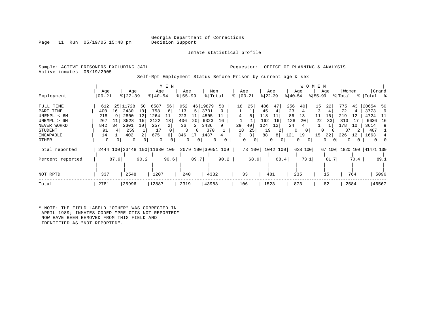Inmate statistical profile

Page 11 Run 05/19/05 15:48 pm

Sample: ACTIVE PRISONERS EXCLUDING JAIL **Requestor:** OFFICE OF PLANNING & ANALYSIS Active inmates 05/19/2005

Self-Rpt Employment Status Before Prison by current age & sex

| Employment                                                                                           | Age<br>$00 - 21$                                        |                                  | Age<br>$ 22-39$                                          |                            | Age<br>$ 40-54 $                                     | M E N                                     | Age<br>$8 55-99$                                |                                      |                                                      | Men<br>% Total                 |      | Age                        | $ 00-21$            | $ 22-39 $                                  | Age                                      | $ 40-54 $                           | Age                  | W O M E N<br>$ 55-99 $ | Age                  | % Total                                          | Women                | %   Total %                                                  | Grand                  |
|------------------------------------------------------------------------------------------------------|---------------------------------------------------------|----------------------------------|----------------------------------------------------------|----------------------------|------------------------------------------------------|-------------------------------------------|-------------------------------------------------|--------------------------------------|------------------------------------------------------|--------------------------------|------|----------------------------|---------------------|--------------------------------------------|------------------------------------------|-------------------------------------|----------------------|------------------------|----------------------|--------------------------------------------------|----------------------|--------------------------------------------------------------|------------------------|
| FULL TIME<br>PART TIME<br>UNEMPL < 6M<br>UNEMPL > 6M<br>NEVER WORKD<br>STUDENT<br>INCAPABLE<br>OTHER | 612<br>400<br>218<br>267<br>842<br>91<br>14<br>$\Omega$ | 25 <sub>1</sub><br>16<br>34<br>0 | 11728<br>2430<br>2800<br>3528<br>2301<br>259<br>402<br>0 | 50<br>10<br>12<br>15<br>10 | 6587<br>758<br>1264<br>2122<br>257<br>17<br>675<br>0 | 56<br>6<br>11<br>18<br>2<br>6<br>$\Omega$ | 952<br>113<br>223<br>406<br>36<br>3<br>346<br>0 | 46<br>.5<br>11<br>20<br>2<br>0<br>17 | 19879<br>3701<br>4505<br>6323<br>3436<br>370<br>1437 | 50<br>9<br>16<br>9<br>$\Omega$ |      | 18<br>29<br>18<br>$\Omega$ | 25<br>40<br>25<br>3 | 486<br>45<br>118<br>162<br>124<br>19<br>88 | 47<br>11<br>16<br>12<br>2<br>8<br>0<br>0 | 256<br>23<br>86<br>128<br>24<br>121 | 40<br>13<br>20<br>19 | 15<br>11<br>22<br>15   | 22<br>16<br>33<br>22 | 775<br>72<br>219<br>313<br>178<br>37<br>226<br>0 | 43<br>12<br>10<br>12 | 20654<br>3773<br>4724<br>6636 16<br>3614<br>407<br>1663<br>0 | 50<br>-9<br>- 11<br>-9 |
| Total reported                                                                                       |                                                         |                                  |                                                          |                            | 2444 100 23448 100 11680 100                         |                                           |                                                 |                                      |                                                      | 2079 100 39651 100             |      |                            | 73 100              |                                            | 1042 100                                 |                                     | 638 100              |                        |                      |                                                  |                      | 67 100 1820 100 41471 100                                    |                        |
| Percent reported<br>NOT RPTD                                                                         | 337                                                     | 87.9                             | 2548                                                     | 90.2                       | 1207                                                 | 90.6                                      | 240                                             | 89.7                                 |                                                      | 4332                           | 90.2 |                            | 68.9<br>33          | 481                                        | 68.4                                     |                                     | 73.1<br>235          |                        | 81.7<br>15           |                                                  | 70.4<br>764          |                                                              | 89.1<br>5096           |
| Total                                                                                                | 2781                                                    |                                  | 25996                                                    |                            | 12887                                                |                                           | 2319                                            |                                      | 43983                                                |                                |      | 106                        |                     | 1523                                       |                                          |                                     | 873                  |                        | 82                   |                                                  | 2584                 |                                                              | 46567                  |

\* NOTE: THE FIELD LABELD "OTHER" WAS CORRECTED IN APRIL 1989; INMATES CODED "PRE-OTIS NOT REPORTED" NOW HAVE BEEN REMOVED FROM THIS FIELD AND IDENTIFIED AS "NOT REPORTED".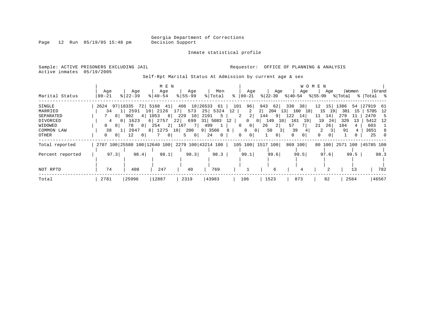Page 12 Run 05/19/05 15:48 pm

Inmate statistical profile

Active inmates 05/19/2005

Sample: ACTIVE PRISONERS EXCLUDING JAIL **Requestor:** OFFICE OF PLANNING & ANALYSIS

Self-Rpt Marital Status At Admission by current age & sex

|                  |                            |                 | M E N       |                     |                                                 |                      |                                        |                                                       | <b>WOMEN</b>         |            |                      |
|------------------|----------------------------|-----------------|-------------|---------------------|-------------------------------------------------|----------------------|----------------------------------------|-------------------------------------------------------|----------------------|------------|----------------------|
|                  | Age                        | Age             | Age         | Age                 | Men                                             | Age                  | Age                                    | Age                                                   | Age                  | Women      | Grand                |
| Marital Status   | $00 - 21$                  | $8 22-39$       | $8140 - 54$ | $8155 - 99$         | % Total                                         | %   00-21            |                                        | $ 22-39 $ $ 40-54 $ $ 55-99 $ $ Total$ $ Total$ $ 8 $ |                      |            |                      |
| SINGLE           |                            |                 |             |                     | 2624 97 18335 72 5168 41 406 18 26533 61 101    | 96                   | 943                                    | 38<br>62 330                                          | $12 \quad 15$        | 1386<br>54 | 27919 61             |
| MARRIED          | 34                         | 1   2591 10     | 2126        | 17 <sup>1</sup>     | 573 25 5324                                     | 12  <br>2            | 2 <br>204                              | 13<br>160<br><b>18</b>                                | 15<br>19             | 381<br>15  | 5705 12              |
| SEPARATED        | $\circ$                    | 902             | 8<br>4 1053 | 229                 | 10 2191<br>5                                    | 2 <br>2              | 9  <br>144                             | 122<br>14                                             | 11<br>14             | 279        | 2470<br>-5           |
| DIVORCED         | 4<br>0 <sup>1</sup>        | 1623            | 6 2757      | 699<br>22           | 31 5083                                         | 12<br>$\overline{0}$ | 149<br>0 <sup>1</sup><br>10            | 161<br>19                                             | 19<br>24             | 329<br>13  | 5412 12              |
| WIDOWED          | 0 <sup>1</sup>             | 78<br>$\circ$ 1 | 2 <br>254   | 7 <br>167           | 499<br>$1 +$                                    | 0 <br>$\mathbf{0}$   | 26<br>$\overline{2}$                   | 57                                                    | 26<br>21             | 104        | 603                  |
| COMMON LAW       | 38                         | 2047            | 8 1275 10   | 200                 | 9 3560                                          | $\circ$<br>8         | $\overline{3}$<br>50<br>0 <sup>1</sup> | 39                                                    |                      | 91         | 3651<br>8            |
| OTHER            | 0 <sup>1</sup><br>$\Omega$ | 12<br>- 0 I     | 0           | 5<br>0 <sup>1</sup> | 24<br>$\overline{0}$                            | 0<br>0               | $\mathbf{0}$                           | 0<br>0 <sup>1</sup>                                   | $\Omega$<br>$\Omega$ |            | 25                   |
| Total reported   |                            |                 |             |                     | 2707 100 25588 100 12640 100 2279 100 43214 100 |                      | 105 100  1517 100                      | 869 100                                               | 80 100               |            | 2571 100   45785 100 |
| Percent reported | 97.3                       | 98.4            | 98.1        | 98.3                | 98.3                                            | 99.1                 | 99.6                                   | 99.5                                                  | 97.6                 | 99.5       | 98.3                 |
|                  |                            |                 |             |                     |                                                 |                      |                                        |                                                       |                      |            |                      |
| NOT RPTD         | 74                         | 408             | 247         | 40                  | 769                                             |                      | 6                                      |                                                       |                      | 13         | 782                  |
| Total            | 2781                       | 25996           | 12887       | 2319                | 43983                                           | 106                  | 1523                                   | 873                                                   | 82                   | 2584       | 46567                |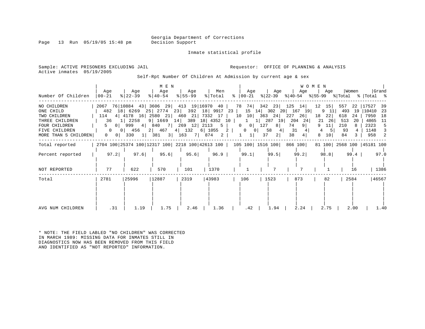Inmate statistical profile

Page 13 Run  $05/19/05$  15:48 pm

Sample: ACTIVE PRISONERS EXCLUDING JAIL **Requestor:** OFFICE OF PLANNING & ANALYSIS Active inmates 05/19/2005

Self-Rpt Number Of Children At Admission by current age & sex

|                      |                             |                                                                                | M E N            |                    |                          |                                |                           |                                                     | W O M E N |                           |                       |
|----------------------|-----------------------------|--------------------------------------------------------------------------------|------------------|--------------------|--------------------------|--------------------------------|---------------------------|-----------------------------------------------------|-----------|---------------------------|-----------------------|
| Number Of Children   | Aqe<br>$ 00 - 21 $          | Aqe<br>$ 22-39 $                                                               | Age<br>$ 40-54 $ | Age<br>$ 55 - 99 $ | Men<br>% Total           | Age<br>%   00-21               | Age<br>% 22-39            | Age<br>$ 40-54 \t  55-99 \t  Total \t  Total \t  5$ | Aqe       | Women                     | Grand                 |
| NO CHILDREN          |                             | 2067 76 10884 43 3606 29 413 19 16970 40                                       |                  |                    |                          |                                | 78 74 342 23 125 14       |                                                     | 12<br>15  | 557<br>22                 | 17527<br>-39          |
| ONE CHILD            |                             | 482 18 6269 25 2774 23 392 18 9917 23                                          |                  |                    |                          |                                |                           | 15 14 302 20 167 19                                 | 9<br>11   | 493<br>19                 | 10410<br>- 23         |
| TWO CHILDREN         | 114                         | 4 4178 16 2580 21 460 21 7332 17                                               |                  |                    |                          | $10 \quad 10$                  | 363 24                    | 227<br>26                                           | 18<br>22  | 618<br>24                 | 7950<br>18            |
| THREE CHILDREN       | 36                          | 1 2258                                                                         |                  |                    | 9 1669 14 389 18 4352 10 | 1                              | 1  287 19                 | 204<br>24                                           | 21<br>26  | 513<br>-20                | 4865<br>- 11          |
| <b>FOUR CHILDREN</b> | $\circ$                     | 999<br>$4\vert$                                                                | 840              |                    | 7 269 12 2113 5          | $\overline{0}$<br>0            | 127<br>8                  | 74<br>9 <sup>1</sup>                                | 11        | 210                       | 2323<br>5             |
| FIVE CHILDREN        | $\Omega$                    | 456<br>0 <sup>1</sup>                                                          | 2 467            |                    | $4$ 132 6 1055 2         | $\mathbf{0}$                   | 58<br>4<br>$\overline{0}$ | 31                                                  | 5<br>4    | 93                        | 1148<br>3             |
| MORE THAN 5 CHILDREN | $\circ$  <br>$\overline{0}$ | 330<br>$1 \vert$                                                               | 381              | 3 163              | 7 874<br>2               | 1 <sup>1</sup><br>$\mathbf{1}$ | 37<br>2                   | 38<br>4                                             | 10        | 84                        | 958<br>$\overline{2}$ |
| Total reported       |                             | 2704 100 25374 100 12317 100 2218 100 42613 100   105 100   1516 100   866 100 |                  |                    |                          |                                |                           |                                                     |           | 81 100 2568 100 45181 100 |                       |
| Percent reported     | 97.2                        | 97.6                                                                           | 95.6             | 95.6               | 96.9                     | 99.1                           | 99.5                      | 99.2                                                | 98.8      | 99.4                      | 97.0                  |
| NOT REPORTED         | 77                          | 622                                                                            | 570              | 101                | 1370                     |                                |                           |                                                     |           | 16                        | 1386                  |
| Total                | 2781                        | 25996                                                                          | 12887            | 2319               | 43983                    | 106                            | 1523                      | 873                                                 | 82        | 2584                      | 46567                 |
|                      |                             |                                                                                |                  |                    |                          |                                |                           |                                                     |           |                           |                       |
|                      |                             |                                                                                |                  |                    |                          |                                |                           |                                                     |           |                           |                       |
| AVG NUM CHILDREN     | .31                         | 1.19                                                                           | 1.75             | 2.46               | 1.36                     | .42                            | 1.94                      | 2.24                                                | 2.75      | 2.00                      | 1.40                  |

\* NOTE: THE FIELD LABLED "NO CHILDREN" WAS CORRECTED IN MARCH 1989: MISSING DATA FOR INMATES STILL IN DIAGNOSTICS NOW HAS BEEN REMOVED FROM THIS FIELD AND IDENTIFIED AS "NOT REPORTED" INFORMATION.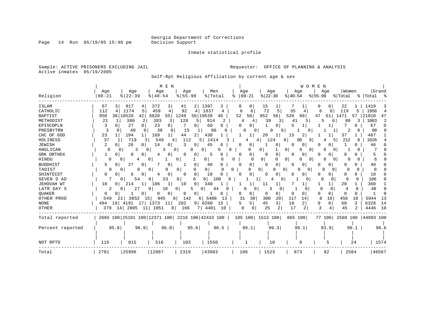Inmate statistical profile

Sample: ACTIVE PRISONERS EXCLUDING JAIL **Requestor:** OFFICE OF PLANNING & ANALYSIS Active inmates 05/19/2005

Self-Rpt Religious Affiliation by current age & sex

|                  | M E N<br>WOMEN                                                                                                                                                                       |          |
|------------------|--------------------------------------------------------------------------------------------------------------------------------------------------------------------------------------|----------|
|                  | Grand<br>Women<br>Age<br>Age<br>Age<br>Age<br>Men<br>Age<br>Age<br>Age<br>Age                                                                                                        |          |
| Religion         | $ 22-39$<br>$8   22 - 39$<br>$8 55-99$<br>% Total<br>$ 00-21 $<br>$8 55-99$<br>$00 - 21$<br>$8   40 - 54$<br>$ 40-54$<br>% Total<br>%   Total<br>ႜ                                   |          |
| ISLAM            | 67<br>917<br>372<br>1397<br>15<br>22<br>1419<br>3<br>2<br>3<br>0<br>4<br>41<br>$\cup$                                                                                                | 3        |
| CATHOLIC         | 72<br>5<br>1174<br>5<br>459<br>4<br>92<br>1837<br>35<br>119<br>1956<br>112<br>$\overline{4}$<br>6<br>6<br>8<br>5<br>6<br>4                                                           | 4        |
| <b>BAPTIST</b>   | 36 10520<br>852<br>520<br>950<br>42 <br>6820<br>55<br>1249<br>56 19539<br>52<br>50<br>56<br>47<br>1471<br>21010<br>60<br>57<br>61<br>46                                              | 47       |
| METHODIST        | 380<br>2<br>393<br>21<br>3<br>120<br>5<br>914<br>2<br>39<br>41<br>89<br>1003<br>3<br>5<br>3<br>4<br>5.<br>6<br>4                                                                     | 2        |
| EPISCOPLN        | 27<br>$\Omega$<br>23<br>67<br>3<br>$\overline{0}$<br>60<br>$\Omega$<br>0<br>5<br>0<br>01<br>O<br>0<br>1                                                                              | O        |
| PRESBYTRN        | 3<br>38<br>98<br>40<br>$\Omega$<br>15<br>96<br>$\Omega$<br>$\Omega$<br>U<br>$\Omega$<br>2<br>n<br>0                                                                                  |          |
| CHC OF GOD       | 23<br>194<br>169<br>2 <br>430<br>20<br>2<br>37<br>467<br>44<br>15                                                                                                                    |          |
| HOLINESS         | 37<br>212<br>1626<br>719<br>546<br>112<br>124<br>9<br>3<br>5<br>1414<br>81<br>80<br>8<br>5<br>4                                                                                      |          |
| <b>JEWISH</b>    | 2<br>26<br>14<br>κ<br>46<br>0<br>45<br>O<br>O<br>0<br>0<br>0<br>0<br>0<br>0                                                                                                          |          |
| ANGLICAN         | 0<br>0<br>3<br>0<br>0<br>0 <sup>1</sup><br>O<br>0<br>O<br>6<br>O<br>0<br>0<br>0                                                                                                      |          |
| GRK ORTHDX       | 0<br>0<br>0<br>$\Omega$<br>0<br>0<br>0<br>0<br>0<br>0<br>0<br>0<br>0.                                                                                                                |          |
| HINDU            | 0<br>$\overline{0}$<br>0<br>$\Omega$<br>0<br>0<br>0 <sup>1</sup><br>O<br>$\Omega$<br>0<br>0<br>$\overline{0}$<br>U<br>6<br>4<br>$\Omega$                                             |          |
| <b>BUDDHIST</b>  | 27<br>0<br>40<br>0<br>0<br>5.<br>0<br>0<br>0<br>0<br>U<br>$\Omega$<br>0<br>0<br>40<br>0<br>O<br>0                                                                                    |          |
| TAOIST           | $\overline{0}$<br>$\overline{0}$<br>0<br>$\overline{0}$<br>0<br>$\Omega$<br>O<br>$\Omega$<br>$\Omega$<br>O<br>0<br>∩<br>n<br>O<br>O<br><sup>o</sup><br>0<br>$\Omega$<br><sup>0</sup> |          |
| SHINTOIST        | $\Omega$<br>0<br>0<br>10<br>$\cap$<br>$\Omega$<br>$\Omega$<br>∩<br>$\Omega$<br>0<br>0<br>0<br>0<br>O<br>10<br>0<br>6<br>4                                                            |          |
| SEVEN D AD       | 106<br>54<br>33<br>$\overline{0}$<br>01<br>100<br>$\Omega$<br>6<br>$\Omega$<br>$\Omega$<br>6<br>0<br>01<br>$\Omega$<br>$\Omega$                                                      |          |
| JEHOVAH WT       | 20<br>360<br>10<br>214<br>106<br>10<br>0<br>1<br>1<br>340<br>11<br>$\Omega$                                                                                                          |          |
| LATR DAY S       | 27<br>10<br>5<br>$\mathbf 0$<br>48<br>2<br>0<br>0<br>44<br>C<br>3<br>$\Omega$<br>0<br>0<br>0<br><sup>0</sup><br>4<br>0                                                               | $\Omega$ |
| <b>OUAKER</b>    | $\Omega$<br>0<br>$\Omega$<br>$\Omega$<br>0<br>$\Omega$<br>0<br>0<br>0<br>0<br>0<br>$\Omega$<br><sup>0</sup><br>$\Omega$<br>0<br>O                                                    | $\Omega$ |
| OTHER PROD       | 31<br>300<br>117<br>142<br>30<br>20<br>8<br>10<br>456<br>18<br>5944<br>549<br>3852<br>15<br>945<br>8<br>5488<br>13<br>14<br>21<br>6                                                  | 13       |
| <b>NONE</b>      | 45<br>18<br>6328<br>19<br>4191<br>17<br>1373<br>9   6260<br>3<br>2<br>68<br>3<br>494<br>11<br>202<br>15<br>5.<br>0<br>$\Omega$<br>5                                                  | 14       |
| OTHER            | 17<br>3<br>14 2805<br>1051<br>166<br>25<br>2<br>45<br>4446<br>379<br>11<br>4401<br>$\Omega$<br>2<br>2<br>8<br>7 L<br>10<br>$\Omega$                                                  | 10       |
| Total reported   | 2665 100 25181 100 12371 100 2216 100 42433 100  <br>105 100  1513 100<br>865 100<br>77 100 2560 100 44993 100                                                                       |          |
| Percent reported | 95.8<br>96.9<br>96.0<br>95.6<br>96.5<br>99.1<br>99.3<br>99.1<br>93.9<br>99.1<br>96.6                                                                                                 |          |
| NOT RPTD         | 116<br>815<br>516<br>103<br>1550<br>10<br>1574<br>8<br>24                                                                                                                            |          |
| Total            | 2781<br>25996<br> 12887<br>2319<br>43983<br>1523<br>873<br>82<br>2584<br>46567<br>106                                                                                                |          |

Page 14 Run 05/19/05 15:48 pm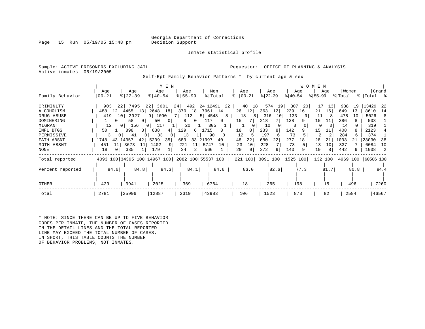Page 15 Run  $05/19/05$  15:48 pm

Inmate statistical profile

Sample: ACTIVE PRISONERS EXCLUDING JAIL **Requestor:** OFFICE OF PLANNING & ANALYSIS Active inmates 05/19/2005

Self-Rpt Family Behavior Patterns \* by current age & sex

|                  |                   |                         | M E N                                           |                  |                 |                      |                  |                           | <b>WOMEN</b>     |                  |                            |
|------------------|-------------------|-------------------------|-------------------------------------------------|------------------|-----------------|----------------------|------------------|---------------------------|------------------|------------------|----------------------------|
| Family Behavior  | Age<br>$ 00 - 21$ | Age<br>$8 22-39$        | Age<br>$8140 - 54$                              | Age<br>$8 55-99$ | Men<br>% Total  | Age<br>$8   00 - 21$ | Age<br>$ 22-39 $ | Age<br>$ 40-54 $          | Age<br>$ 55-99 $ | Women<br>% Total | Grand<br>%   Total %       |
|                  |                   |                         |                                                 |                  |                 |                      |                  |                           |                  |                  |                            |
| CRIMINLTY        | 903               | 7495<br>221             | 22 <br>3601                                     | 492<br>24        | 24 12491        | 40<br>18  <br>22     | 574<br>19        | 307<br>20                 | 17<br>13         | 938<br>19        | 13429<br>-22               |
| ALCOHOLISM       | 488<br>12         | 4455<br>13              | 2648<br>18                                      | 370<br>18        | 7961 14         | 26<br>12             | 363<br>12        | 239<br>16                 | 16<br>21         | 649<br>13        | 8610<br>14                 |
| DRUG ABUSE       | 419               | 2927<br>10 <sub>1</sub> | 1090<br>9 <sup>1</sup>                          | 112              | 4548<br>5       | 18<br>8<br>-81       | 316<br>10        | 133                       | 11<br>-8         | 478<br>10        | 5026<br>-8                 |
| DOMINERING       | 0                 | 58<br>0 <sup>1</sup>    | 50<br>$\mathbf{0}$                              | $\Omega$<br>8    | 117<br>$\Omega$ | 15                   | 218              | 138                       | 15<br>11         | 386              | 503                        |
| MIGRANT          | 12                | 156<br>0 <sup>1</sup>   | 117<br>01                                       | 20               | 305             |                      | 10               |                           | 0                | 14               | 319                        |
| INFL BTGS        | 50                | 898                     | 638<br>31<br>4                                  | 129<br>6         | 1715            | 18<br>8              | 233<br>8         | 142                       | 15<br>11         | 408<br>8         | 2123                       |
| PERMISSIVE       | 3                 | 41                      | 33<br>0                                         | 13               | 90              | 12                   | 197<br>6         | 73                        |                  | 284<br>6         | 374                        |
| FATH ABSNT       | 43 <br>1748       | 14357<br>42             | 35<br>5209                                      | 683<br>33        | 21997<br>40     | 48<br>22             | 680<br>22        | 277<br>18                 | 28<br>21         | 1033<br>21       | 23030<br>38                |
| MOTH ABSNT       | 451<br>11         | 3673<br>11              | 1402<br>9                                       | 221<br>11        | 5747<br>10      | 10<br>23             | 228              | 73                        | 13<br>10         | 337              | 6084<br>10                 |
| NONE             | 18                | 335                     | 179                                             | 34               | 566             | 20<br>9              | 272<br>9         | 140<br>9                  | 10<br>8          | 442<br>9.        | 1008<br>2                  |
| Total reported   |                   |                         | 4093 100 34395 100 14967 100 2082 100 55537 100 |                  |                 |                      |                  | 221 100 3091 100 1525 100 |                  |                  | 132 100 4969 100 60506 100 |
| Percent reported | 84.6              | 84.8                    | 84.3                                            | 84.1             | 84.6            | 83.0                 | 82.6             | 77.3                      | 81.7             | 80.8             | 84.4                       |
|                  |                   |                         |                                                 |                  |                 |                      |                  |                           |                  |                  |                            |
| OTHER            | 429               | 3941                    | 2025                                            | 369              | 6764            | 18                   | 265              | 198                       | 15               | 496              | 7260                       |
| Total            | 2781              | 25996                   | 12887                                           | 2319             | 43983           | 106                  | 1523             | 873                       | 82               | 2584             | 46567                      |

\* NOTE: SINCE THERE CAN BE UP TO FIVE BEHAVIOR CODES PER INMATE, THE NUMBER OF CASES REPORTED IN THE DETAIL LINES AND THE TOTAL REPORTED LINE MAY EXCEED THE TOTAL NUMBER OF CASES. IN SHORT, THIS TABLE COUNTS THE NUMBER OF BEHAVIOR PROBLEMS, NOT INMATES.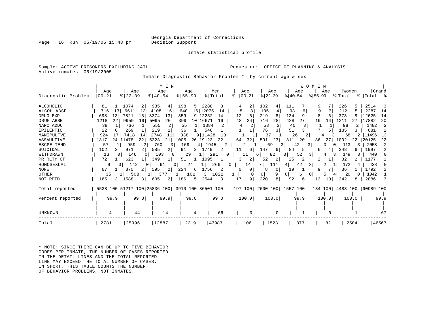Page  $16$  Run  $05/19/05$  15:48 pm

Inmate statistical profile

Sample: ACTIVE PRISONERS EXCLUDING JAIL **Requestor:** OFFICE OF PLANNING & ANALYSIS Active inmates 05/19/2005

Inmate Diagnostic Behavior Problem \* by current age & sex

|                    |                  |                                                 | M E N                 |                       |                  |                      |                           |                  | W O M<br>E N       |                  |                     |
|--------------------|------------------|-------------------------------------------------|-----------------------|-----------------------|------------------|----------------------|---------------------------|------------------|--------------------|------------------|---------------------|
| Diagnostic Problem | Age<br>$00 - 21$ | Age<br>$8122 - 39$                              | Age<br>$8140 - 54$    | Age<br>$8 55-99$      | Men<br>% Total   | Age<br>$ 00-21$<br>⊱ | Aqe<br>$ 22-39 $          | Age<br>$ 40-54 $ | Aqe<br>$8155 - 99$ | Women<br>% Total | Grand<br>%   Total  |
| <b>ALCOHOLIC</b>   | 81               | 1074<br>2                                       | 935<br>4              | 198<br>5              | 2288<br>3.       | 2                    | 102<br>4                  | 111              |                    | 226              | 2514                |
| ALCOH ABSE         | 13<br>716        | 13<br>6611                                      | 4108<br>16            | 640                   | 16 12075<br>14   | 3                    | 105<br>4                  | 93               | q                  | 212<br>5         | 12287<br>14         |
| DRUG EXP           | 698<br>13        | 7821<br>15                                      | 3374<br>13            | 359                   | 9 12252<br>14    | 12<br>6              | 219<br>8                  | 134              | 6                  | 373              | 12625<br>14         |
| DRUG ABSE          | 2.2<br>1218      | 9959<br>19                                      | 5095<br>20            | 399                   | 10 16671<br>19   | 48<br>24             | 716<br>28                 | 428<br>27        | 19<br>14           | 1211             | 20<br>17882         |
| NARC ADDCT         | 38               | 736                                             | 555                   | 55                    | 1384             |                      | 53                        | 40<br>3          |                    | 98               | 1482                |
| EPILEPTIC          | 22               | 269                                             | 219                   | 36                    | 546              |                      | 76                        | 51               |                    | 135              | 681                 |
| MANIPULTVE         | 924              | 7418<br>14                                      | 2748<br>11            | 338                   | 9 11428<br>่ 1 3 |                      | 37                        | 26               |                    | 68               | 11496<br>13         |
| <b>ASSAULTIVE</b>  | 1317<br>24       | 11478<br>22                                     | 5323<br>21            | 1005                  | 26 19123<br>22   | 32<br>64             | 591<br>23                 | 311<br>20        | 36<br>27           | 1002<br>22       | 22<br>20125         |
| <b>ESCPE TEND</b>  | 57               | 959                                             | 760<br>3              | 169                   | 1945<br>2<br>4   | 2                    | 69                        | 42<br>3          | 31<br>0            | 113<br>3         | 2058                |
| SUICIDAL           | 102              | 971                                             | 585<br>$\overline{2}$ | 91<br>2               | 1749<br>2        | 11<br>6.             | 147<br>6                  | 84<br>5          | h                  | 248<br>6.        | 1997                |
| WITHDRAWN          | 13               | 146<br>0                                        | 103                   | 29                    | 291              |                      | 82<br>6                   | 52<br>3 I        | 3.<br>4            | 149              | 440                 |
| PR RLTY CT         | 72               | 623                                             | 349                   | 51                    | 1095             | 2                    | 52<br>2                   | 25<br>2          |                    | 82               | 1177                |
| HOMOSEXUAL         | 9<br>0           | 142                                             | 91                    | 24                    | 266              | 14<br>0              | 7<br>114                  | 42<br>4          | 3                  | 172              | 438                 |
| <b>NONE</b>        | 67               | 870                                             | 595<br>2              | 224<br>6              | 1756<br>2        | 0                    | 0<br>8                    | 19               |                    | 36               | 1792                |
| OTHER              | 35               | 508                                             | 377                   | 102                   | 3<br>1022        |                      | 9<br>0                    | $\Omega$<br>6    | 0<br>5             | 20               | 1042                |
| NOT RPTD           | 165<br>31        | 1588<br>3 l                                     | $\overline{2}$<br>605 | 186<br>5 <sub>1</sub> | 2544<br>3        | 9<br>17              | 220<br>8                  | 92<br>6          | 13<br>10           | 342<br>8         | 2886                |
| Total reported     |                  | 5538 100 51217 100 25836 100 3910 100 86501 100 |                       |                       |                  |                      | 197 100 2600 100 1557 100 |                  | 134 100            |                  | 4488 100 190989 100 |
| Percent reported   | 99.9             | 99.8                                            | 99.9                  | 99.8                  | 99.8             | 100.0                | 100.0                     | 99.9             | 100.0              | 100.0            | 99.9                |
| <b>UNKNOWN</b>     | 4                | 44                                              | 14                    | 4                     | 66               | O                    | n                         |                  |                    |                  | 67                  |
| Total              | 2781             | 25996                                           | 12887                 | 2319                  | 43983            | 106                  | 1523                      | 873              | 82                 | 2584             | 46567               |

\* NOTE: SINCE THERE CAN BE UP TO FIVE BEHAVIOR CODES PER INMATE, THE NUMBER OF CASES REPORTED IN THE DETAIL LINES AND THE TOTAL REPORTED LINE MAY EXCEED THE TOTAL NUMBER OF CASES. IN SHORT, THIS TABLE COUNTS THE NUMBER OF BEHAVIOR PROBLEMS, NOT INMATES.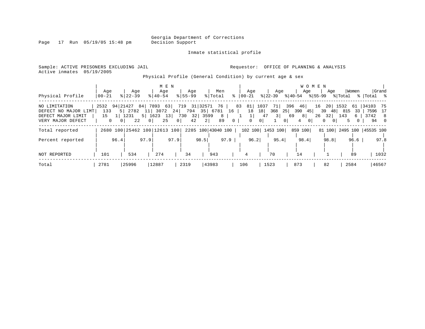Page 17 Run 05/19/05 15:48 pm

### Inmate statistical profile

Sample: ACTIVE PRISONERS EXCLUDING JAIL **Requestor:** OFFICE OF PLANNING & ANALYSIS Active inmates 05/19/2005

Physical Profile (General Condition) by current age & sex

|                      |              |                |                              |                |             | M E N          |                    |      |         |                    |                       |                     |           |                      |                | W O M E N |                      |            |       |                           |       |
|----------------------|--------------|----------------|------------------------------|----------------|-------------|----------------|--------------------|------|---------|--------------------|-----------------------|---------------------|-----------|----------------------|----------------|-----------|----------------------|------------|-------|---------------------------|-------|
|                      | Age          |                | Age                          |                | Age         |                | Age                |      | Men     |                    |                       | Age                 |           | Age                  | Age            |           | Age                  |            | Women |                           | Grand |
| Physical Profile     | $ 00 - 21 $  |                | $8$   22-39                  |                | $8140 - 54$ |                | $8155 - 99$        |      | % Total |                    | $\frac{1}{6}$   00-21 |                     | $ 22-39 $ |                      | % 40-54        | % 55-99   |                      | % Total    |       | %  Total     %            |       |
| NO LIMITATION        | 2532         | 94 21427       |                              | 84             | 7893        |                | 63 719 31 32571 76 |      |         |                    | 83                    | 81 1037             | 71        | 396                  | 46             | 16        |                      | 20 1532 61 |       | 34103 75                  |       |
| DEFECT NO MAJOR LIMT | 133          |                | 5 2782                       | 11             | 3072        |                | 24 794 35 6781     |      |         | 16                 |                       | 18<br>18            | 368       | 25                   | $390 \quad 45$ |           | 39 48                | 815        | 33    | 7596 17                   |       |
| DEFECT MAJOR LIMIT   | 15           | 1 1231         |                              |                | 5 1623113   |                | 730 32 3599        |      |         | 8                  |                       |                     | 47        | 3 <sup>1</sup><br>69 | 8              |           | $26 \quad 32$        | 143        | 6     | 3742 8                    |       |
| VERY MAJOR DEFECT    | $\mathbf{0}$ | 0 <sup>1</sup> | 22                           | 0 <sup>1</sup> | 25          | 0 <sup>1</sup> | 42                 | 2    |         | 89<br>$\mathbf{0}$ |                       | 0<br>0 <sup>1</sup> |           | $\Omega$             | 4              | $\Omega$  | $\Omega$<br>$\Omega$ | .5         | 0     | 94                        | - 0   |
| Total reported       |              |                | 2680 100 25462 100 12613 100 |                |             |                |                    |      |         | 2285 100 43040 100 |                       | 102 100             | 1453 100  |                      | 859 100        |           |                      |            |       | 81 100 2495 100 45535 100 |       |
|                      |              |                |                              |                |             |                |                    |      |         |                    |                       |                     |           |                      |                |           |                      |            |       |                           |       |
| Percent reported     |              | 96.4           |                              | 97.9           |             | 97.9           |                    | 98.5 |         | 97.9               |                       | 96.2                |           | 95.4                 | 98.4           |           | 98.8                 |            | 96.6  |                           | 97.8  |
|                      |              |                |                              |                |             |                |                    |      |         |                    |                       |                     |           |                      |                |           |                      |            |       |                           |       |
| NOT REPORTED         | 101          |                | 534                          |                | 274         |                | 34                 |      | 943     |                    | 4                     |                     | 70        |                      | 14             |           |                      |            | 89    |                           | 1032  |
| Total                | 2781         |                | 25996                        |                | 12887       |                | 2319               |      | 43983   |                    | 106                   |                     | 1523      |                      | 873            |           | 82                   |            | 2584  |                           | 46567 |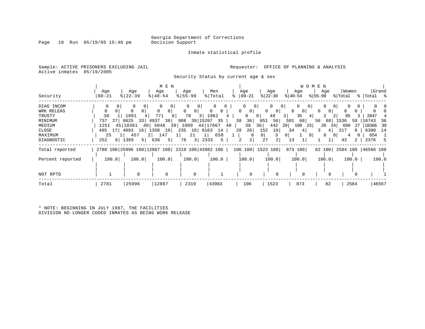Inmate statistical profile

Sample: ACTIVE PRISONERS EXCLUDING JAIL **Requestor:** OFFICE OF PLANNING & ANALYSIS Active inmates 05/19/2005

Security Status by current age & sex

|                  |                                                 |                        | M E N         |                        |                   |              |                                |                     | <b>WOMEN</b>   |                            |              |
|------------------|-------------------------------------------------|------------------------|---------------|------------------------|-------------------|--------------|--------------------------------|---------------------|----------------|----------------------------|--------------|
|                  | Age                                             | Age                    | Age           | Age                    | Men               | Age          | Age                            | Age                 | Age            | Women                      | Grand        |
| Security         | $00 - 21$                                       | $ 22-39$               | $8140 - 54$   | $8 55-99$              | % Total           | $ 00-21$     | $ 22-39 $                      | $ 40-54 $           | $ 55-99 $      | % Total                    | %   Total %  |
| DIAG INCOM       | 0<br>0 I                                        | $\Omega$               | $\Omega$<br>0 |                        | 0                 |              | 0 <sup>1</sup>                 | 0 <sup>1</sup><br>0 | 0              | $\Omega$<br>$\overline{0}$ |              |
| WRK RELEAS       |                                                 |                        | 0<br>0        | 0<br>0 <sup>1</sup>    | 0<br>$\mathbf{0}$ | 0<br>$\circ$ | 0 <sup>1</sup><br>$\mathbf{0}$ | 0<br>0 <sub>1</sub> | 0<br>$\Omega$  |                            |              |
| TRUSTY           | 30                                              | 1091<br>4              | 771<br>6 I    | 70<br>3                | 1962              | 0            | 48<br>0 <sup>1</sup>           | 35<br>3 I           | 41             | 85                         | 2047         |
| MINIMUM          | 27 <sup>1</sup><br>737                          | 8625<br>33             | 4937<br>38    | 39 15207<br>908        | 35                | 36<br>38     | 56<br>851                      | 591<br>68           | 68<br>56       | 59<br>1536                 | 16743<br>36  |
| MEDIUM           | 1251                                            | 45   10361<br>40       | 5046<br>39    | 1009                   | 44 17667<br>40    | 38           | 442<br>36                      | 29<br>199<br>23     | 20<br>-24      | 699<br>27                  | 18366<br>-39 |
| CLOSE            | 17<br>485                                       | 4093<br>16             | 1350<br>10    | 235<br>10 <sup>1</sup> | 6163<br>14        | 26<br>28     | 152<br>10                      | 34<br>4             | 4 <sup>1</sup> | 8                          | 6380<br>- 14 |
| MAXIMUM          | 25                                              | 457<br>2 <sub>1</sub>  | 147           | 21                     | 650<br>1          |              | 0 <sup>1</sup>                 | 0                   | 0<br>0         |                            | 654          |
| DIAGNOSTIC       | 9 <sup>1</sup><br>252                           | 1369<br>5 <sup>1</sup> | 5 <br>636     | 3 <br>76               | 2333<br>5         | 2 <br>2      | 27<br>$\overline{2}$           | 13                  |                | 43<br>2                    | 2376<br>-5   |
| Total reported   | 2780 100 25996 100 12887 100 2319 100 43982 100 |                        |               |                        |                   |              | 106 100 1523 100               | 873 100             | 82 100         | 2584 100   46566 100       |              |
| Percent reported | 100.0                                           | 100.0                  | 100.0         | 100.0                  | 100.0             | 100.0        | 100.0                          | 100.0               | 100.0          | 100.0                      | 100.0        |
|                  |                                                 |                        |               |                        |                   |              |                                |                     |                |                            |              |
| NOT RPTD         |                                                 |                        | $\Omega$      | $\Omega$               |                   | $\Omega$     |                                |                     |                |                            |              |
| Total            | 2781                                            | 25996                  | 12887         | 2319                   | 43983             | 106          | 1523                           | 873                 | 82             | 2584                       | 46567        |

\* NOTE: BEGINNING IN JULY 1987, THE FACILITIES DIVISION NO LONGER CODED INMATES AS BEING WORK RELEASE

Page 18 Run 05/19/05 15:48 pm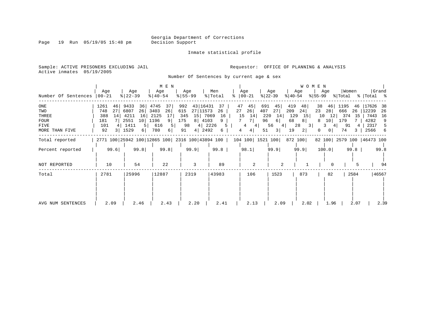Page 19 Run 05/19/05 15:48 pm

Inmate statistical profile

Sample: ACTIVE PRISONERS EXCLUDING JAIL **Requestor:** OFFICE OF PLANNING & ANALYSIS Active inmates 05/19/2005

Number Of Sentences by current age & sex

| Number Of Sentences                                                   | Age<br>$00 - 21$                                              | Age<br>$8 22-39$                                                                    | M E N<br>Age<br>$8 40-54$                                                                  | Age<br>$8 55-99$                                                                                               | Men<br>% Total<br>°                 | Age<br>$ 00-21$                                                                                          | Age<br>$ 22-39 $<br>% 40-54                                                  | W O M E N<br>Age<br>Age<br>$ 55-99 $                                              | Women<br>% Total                                                                                      | Grand<br>%   Total %                                                                 |
|-----------------------------------------------------------------------|---------------------------------------------------------------|-------------------------------------------------------------------------------------|--------------------------------------------------------------------------------------------|----------------------------------------------------------------------------------------------------------------|-------------------------------------|----------------------------------------------------------------------------------------------------------|------------------------------------------------------------------------------|-----------------------------------------------------------------------------------|-------------------------------------------------------------------------------------------------------|--------------------------------------------------------------------------------------|
| $_{\rm ONE}$<br>TWO<br>THREE<br><b>FOUR</b><br>FIVE<br>MORE THAN FIVE | 1261<br>46<br>27<br>748<br>14<br>388<br>181<br>101<br>4<br>92 | 9433<br>36<br>6807<br>26<br>16<br>4211<br>2551<br>10<br>1411<br>5 <br>3   1529<br>6 | 4745<br>37<br>3403<br>26<br>2125<br>17<br>1196<br>9 <sup>1</sup><br>616<br>5  <br>780<br>6 | 43 16431<br>992<br>27 11573<br>615<br>15 7069<br>345<br>8 4103<br>175<br>98<br>$4 \mid 2226$<br>4   2492<br>91 | 37<br>27<br>26<br>16<br>9<br>5<br>6 | 47<br>45<br>691<br>26 <br>407<br>220<br>15<br>14<br>$7^{\circ}$<br>-7 I<br>96<br>4<br>4<br>4 <br>51<br>4 | 419<br>45  <br>27<br>209<br>14<br>129<br>68<br>- 6 I<br>56<br>4 <br>3 <br>19 | 38<br>48<br>24<br>23<br>15<br>10<br>8 <br>8<br>28<br>3<br>3<br>2 <br>$\mathbf{0}$ | 46<br>1195<br>46<br>28<br>666<br>26<br>12 374<br>15<br>10 179<br>91<br>4<br>0 <sup>1</sup><br>74<br>3 | 17626<br>-38<br> 12239<br>-26<br>7443<br>-16<br>4282<br>9<br>2317<br>5<br>2566<br>-6 |
| Total reported                                                        |                                                               |                                                                                     | 2771 100 25942 100 12865 100 2316 100 43894 100                                            |                                                                                                                |                                     | 104 100  1521 100                                                                                        |                                                                              | 872 100                                                                           | 82 100 2579 100 46473 100                                                                             |                                                                                      |
| Percent reported                                                      | 99.6                                                          | 99.8                                                                                | 99.8                                                                                       | 99.9                                                                                                           | 99.8                                | 98.1                                                                                                     | 99.9                                                                         | 99.9<br>100.0                                                                     | 99.8                                                                                                  | 99.8                                                                                 |
| NOT REPORTED                                                          | 10                                                            | 54                                                                                  | 22                                                                                         | 3                                                                                                              | 89                                  | 2                                                                                                        | 2                                                                            |                                                                                   | 5<br>$\Omega$                                                                                         | 94                                                                                   |
| Total                                                                 | 2781                                                          | 25996                                                                               | 12887                                                                                      | 2319                                                                                                           | 43983                               | 106                                                                                                      | 1523                                                                         | 873                                                                               | 82<br>2584                                                                                            | 46567                                                                                |
| AVG NUM SENTENCES                                                     | 2.09                                                          | 2.46                                                                                | 2.43                                                                                       | 2.20                                                                                                           | 2.41                                | 2.13                                                                                                     | 2.09                                                                         | 2.02                                                                              | 2.07<br>1.96                                                                                          | 2.39                                                                                 |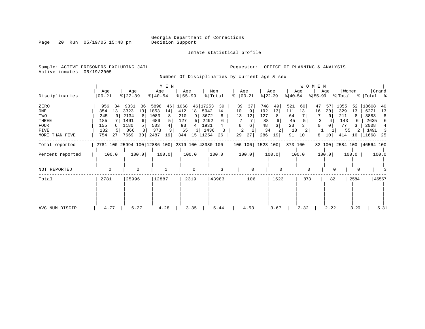Inmate statistical profile

Page 20 Run 05/19/05 15:48 pm

Active inmates 05/19/2005

Sample: ACTIVE PRISONERS EXCLUDING JAIL **Requestor:** OFFICE OF PLANNING & ANALYSIS

Number Of Disciplinaries by current age & sex

| $ 22-39 $<br>$ 22-39 $<br>$8 55-99$<br>$ 55-99 $<br>Disciplinaries<br>$00 - 21$<br>$ 40-54 $<br>% Total<br>ႜ<br>$ 00-21 $<br>$ 40-54 $<br>% Total<br>%   Total %<br>ZERO<br>39<br>748<br>521<br>18608<br>5898<br>1068<br>46 17253<br>37<br>49<br>47<br>1355<br>956<br>9331<br>46<br>39<br>60<br>52<br>40<br>36 <br>57<br>34<br>ONE<br>3323<br>13<br>1853<br>412<br>18<br>5942<br>10<br>192<br>13<br>14<br>13<br>111<br>13<br>329<br>13<br>6271<br>354<br>9<br>16<br>20<br>13<br>14<br>2134<br>3672<br>12<br>TWO<br>245<br>8 <sup>1</sup><br>1083<br>210<br>8<br>127<br>64<br>9<br>211<br>13<br>3883<br>8<br>THREE<br>185<br>1491<br>689<br>127<br>2492<br>88<br>45<br>143<br>2635<br>6<br>6<br>23<br>48<br>1180<br>503<br>93<br>1931<br>6<br>$\Omega$<br>77<br><b>FOUR</b><br>155<br>5 <sub>1</sub><br>6<br>2008<br>0<br>65<br>34<br>132<br>1436<br>18<br>FIVE<br>866<br>373<br>55<br>1491<br>$\overline{\mathbf{3}}$<br>3.<br>2<br>754<br>30 <br>2487<br>344<br>15 11254<br>29<br>27<br>286<br>91<br>MORE THAN FIVE<br>7669<br>19<br>19<br>10<br>8<br>10 <sup>1</sup><br>414<br>11668<br>25<br>27<br>26<br>16<br>2781 100 25994 100 12886 100 2319 100 43980 100<br>106 100 1523 100<br>873 100<br>82 100 2584 100 46564 100<br>Total reported<br>100.0<br>100.0<br>100.0<br>100.0<br>100.0<br>100.0<br>Percent reported<br>100.0<br>100.0<br>100.0<br>100.0<br>100.0<br>2<br>3<br>$\mathbf 0$<br>$\Omega$<br>$\Omega$<br>$\mathbf 0$<br>NOT REPORTED<br>$\Omega$<br>$\Omega$<br>0<br>12887<br>43983<br>46567<br>2781<br>25996<br>2319<br>106<br>1523<br>873<br>2584<br>Total<br>82 | Age | Age | M E N<br>Age | Age | Men | Age | Age | Age | WOMEN<br>Age | Women | Grand |
|--------------------------------------------------------------------------------------------------------------------------------------------------------------------------------------------------------------------------------------------------------------------------------------------------------------------------------------------------------------------------------------------------------------------------------------------------------------------------------------------------------------------------------------------------------------------------------------------------------------------------------------------------------------------------------------------------------------------------------------------------------------------------------------------------------------------------------------------------------------------------------------------------------------------------------------------------------------------------------------------------------------------------------------------------------------------------------------------------------------------------------------------------------------------------------------------------------------------------------------------------------------------------------------------------------------------------------------------------------------------------------------------------------------------------------------------------------------------------------------------------------------------------------------------------------------------------------------|-----|-----|--------------|-----|-----|-----|-----|-----|--------------|-------|-------|
|                                                                                                                                                                                                                                                                                                                                                                                                                                                                                                                                                                                                                                                                                                                                                                                                                                                                                                                                                                                                                                                                                                                                                                                                                                                                                                                                                                                                                                                                                                                                                                                      |     |     |              |     |     |     |     |     |              |       |       |
|                                                                                                                                                                                                                                                                                                                                                                                                                                                                                                                                                                                                                                                                                                                                                                                                                                                                                                                                                                                                                                                                                                                                                                                                                                                                                                                                                                                                                                                                                                                                                                                      |     |     |              |     |     |     |     |     |              |       |       |
|                                                                                                                                                                                                                                                                                                                                                                                                                                                                                                                                                                                                                                                                                                                                                                                                                                                                                                                                                                                                                                                                                                                                                                                                                                                                                                                                                                                                                                                                                                                                                                                      |     |     |              |     |     |     |     |     |              |       |       |
|                                                                                                                                                                                                                                                                                                                                                                                                                                                                                                                                                                                                                                                                                                                                                                                                                                                                                                                                                                                                                                                                                                                                                                                                                                                                                                                                                                                                                                                                                                                                                                                      |     |     |              |     |     |     |     |     |              |       |       |
|                                                                                                                                                                                                                                                                                                                                                                                                                                                                                                                                                                                                                                                                                                                                                                                                                                                                                                                                                                                                                                                                                                                                                                                                                                                                                                                                                                                                                                                                                                                                                                                      |     |     |              |     |     |     |     |     |              |       |       |
|                                                                                                                                                                                                                                                                                                                                                                                                                                                                                                                                                                                                                                                                                                                                                                                                                                                                                                                                                                                                                                                                                                                                                                                                                                                                                                                                                                                                                                                                                                                                                                                      |     |     |              |     |     |     |     |     |              |       |       |
|                                                                                                                                                                                                                                                                                                                                                                                                                                                                                                                                                                                                                                                                                                                                                                                                                                                                                                                                                                                                                                                                                                                                                                                                                                                                                                                                                                                                                                                                                                                                                                                      |     |     |              |     |     |     |     |     |              |       |       |
|                                                                                                                                                                                                                                                                                                                                                                                                                                                                                                                                                                                                                                                                                                                                                                                                                                                                                                                                                                                                                                                                                                                                                                                                                                                                                                                                                                                                                                                                                                                                                                                      |     |     |              |     |     |     |     |     |              |       |       |
|                                                                                                                                                                                                                                                                                                                                                                                                                                                                                                                                                                                                                                                                                                                                                                                                                                                                                                                                                                                                                                                                                                                                                                                                                                                                                                                                                                                                                                                                                                                                                                                      |     |     |              |     |     |     |     |     |              |       |       |
|                                                                                                                                                                                                                                                                                                                                                                                                                                                                                                                                                                                                                                                                                                                                                                                                                                                                                                                                                                                                                                                                                                                                                                                                                                                                                                                                                                                                                                                                                                                                                                                      |     |     |              |     |     |     |     |     |              |       |       |
|                                                                                                                                                                                                                                                                                                                                                                                                                                                                                                                                                                                                                                                                                                                                                                                                                                                                                                                                                                                                                                                                                                                                                                                                                                                                                                                                                                                                                                                                                                                                                                                      |     |     |              |     |     |     |     |     |              |       |       |
|                                                                                                                                                                                                                                                                                                                                                                                                                                                                                                                                                                                                                                                                                                                                                                                                                                                                                                                                                                                                                                                                                                                                                                                                                                                                                                                                                                                                                                                                                                                                                                                      |     |     |              |     |     |     |     |     |              |       |       |
|                                                                                                                                                                                                                                                                                                                                                                                                                                                                                                                                                                                                                                                                                                                                                                                                                                                                                                                                                                                                                                                                                                                                                                                                                                                                                                                                                                                                                                                                                                                                                                                      |     |     |              |     |     |     |     |     |              |       |       |
|                                                                                                                                                                                                                                                                                                                                                                                                                                                                                                                                                                                                                                                                                                                                                                                                                                                                                                                                                                                                                                                                                                                                                                                                                                                                                                                                                                                                                                                                                                                                                                                      |     |     |              |     |     |     |     |     |              |       |       |
|                                                                                                                                                                                                                                                                                                                                                                                                                                                                                                                                                                                                                                                                                                                                                                                                                                                                                                                                                                                                                                                                                                                                                                                                                                                                                                                                                                                                                                                                                                                                                                                      |     |     |              |     |     |     |     |     |              |       |       |
|                                                                                                                                                                                                                                                                                                                                                                                                                                                                                                                                                                                                                                                                                                                                                                                                                                                                                                                                                                                                                                                                                                                                                                                                                                                                                                                                                                                                                                                                                                                                                                                      |     |     |              |     |     |     |     |     |              |       |       |
|                                                                                                                                                                                                                                                                                                                                                                                                                                                                                                                                                                                                                                                                                                                                                                                                                                                                                                                                                                                                                                                                                                                                                                                                                                                                                                                                                                                                                                                                                                                                                                                      |     |     |              |     |     |     |     |     |              |       |       |
| 3.20<br>4.77<br>6.27<br>4.28<br>3.35<br>5.44<br>4.53<br>3.67<br>2.32<br>2.22<br>5.31<br>AVG NUM DISCIP                                                                                                                                                                                                                                                                                                                                                                                                                                                                                                                                                                                                                                                                                                                                                                                                                                                                                                                                                                                                                                                                                                                                                                                                                                                                                                                                                                                                                                                                               |     |     |              |     |     |     |     |     |              |       |       |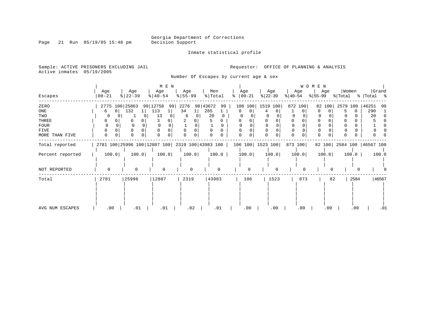Inmate statistical profile

Sample: ACTIVE PRISONERS EXCLUDING JAIL **Requestor:** OFFICE OF PLANNING & ANALYSIS

Active inmates 05/19/2005

Page 21 Run 05/19/05 15:48 pm

Number Of Escapes by current age & sex

|                  |                     |                       | M E N                 |               |          |                                                                      |                  |                      | <b>WOMEN</b> |                           |             |
|------------------|---------------------|-----------------------|-----------------------|---------------|----------|----------------------------------------------------------------------|------------------|----------------------|--------------|---------------------------|-------------|
|                  | Age                 | Age                   | Age                   | Age           | Men      | Age                                                                  | Age              | Age                  | Age          | Women                     | Grand       |
| Escapes          | $ 00 - 21$          | $ 22-39 $             | $\frac{1}{6}$   40-54 | $8 55-99$     | % Total  | $8   00 - 21$                                                        | $ 22-39 $        | $ 40-54 $            | $ 55-99 $    | % Total                   | % Total %   |
| ZERO             |                     | 2775 100 25863        | 99 12758<br>99        | 2276 98 43672 | 99       |                                                                      | 106 100 1519 100 | 872 100              |              | 82 100 2579 100           | 46251<br>99 |
| ONE              | 0 <sup>1</sup><br>6 | 132<br>1 <sub>1</sub> | 113                   | 34            | 285      | $\Omega$<br>$\Omega$                                                 |                  |                      | 0            | $\Omega$<br>5             | 290         |
| TWO              |                     |                       | 13                    | 6             | 20       |                                                                      |                  |                      |              |                           | 20          |
| THREE            |                     |                       |                       |               |          |                                                                      |                  | 0                    |              |                           |             |
| <b>FOUR</b>      |                     |                       |                       |               | $\Omega$ |                                                                      |                  |                      |              |                           |             |
| FIVE             | 0                   |                       |                       |               |          |                                                                      |                  | $\Omega$             |              |                           |             |
| MORE THAN FIVE   | $\Omega$<br>0       | $\Omega$              | <sup>0</sup>          | <sup>0</sup>  |          | 0<br>$\Omega$                                                        | $\Omega$         | $\Omega$<br>$\Omega$ | $\Omega$     | 0                         |             |
| Total reported   |                     |                       |                       |               |          | 2781 100 25996 100 12887 100 2319 100 43983 100   106 100   1523 100 |                  | 873 100              |              | 82 100 2584 100 46567 100 |             |
| Percent reported | 100.0               | 100.0                 | 100.0                 | 100.0         | 100.0    | 100.0                                                                | 100.0            | 100.0                | 100.0        | 100.0                     | 100.0       |
|                  |                     |                       |                       |               |          |                                                                      |                  |                      |              |                           |             |
| NOT REPORTED     | $\mathbf 0$         | $\Omega$              | $\Omega$              | $\mathbf 0$   | $\Omega$ |                                                                      |                  | $\Omega$             | $\Omega$     |                           |             |
| Total            | 2781                | 25996                 | 12887                 | 2319          | 43983    | 106                                                                  | 1523             | 873                  | 82           | 2584                      | 46567       |
|                  |                     |                       |                       |               |          |                                                                      |                  |                      |              |                           |             |
|                  |                     |                       |                       |               |          |                                                                      |                  |                      |              |                           |             |
|                  |                     |                       |                       |               |          |                                                                      |                  |                      |              |                           |             |
|                  |                     |                       |                       |               |          |                                                                      |                  |                      |              |                           |             |
|                  |                     |                       |                       |               |          |                                                                      |                  |                      |              |                           |             |
| AVG NUM ESCAPES  | .00                 | .01                   | .01                   | .02           | .01      | .00                                                                  | .00              | .00                  | .00          | .00                       | .01         |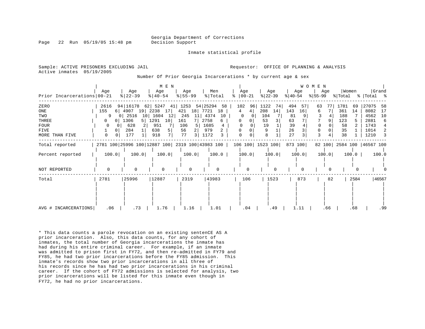Georgia Department of Corrections

Inmate statistical profile

Page 22 Run 05/19/05 15:48 pm Decision Support

Sample: ACTIVE PRISONERS EXCLUDING JAIL **Analysis** Requestor: OFFICE OF PLANNING & ANALYSIS Active inmates 05/19/2005

Number Of Prior Georgia Incarcerations \* by current age & sex

|                            |                       |                                                 | M E N                       |               |               |               |                    |           | W O M E N |                           |             |
|----------------------------|-----------------------|-------------------------------------------------|-----------------------------|---------------|---------------|---------------|--------------------|-----------|-----------|---------------------------|-------------|
|                            | Aqe                   | Age                                             | Age                         | Age           | Men           | Aqe           | Age                | Age       | Age       | Women                     | Grand       |
| Prior Incarcerations 00-21 |                       | $ 22-39 $                                       | $ 40-54 $                   | $8 55-99$     | % Total       | $8   00 - 21$ | $ 22-39 $          | $ 40-54 $ | $ 55-99 $ | % Total                   | %   Total % |
| ZERO                       | 2616                  | 94 16178 62 5247 41                             |                             | 1253 54 25294 | 58            | 102<br>96     | 1122<br>74         | 494<br>57 | 63        | 1781<br>69                | 27075<br>58 |
| ONE                        | 155<br>6 <sup>1</sup> | 4907<br>19                                      | 2238<br>17                  | 421           | 18 7721<br>18 | 4<br>4        | 208<br>14          | 143<br>16 | 6.        | 361<br>14                 | 8082<br>17  |
| TWO                        | 9                     | 2516<br>10 <sup>1</sup>                         | 1604<br>12                  | 245<br>11     | 4374<br>10    | 0             | 104                | 81        |           | 188                       | 4562<br>10  |
| THREE                      | 0 <sup>1</sup>        | 1306                                            | 5   1291<br>10 <sup>1</sup> | 161           | 2758<br>6     | 0<br>0        | 53<br>3            | 63        | 9         | 123                       | 2881<br>6   |
| <b>FOUR</b>                |                       | 628                                             | 951                         | 106           | 1685<br>4     |               | 19                 | 39        |           | 58                        | 1743<br>4   |
| FIVE                       |                       | 284                                             | 638                         | 56<br>21      | 979<br>2      |               | 9                  | 26        | 0         | 35                        | 1014<br>2   |
| MORE THAN FIVE             | 0                     | 177                                             | 7 <sup>1</sup><br>918       | 77<br>3       | 1172          |               | 8                  | 27        | 3         | 38                        | 1210<br>3   |
| Total reported             |                       | 2781 100 25996 100 12887 100 2319 100 43983 100 |                             |               |               |               | 106 100   1523 100 | 873 100   |           | 82 100 2584 100 46567 100 |             |
| Percent reported           | 100.0                 | 100.0                                           | 100.0                       | 100.0         | 100.0         | 100.0         | 100.0              | 100.0     | 100.0     | 100.0                     | 100.0       |
|                            |                       |                                                 |                             |               |               |               |                    |           |           |                           |             |
| NOT REPORTED               | $\Omega$              | $\Omega$                                        |                             | $\Omega$      | $\Omega$      |               | $\Omega$           |           |           |                           |             |
| Total                      | 2781                  | 25996                                           | 12887                       | 2319          | 43983         | 106           | 1523               | 873       | 82        | 2584                      | 46567       |
|                            |                       |                                                 |                             |               |               |               |                    |           |           |                           |             |
|                            |                       |                                                 |                             |               |               |               |                    |           |           |                           |             |
|                            |                       |                                                 |                             |               |               |               |                    |           |           |                           |             |
|                            |                       |                                                 |                             |               |               |               |                    |           |           |                           |             |
|                            |                       |                                                 |                             |               |               |               |                    |           |           |                           |             |
| AVG # INCARCERATIONS       | .06                   | .73                                             | 1.76                        | 1.16          | 1.01          | .04           | .49                | 1.11      | .66       | .68                       | .99         |

\* This data counts a parole revocation on an existing sentenCE AS A prior incarceration. Also, this data counts, for any cohort of inmates, the total number of Georgia incarcerations the inmate has had during his entire criminal career. For example, if an inmate was admitted to prison first in FY72, and then re-admitted in FY79 and FY85, he had two prior incarcerations before the FY85 admission. This inmate's records show two prior incarcerations in all three of his records since he has had two prior incarcerations in his criminal career. If the cohort of FY72 admissions is selected for analysis, two prior incarcerations will be listed for this inmate even though in FY72, he had no prior incarcerations.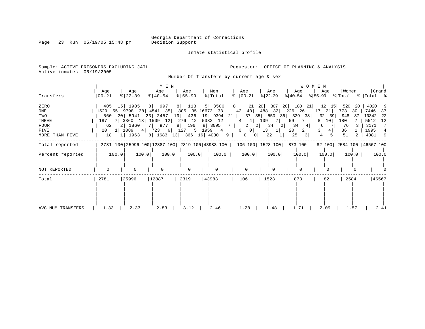Page 23 Run 05/19/05 15:48 pm

Inmate statistical profile

Sample: ACTIVE PRISONERS EXCLUDING JAIL **Requestor:** OFFICE OF PLANNING & ANALYSIS Active inmates 05/19/2005

Number Of Transfers by current age & sex

| Transfers         | Age<br>  00-21 | Age<br>$ 22-39 $                    | M E N<br>Age<br>$8   40 - 54$           | Age<br>$8 55-99$ | Men<br>% Total | Age<br>$\approx$   00-21                                                       | Age<br>$ 22-39 $          | WOMEN<br>Age<br>୫∣40-54 | Age                  | Women      | Grand<br>$ \$ 55-99 \$ \total \total \total \total \total \total \total \total \total \total \total \total \to |
|-------------------|----------------|-------------------------------------|-----------------------------------------|------------------|----------------|--------------------------------------------------------------------------------|---------------------------|-------------------------|----------------------|------------|----------------------------------------------------------------------------------------------------------------|
| ZERO              |                | 405 15 1985                         | 8 997                                   | 113<br>8         | 5   3500       | 21<br>8                                                                        | 20<br>307                 | 180<br>20 <br>-21       | 12<br>15             | 520<br>-20 | 4020<br>-9                                                                                                     |
| ONE               |                |                                     | 1529 55 9798 38 4541 35 805 35 16673 38 |                  |                | 42<br>40                                                                       | 488<br>32                 | 226<br>26               | 17<br>21             | 773<br>30. | 17446<br>37                                                                                                    |
| TWO               |                |                                     | 560 20 5941 23 2457 19 436 19 9394 21   |                  |                |                                                                                | 37 35 550 36 329          | 38                      | 39<br>32             | 948<br>-37 | 10342<br>-22                                                                                                   |
| THREE             |                |                                     | 187 7 3360 13 1509 12 276 12 5332 12    |                  |                | $4\overline{ }$                                                                | 4 109<br>7                | 7  <br>59               | 10 <sup>1</sup><br>8 | 180        | 5512<br>12                                                                                                     |
| FOUR              | 62             | 2 1860                              | 7   977                                 | 8 196 8 3095     |                | 7 I                                                                            | $2 \t2 \t34$<br>$\vert$ 2 | 34<br>41                | 6                    | 76         | 3171<br>7                                                                                                      |
| FIVE              |                | $20 \quad 1 \mid 1089 \quad 4 \mid$ | 723                                     | 6 127            | 5 1959 4       | $0$  <br>$\mathbf{0}$                                                          | 13<br> 1                  | 2 <br>20                | 4 <br>3              | 36         | 1995                                                                                                           |
| MORE THAN FIVE    | 18             | 1 1963                              | 8 1683 13 366 16 4030                   |                  |                | 9<br>$\overline{0}$<br>0                                                       | 22                        | 25<br>$\overline{3}$    | 4                    | 51<br>2    | 4081<br>- 9                                                                                                    |
| Total reported    |                |                                     |                                         |                  |                | 2781 100 25996 100 12887 100 2319 100 43983 100   106 100   1523 100   873 100 |                           |                         |                      |            | 82 100 2584 100 46567 100                                                                                      |
| Percent reported  | 100.0          | 100.0                               | 100.0                                   | 100.0            | 100.0          | 100.0                                                                          | 100.0                     | 100.0                   | 100.0                | 100.0      | 100.0                                                                                                          |
|                   |                |                                     |                                         |                  |                |                                                                                |                           |                         |                      |            |                                                                                                                |
| NOT REPORTED      |                | 0                                   |                                         | 0                |                | $\Omega$                                                                       |                           |                         |                      |            |                                                                                                                |
| Total             | 2781           | 25996                               | 12887                                   | 2319             | 43983          | 106                                                                            | 1523                      | 873                     | 82                   | 2584       | 46567                                                                                                          |
|                   |                |                                     |                                         |                  |                |                                                                                |                           |                         |                      |            |                                                                                                                |
| AVG NUM TRANSFERS | 1.33           | 2.33                                | 2.83                                    | 3.12             | 2.46           | 1.28                                                                           | 1.48                      | 1.71                    | 2.09                 | 1.57       | 2.41                                                                                                           |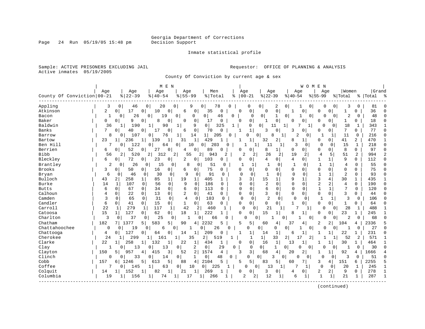Page 24 Run 05/19/05 15:48 pm

### Inmate statistical profile

Sample: ACTIVE PRISONERS EXCLUDING JAIL **Requestor:** OFFICE OF PLANNING & ANALYSIS Active inmates 05/19/2005

County Of Conviction by current age & sex

|                            |          |                           | M E N                            |                            |                        |              |                          |                      |                         |                            | WOMEN                      |                |                |              |           |              |
|----------------------------|----------|---------------------------|----------------------------------|----------------------------|------------------------|--------------|--------------------------|----------------------|-------------------------|----------------------------|----------------------------|----------------|----------------|--------------|-----------|--------------|
|                            | Age      | Age                       | Age                              | Age                        | Men                    |              | Age                      | Age                  |                         | Age                        | Age                        |                | Women          |              | Grand     |              |
| County Of Conviction 00-21 |          | $8   22 - 39$             | $8140 - 54$                      | $8155 - 99$                | % Total                | ႜ            | $ 00-21$                 | $ 22-39$             |                         | $ 40-54$                   | $8 55-99$                  |                | % Total        |              | %   Total | ఄ            |
| Appling                    | 3        | 0<br>46                   | 0<br>20                          | 0<br>9                     | 78<br>0                |              | 0                        | 0                    | 0<br>2                  |                            | 0<br>0                     | 0              | 3              | 0            | 81        |              |
| Atkinson                   | 2        | 17<br>$\circ$             | 10<br>0<br>0                     | 6<br>0                     | 35<br>0                |              | $\Omega$<br>0            | 0                    | 0                       | 1<br>0                     | 0                          | 0              | 1              | 0            | 36        | <sup>0</sup> |
| Bacon                      | -1       | 26<br>$\Omega$            | 19<br>0 <sup>1</sup>             | $\mathbf 0$<br>0           | 0<br>46                | 0            | $\mathbf 0$              | 0                    | $\mathbf{1}$<br>0       | 1                          | $\Omega$<br>$\Omega$       | 0              | $\overline{2}$ | $\Omega$     | 48        | $\Omega$     |
| Baker                      | $\Omega$ | 9<br>0                    | 8<br>$\mathbf 0$<br>0            | 0<br>0                     | 17<br>0                |              | $\mathbf 0$<br>$\Omega$  | -1                   | $\mathbf 0$             | 0<br><sup>0</sup>          | O                          | 0              | 1              | $\Omega$     | 18        | $\Omega$     |
| Baldwin                    | 36       | 190<br>$\mathbf{1}$       | $\mathbf{1}$<br>90               | 1<br>9                     | 0<br>325               | 1            | 0                        | $\Omega$             | 1<br>11                 | 7                          | $\mathbf{1}$<br>U          | 0              | 18             | $\mathbf{1}$ | 343       |              |
| Banks                      | 7        | 40<br>$\overline{0}$      | 17<br>$\Omega$<br>0              | $\overline{0}$<br>6        | 70<br>$\Omega$         |              | $\mathbf 1$<br>1         | 3                    | $\Omega$                | 0<br>3                     | 0                          | 0              | 7              | 0            | 77        | 0            |
| Barrow                     |          | 8<br>107<br>0             | 0<br>76                          | 14<br>1                    | 205<br>1               | 0            | 0                        | 0                    | 8<br>1                  | 0<br>2                     |                            | $1\vert$       | 11             | 0            | 216       | $\Omega$     |
| Bartow                     | 23       | 236<br>1                  | 1 <sup>1</sup><br>139<br>1       | 1  <br>31                  | 429<br>-1              |              | 1<br>1                   | 32                   | $\overline{a}$          | 1<br>8                     | 0                          | 0 <sup>1</sup> | 41             | 2            | 470       | $\mathbf{1}$ |
| Ben Hill                   |          | 122<br>7<br>0             | 0<br>64                          | 10<br>0                    | 203<br>0               | 0            |                          | 11<br>1              | 1                       | 3<br>$\mathbf 0$           | 0                          | 0              | 15             | 1            | 218       | 0            |
| Berrien                    | 6        | 52<br>$\Omega$            | 27<br>0<br>0                     | 0<br>4                     | 89<br>O                |              | O<br>O                   | 8                    | 1                       | 0<br>0                     | O                          | 0              | 8              | $\Omega$     | 97        | $\Omega$     |
| <b>Bibb</b>                | 56       | 2<br>520                  | 2 <br>312                        | 2<br>55                    | 2 <br>943              | 2            | $\overline{c}$           | 2<br>26              | 2                       | 19<br>2                    | 4                          | 5              | 51             | 2            | 994       | 2            |
| Bleckley                   | 6        | 72<br>0                   | 0<br>23<br>$\circ$               | 2<br>0 <sup>1</sup>        | 103<br>0               |              | $\Omega$<br>0            | 4                    | 0                       | 4<br>0                     | 1                          | 1              | 9              | $\Omega$     | 112       | 0            |
| Brantley                   |          | 26<br>2<br>0 <sup>1</sup> | $\mathbf 0$<br>15                | $\mathbf 0$<br>8           | $\mathbf 0$<br>51      | 0            | 1                        | 1                    | $\Omega$                | $\Omega$<br>1              | 1                          | $\mathbf{1}$   | $\overline{4}$ | $\Omega$     | 55        | $\Omega$     |
| <b>Brooks</b>              | 3        | 50<br>$\mathbf 0$         | 16<br>$\circ$<br>$\overline{0}$  | 6<br>$\overline{0}$        | 75<br>$\Omega$         |              | $\Omega$<br>$\Omega$     | $\Omega$             | 0                       | $\Omega$<br>$\mathbf 0$    | $\mathbf 0$                | $\mathbf 0$    | $\Omega$       | $\Omega$     | 75        | $\Omega$     |
| Bryan                      | 6        | 46<br>0                   | 30<br>$\mathbf 0$<br>0           | 9                          | 91<br>$\mathbf 0$      | 0            | $\Omega$<br>$\Omega$     | $\mathbf{1}$         | $\Omega$                | $\Omega$<br>$\Omega$       | $\mathbf{1}$               | $\mathbf{1}$   | $\overline{2}$ | $\Omega$     | 93        | $\Omega$     |
| Bulloch                    | 43       | 258<br>2                  | 1<br>85<br>$\mathbf{1}$          | 19<br>$\mathbf{1}$         | 405<br>1               |              | ζ<br>3                   | 15                   | 1                       | 9<br>1                     | 3                          | $\overline{4}$ | 30             | 1            | 435       | 1            |
| Burke                      | 14       | 107<br>1                  | 56<br>$\Omega$<br>$\Omega$       | 9<br>$\Omega$              | 186<br>0               |              | $\Omega$<br>$\Omega$     | $\overline{2}$       | $\Omega$                | $\Omega$<br>$\Omega$       | $\overline{2}$             | $\overline{a}$ | 4              | $\Omega$     | 190       | $\Omega$     |
| <b>Butts</b>               | 6        | 67<br>$\Omega$            | 34<br>$\mathbf 0$<br>$\Omega$    | 6<br>$\Omega$              | 113<br>0               |              | $\Omega$<br>$\Omega$     | 6                    | $\Omega$                | $\mathbf 0$<br>$\Omega$    | $\mathbf{1}$               | $\mathbf{1}$   | 7              | 0            | 120       | $\Omega$     |
| Calhoun                    | 4        | 0<br>22                   | 0<br>13<br>0                     | 0<br>2                     | 41<br>0                |              | $\Omega$<br>$\Omega$     | 3                    | $\mathbf{0}$            | $\mathbf 0$<br>$\Omega$    | $\mathbf 0$                | $\mathbf 0$    | 3              | 0            | 44        | $\Omega$     |
| Camden                     | 3        | $\Omega$<br>65            | 31<br>$\mathbf 0$<br>$\mathbf 0$ | $\overline{4}$<br>$\Omega$ | 103                    | 0            | $\Omega$<br>$\Omega$     | $\overline{2}$       | $\Omega$                | $\mathbf 0$<br>$\mathbf 0$ | $\mathbf{1}$               | 1              | 3              | $\Omega$     | 106       | $\Omega$     |
| Candler                    | 6        | 0<br>41                   | 15<br>0 <sup>1</sup><br>0        | 0<br>1                     | 63<br>$\Omega$         |              | $\Omega$<br>$\Omega$     | $\mathbf 0$          | 0                       | $\mathbf 0$                | 0                          | 0              | 1              | $\Omega$     | 64        | $\Omega$     |
| Carroll                    | 22       | 279<br>1                  | 117<br>$\mathbf 1$<br>1          | 42                         | $\overline{2}$<br>460  | 1            | $\Omega$                 | 21<br>$\Omega$       |                         | 7<br>$\mathbf{1}$          | <sup>0</sup>               | $\Omega$       | 28             | 1            | 488       | -1           |
| Catoosa                    | 15       | 127<br>$1\vert$           | 62<br>0 <sup>1</sup><br>0        | 18<br>1                    | 222                    |              | $\Omega$<br>$\Omega$     | 15                   | 1                       | 8<br>1                     | U                          | 0              | 23             | $\mathbf{1}$ | 245       |              |
| Charlton                   | 3        | 37<br>0                   | 25<br>0                          | $\mathbf{0}$               | 0<br>66                | U            | U                        | $\Omega$             | 0                       |                            | $\overline{0}$<br>$\Omega$ | 0              | 2              | $\Omega$     | 68        | $\Omega$     |
| Chatham                    | 182      | 1377                      | 5  <br>583<br>5.                 | 90<br>4                    | 2232<br>5              |              | 5<br>5                   | 60                   | 37<br>4                 | 4                          | 2                          | 2              | 104            | 4            | 2336      | 5            |
| Chattahoochee              | 0        | 19<br>0                   | 0<br>6                           | 0<br>1                     | 26<br>0                | U            | $\Omega$                 | 0                    | $\mathbf 0$<br>$\Omega$ | 1                          | $\mathbf 0$<br>$\Omega$    | 0              | $\mathbf{1}$   | 0            | 27        | $\Omega$     |
| Chattooga                  | 4        | 127<br>0 <sup>1</sup>     | 0<br>0<br>64                     | 14<br>$\mathbf{1}$         | 209<br>0               |              | 1                        | 14                   | 1                       | 1<br>6                     |                            | 1              | 22             | 1            | 231       | 0            |
| Cherokee                   | 24       | 299<br>1                  | 161<br>1                         | 1<br>35                    | $\overline{2}$<br>519  |              | 1                        | 1                    | 2<br>33                 | 17                         | 2                          |                | 52             | 2            | 571       | 1            |
| Clarke                     | 22       | 258<br>$1\vert$           | 132<br>1 <sup>1</sup>            | 22<br>$\mathbf{1}$         | 434<br>1               |              | $\Omega$<br><sup>0</sup> | 16                   | $\mathbf{1}$<br>13      | $\mathbf{1}$               | 1                          |                | 30             | $\mathbf{1}$ | 464       |              |
| Clay                       |          | 0<br>13                   | $\Omega$<br>13                   | $\Omega$<br>2              | $\mathbf 0$<br>29      | $\Omega$     | $\Omega$                 | 0 <sup>1</sup>       | 0<br>1                  | O                          | $\Omega$<br>0              | $\Omega$       |                | $\Omega$     | 30        | $\Omega$     |
| Clayton                    | 150      | 957<br>51                 | 415<br>3<br>4                    | 2<br>52                    | 1574<br>$\overline{4}$ |              | 3<br>3                   | 68                   | 4<br>20                 | 2                          |                            | 1              | 92             | 4            | 1666      |              |
| Clinch                     |          | $\Omega$<br>33<br>O       | $\Omega$<br>14                   | $\Omega$<br>1              | $\mathbf{0}$<br>48     | $\Omega$     | $\Omega$                 | 0                    | 3<br>0                  | 0<br>$\Omega$              | 0                          | 0              | 3              | $\Omega$     | 51        | $\Omega$     |
| Cobb                       | 157      | 1246<br>61                | 613<br>5<br>5                    | 88<br>4                    | 2104<br>5              |              | 5<br>5                   | 83                   | 5<br>60                 | 7                          | 3                          | 4              | 151            | 6            | 2255      | 5            |
| Coffee                     |          | 145<br>0                  | $\mathbf{1}$<br>63               | $\Omega$<br>10             | $\mathbf 0$<br>225     | $\mathbf{1}$ | $\Omega$                 | $\Omega$<br>13       | 1                       | $1\vert$                   | 0                          | 0              | 20             | 1            | 245       | $\mathbf{1}$ |
| Colquit                    | 14       | 152<br>1                  | 82<br>1<br>-1                    | 21<br>$\mathbf{1}$         | 269                    |              | $\Omega$<br>O            | 3                    | 0                       | 0<br>4                     | 2                          | 2              | 9              | $\Omega$     | 278       | 1            |
| Columbia                   | 19       | 156<br>$\mathbf{1}$       | 74<br>1                          | 17<br>1                    | 266<br>11              |              | 2                        | 12<br>$\overline{2}$ | 1                       | 6<br>1                     | $\mathbf{1}$               | $\mathbf{1}$   | 21             | 1            | 287       | $\mathbf{1}$ |
|                            |          |                           |                                  |                            |                        |              |                          |                      |                         |                            |                            |                |                |              |           |              |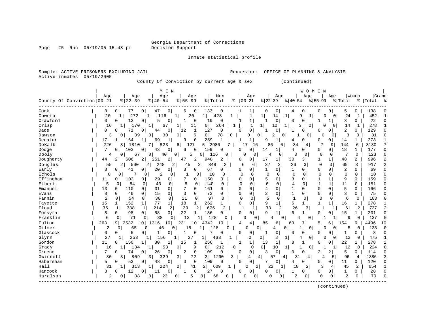Page 25 Run 05/19/05 15:48 pm

Inmate statistical profile

Sample: ACTIVE PRISONERS EXCLUDING JAIL **Requestor:** OFFICE OF PLANNING & ANALYSIS Active inmates 05/19/2005

County Of Conviction by current age & sex (continued)

| Grand<br>Age<br>Age<br>Age<br>Age<br>Men<br>Age<br>Women<br>Age<br>Age<br>Age<br>County Of Conviction 00-21<br>$8   22 - 39$<br>$00 - 21$<br>$ 22-39 $<br>$8   40 - 54$<br>$8155 - 99$<br>% Total<br>$ 40-54$<br>$8155 - 99$<br>ిక<br>% Total<br>%   Total<br>ౣ<br>Cook<br>0<br>0<br>0<br>133<br>$\mathbf 0$<br>3<br>$\circ$<br>77<br>47<br>6<br>1<br>$\Omega$<br>0<br>5<br>0<br>138<br>4<br>0<br>0<br>0<br>20<br>272<br>452<br>Coweta<br>$\mathbf{1}$<br>1<br>20<br>428<br>14<br>$\mathbf 1$<br>24<br>6<br>9<br>0<br>$\Omega$<br>1<br>1<br>11<br>1<br>1<br>1<br>1<br>-1<br>Crawford<br>13<br>5<br>19<br>$\mathbf 1$<br>0<br>3<br>22<br>0<br>0<br>0<br>0<br>$\mathbf{1}$<br>0<br>$\mathbf{1}$<br>$\Omega$<br>$\Omega$<br>0<br>0<br>0<br>1<br>278<br>170<br>$\overline{0}$<br>264<br>$\mathbf{1}$<br>3<br>$\mathbf{1}$<br>Crisp<br>16<br>67<br>11<br>1<br>$\mathbf{1}$<br>10<br>$\Omega$<br>$\Omega$<br>14<br>1<br>1<br>1<br>1<br>0<br>$\mathbf{1}$<br>$\mathbf 0$<br>2<br>0<br>71<br>0<br>$\mathbf 1$<br>127<br>$\mathbf 0$<br>$\mathbf 0$<br>129<br>Dade<br>0<br>44<br>12<br>$\Omega$<br>0<br>0<br>0<br>0<br>$\Omega$<br>0<br>-1<br>1<br>0 <sup>1</sup><br>3<br>ζ<br>39<br>30<br>0<br>6<br>78<br>$\overline{2}$<br>81<br>Dawson<br>0<br>0<br>0<br>0<br>0<br>$\cap$<br>0<br>$\Omega$<br>$\cap$<br>0<br>0<br>$\mathbf 0$<br>$\overline{1}$<br>Decatur<br>$\mathbf{1}$<br>259<br>9<br>$\mathbf 1$<br>0<br>273<br>17<br>164<br>69<br>9<br>$\mathbf{1}$<br>$\Omega$<br>0<br>14<br>1<br>4<br>7<br>DeKalb<br>226<br>127<br>5 2986<br>3130<br>7<br>1810<br>7 I<br>823<br>7<br>17<br>16 <sup>1</sup><br>86<br>34<br>9<br>144<br>6<br>81<br>6  <br>6<br>4<br>18<br>103<br>177<br>Dodge<br>7<br>$\Omega$<br>43<br>0<br>0<br>159<br>0<br>1<br>4<br>0<br>0<br>1<br>$\Omega$<br>$\Omega$<br>6<br>0<br>0<br>14<br>0<br>116<br>3<br>$\circ$<br>$\mathbf 0$<br>123<br>$\Omega$<br>Dooly<br>67<br>0<br>40<br>0 <sup>1</sup><br>5<br>$\Omega$<br>4<br>0<br>0<br>0<br>4<br>$\Omega$<br>$\Omega$<br>0<br>0<br>$\overline{a}$<br>$\overline{c}$<br>Dougherty<br>251<br>2<br>2<br>948<br>17<br>30<br>1<br>48<br>996<br>44<br>2<br>606<br>2<br>47<br>2<br>0<br>0<br>1<br>3  <br>$1\vert$<br>26<br>$\overline{2}$<br>Douglas<br>$\overline{2}$<br>248<br>2<br>848<br>$\overline{2}$<br>37<br>2<br>3<br>$\Omega$<br>$\Omega$<br>69<br>3<br>917<br>55<br>$\overline{2}$<br>500<br>45<br>2<br>6<br>6<br>67<br>$\overline{2}$<br>$\Omega$<br>Early<br>3<br>41<br>20<br>$\mathbf 0$<br>$\mathbf{1}$<br>$\mathbf{1}$<br>$\Omega$<br>$\Omega$<br>69<br>0<br>0<br>0<br>3<br>0<br>$\mathbf{0}$<br>0<br>0<br>$\Omega$<br>0<br>$\mathbf 0$<br>Echols<br>7<br>$\overline{c}$<br>$\Omega$<br>$\mathbf 0$<br>$\mathbf 0$<br>10<br>$\Omega$<br>0<br>0<br>0<br>0<br>10<br>0<br>$\Omega$<br>0<br>$\mathbf 0$<br>$\mathbf 0$<br>0<br>$\Omega$<br>0<br>Effingham<br>103<br>29<br>150<br>5<br>$\Omega$<br>3<br>$\mathbf{1}$<br>$\mathbf{1}$<br>9<br>$\Omega$<br>159<br>11<br>0<br>0<br>$\Omega$<br>0<br>0<br>$\Omega$<br>0<br>U<br>Elbert<br>5<br>6<br>4<br>84<br>43<br>$\Omega$<br>8<br>140<br>$\Omega$<br>$\Omega$<br>$\Omega$<br>$\mathbf{1}$<br>$\mathbf{1}$<br>11<br>$\Omega$<br>151<br>$\Omega$<br>$\Omega$<br>$\Omega$<br>$\Omega$<br>$\Omega$<br>$\Omega$<br>5<br>13<br>110<br>31<br>$\Omega$<br>7<br>161<br>4<br>$\Omega$<br>$\mathbf{1}$<br>$\Omega$<br>166<br>Emanuel<br>$\Omega$<br>$\Omega$<br>$\Omega$<br>0<br>$\Omega$<br>$\Omega$<br>$\Omega$<br>$\Omega$<br>0<br><sup>0</sup><br>$\overline{c}$<br>72<br>$\mathbf 0$<br>$\mathbf 0$<br>3<br>8<br>0<br>15<br>0<br>3<br>0<br>$\mathbf 0$<br>1<br>$\mathbf 0$<br>0<br>$\Omega$<br>75<br>Evans<br>$\mathbf 0$<br>46<br>0<br>0<br>$\Omega$<br>Fannin<br>$\overline{2}$<br>30<br>$\mathbf 0$<br>11<br>97<br>5<br>$\mathbf{1}$<br>54<br>0<br>$\mathbf 0$<br>$\Omega$<br>$\mathbf 0$<br>$\mathbf 0$<br>0<br>$\Omega$<br>0<br>6<br>$\mathbf 0$<br>103<br>$\Omega$<br>0<br>0<br>15<br>77<br>$\mathbf{1}$<br>18<br>$\mathbf 0$<br>9<br>6<br>$\mathbf{1}$<br>278<br>Fayette<br>152<br>262<br>$\mathbf{0}$<br>$\mathbf{1}$<br>$1\vert$<br>16<br>1<br>1<br>1<br>$\mathbf{1}$<br>1<br>$\mathbf{1}$<br>1<br>35<br>388<br>214<br>2<br>39<br>676<br>2<br>33<br>26<br>737<br>2<br>Floyd<br>1<br>2<br>$\mathbf{1}$<br>1<br>2<br>61<br>2<br>1<br>3<br>-1<br>1<br>8<br>22<br>186<br>$\Omega$<br>$\mathbf 0$<br>9<br>б<br>15<br>201<br>Forsyth<br>98<br>$\Omega$<br>58<br>0<br>1<br>O<br>$\Omega$<br>0<br>$\mathbf{1}$<br>0<br>1<br>0<br>1<br>Franklin<br>6<br>71<br>38<br>13<br>128<br>137<br>$\mathbf 0$<br>$\mathbf{0}$<br>$\Omega$<br>$\Omega$<br>0<br>0<br>9<br>0<br>$\Omega$<br>0<br>$\Omega$<br>4<br>4<br>Fulton<br>263<br>2532<br>4342<br>4496<br>9<br>10<br>1316<br>10<br>231<br>10<br>4<br>85<br>6<br>60<br>5<br>154<br>10<br>10<br>4<br>б<br>6<br>Gilmer<br>$\overline{2}$<br>128<br>$\Omega$<br>$\Omega$<br>133<br>$\cap$<br>65<br>$\Omega$<br>$\Omega$<br>5<br>$\Omega$<br>$\Omega$<br>46<br>0<br>15<br>1<br>n<br>4<br>0<br>7<br>Glascock<br>5<br>0<br>8<br>0<br>0<br>$\mathbf{1}$<br>0<br>0<br>0<br>$\Omega$<br>0<br>0<br>0<br>0<br>-1<br>0<br>0<br>1<br>0<br><sup>0</sup><br>27<br>475<br>253<br>27<br>$\circ$<br>8<br>1<br>12<br>Glynn<br>156<br>463<br>0<br>0 <sup>1</sup><br>4<br>0<br>$\Omega$<br>0<br>1<br>Gordon<br>11<br>150<br>80<br>15<br>256<br>1<br>$\mathbf{1}$<br>8<br>22<br>278<br>1<br>1<br>13<br>1<br>0<br>0<br>1<br>0<br>0 <sup>1</sup><br>53<br>9<br>0 <sup>1</sup><br>212<br>10<br>224<br>Grady<br>16<br>134<br>0<br>$\Omega$<br>12<br>$\Omega$<br>1<br>0<br>1<br>$\overline{0}$<br>-1<br>0<br>$\mathbf{1}$<br>-1<br>$\mathbf{1}$<br>7<br>$\mathbf 0$<br>0<br>$\mathbf 0$<br>5<br>74<br>26<br>0<br>2<br>109<br>0<br>$\Omega$<br>κ<br>0<br>2<br>2<br>114<br>$\Omega$<br>Greene<br>$\circ$<br>$\circ$<br>0<br>ი<br>3 <br>Gwinnett<br>80<br>$\overline{3}$<br>3 <br>329<br>$\overline{3}$<br>72<br>1290<br>3<br>57<br>31<br>96<br>1386<br>809<br>4<br>4<br>4<br>5<br>3<br>4<br>4<br>4<br>Habersham<br>$\mathbf 0$<br>109<br>$\mathbf 0$<br>7<br>0<br>120<br>5<br>53<br>48<br>0<br>3<br>$\cap$<br>$\Omega$<br>0<br>O<br>0<br>11<br>$\Omega$<br>0<br>0<br>4<br>$\Omega$<br>Hall<br>2 <br>2 <br>22<br>45<br>2<br>654<br>31<br>224<br>2<br>41<br>609<br>$\overline{a}$<br>18<br>2<br>3<br>313<br>1<br>4<br>1<br>1<br>28<br>Hancock<br>3<br>12<br>0<br>0<br>27<br>$\mathbf 0$<br>0<br>$\mathbf{1}$<br>0<br>$\Omega$<br>$\Omega$<br>11<br>0<br>0<br>0<br>0<br>0<br>0<br>O<br>Haralson<br>$\overline{c}$<br>$\mathbf 0$<br>$\overline{2}$<br>70<br>$\Omega$<br>2<br>38<br>23<br>0<br>5<br>$\Omega$<br>$\Omega$<br>0<br>68<br>C<br>0<br>$\overline{0}$<br>0<br>0<br>U<br>0<br>0 |  |  | M E N |  |  |  |  | WOMEN |  |  |  |
|------------------------------------------------------------------------------------------------------------------------------------------------------------------------------------------------------------------------------------------------------------------------------------------------------------------------------------------------------------------------------------------------------------------------------------------------------------------------------------------------------------------------------------------------------------------------------------------------------------------------------------------------------------------------------------------------------------------------------------------------------------------------------------------------------------------------------------------------------------------------------------------------------------------------------------------------------------------------------------------------------------------------------------------------------------------------------------------------------------------------------------------------------------------------------------------------------------------------------------------------------------------------------------------------------------------------------------------------------------------------------------------------------------------------------------------------------------------------------------------------------------------------------------------------------------------------------------------------------------------------------------------------------------------------------------------------------------------------------------------------------------------------------------------------------------------------------------------------------------------------------------------------------------------------------------------------------------------------------------------------------------------------------------------------------------------------------------------------------------------------------------------------------------------------------------------------------------------------------------------------------------------------------------------------------------------------------------------------------------------------------------------------------------------------------------------------------------------------------------------------------------------------------------------------------------------------------------------------------------------------------------------------------------------------------------------------------------------------------------------------------------------------------------------------------------------------------------------------------------------------------------------------------------------------------------------------------------------------------------------------------------------------------------------------------------------------------------------------------------------------------------------------------------------------------------------------------------------------------------------------------------------------------------------------------------------------------------------------------------------------------------------------------------------------------------------------------------------------------------------------------------------------------------------------------------------------------------------------------------------------------------------------------------------------------------------------------------------------------------------------------------------------------------------------------------------------------------------------------------------------------------------------------------------------------------------------------------------------------------------------------------------------------------------------------------------------------------------------------------------------------------------------------------------------------------------------------------------------------------------------------------------------------------------------------------------------------------------------------------------------------------------------------------------------------------------------------------------------------------------------------------------------------------------------------------------------------------------------------------------------------------------------------------------------------------------------------------------------------------------------------------------------------------------------------------------------------------------------------------------------------------------------------------------------------------------------------------------------------------------------------------------------------------------------------------------------------------------------------------------------------------------------------------------------------------------------------------------------------------------------------------------------------------------------------------------------------------------------------------------------------------------------------------------------------------------------------------------------------------------------------------------------------------------------------------------------------------------------------------------------------------------------------------------------------------------------------------------------------------------------------------------------------------------------------------------------------------------------------------------------------------------------------------------------------------------------------------------------------------------------------------------------------------------------------------------------------------------------------------------------------------------------------------------------------------------------------------------------------------------------------------------------------------------------------------------------------------------------------------------------------------------------------------------------------------------------------------------------------------------------------------------------------------------------------------------------------------------------------|--|--|-------|--|--|--|--|-------|--|--|--|
|                                                                                                                                                                                                                                                                                                                                                                                                                                                                                                                                                                                                                                                                                                                                                                                                                                                                                                                                                                                                                                                                                                                                                                                                                                                                                                                                                                                                                                                                                                                                                                                                                                                                                                                                                                                                                                                                                                                                                                                                                                                                                                                                                                                                                                                                                                                                                                                                                                                                                                                                                                                                                                                                                                                                                                                                                                                                                                                                                                                                                                                                                                                                                                                                                                                                                                                                                                                                                                                                                                                                                                                                                                                                                                                                                                                                                                                                                                                                                                                                                                                                                                                                                                                                                                                                                                                                                                                                                                                                                                                                                                                                                                                                                                                                                                                                                                                                                                                                                                                                                                                                                                                                                                                                                                                                                                                                                                                                                                                                                                                                                                                                                                                                                                                                                                                                                                                                                                                                                                                                                                                                                                                                                                                                                                                                                                                                                                                                                                                                                                                                                                                                      |  |  |       |  |  |  |  |       |  |  |  |
|                                                                                                                                                                                                                                                                                                                                                                                                                                                                                                                                                                                                                                                                                                                                                                                                                                                                                                                                                                                                                                                                                                                                                                                                                                                                                                                                                                                                                                                                                                                                                                                                                                                                                                                                                                                                                                                                                                                                                                                                                                                                                                                                                                                                                                                                                                                                                                                                                                                                                                                                                                                                                                                                                                                                                                                                                                                                                                                                                                                                                                                                                                                                                                                                                                                                                                                                                                                                                                                                                                                                                                                                                                                                                                                                                                                                                                                                                                                                                                                                                                                                                                                                                                                                                                                                                                                                                                                                                                                                                                                                                                                                                                                                                                                                                                                                                                                                                                                                                                                                                                                                                                                                                                                                                                                                                                                                                                                                                                                                                                                                                                                                                                                                                                                                                                                                                                                                                                                                                                                                                                                                                                                                                                                                                                                                                                                                                                                                                                                                                                                                                                                                      |  |  |       |  |  |  |  |       |  |  |  |
|                                                                                                                                                                                                                                                                                                                                                                                                                                                                                                                                                                                                                                                                                                                                                                                                                                                                                                                                                                                                                                                                                                                                                                                                                                                                                                                                                                                                                                                                                                                                                                                                                                                                                                                                                                                                                                                                                                                                                                                                                                                                                                                                                                                                                                                                                                                                                                                                                                                                                                                                                                                                                                                                                                                                                                                                                                                                                                                                                                                                                                                                                                                                                                                                                                                                                                                                                                                                                                                                                                                                                                                                                                                                                                                                                                                                                                                                                                                                                                                                                                                                                                                                                                                                                                                                                                                                                                                                                                                                                                                                                                                                                                                                                                                                                                                                                                                                                                                                                                                                                                                                                                                                                                                                                                                                                                                                                                                                                                                                                                                                                                                                                                                                                                                                                                                                                                                                                                                                                                                                                                                                                                                                                                                                                                                                                                                                                                                                                                                                                                                                                                                                      |  |  |       |  |  |  |  |       |  |  |  |
|                                                                                                                                                                                                                                                                                                                                                                                                                                                                                                                                                                                                                                                                                                                                                                                                                                                                                                                                                                                                                                                                                                                                                                                                                                                                                                                                                                                                                                                                                                                                                                                                                                                                                                                                                                                                                                                                                                                                                                                                                                                                                                                                                                                                                                                                                                                                                                                                                                                                                                                                                                                                                                                                                                                                                                                                                                                                                                                                                                                                                                                                                                                                                                                                                                                                                                                                                                                                                                                                                                                                                                                                                                                                                                                                                                                                                                                                                                                                                                                                                                                                                                                                                                                                                                                                                                                                                                                                                                                                                                                                                                                                                                                                                                                                                                                                                                                                                                                                                                                                                                                                                                                                                                                                                                                                                                                                                                                                                                                                                                                                                                                                                                                                                                                                                                                                                                                                                                                                                                                                                                                                                                                                                                                                                                                                                                                                                                                                                                                                                                                                                                                                      |  |  |       |  |  |  |  |       |  |  |  |
|                                                                                                                                                                                                                                                                                                                                                                                                                                                                                                                                                                                                                                                                                                                                                                                                                                                                                                                                                                                                                                                                                                                                                                                                                                                                                                                                                                                                                                                                                                                                                                                                                                                                                                                                                                                                                                                                                                                                                                                                                                                                                                                                                                                                                                                                                                                                                                                                                                                                                                                                                                                                                                                                                                                                                                                                                                                                                                                                                                                                                                                                                                                                                                                                                                                                                                                                                                                                                                                                                                                                                                                                                                                                                                                                                                                                                                                                                                                                                                                                                                                                                                                                                                                                                                                                                                                                                                                                                                                                                                                                                                                                                                                                                                                                                                                                                                                                                                                                                                                                                                                                                                                                                                                                                                                                                                                                                                                                                                                                                                                                                                                                                                                                                                                                                                                                                                                                                                                                                                                                                                                                                                                                                                                                                                                                                                                                                                                                                                                                                                                                                                                                      |  |  |       |  |  |  |  |       |  |  |  |
|                                                                                                                                                                                                                                                                                                                                                                                                                                                                                                                                                                                                                                                                                                                                                                                                                                                                                                                                                                                                                                                                                                                                                                                                                                                                                                                                                                                                                                                                                                                                                                                                                                                                                                                                                                                                                                                                                                                                                                                                                                                                                                                                                                                                                                                                                                                                                                                                                                                                                                                                                                                                                                                                                                                                                                                                                                                                                                                                                                                                                                                                                                                                                                                                                                                                                                                                                                                                                                                                                                                                                                                                                                                                                                                                                                                                                                                                                                                                                                                                                                                                                                                                                                                                                                                                                                                                                                                                                                                                                                                                                                                                                                                                                                                                                                                                                                                                                                                                                                                                                                                                                                                                                                                                                                                                                                                                                                                                                                                                                                                                                                                                                                                                                                                                                                                                                                                                                                                                                                                                                                                                                                                                                                                                                                                                                                                                                                                                                                                                                                                                                                                                      |  |  |       |  |  |  |  |       |  |  |  |
|                                                                                                                                                                                                                                                                                                                                                                                                                                                                                                                                                                                                                                                                                                                                                                                                                                                                                                                                                                                                                                                                                                                                                                                                                                                                                                                                                                                                                                                                                                                                                                                                                                                                                                                                                                                                                                                                                                                                                                                                                                                                                                                                                                                                                                                                                                                                                                                                                                                                                                                                                                                                                                                                                                                                                                                                                                                                                                                                                                                                                                                                                                                                                                                                                                                                                                                                                                                                                                                                                                                                                                                                                                                                                                                                                                                                                                                                                                                                                                                                                                                                                                                                                                                                                                                                                                                                                                                                                                                                                                                                                                                                                                                                                                                                                                                                                                                                                                                                                                                                                                                                                                                                                                                                                                                                                                                                                                                                                                                                                                                                                                                                                                                                                                                                                                                                                                                                                                                                                                                                                                                                                                                                                                                                                                                                                                                                                                                                                                                                                                                                                                                                      |  |  |       |  |  |  |  |       |  |  |  |
|                                                                                                                                                                                                                                                                                                                                                                                                                                                                                                                                                                                                                                                                                                                                                                                                                                                                                                                                                                                                                                                                                                                                                                                                                                                                                                                                                                                                                                                                                                                                                                                                                                                                                                                                                                                                                                                                                                                                                                                                                                                                                                                                                                                                                                                                                                                                                                                                                                                                                                                                                                                                                                                                                                                                                                                                                                                                                                                                                                                                                                                                                                                                                                                                                                                                                                                                                                                                                                                                                                                                                                                                                                                                                                                                                                                                                                                                                                                                                                                                                                                                                                                                                                                                                                                                                                                                                                                                                                                                                                                                                                                                                                                                                                                                                                                                                                                                                                                                                                                                                                                                                                                                                                                                                                                                                                                                                                                                                                                                                                                                                                                                                                                                                                                                                                                                                                                                                                                                                                                                                                                                                                                                                                                                                                                                                                                                                                                                                                                                                                                                                                                                      |  |  |       |  |  |  |  |       |  |  |  |
|                                                                                                                                                                                                                                                                                                                                                                                                                                                                                                                                                                                                                                                                                                                                                                                                                                                                                                                                                                                                                                                                                                                                                                                                                                                                                                                                                                                                                                                                                                                                                                                                                                                                                                                                                                                                                                                                                                                                                                                                                                                                                                                                                                                                                                                                                                                                                                                                                                                                                                                                                                                                                                                                                                                                                                                                                                                                                                                                                                                                                                                                                                                                                                                                                                                                                                                                                                                                                                                                                                                                                                                                                                                                                                                                                                                                                                                                                                                                                                                                                                                                                                                                                                                                                                                                                                                                                                                                                                                                                                                                                                                                                                                                                                                                                                                                                                                                                                                                                                                                                                                                                                                                                                                                                                                                                                                                                                                                                                                                                                                                                                                                                                                                                                                                                                                                                                                                                                                                                                                                                                                                                                                                                                                                                                                                                                                                                                                                                                                                                                                                                                                                      |  |  |       |  |  |  |  |       |  |  |  |
|                                                                                                                                                                                                                                                                                                                                                                                                                                                                                                                                                                                                                                                                                                                                                                                                                                                                                                                                                                                                                                                                                                                                                                                                                                                                                                                                                                                                                                                                                                                                                                                                                                                                                                                                                                                                                                                                                                                                                                                                                                                                                                                                                                                                                                                                                                                                                                                                                                                                                                                                                                                                                                                                                                                                                                                                                                                                                                                                                                                                                                                                                                                                                                                                                                                                                                                                                                                                                                                                                                                                                                                                                                                                                                                                                                                                                                                                                                                                                                                                                                                                                                                                                                                                                                                                                                                                                                                                                                                                                                                                                                                                                                                                                                                                                                                                                                                                                                                                                                                                                                                                                                                                                                                                                                                                                                                                                                                                                                                                                                                                                                                                                                                                                                                                                                                                                                                                                                                                                                                                                                                                                                                                                                                                                                                                                                                                                                                                                                                                                                                                                                                                      |  |  |       |  |  |  |  |       |  |  |  |
|                                                                                                                                                                                                                                                                                                                                                                                                                                                                                                                                                                                                                                                                                                                                                                                                                                                                                                                                                                                                                                                                                                                                                                                                                                                                                                                                                                                                                                                                                                                                                                                                                                                                                                                                                                                                                                                                                                                                                                                                                                                                                                                                                                                                                                                                                                                                                                                                                                                                                                                                                                                                                                                                                                                                                                                                                                                                                                                                                                                                                                                                                                                                                                                                                                                                                                                                                                                                                                                                                                                                                                                                                                                                                                                                                                                                                                                                                                                                                                                                                                                                                                                                                                                                                                                                                                                                                                                                                                                                                                                                                                                                                                                                                                                                                                                                                                                                                                                                                                                                                                                                                                                                                                                                                                                                                                                                                                                                                                                                                                                                                                                                                                                                                                                                                                                                                                                                                                                                                                                                                                                                                                                                                                                                                                                                                                                                                                                                                                                                                                                                                                                                      |  |  |       |  |  |  |  |       |  |  |  |
|                                                                                                                                                                                                                                                                                                                                                                                                                                                                                                                                                                                                                                                                                                                                                                                                                                                                                                                                                                                                                                                                                                                                                                                                                                                                                                                                                                                                                                                                                                                                                                                                                                                                                                                                                                                                                                                                                                                                                                                                                                                                                                                                                                                                                                                                                                                                                                                                                                                                                                                                                                                                                                                                                                                                                                                                                                                                                                                                                                                                                                                                                                                                                                                                                                                                                                                                                                                                                                                                                                                                                                                                                                                                                                                                                                                                                                                                                                                                                                                                                                                                                                                                                                                                                                                                                                                                                                                                                                                                                                                                                                                                                                                                                                                                                                                                                                                                                                                                                                                                                                                                                                                                                                                                                                                                                                                                                                                                                                                                                                                                                                                                                                                                                                                                                                                                                                                                                                                                                                                                                                                                                                                                                                                                                                                                                                                                                                                                                                                                                                                                                                                                      |  |  |       |  |  |  |  |       |  |  |  |
|                                                                                                                                                                                                                                                                                                                                                                                                                                                                                                                                                                                                                                                                                                                                                                                                                                                                                                                                                                                                                                                                                                                                                                                                                                                                                                                                                                                                                                                                                                                                                                                                                                                                                                                                                                                                                                                                                                                                                                                                                                                                                                                                                                                                                                                                                                                                                                                                                                                                                                                                                                                                                                                                                                                                                                                                                                                                                                                                                                                                                                                                                                                                                                                                                                                                                                                                                                                                                                                                                                                                                                                                                                                                                                                                                                                                                                                                                                                                                                                                                                                                                                                                                                                                                                                                                                                                                                                                                                                                                                                                                                                                                                                                                                                                                                                                                                                                                                                                                                                                                                                                                                                                                                                                                                                                                                                                                                                                                                                                                                                                                                                                                                                                                                                                                                                                                                                                                                                                                                                                                                                                                                                                                                                                                                                                                                                                                                                                                                                                                                                                                                                                      |  |  |       |  |  |  |  |       |  |  |  |
|                                                                                                                                                                                                                                                                                                                                                                                                                                                                                                                                                                                                                                                                                                                                                                                                                                                                                                                                                                                                                                                                                                                                                                                                                                                                                                                                                                                                                                                                                                                                                                                                                                                                                                                                                                                                                                                                                                                                                                                                                                                                                                                                                                                                                                                                                                                                                                                                                                                                                                                                                                                                                                                                                                                                                                                                                                                                                                                                                                                                                                                                                                                                                                                                                                                                                                                                                                                                                                                                                                                                                                                                                                                                                                                                                                                                                                                                                                                                                                                                                                                                                                                                                                                                                                                                                                                                                                                                                                                                                                                                                                                                                                                                                                                                                                                                                                                                                                                                                                                                                                                                                                                                                                                                                                                                                                                                                                                                                                                                                                                                                                                                                                                                                                                                                                                                                                                                                                                                                                                                                                                                                                                                                                                                                                                                                                                                                                                                                                                                                                                                                                                                      |  |  |       |  |  |  |  |       |  |  |  |
|                                                                                                                                                                                                                                                                                                                                                                                                                                                                                                                                                                                                                                                                                                                                                                                                                                                                                                                                                                                                                                                                                                                                                                                                                                                                                                                                                                                                                                                                                                                                                                                                                                                                                                                                                                                                                                                                                                                                                                                                                                                                                                                                                                                                                                                                                                                                                                                                                                                                                                                                                                                                                                                                                                                                                                                                                                                                                                                                                                                                                                                                                                                                                                                                                                                                                                                                                                                                                                                                                                                                                                                                                                                                                                                                                                                                                                                                                                                                                                                                                                                                                                                                                                                                                                                                                                                                                                                                                                                                                                                                                                                                                                                                                                                                                                                                                                                                                                                                                                                                                                                                                                                                                                                                                                                                                                                                                                                                                                                                                                                                                                                                                                                                                                                                                                                                                                                                                                                                                                                                                                                                                                                                                                                                                                                                                                                                                                                                                                                                                                                                                                                                      |  |  |       |  |  |  |  |       |  |  |  |
|                                                                                                                                                                                                                                                                                                                                                                                                                                                                                                                                                                                                                                                                                                                                                                                                                                                                                                                                                                                                                                                                                                                                                                                                                                                                                                                                                                                                                                                                                                                                                                                                                                                                                                                                                                                                                                                                                                                                                                                                                                                                                                                                                                                                                                                                                                                                                                                                                                                                                                                                                                                                                                                                                                                                                                                                                                                                                                                                                                                                                                                                                                                                                                                                                                                                                                                                                                                                                                                                                                                                                                                                                                                                                                                                                                                                                                                                                                                                                                                                                                                                                                                                                                                                                                                                                                                                                                                                                                                                                                                                                                                                                                                                                                                                                                                                                                                                                                                                                                                                                                                                                                                                                                                                                                                                                                                                                                                                                                                                                                                                                                                                                                                                                                                                                                                                                                                                                                                                                                                                                                                                                                                                                                                                                                                                                                                                                                                                                                                                                                                                                                                                      |  |  |       |  |  |  |  |       |  |  |  |
|                                                                                                                                                                                                                                                                                                                                                                                                                                                                                                                                                                                                                                                                                                                                                                                                                                                                                                                                                                                                                                                                                                                                                                                                                                                                                                                                                                                                                                                                                                                                                                                                                                                                                                                                                                                                                                                                                                                                                                                                                                                                                                                                                                                                                                                                                                                                                                                                                                                                                                                                                                                                                                                                                                                                                                                                                                                                                                                                                                                                                                                                                                                                                                                                                                                                                                                                                                                                                                                                                                                                                                                                                                                                                                                                                                                                                                                                                                                                                                                                                                                                                                                                                                                                                                                                                                                                                                                                                                                                                                                                                                                                                                                                                                                                                                                                                                                                                                                                                                                                                                                                                                                                                                                                                                                                                                                                                                                                                                                                                                                                                                                                                                                                                                                                                                                                                                                                                                                                                                                                                                                                                                                                                                                                                                                                                                                                                                                                                                                                                                                                                                                                      |  |  |       |  |  |  |  |       |  |  |  |
|                                                                                                                                                                                                                                                                                                                                                                                                                                                                                                                                                                                                                                                                                                                                                                                                                                                                                                                                                                                                                                                                                                                                                                                                                                                                                                                                                                                                                                                                                                                                                                                                                                                                                                                                                                                                                                                                                                                                                                                                                                                                                                                                                                                                                                                                                                                                                                                                                                                                                                                                                                                                                                                                                                                                                                                                                                                                                                                                                                                                                                                                                                                                                                                                                                                                                                                                                                                                                                                                                                                                                                                                                                                                                                                                                                                                                                                                                                                                                                                                                                                                                                                                                                                                                                                                                                                                                                                                                                                                                                                                                                                                                                                                                                                                                                                                                                                                                                                                                                                                                                                                                                                                                                                                                                                                                                                                                                                                                                                                                                                                                                                                                                                                                                                                                                                                                                                                                                                                                                                                                                                                                                                                                                                                                                                                                                                                                                                                                                                                                                                                                                                                      |  |  |       |  |  |  |  |       |  |  |  |
|                                                                                                                                                                                                                                                                                                                                                                                                                                                                                                                                                                                                                                                                                                                                                                                                                                                                                                                                                                                                                                                                                                                                                                                                                                                                                                                                                                                                                                                                                                                                                                                                                                                                                                                                                                                                                                                                                                                                                                                                                                                                                                                                                                                                                                                                                                                                                                                                                                                                                                                                                                                                                                                                                                                                                                                                                                                                                                                                                                                                                                                                                                                                                                                                                                                                                                                                                                                                                                                                                                                                                                                                                                                                                                                                                                                                                                                                                                                                                                                                                                                                                                                                                                                                                                                                                                                                                                                                                                                                                                                                                                                                                                                                                                                                                                                                                                                                                                                                                                                                                                                                                                                                                                                                                                                                                                                                                                                                                                                                                                                                                                                                                                                                                                                                                                                                                                                                                                                                                                                                                                                                                                                                                                                                                                                                                                                                                                                                                                                                                                                                                                                                      |  |  |       |  |  |  |  |       |  |  |  |
|                                                                                                                                                                                                                                                                                                                                                                                                                                                                                                                                                                                                                                                                                                                                                                                                                                                                                                                                                                                                                                                                                                                                                                                                                                                                                                                                                                                                                                                                                                                                                                                                                                                                                                                                                                                                                                                                                                                                                                                                                                                                                                                                                                                                                                                                                                                                                                                                                                                                                                                                                                                                                                                                                                                                                                                                                                                                                                                                                                                                                                                                                                                                                                                                                                                                                                                                                                                                                                                                                                                                                                                                                                                                                                                                                                                                                                                                                                                                                                                                                                                                                                                                                                                                                                                                                                                                                                                                                                                                                                                                                                                                                                                                                                                                                                                                                                                                                                                                                                                                                                                                                                                                                                                                                                                                                                                                                                                                                                                                                                                                                                                                                                                                                                                                                                                                                                                                                                                                                                                                                                                                                                                                                                                                                                                                                                                                                                                                                                                                                                                                                                                                      |  |  |       |  |  |  |  |       |  |  |  |
|                                                                                                                                                                                                                                                                                                                                                                                                                                                                                                                                                                                                                                                                                                                                                                                                                                                                                                                                                                                                                                                                                                                                                                                                                                                                                                                                                                                                                                                                                                                                                                                                                                                                                                                                                                                                                                                                                                                                                                                                                                                                                                                                                                                                                                                                                                                                                                                                                                                                                                                                                                                                                                                                                                                                                                                                                                                                                                                                                                                                                                                                                                                                                                                                                                                                                                                                                                                                                                                                                                                                                                                                                                                                                                                                                                                                                                                                                                                                                                                                                                                                                                                                                                                                                                                                                                                                                                                                                                                                                                                                                                                                                                                                                                                                                                                                                                                                                                                                                                                                                                                                                                                                                                                                                                                                                                                                                                                                                                                                                                                                                                                                                                                                                                                                                                                                                                                                                                                                                                                                                                                                                                                                                                                                                                                                                                                                                                                                                                                                                                                                                                                                      |  |  |       |  |  |  |  |       |  |  |  |
|                                                                                                                                                                                                                                                                                                                                                                                                                                                                                                                                                                                                                                                                                                                                                                                                                                                                                                                                                                                                                                                                                                                                                                                                                                                                                                                                                                                                                                                                                                                                                                                                                                                                                                                                                                                                                                                                                                                                                                                                                                                                                                                                                                                                                                                                                                                                                                                                                                                                                                                                                                                                                                                                                                                                                                                                                                                                                                                                                                                                                                                                                                                                                                                                                                                                                                                                                                                                                                                                                                                                                                                                                                                                                                                                                                                                                                                                                                                                                                                                                                                                                                                                                                                                                                                                                                                                                                                                                                                                                                                                                                                                                                                                                                                                                                                                                                                                                                                                                                                                                                                                                                                                                                                                                                                                                                                                                                                                                                                                                                                                                                                                                                                                                                                                                                                                                                                                                                                                                                                                                                                                                                                                                                                                                                                                                                                                                                                                                                                                                                                                                                                                      |  |  |       |  |  |  |  |       |  |  |  |
|                                                                                                                                                                                                                                                                                                                                                                                                                                                                                                                                                                                                                                                                                                                                                                                                                                                                                                                                                                                                                                                                                                                                                                                                                                                                                                                                                                                                                                                                                                                                                                                                                                                                                                                                                                                                                                                                                                                                                                                                                                                                                                                                                                                                                                                                                                                                                                                                                                                                                                                                                                                                                                                                                                                                                                                                                                                                                                                                                                                                                                                                                                                                                                                                                                                                                                                                                                                                                                                                                                                                                                                                                                                                                                                                                                                                                                                                                                                                                                                                                                                                                                                                                                                                                                                                                                                                                                                                                                                                                                                                                                                                                                                                                                                                                                                                                                                                                                                                                                                                                                                                                                                                                                                                                                                                                                                                                                                                                                                                                                                                                                                                                                                                                                                                                                                                                                                                                                                                                                                                                                                                                                                                                                                                                                                                                                                                                                                                                                                                                                                                                                                                      |  |  |       |  |  |  |  |       |  |  |  |
|                                                                                                                                                                                                                                                                                                                                                                                                                                                                                                                                                                                                                                                                                                                                                                                                                                                                                                                                                                                                                                                                                                                                                                                                                                                                                                                                                                                                                                                                                                                                                                                                                                                                                                                                                                                                                                                                                                                                                                                                                                                                                                                                                                                                                                                                                                                                                                                                                                                                                                                                                                                                                                                                                                                                                                                                                                                                                                                                                                                                                                                                                                                                                                                                                                                                                                                                                                                                                                                                                                                                                                                                                                                                                                                                                                                                                                                                                                                                                                                                                                                                                                                                                                                                                                                                                                                                                                                                                                                                                                                                                                                                                                                                                                                                                                                                                                                                                                                                                                                                                                                                                                                                                                                                                                                                                                                                                                                                                                                                                                                                                                                                                                                                                                                                                                                                                                                                                                                                                                                                                                                                                                                                                                                                                                                                                                                                                                                                                                                                                                                                                                                                      |  |  |       |  |  |  |  |       |  |  |  |
|                                                                                                                                                                                                                                                                                                                                                                                                                                                                                                                                                                                                                                                                                                                                                                                                                                                                                                                                                                                                                                                                                                                                                                                                                                                                                                                                                                                                                                                                                                                                                                                                                                                                                                                                                                                                                                                                                                                                                                                                                                                                                                                                                                                                                                                                                                                                                                                                                                                                                                                                                                                                                                                                                                                                                                                                                                                                                                                                                                                                                                                                                                                                                                                                                                                                                                                                                                                                                                                                                                                                                                                                                                                                                                                                                                                                                                                                                                                                                                                                                                                                                                                                                                                                                                                                                                                                                                                                                                                                                                                                                                                                                                                                                                                                                                                                                                                                                                                                                                                                                                                                                                                                                                                                                                                                                                                                                                                                                                                                                                                                                                                                                                                                                                                                                                                                                                                                                                                                                                                                                                                                                                                                                                                                                                                                                                                                                                                                                                                                                                                                                                                                      |  |  |       |  |  |  |  |       |  |  |  |
|                                                                                                                                                                                                                                                                                                                                                                                                                                                                                                                                                                                                                                                                                                                                                                                                                                                                                                                                                                                                                                                                                                                                                                                                                                                                                                                                                                                                                                                                                                                                                                                                                                                                                                                                                                                                                                                                                                                                                                                                                                                                                                                                                                                                                                                                                                                                                                                                                                                                                                                                                                                                                                                                                                                                                                                                                                                                                                                                                                                                                                                                                                                                                                                                                                                                                                                                                                                                                                                                                                                                                                                                                                                                                                                                                                                                                                                                                                                                                                                                                                                                                                                                                                                                                                                                                                                                                                                                                                                                                                                                                                                                                                                                                                                                                                                                                                                                                                                                                                                                                                                                                                                                                                                                                                                                                                                                                                                                                                                                                                                                                                                                                                                                                                                                                                                                                                                                                                                                                                                                                                                                                                                                                                                                                                                                                                                                                                                                                                                                                                                                                                                                      |  |  |       |  |  |  |  |       |  |  |  |
|                                                                                                                                                                                                                                                                                                                                                                                                                                                                                                                                                                                                                                                                                                                                                                                                                                                                                                                                                                                                                                                                                                                                                                                                                                                                                                                                                                                                                                                                                                                                                                                                                                                                                                                                                                                                                                                                                                                                                                                                                                                                                                                                                                                                                                                                                                                                                                                                                                                                                                                                                                                                                                                                                                                                                                                                                                                                                                                                                                                                                                                                                                                                                                                                                                                                                                                                                                                                                                                                                                                                                                                                                                                                                                                                                                                                                                                                                                                                                                                                                                                                                                                                                                                                                                                                                                                                                                                                                                                                                                                                                                                                                                                                                                                                                                                                                                                                                                                                                                                                                                                                                                                                                                                                                                                                                                                                                                                                                                                                                                                                                                                                                                                                                                                                                                                                                                                                                                                                                                                                                                                                                                                                                                                                                                                                                                                                                                                                                                                                                                                                                                                                      |  |  |       |  |  |  |  |       |  |  |  |
|                                                                                                                                                                                                                                                                                                                                                                                                                                                                                                                                                                                                                                                                                                                                                                                                                                                                                                                                                                                                                                                                                                                                                                                                                                                                                                                                                                                                                                                                                                                                                                                                                                                                                                                                                                                                                                                                                                                                                                                                                                                                                                                                                                                                                                                                                                                                                                                                                                                                                                                                                                                                                                                                                                                                                                                                                                                                                                                                                                                                                                                                                                                                                                                                                                                                                                                                                                                                                                                                                                                                                                                                                                                                                                                                                                                                                                                                                                                                                                                                                                                                                                                                                                                                                                                                                                                                                                                                                                                                                                                                                                                                                                                                                                                                                                                                                                                                                                                                                                                                                                                                                                                                                                                                                                                                                                                                                                                                                                                                                                                                                                                                                                                                                                                                                                                                                                                                                                                                                                                                                                                                                                                                                                                                                                                                                                                                                                                                                                                                                                                                                                                                      |  |  |       |  |  |  |  |       |  |  |  |
|                                                                                                                                                                                                                                                                                                                                                                                                                                                                                                                                                                                                                                                                                                                                                                                                                                                                                                                                                                                                                                                                                                                                                                                                                                                                                                                                                                                                                                                                                                                                                                                                                                                                                                                                                                                                                                                                                                                                                                                                                                                                                                                                                                                                                                                                                                                                                                                                                                                                                                                                                                                                                                                                                                                                                                                                                                                                                                                                                                                                                                                                                                                                                                                                                                                                                                                                                                                                                                                                                                                                                                                                                                                                                                                                                                                                                                                                                                                                                                                                                                                                                                                                                                                                                                                                                                                                                                                                                                                                                                                                                                                                                                                                                                                                                                                                                                                                                                                                                                                                                                                                                                                                                                                                                                                                                                                                                                                                                                                                                                                                                                                                                                                                                                                                                                                                                                                                                                                                                                                                                                                                                                                                                                                                                                                                                                                                                                                                                                                                                                                                                                                                      |  |  |       |  |  |  |  |       |  |  |  |
|                                                                                                                                                                                                                                                                                                                                                                                                                                                                                                                                                                                                                                                                                                                                                                                                                                                                                                                                                                                                                                                                                                                                                                                                                                                                                                                                                                                                                                                                                                                                                                                                                                                                                                                                                                                                                                                                                                                                                                                                                                                                                                                                                                                                                                                                                                                                                                                                                                                                                                                                                                                                                                                                                                                                                                                                                                                                                                                                                                                                                                                                                                                                                                                                                                                                                                                                                                                                                                                                                                                                                                                                                                                                                                                                                                                                                                                                                                                                                                                                                                                                                                                                                                                                                                                                                                                                                                                                                                                                                                                                                                                                                                                                                                                                                                                                                                                                                                                                                                                                                                                                                                                                                                                                                                                                                                                                                                                                                                                                                                                                                                                                                                                                                                                                                                                                                                                                                                                                                                                                                                                                                                                                                                                                                                                                                                                                                                                                                                                                                                                                                                                                      |  |  |       |  |  |  |  |       |  |  |  |
|                                                                                                                                                                                                                                                                                                                                                                                                                                                                                                                                                                                                                                                                                                                                                                                                                                                                                                                                                                                                                                                                                                                                                                                                                                                                                                                                                                                                                                                                                                                                                                                                                                                                                                                                                                                                                                                                                                                                                                                                                                                                                                                                                                                                                                                                                                                                                                                                                                                                                                                                                                                                                                                                                                                                                                                                                                                                                                                                                                                                                                                                                                                                                                                                                                                                                                                                                                                                                                                                                                                                                                                                                                                                                                                                                                                                                                                                                                                                                                                                                                                                                                                                                                                                                                                                                                                                                                                                                                                                                                                                                                                                                                                                                                                                                                                                                                                                                                                                                                                                                                                                                                                                                                                                                                                                                                                                                                                                                                                                                                                                                                                                                                                                                                                                                                                                                                                                                                                                                                                                                                                                                                                                                                                                                                                                                                                                                                                                                                                                                                                                                                                                      |  |  |       |  |  |  |  |       |  |  |  |
|                                                                                                                                                                                                                                                                                                                                                                                                                                                                                                                                                                                                                                                                                                                                                                                                                                                                                                                                                                                                                                                                                                                                                                                                                                                                                                                                                                                                                                                                                                                                                                                                                                                                                                                                                                                                                                                                                                                                                                                                                                                                                                                                                                                                                                                                                                                                                                                                                                                                                                                                                                                                                                                                                                                                                                                                                                                                                                                                                                                                                                                                                                                                                                                                                                                                                                                                                                                                                                                                                                                                                                                                                                                                                                                                                                                                                                                                                                                                                                                                                                                                                                                                                                                                                                                                                                                                                                                                                                                                                                                                                                                                                                                                                                                                                                                                                                                                                                                                                                                                                                                                                                                                                                                                                                                                                                                                                                                                                                                                                                                                                                                                                                                                                                                                                                                                                                                                                                                                                                                                                                                                                                                                                                                                                                                                                                                                                                                                                                                                                                                                                                                                      |  |  |       |  |  |  |  |       |  |  |  |
|                                                                                                                                                                                                                                                                                                                                                                                                                                                                                                                                                                                                                                                                                                                                                                                                                                                                                                                                                                                                                                                                                                                                                                                                                                                                                                                                                                                                                                                                                                                                                                                                                                                                                                                                                                                                                                                                                                                                                                                                                                                                                                                                                                                                                                                                                                                                                                                                                                                                                                                                                                                                                                                                                                                                                                                                                                                                                                                                                                                                                                                                                                                                                                                                                                                                                                                                                                                                                                                                                                                                                                                                                                                                                                                                                                                                                                                                                                                                                                                                                                                                                                                                                                                                                                                                                                                                                                                                                                                                                                                                                                                                                                                                                                                                                                                                                                                                                                                                                                                                                                                                                                                                                                                                                                                                                                                                                                                                                                                                                                                                                                                                                                                                                                                                                                                                                                                                                                                                                                                                                                                                                                                                                                                                                                                                                                                                                                                                                                                                                                                                                                                                      |  |  |       |  |  |  |  |       |  |  |  |
|                                                                                                                                                                                                                                                                                                                                                                                                                                                                                                                                                                                                                                                                                                                                                                                                                                                                                                                                                                                                                                                                                                                                                                                                                                                                                                                                                                                                                                                                                                                                                                                                                                                                                                                                                                                                                                                                                                                                                                                                                                                                                                                                                                                                                                                                                                                                                                                                                                                                                                                                                                                                                                                                                                                                                                                                                                                                                                                                                                                                                                                                                                                                                                                                                                                                                                                                                                                                                                                                                                                                                                                                                                                                                                                                                                                                                                                                                                                                                                                                                                                                                                                                                                                                                                                                                                                                                                                                                                                                                                                                                                                                                                                                                                                                                                                                                                                                                                                                                                                                                                                                                                                                                                                                                                                                                                                                                                                                                                                                                                                                                                                                                                                                                                                                                                                                                                                                                                                                                                                                                                                                                                                                                                                                                                                                                                                                                                                                                                                                                                                                                                                                      |  |  |       |  |  |  |  |       |  |  |  |
|                                                                                                                                                                                                                                                                                                                                                                                                                                                                                                                                                                                                                                                                                                                                                                                                                                                                                                                                                                                                                                                                                                                                                                                                                                                                                                                                                                                                                                                                                                                                                                                                                                                                                                                                                                                                                                                                                                                                                                                                                                                                                                                                                                                                                                                                                                                                                                                                                                                                                                                                                                                                                                                                                                                                                                                                                                                                                                                                                                                                                                                                                                                                                                                                                                                                                                                                                                                                                                                                                                                                                                                                                                                                                                                                                                                                                                                                                                                                                                                                                                                                                                                                                                                                                                                                                                                                                                                                                                                                                                                                                                                                                                                                                                                                                                                                                                                                                                                                                                                                                                                                                                                                                                                                                                                                                                                                                                                                                                                                                                                                                                                                                                                                                                                                                                                                                                                                                                                                                                                                                                                                                                                                                                                                                                                                                                                                                                                                                                                                                                                                                                                                      |  |  |       |  |  |  |  |       |  |  |  |
|                                                                                                                                                                                                                                                                                                                                                                                                                                                                                                                                                                                                                                                                                                                                                                                                                                                                                                                                                                                                                                                                                                                                                                                                                                                                                                                                                                                                                                                                                                                                                                                                                                                                                                                                                                                                                                                                                                                                                                                                                                                                                                                                                                                                                                                                                                                                                                                                                                                                                                                                                                                                                                                                                                                                                                                                                                                                                                                                                                                                                                                                                                                                                                                                                                                                                                                                                                                                                                                                                                                                                                                                                                                                                                                                                                                                                                                                                                                                                                                                                                                                                                                                                                                                                                                                                                                                                                                                                                                                                                                                                                                                                                                                                                                                                                                                                                                                                                                                                                                                                                                                                                                                                                                                                                                                                                                                                                                                                                                                                                                                                                                                                                                                                                                                                                                                                                                                                                                                                                                                                                                                                                                                                                                                                                                                                                                                                                                                                                                                                                                                                                                                      |  |  |       |  |  |  |  |       |  |  |  |
|                                                                                                                                                                                                                                                                                                                                                                                                                                                                                                                                                                                                                                                                                                                                                                                                                                                                                                                                                                                                                                                                                                                                                                                                                                                                                                                                                                                                                                                                                                                                                                                                                                                                                                                                                                                                                                                                                                                                                                                                                                                                                                                                                                                                                                                                                                                                                                                                                                                                                                                                                                                                                                                                                                                                                                                                                                                                                                                                                                                                                                                                                                                                                                                                                                                                                                                                                                                                                                                                                                                                                                                                                                                                                                                                                                                                                                                                                                                                                                                                                                                                                                                                                                                                                                                                                                                                                                                                                                                                                                                                                                                                                                                                                                                                                                                                                                                                                                                                                                                                                                                                                                                                                                                                                                                                                                                                                                                                                                                                                                                                                                                                                                                                                                                                                                                                                                                                                                                                                                                                                                                                                                                                                                                                                                                                                                                                                                                                                                                                                                                                                                                                      |  |  |       |  |  |  |  |       |  |  |  |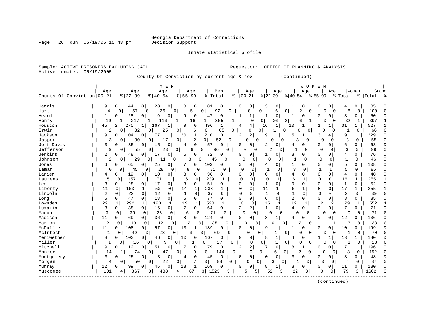Georgia Department of Corrections

Page 26 Run 05/19/05 15:48 pm Decision Support

Inmate statistical profile

Sample: ACTIVE PRISONERS EXCLUDING JAIL **Analysis** Requestor: OFFICE OF PLANNING & ANALYSIS Active inmates 05/19/2005 County Of Conviction by current age & sex (continued) | M E N | W O M E N | | Age | Age | Age | Age | Men | Age | Age | Age | Age |Women |Grand County Of Conviction|00-21 %|22-39 %|40-54 %|55-99 %|Total % |00-21 %|22-39 %|40-54 %|55-99 %|Total % |Total % ------------------------------------------------------------------------------------------------------------------------------------ Harris | 9 0| 44 0| 28 0| 0 0| 81 0 | 0 0| 3 0| 1 0| 0 0| 4 0 | 85 0 Hart | 4 0| 57 0| 26 0| 5 0| 92 0 | 0 0| 6 0| 2 0| 0 0| 8 0 | 100 0 Heard | 1 0| 28 0| 9 0| 9 0| 47 0 | 1 1| 1 0| 1 0| 0 0| 3 0 | 50 0 Henry | 19 1| 217 1| 113 1| 16 1| 365 1 | 0 0| 26 2| 6 1| 0 0| 32 1 | 397 1 Houston | 45 2| 275 1| 167 1| 9 0| 496 1 | 4 4| 16 1| 10 1| 1 1| 31 1 | 527 1 Irwin | 2 0| 32 0| 25 0| 6 0| 65 0 | 0 0| 1 0| 0 0| 0 0| 1 0 | 66 0 Jackson | 9 0| 104 0| 77 1| 20 1| 210 0 | 2 2| 9 1| 5 1| 3 4| 19 1 | 229 0 Jasper | 3 0| 30 0| 17 0| 2 0| 52 0 | 0 0| 0 0| 3 0| 0 0| 3 0 | 55 0 Jeff Davis | 3 0| 35 0| 15 0| 4 0| 57 0 | 0 0| 2 0| 4 0| 0 0| 6 0 | 63 0 Jefferson | 9 0| 55 0| 23 0| 9 0| 96 0 | 0 0| 2 0| 1 0| 0 0| 3 0 | 99 0 Jenkins | 2 0| 48 0| 17 0| 5 0| 72 0 | 0 0| 1 0| 3 0| 0 0| 4 0 | 76 0 Johnson | 2 0| 29 0| 11 0| 3 0| 45 0 | 0 0| 0 0| 1 0| 0 0| 1 0 | 46 0 Jones | 6 0| 65 0| 25 0| 7 0| 103 0 | 0 0| 4 0| 1 0| 0 0| 5 0 | 108 0 Lamar | 0 0| 45 0| 28 0| 8 0| 81 0 | 0 0| 1 0| 3 0| 1 1| 5 0 | 86 0 Lanier | 4 0| 19 0| 10 0| 3 0| 36 0 | 0 0| 0 0| 4 0| 0 0| 4 0 | 40 0 Laurens | 5 0| 157 1| 71 1| 6 0| 239 1 | 0 0| 10 1| 6 1| 0 0| 16 1 | 255 1 Lee | 3 0| 28 0| 17 0| 3 0| 51 0 | 0 0| 1 0| 0 0| 0 0| 1 0 | 52 0 Liberty | 11 0| 163 1| 50 0| 14 1| 238 1 | 0 0| 11 1| 6 1| 0 0| 17 1 | 255 1 Lincoln | 2 0| 22 0| 12 0| 1 0| 37 0 | 0 0| 1 0| 1 0| 0 0| 2 0 | 39 0 Long | 6 0| 47 0| 18 0| 6 0| 77 0 | 0 0| 6 0| 2 0| 0 0| 8 0 | 85 0 Lowndes | 22 1| 292 1| 190 1| 19 1| 523 1 | 0 0| 15 1| 12 1| 2 2| 29 1 | 552 1 Lumpkin | 3 0| 38 0| 16 0| 7 0| 64 0 | 2 2| 1 0| 4 0| 0 0| 7 0 | 71 0 Macon | 3 0| 39 0| 23 0| 6 0| 71 0 | 0 0| 0 0| 0 0| 0 0| 0 0 | 71 0 Madison | 11 0| 69 0| 36 0| 8 0| 124 0 | 0 0| 8 1| 4 0| 0 0| 12 0 | 136 0 Marion | 2 0| 19 0| 12 0| 2 0| 35 0 | 0 0| 0 0| 2 0| 1 1| 3 0 | 38 0 McDuffie | 11 0| 108 0| 57 0| 13 1| 189 0 | 0 0| 9 1| 1 0| 0 0| 10 0 | 199 0 McIntosh | 1 0| 42 0| 23 0| 3 0| 69 0 | 0 0| 1 0| 0 0| 0 0| 1 0 | 70 0 Meriwether | 8 0| 103 0| 46 0| 10 0| 167 0 | 0 0| 8 1| 4 0| 1 1| 13 1 | 180 0 Miller | 1 0| 16 0| 9 0| 1 0| 27 0 | 0 0| 1 0| 0 0| 0 0| 1 0 | 28 0 Mitchell | 9 0| 112 0| 51 0| 7 0| 179 0 | 2 2| 7 0| 8 1| 0 0| 17 1 | 196 0 Monroe | 14 1| 74 0| 47 0| 9 0| 144 0 | 0 0| 6 0| 2 0| 0 0| 8 0 | 152 0 Montgomery | 3 0| 25 0| 13 0| 4 0| 45 0 | 0 0| 0 0| 3 0| 0 0| 3 0 | 48 0 Morgan | 4 0| 50 0| 22 0| 7 0| 83 0 | 0 0| 3 0| 1 0| 0 0| 4 0 | 87 0 Murray | 12 0| 99 0| 45 0| 13 1| 169 0 | 0 0| 8 1| 3 0| 0 0| 11 0 | 180 0 Muscogee | 101 4| 867 3| 488 4| 67 3| 1523 3 | 5 5| 52 3| 22 3| 0 0| 79 3 | 1602 3

------------------------------------------------------------------------------------------------------------------------------------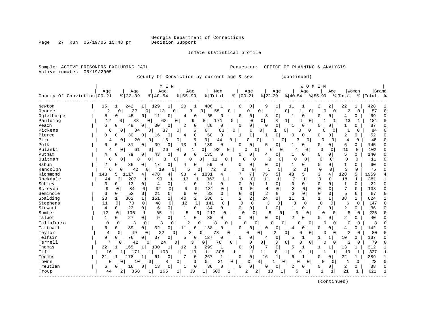Sample: ACTIVE PRISONERS EXCLUDING JAIL **Requestor:** OFFICE OF PLANNING & ANALYSIS

Page 27 Run 05/19/05 15:48 pm

Inmate statistical profile

| Active inmates               | 05/19/2005        |                     | County Of Conviction by current age & sex |                               |                                             |          |                                 |                          |                                | (continued)                    |                            |                |                |                  |             |              |
|------------------------------|-------------------|---------------------|-------------------------------------------|-------------------------------|---------------------------------------------|----------|---------------------------------|--------------------------|--------------------------------|--------------------------------|----------------------------|----------------|----------------|------------------|-------------|--------------|
|                              |                   |                     | M E N                                     |                               |                                             |          |                                 |                          |                                |                                | <b>WOMEN</b>               |                |                |                  |             |              |
|                              | Age               | Age                 | Age                                       | Age                           | Men                                         |          | Age                             |                          | Age                            | Aqe                            |                            | Age            |                | Women            | Grand       |              |
| County Of Conviction   00-21 |                   | $8   22 - 39$       | $ 40-54$                                  | $8155 - 99$                   | % Total                                     | %        | $ 00-21$                        | $ 22-39$                 |                                | $ 40-54 $                      | $ 55-99$                   |                | % Total        |                  | %   Total % |              |
| Newton                       | 15                | 242<br>ı            | 129<br>$\mathbf{1}$<br>1                  | 20<br>1                       | 406                                         |          | 0<br>0                          | 9                        | 11<br>1                        | 1                              | 2                          | 2              | 22             | 1                | 428         |              |
| Oconee                       | $\overline{a}$    | 37<br>0             | 13<br>0 <sup>1</sup><br>0 <sup>1</sup>    | 3                             | 55<br>$\Omega$                              | 0        | $\Omega$                        | $\overline{0}$           | $\mathbf{1}$<br>$\overline{0}$ | -1                             | $\Omega$<br>$\Omega$       | $\overline{0}$ | 2              | $\Omega$         | 57          | $\cap$       |
| Oglethorpe                   | 5                 | 0<br>45             | 0<br>11<br>0                              | 4<br>0                        | 65<br>0                                     |          | 0<br>0                          | 3                        | $\mathbf 0$                    | 1<br>0                         | $\Omega$                   | 0              | 4              | 0                | 69          | $\Omega$     |
| Paulding                     | 12                | 88<br>0             | $\Omega$<br>62                            | 0<br>9                        | 0<br>171                                    | 0        | $\Omega$                        | 0                        | 8<br>$\mathbf{1}$              | 4                              | $\overline{0}$             | 1              | 13             | 1                | 184         |              |
| Peach                        | 6                 | $\Omega$<br>48      | 0<br>30<br>0                              | 2<br>0                        | 0<br>86                                     |          | 0<br>$\Omega$                   | $\Omega$                 | $\mathbf 0$                    | 1<br>0                         | $\Omega$                   | 0              | 1              | 0                | 87          | C            |
| Pickens                      | 6                 | 34<br>0             | 37<br>0                                   | 0<br>6                        | 0 <sup>1</sup><br>83                        | 0        | 0                               | $\overline{0}$           | 1<br>$\circ$                   | 0                              | 0<br>O                     | 0              | 1              | 0                | 84          | ∩            |
| Pierce                       | $\Omega$          | $\Omega$<br>30      | 0<br>16<br>$\Omega$                       | $\Omega$<br>4                 | 50<br>$\mathbf 0$                           |          | $\mathbf{1}$<br>$\mathbf{1}$    | $\mathbf{1}$             | $\mathbf 0$                    | 0<br>$\Omega$                  | $\Omega$                   | 0              | 2              | 0                | 52          | U            |
| Pike                         | 4                 | 20<br>0             | 0<br>15                                   | 0<br>5                        | $\overline{0}$<br>44                        | 0        | U                               | 0                        | 0                              | κ<br>0                         | 0                          | $\Omega$       | 4              | 0                | 48          | U            |
| Polk                         | 6                 | 81<br>0             | 0<br>39<br>$\mathbf 0$                    | $\mathbf{1}$<br>13            | 139<br>$\Omega$                             |          | 0<br>0                          | 5                        | 0                              | 1<br>0                         | $\mathbf 0$                | 0              | 6              | 0                | 145         | C            |
| Pulaski                      | 4                 | 61<br>0             | 26<br>0                                   | 0<br>1                        | 92<br>0 <sup>1</sup>                        | 0        | 0                               | 6<br>0                   | 0                              | 4<br>0                         | 0                          | 0              | 10             | 0                | 102         | <sup>0</sup> |
| Putnam                       | 4                 | 79<br>$\Omega$      | 0<br>0<br>43                              | 9<br>0                        | 135<br>$\Omega$                             |          | 0<br><sup>0</sup>               | 4                        | $\mathbf 0$                    | 1<br>0                         | $\mathbf 0$                | 0              | 5              | 0                | 140         |              |
| Quitman                      | 0                 | 0<br>8              | 0<br>3                                    | 0 <sup>1</sup><br>0           | $\Omega$<br>11                              | $\Omega$ | $\mathbf 0$<br>$\Omega$         | $\Omega$                 | $\mathbf 0$                    | $\Omega$<br>$\Omega$           | 0                          | $\Omega$       | $\mathbf 0$    | 0                | 11          | $\Omega$     |
| Rabun                        | 2                 | 0<br>36             | 0<br>0<br>17                              | 4<br>0                        | 59<br>$\Omega$                              |          | 0<br>0                          | $\mathbf 0$              | $\mathbf{0}$                   | $\mathbf{1}$<br>0              | 0                          | 0              | $\mathbf{1}$   | $\Omega$         | 60          | C            |
| Randolph                     | 6                 | 42<br>0             | 19<br>0<br>0                              | 5<br>0                        | 72                                          | 0        | $\mathbf 0$<br>0                | $\mathbf{1}$             | 0                              | $\overline{2}$<br>0            | $\mathbf 0$                | $\mathbf{0}$   | 3              | $\mathbf 0$      | 75          | O            |
| Richmond                     | 143               | 5  <br>1117         | 478<br>4<br>4                             | 93<br>4                       | 1831<br>4                                   |          | 7<br>7                          | 75                       | 5                              | 43<br>5                        | 3                          | 4              | 128            | 5                | 1959        |              |
| Rockdale                     | 44                | 2<br>207            | 99<br>1<br>1                              | 13<br>1                       | 363<br>-1                                   |          | $\mathbf 0$<br>$\Omega$         | 11                       | 1                              | 7<br>1                         | $\mathbf 0$                | 0              | 18             | $\mathbf{1}$     | 381         |              |
| Schley                       | 3                 | 0<br>13             | $\mathbf{0}$<br>0<br>4                    | 1<br>0                        | 21<br>$\Omega$                              |          | 0<br>0                          | $\mathbf{1}$             | $\Omega$                       | $\Omega$<br>$\Omega$           | $\mathbf 0$                | $\mathbf 0$    | $\mathbf{1}$   | $\Omega$         | 22          | U            |
| Screven                      | 9                 | 84<br>0             | 32<br>0<br>0                              | 6<br>0                        | 131<br>0                                    |          | $\mathbf 0$<br>0                | 4                        | $\Omega$                       | 3<br>0                         | 0                          | 0              | 7              | $\Omega$         | 138         | <sup>0</sup> |
| Seminole                     | 3                 | $\Omega$<br>52      | $\Omega$<br>0<br>21                       | 6<br>$\Omega$                 | 82<br>$\Omega$                              |          | $\Omega$<br>$\Omega$            | 2                        | $\Omega$                       | 3<br>$\Omega$                  | $\mathbf 0$                | $\Omega$       | 5              | $\Omega$         | 87          |              |
| Spalding                     | 33                | 362<br>$\mathbf{1}$ | 151<br>$\mathbf{1}$<br>$\mathbf{1}$       | 40<br>2                       | 586<br>$\mathbf{1}$                         |          | 2<br>2                          | 24                       | 2<br>11                        | $\mathbf{1}$                   | $\mathbf{1}$               | $\mathbf{1}$   | 38             | $\mathbf 1$      | 624         |              |
| Stephens                     | 11                | 0<br>70             | $\mathbf 0$<br>$\mathbf 0$<br>48          | 12<br>$\mathbf{1}$            | 141<br>0                                    |          | $\mathbf 0$<br>$\mathbf 0$      | 3                        | $\mathbf 0$                    | 3<br>0                         | $\mathbf 0$                | 0              | 6              | $\mathbf 0$      | 147         | U            |
| Stewart                      | $\overline{4}$    | 0<br>23             | 6<br>0<br>0                               | $\mathbf 1$<br>$\overline{0}$ | 34<br>0                                     |          | $\Omega$<br>0                   | 1                        | 0                              | 1<br>0                         | 0                          | 0              | 2              | 0                | 36          | <sup>0</sup> |
| Sumter                       | 12                | $\Omega$<br>135     | $\mathbf 1$<br>1<br>65                    | 5<br>$\mathbf 0$              | 217                                         | 0        | $\Omega$<br>0                   | 5                        | $\Omega$                       | 3<br>$\Omega$                  | $\cap$                     | $\Omega$       | 8              | $\Omega$         | 225         |              |
| Talbot                       | 1                 | $\Omega$<br>27      | 9<br>0<br>0                               | 1<br>$\overline{0}$           | 38<br>$\Omega$                              |          | 0<br>0                          | $\Omega$                 | 0                              | 2<br>0                         | 0                          | 0              | 2              | 0                | 40          | C            |
| Taliaferro                   | $\mathbf 0$       | $\mathbf 0$<br>3    | 3<br>0<br>0                               | 2<br>$\mathbf 0$              | 8                                           | $\Omega$ | O                               | $\Omega$<br>$\mathbf{0}$ | 0                              | <sup>0</sup>                   | $\circ$<br>$\Omega$        | 0              | 0              | 0                | 8           |              |
| Tattnall                     | 6                 | 0<br>89             | 32<br>0<br>$\mathbf 0$                    | 0<br>11                       | 138<br>0                                    |          | $\mathbf 0$<br>$\Omega$         | $\Omega$                 | $\mathbf 0$                    | 0<br>4                         | 0                          | 0              | 4              | 0                | 142         | C            |
| Taylor                       | $\overline{4}$    | 0<br>49             | 22<br>$\Omega$<br>0                       | κ                             | 0<br>78                                     | U        | U                               | 0                        | 2<br>0                         | O                              | $\overline{0}$<br>0        | 0              | $\overline{2}$ | $\mathbf 0$      | 80          |              |
| Telfair                      | 9<br>7            | 0<br>76             | 37<br>0<br>$\mathbf 0$                    | 5<br>$\mathbf 0$              | 127<br>$\Omega$                             |          | $\mathbf 0$<br>0                | 4                        | $\mathbf 0$                    | 5<br>$\mathbf 1$               | 1                          | 1              | 10             | 0                | 137         |              |
| Terrell                      |                   | 42<br>$\Omega$      | 24<br>$\Omega$                            | 0<br>3                        | 0<br>76                                     | 0        | 0                               | $\overline{0}$           | 3<br>$\overline{0}$            | $\Omega$                       | $\Omega$<br>$\Omega$       | 0              | 3              | $\Omega$         | 79          |              |
| Thomas                       | 22                | 165<br>1            | $\mathbf{1}$<br>100<br>1                  | 12<br>1                       | 299<br>1                                    |          | 0<br>0                          |                          | $\mathbf 0$                    | 5<br>1                         | -1                         | 1              | 13             | 1                | 312         | -1           |
| Tift                         | 16                | 1<br>171            | 1<br>108                                  | 1<br>13<br>7<br>$\mathbf 0$   | 1 <br>308                                   | 1        | 1<br>$\mathbf 0$<br>$\mathbf 0$ | 1                        | 8<br>$1\vert$<br>$\mathbf{1}$  | 9<br>$\mathbf 1$               | 1 <sup>1</sup><br>$\Omega$ | 1<br>0         | 19             | 1                | 327         | -1<br>-1     |
| Toombs<br>Towns              | 21<br>$\mathbf 0$ | 178<br>1<br>10<br>0 | 1<br>61<br>$\mathbf 0$<br>0<br>8          | 0<br>3                        | 267<br>$\mathbf{1}$<br>0 <sup>1</sup><br>21 | 0        | 0                               | 16<br>0 <sup>1</sup>     | 1<br>0                         | 6<br>U<br>0                    | 0                          | 0              | 22<br>1        | 1<br>$\mathbf 0$ | 289<br>22   | $\cap$       |
| Treutlen                     | 6                 | 0<br>16             | 0<br>13<br>0                              | $\mathbf 0$<br>1              | 36<br>0                                     |          | 0<br>0                          | 0                        | 0                              | $\overline{2}$<br><sup>0</sup> | 0                          | 0              | 2              | 0                | 38          | C            |
| Troup                        | 44                | 2<br>358            | 1<br>165                                  | 1<br>33                       | $1\vert$<br>600                             |          | $\overline{a}$                  | 2<br>13                  |                                | 5                              |                            | 1              | 21             | 1                | 621         |              |
|                              |                   |                     |                                           |                               |                                             |          |                                 |                          |                                |                                |                            |                |                |                  |             |              |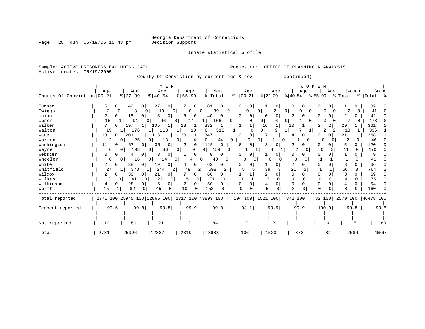Inmate statistical profile

| Sample: ACTIVE PRISONERS EXCLUDING JAIL<br>Active inmates | 05/19/2005          |                                                 |                             |                                |                    | Requestor:                                |                          | OFFICE OF PLANNING & ANALYSIS |                                |                   |                      |
|-----------------------------------------------------------|---------------------|-------------------------------------------------|-----------------------------|--------------------------------|--------------------|-------------------------------------------|--------------------------|-------------------------------|--------------------------------|-------------------|----------------------|
|                                                           |                     |                                                 |                             |                                |                    | County Of Conviction by current age & sex |                          | (continued)                   |                                |                   |                      |
| County Of Conviction 00-21                                | Age                 | Age<br>$\frac{8}{22} - 39$                      | M E N<br>Age<br>$8140 - 54$ | Age<br>$8 55-99$               | Men<br>% Total     | Age<br>$ 00-21 $<br>ႜ                     | Age<br>$ 22 - 39 $       | Aqe<br>$ 40-54 $              | <b>WOMEN</b><br>Aqe<br>% 55-99 | Women<br>% Total  | Grand<br>%   Total % |
| Turner                                                    | $\overline{0}$<br>5 | 42<br>$\overline{0}$                            | 27<br>01                    | 7<br>0                         | 81<br>$\Omega$     | 0 <br>0                                   | $\overline{0}$           | 0<br>$\overline{0}$           | 0<br>0                         | 0                 | 82                   |
| Twiqqs                                                    | 2<br>$\Omega$       | 18<br>$\overline{0}$                            | 19<br>0 <sup>1</sup>        | 0<br>0 <sup>1</sup>            | 39                 | $\Omega$<br>$\Omega$                      | $\circ$<br>2             | 0<br>0 <sup>1</sup><br>O      | 0<br>$\Omega$                  | 2<br>0            | 41                   |
| Union                                                     | 2<br>$\overline{0}$ | 18<br>$\Omega$                                  | 15<br>$\Omega$              | 5<br>0                         | 40                 | 0 <sup>1</sup><br>O                       | $\Omega$<br>$\Omega$     | 2<br>0                        | 0<br><sup>o</sup>              | 2                 | 42                   |
| Upson                                                     | 15                  | 91                                              | 46                          | $\Omega$<br>14                 | 166                | $\Omega$                                  | 0                        | 0<br>01                       | 0                              |                   | 173                  |
| Walker                                                    | 0 I                 | 197<br>ı.                                       | 105                         | 23<br>1                        | 332                |                                           | 16                       | 10                            | 2<br>2                         | 29                | 361                  |
| Walton                                                    | 19                  | 176                                             | 113                         | 10                             | 0<br>318           | $\Omega$                                  | 0 <sup>1</sup>           | 1                             | 2                              | 18                | 336                  |
| Ware                                                      | 13<br>01            | 201                                             | 113<br>$\mathbf{1}$         | 20<br>1                        | 347                | 0 <sup>1</sup><br><sup>0</sup>            | 17<br>1                  | 0<br>4                        | 0<br>n                         | 21                | 368                  |
| Warren                                                    | 2                   | 25<br>0                                         | 13<br>$\Omega$              | 0                              | 0<br>44            | 0<br>0                                    | 0                        | 0<br>0                        | U<br>$\Omega$                  | 2<br>$\Omega$     | 46                   |
| Washington                                                | 11<br>0             | 67<br>0 <sup>1</sup>                            | 35<br>0                     | 2<br>0                         | 115<br>$\Omega$    | 01<br>n                                   | 0<br>3                   | 2<br>$\Omega$                 | $\Omega$<br>O                  | 5<br>0            | 120                  |
| Wayne                                                     | 6                   | 108<br>0                                        | 36<br>0 <sup>1</sup>        | 0<br>9                         | 0 I<br>159         | 0                                         | 8                        | 2<br>0                        | $\Omega$                       | 11<br>$\Omega$    | 170                  |
| Webster                                                   | 0<br>0              | 0                                               | 3<br>0                      | 0                              | U                  | <sup>0</sup>                              | 0                        | <sup>0</sup><br>O.            | 0<br>0                         |                   | 9                    |
| Wheeler                                                   | 6                   | $\mathbf{0}$<br>16                              | 14<br>01                    | $\circ$<br>0 <sup>1</sup><br>4 | 40                 | O<br>0                                    | O<br>0                   | $\Omega$<br>0                 | -1                             | U                 | 41                   |
| White                                                     | 2<br>$\circ$        | 38<br>$\mathbf{0}$                              | 19<br>0                     | 0<br>4                         | 63<br>U            | n                                         | 0                        | 2<br>0                        | 0<br>O                         | 3<br>U            | 66                   |
| Whitfield                                                 | 27                  | 378<br>$\perp$                                  | 244<br>2                    | 49<br>2                        | 698<br>2           | 5                                         | 39<br>3                  | 21                            |                                | 66<br>3           | 764                  |
| Wilcox                                                    | 0                   | 36<br>$\Omega$                                  | 21<br>$\Omega$              | 0                              | 66<br>0            |                                           | $\Omega$                 | $\Omega$<br>$\Omega$          | $\Omega$<br>0                  | 3<br>U            | 69                   |
| Wilkes                                                    | 3<br>0              | 41<br>$\Omega$                                  | 22<br>$\Omega$              | 5<br>0                         | 71<br>$\Omega$     |                                           | $\mathbf{3}$<br>$\Omega$ | $\Omega$<br>$\Omega$          | $\Omega$                       | 4<br><sup>n</sup> | 75                   |
| Wilkinson                                                 | 0                   | 28<br>$\Omega$                                  | 16                          | 2<br>0                         | 50<br><sup>n</sup> | <sup>0</sup><br>$\Omega$                  | 4<br>0                   | $\Omega$<br>$\Omega$          | 0<br><sup>0</sup>              |                   | 54                   |
| Worth                                                     | 15                  | 82<br>0                                         | 45<br>$\Omega$              | 10<br>$\Omega$                 | 152                | $\Omega$<br>O                             | $\Omega$                 | ζ                             | $\Omega$                       |                   | 160                  |
| Total reported                                            |                     | 2771 100 25945 100 12866 100 2317 100 43899 100 |                             |                                |                    |                                           | 104 100 1521 100         | 872 100                       | 82 100                         |                   | 2579 100   46478 100 |
| Percent reported                                          | 99.6                | 99.8                                            | 99.8                        | 99.9                           | 99.8               | 98.1                                      | 99.9                     | 99.9                          | 100.0                          | 99.8              | 99.8                 |
|                                                           |                     |                                                 |                             |                                |                    |                                           |                          |                               |                                |                   |                      |
| Not reported                                              | 10                  | 51                                              | 21                          | 2                              | 84                 | 2                                         | 2                        |                               | O                              |                   | 89                   |
| Total                                                     | 2781                | 25996                                           | 12887                       | 2319                           | 43983              | 106                                       | 1523                     | 873                           | 82                             | 2584              | 46567                |

Page 28 Run 05/19/05 15:48 pm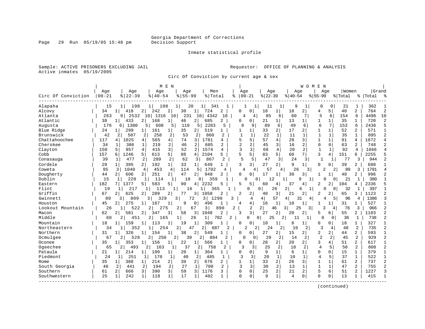Inmate statistical profile

Sample: ACTIVE PRISONERS EXCLUDING JAIL **Requestor:** OFFICE OF PLANNING & ANALYSIS Active inmates 05/19/2005

Circ Of Conviction by current age & sex

|                    |           |                       |                       | M E N                |                        |                       |                |                |                   |                |                |           | WOMEN          |                |                |         |                |           |                |
|--------------------|-----------|-----------------------|-----------------------|----------------------|------------------------|-----------------------|----------------|----------------|-------------------|----------------|----------------|-----------|----------------|----------------|----------------|---------|----------------|-----------|----------------|
|                    | Age       | Age                   | Age                   |                      | Age                    | Men                   |                | Age            |                   | Age            |                | Age       |                | Age            |                | Women   |                |           | Grand          |
| Circ Of Conviction | $00 - 21$ | $8   22 - 39$         | $8   40 - 54$         |                      | $8155 - 99$            | % Total               | ႜ              |                | $00 - 21$         | $ 22-39$       |                | $8 40-54$ |                | $8155 - 99$    |                | % Total |                | %   Total | ွာ             |
| Alapaha            | 15        | 198<br>11             | 108<br>11             |                      | 20                     | 1<br>341              |                |                | 1                 | 11             |                | 9         | 1              | 0              | 0              | 21      | 1              | 362       |                |
| Alcovy             | 34        | 418<br>1              | 242                   | 2<br>30              | 11                     | 724                   | 2              | <sup>0</sup>   | $\Omega$          | 18             | $1\vert$       | 18        | 2              | 4              | 5              | 40      | $\overline{2}$ | 764       | $\overline{c}$ |
| Atlanta            | 263       | 2532<br>9             | 1316<br>101           | 10 l                 | 231<br>10 <sub>1</sub> | 4342                  | 10             | 4              | 4                 | 85             | 6              | 60        | 7              | 5              | 6              | 154     | 6              | 4496      | 10             |
| Atlantic           | 38        | 433<br>$1\vert$       | 168<br>2              | 1 <br>46             | 2                      | 685                   | 2              | $\Omega$       | 0                 | 21             | 1              | 13        | 1              | 1              | $\mathbf{1}$   | 35      | 1              | 720       | $\overline{c}$ |
| Augusta            | 176       | 1380<br>6 I           | 5<br>608              | 5<br>119             | 5                      | 2283                  | 5              | 9              | 9                 | 89             | 6              | 49        | 6              | 6              | 7              | 153     | 6              | 2436      | 5              |
| Blue Ridge         | 24        | 299                   | 161                   | 35<br>1              | 2                      | 519                   |                | 1              | 1                 | 33             | 2              | 17        | 2              | $\mathbf{1}$   | $\mathbf{1}$   | 52      | $\overline{2}$ | 571       |                |
| Brunswick          | 42        | 2<br>507              | $\overline{2}$<br>258 | 2<br>53              | 2                      | 860                   | 2              |                | $\mathbf{1}$      | 22             | $\mathbf{1}$   | 11        | 1              | 1              | $\mathbf{1}$   | 35      | 1              | 895       | $\overline{2}$ |
| Chattahoochee      | 117       | 1025<br>4             | 565<br>4              | 4 <br>74             | 3                      | 1781                  | 4              | 5              | 5                 | 57             | $\overline{4}$ | 28        | 3              | 1              | $\mathbf{1}$   | 91      | 4              | 1872      | $\overline{4}$ |
| Cherokee           | 34        | 386                   | 219<br>1              | 2<br>46              | 2                      | 685                   | 2              | $\overline{a}$ | 2                 | 45             | 3              | 16        | 2              | $\Omega$       | $\Omega$       | 63      | 2              | 748       | $\overline{2}$ |
| Clayton            | 150       | 957<br>5              | 4<br>415              | 3<br>52              | 2                      | 1574                  | 4              | 3              | 3                 | 68             | $\overline{4}$ | 20        | 2              | $\mathbf{1}$   | 1              | 92      | $\overline{4}$ | 1666      |                |
| Cobb               | 157       | 1246<br>6             | 5<br>613              | 5  <br>88            | 4                      | 2104                  | 5.             | 5              | 5                 | 83             | 5 <sup>1</sup> | 60        | $7^{\circ}$    | 3              | $\overline{4}$ | 151     | 6              | 2255      |                |
| Conasauga          | 39        | 477                   | 2<br>289              | 2<br>62              | 3                      | 867                   | $\overline{2}$ | 5              | 5                 | 47             | 3              | 24        | 3              | 1              | 1              | 77      | 3              | 944       | 2              |
| Cordele            | 29        | 395<br>1              | 2 <br>192             | 1 <br>33             | 1 <sup>1</sup>         | 649                   | 1              | 3              | 31                | 27             | 2              | 9         | $\mathbf{1}$   | O              | 0              | 39      | $\overline{2}$ | 688       |                |
| Coweta             | 95        | 3<br>1040             | $4^{\circ}$<br>453    | 4<br>114             | 5.                     | 1702                  | 4              | 4              | 4                 | 57             | 4              | 26        | 3              | 2              | $\overline{2}$ | 89      | 3              | 1791      | $\overline{4}$ |
| Dougherty          | 44        | 606<br>2 <sup>1</sup> | 251<br>2 <sup>1</sup> | $\overline{2}$<br>47 | 2                      | 948                   | $\overline{a}$ | $\Omega$       | $\overline{0}$    | 17             | 1              | 30        | 3              | 1              | $\mathbf{1}$   | 48      | $\overline{a}$ | 996       | $\overline{c}$ |
| Dublin             | 15        | 220<br>1              | 114<br>1              | $\mathbf{1}$         | 10<br>0                | 359                   |                |                | ∩<br><sup>0</sup> | 12             |                | 9         | 1              |                | $\Omega$       | 21      | 1              | 380       | $\mathbf{1}$   |
| Eastern            | 182       | 1377                  | 583<br>5              | 90<br>5.             | 4                      | 2232                  | 5              | 5              | 5                 | 60             | 4              | 37        | 4              | 2              |                | 104     | 4              | 2336      | 5              |
| Flint              | 19        | 217                   | 113                   | 1                    | 16                     | 1<br>365              |                |                | U                 | $\Omega$<br>26 | 2              | 6         | $\mathbf{1}$   |                | $\Omega$       | 32      |                | 397       | $\mathbf{1}$   |
| Griffin            | 67        | 625<br>21             | 289<br>2              | 2<br>77              | 3                      | 1058                  |                | $\overline{2}$ | $\overline{a}$    | 40             | 3              | 21        | $\overline{2}$ | $\overline{2}$ | $\overline{2}$ | 65      | 3              | 1123      | $\overline{2}$ |
| Gwinnett           | 80        | 809<br>3 I            | 329<br>3              | 3                    | 72                     | 3 I<br>1290           | ζ              |                | 4                 | 4              | 57<br>4        | 31        | 4              | 4              | 51             | 96      | 4              | 1386      | $\mathbf{3}$   |
| Houston            | 45        | 275<br>2              | 167<br>1              | 9<br>1               | 0                      | 496                   | 1              | 4              | 4                 | 16             | $\mathbf{1}$   | 10        | 1              |                | -1             | 31      | 1              | 527       | 1              |
| Lookout Mountain   | 26        | $\mathbf{1}$<br>522   | 2<br>275              | 2                    | 67                     | 3                     | 890<br>2       |                | 2                 | 2 <br>46       | 3              | 25        | 3              | 3              | 4              | 76      | 3              | 966       | $\overline{c}$ |
| Macon              | 62        | 2<br>581              | 2<br>34               | 3<br>58              | 3                      | 1048                  | $\overline{c}$ | ર              | 3                 | 27             | 2              | 20        | 2 <sup>1</sup> | 5              | 6.             | 55      | $\overline{a}$ | 1103      | $\overline{c}$ |
| Middle             | 60        | 2<br>451              | 2  <br>165            |                      | 26                     | 1                     | 702<br>2       |                | 0<br>O            | 25             | 2              | 11        | 1              | O              | 0              | 36      | 1              | 738       | $\overline{c}$ |
| Mountain           | 18        | 159<br>1              | 113                   | 19                   | $\mathbf 1$            | 309                   |                | $\Omega$       | 0                 | 10             | 1              | 8         | $\mathbf{1}$   | 0              | 0              | 18      | $\mathbf{1}$   | 327       |                |
| Northeastern       | 34        | 352                   | 254                   | $\overline{2}$       | 47                     | 2<br>687              |                |                | 2<br>2            | 24             | 2              | 19        | 2              | 3              | 4              | 48      | 2              | 735       | $\overline{2}$ |
| Northern           | 31        | 326<br>1              | 154<br>1              | 1<br>38              | 2                      | 549                   |                | $\Omega$       | $\overline{0}$    | 27             | 2              | 15        | 21             | 2              | $\overline{2}$ | 44      | $\overline{a}$ | 593       | $\mathbf{1}$   |
| Ocmulgee           | 67        | 528<br>2              | 2 <br>250             | $\overline{2}$       | 39                     | $\overline{2}$<br>884 | 2              | $\Omega$       | $\Omega$          | 29             | 2              | 14        | $\overline{2}$ | $\overline{a}$ | 2              | 45      | 2              | 929       | $\overline{2}$ |
| Oconee             | 35        | 353<br>$\mathbf{1}$   | 156                   | 22<br>$\mathbf{1}$   | 1                      | 566                   |                | $\Omega$       | $\Omega$          | 28             | $\overline{2}$ | 20        | $\overline{2}$ | 3              | 4              | 51      | $\overline{2}$ | 617       | $\mathbf{1}$   |
| Ogeechee           | 65        | ا 2<br>493            | 163                   |                      | 37<br>2                | 758                   | 2              | 3              | 3                 | 25             | 2              | 18        | 2              | $\overline{4}$ | 5              | 50      | $\overline{a}$ | 808       | $\overline{c}$ |
| Pataula            | 21        | 214<br>1              | 109<br>1 <sup>1</sup> | 20<br> 1             | 1                      | 364                   | 1              | $\Omega$       | 0                 | 9              | $\mathbf{1}$   | 6         | $\mathbf{1}$   | $\Omega$       | 0              | 15      | $\mathbf{1}$   | 379       | 1              |
| Piedmont           | 24        | 251<br>$\mathbf 1$    | 170<br>1              | 40<br>1              | 2                      | 485                   | 1              | 3              | 3                 | 20             | $\mathbf{1}$   | 10        | 1              | $\overline{4}$ | 5              | 37      | $\mathbf{1}$   | 522       | $\mathbf{1}$   |
| Rome               | 35        | 388<br>1              | 214<br>$1\vert$       | 2  <br>39            | 2                      | 676                   | 2              |                |                   | 33             | $\overline{2}$ | 26        | 3              | $\mathbf{1}$   | $\mathbf{1}$   | 61      | 2              | 737       | $\overline{2}$ |
| South Georgia      | 46        | 2<br>441              | 2<br>194              | $\overline{2}$<br>27 | $\mathbf{1}$           | 708                   | $\overline{a}$ | $\mathbf{3}$   | 3                 | 30             | $\overline{2}$ | 13        | $\mathbf{1}$   | $\mathbf{1}$   | $\mathbf{1}$   | 47      | 2              | 755       | $\overline{2}$ |
| Southern           | 61        | 666<br>2              | $\overline{3}$<br>390 | $\overline{3}$<br>59 | 3                      | 1176                  | 3              | $\mathbf 0$    | $\Omega$          | 25             | $\overline{a}$ | 21        | 2              | 5              | 6              | 51      | $\overline{2}$ | 1227      | 3              |
| Southwestern       | 25        | $\mathbf{1}$<br>242   | $\mathbf{1}$<br>118   | 1<br>17              | $\mathbf{1}$           | 402                   | 1              | $\Omega$       | $\mathbf 0$       | 9              | $\mathbf{1}$   | 4         | $\mathbf 0$    | $\Omega$       | 0              | 13      | $\mathbf{1}$   | 415       | $\mathbf{1}$   |
|                    |           |                       |                       |                      |                        |                       |                |                |                   |                |                |           |                |                |                |         |                |           |                |

(continued)

Page 29 Run 05/19/05 15:48 pm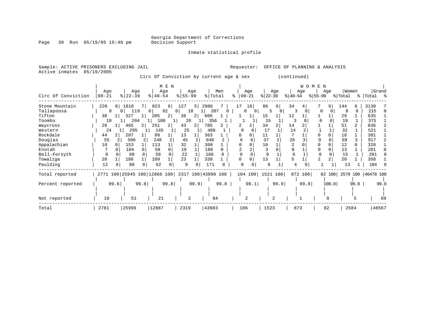Inmate statistical profile

Page 30 Run 05/19/05 15:48 pm

Sample: ACTIVE PRISONERS EXCLUDING JAIL **Requestor:** OFFICE OF PLANNING & ANALYSIS Active inmates 05/19/2005

Circ Of Conviction by current age & sex (continued)

|                    |           |                 | M E N                                           |                      |                     |               |                  | W O M      | E<br>N         |               |                           |
|--------------------|-----------|-----------------|-------------------------------------------------|----------------------|---------------------|---------------|------------------|------------|----------------|---------------|---------------------------|
|                    | Age       | Age             | Age                                             | Age                  | Men                 | Age           | Age              | Age        | Age            | Women         | Grand                     |
| Circ Of Conviction | $00 - 21$ | $8$   22-39     | $8140 - 54$                                     | $8155 - 99$          | % Total             | $8   00 - 21$ | $ 22-39 $        | $ 40-54 $  | $8 55-99$      | % Total       | %   Total %               |
| Stone Mountain     | 226<br>8  | 1810            | 823<br>6                                        | 127<br>5             | 2986                | 16<br>17      | 86<br>6          | 34         | 9              | 144<br>б.     | 3130                      |
| Tallapoosa         | 8         | 119<br>$\Omega$ | 62<br>0                                         | 18<br>0 I            | 207<br>$\mathbf{0}$ | $\Omega$<br>0 | .5<br>$\Omega$   | 3          |                | 8<br>$\Omega$ | 215                       |
| Tifton             | 38        | 327             | 2 <br>205                                       | 36<br>2 <sub>1</sub> | 606                 |               | 15               | 12         |                | 29            | 635                       |
| Toombs             | 18        | 204             | 108<br>1                                        | 26                   | 356                 |               | 15               |            |                | 19            | 375                       |
| Waycross           | 26        | 465<br>ا 2      | 251<br>2                                        | 43                   | 785                 | 2             | 34               | 14         |                | 51<br>2       | 836                       |
| Western            | 24        | 295             | 145                                             | 25                   | 489                 |               | 17               | 14         |                | 32            | 521                       |
| Rockdale           | 44        | 207             | 99                                              | 13                   | 363                 |               | 11               |            |                | 18            | 381                       |
| Douglas            | 55        | 500             | 248                                             | 45                   | 848                 |               | 37               | 26         |                | 69            | 917                       |
| Appalachian        | 10        | 153             | 113                                             | 32                   | 308                 |               | 10               |            |                | 12            | 320                       |
| Enotah             |           | 104             | 58<br>$\cap$                                    | 19                   | 188                 |               |                  | 8          |                | 13            | 201                       |
| Bell-Forsyth       | 8         | 98              | 58                                              | 22                   | 186                 |               |                  | 6          |                | 15            | 201                       |
| Towaliga           | 20        | 186             | 109                                             | 23                   | 338                 |               | 13               |            | $\overline{a}$ | 20            | 358                       |
| Paulding           | 12        | 88              | 62<br>0                                         | 9<br>0               | 171                 | n<br>0        |                  |            |                | 13            | 184                       |
| Total reported     |           |                 | 2771 100 25945 100 12866 100 2317 100 43899 100 |                      |                     |               | 104 100 1521 100 | 872<br>100 |                |               | 82 100 2579 100 46478 100 |
| Percent reported   | 99.6      | 99.8            | 99.8                                            | 99.9                 | 99.8                | 98.1          | 99.9             | 99.9       | 100.0          | 99.8          | 99.8                      |
|                    |           |                 |                                                 |                      |                     |               |                  |            |                |               |                           |
| Not reported       | 10        | 51              | 21                                              | $\overline{a}$       | 84                  |               | 2                |            |                |               | 89                        |
| Total              | 2781      | 25996           | 12887                                           | 2319                 | 43983               | 106           | 1523             | 873        | 82             | 2584          | 46567                     |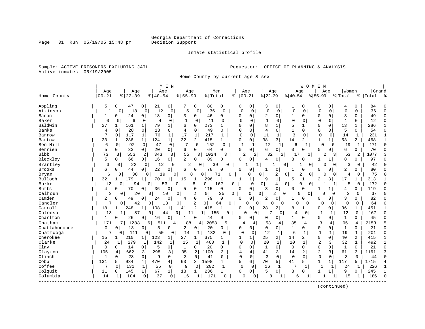Inmate statistical profile

Sample: ACTIVE PRISONERS EXCLUDING JAIL **Requestor:** OFFICE OF PLANNING & ANALYSIS Active inmates 05/19/2005

Home County by current age & sex

|               |              |                    |                      |             | M E N          |              |              |                |              |              |                   |                |                         |                | W O M E          | N              |                     |                |                |           |              |
|---------------|--------------|--------------------|----------------------|-------------|----------------|--------------|--------------|----------------|--------------|--------------|-------------------|----------------|-------------------------|----------------|------------------|----------------|---------------------|----------------|----------------|-----------|--------------|
|               | Age          |                    | Age                  | Age         |                | Age          |              |                | Men          |              | Age               | Age            |                         |                | Age              |                | Age                 | Women          |                | Grand     |              |
| Home County   | $00 - 21$    | $8   22 - 39$      |                      | $8140 - 54$ |                | $8155 - 99$  |              | % Total        |              | ిక           | $00 - 21$         | $ 22-39$       |                         | $ 40-54$       |                  | $8155 - 99$    |                     | % Total        |                | %   Total | ಿ            |
| Appling       | 5            | 0                  | 47<br>0              | 21          | 0 <sup>1</sup> |              | 0            | 80             | 0            | 0            | $\mathbf 0$       | 3              | 0                       | 1              | $\mathbf 0$      | 0              | 0                   | 4              | 0              | 84        | <sup>0</sup> |
| Atkinson      | 1            | 0                  | 18                   | 12<br>0     | 0              | 5            | 0            | 36             | $\mathbf 0$  | $\mathbf 0$  | 0                 | $\mathbf 0$    | 0                       | $\mathbf 0$    | $\mathbf 0$      | 0              | 0                   | $\Omega$       | 0              | 36        | $\Omega$     |
| Bacon         |              | 0                  | 24<br>0              | 18          | $\overline{0}$ | 3            | 0            | 46             | 0            | $\Omega$     | $\Omega$          | 2              | 0                       | 1              | $\Omega$         | 0              | 0                   | 3              | $\Omega$       | 49        | $\Omega$     |
| Baker         | $\Omega$     | 0                  | 6<br>0               | 4           | 0              | 1            | $\Omega$     | 11             | 0            | $\cap$       | $\Omega$          | 1              | 0                       | $\mathbf 0$    | 0                | $\Omega$       | $\mathbf 0$         | -1             | O              | 12        | $\Omega$     |
| Baldwin       | 27           | 161                | 1                    | 79          | 1              | б            | 0            | 273            |              |              |                   | $\mathsf{R}$   | 1                       |                | -1               | O              | 0                   | 13             |                | 286       |              |
| <b>Banks</b>  | 4            | $\Omega$           | 28<br>$\Omega$       | 13          | 0              | 4            | $\mathbf 0$  | 49             | $\Omega$     | $\Omega$     | 0                 | 4              | $\Omega$                | $\mathbf{1}$   | $\Omega$         | U              | $\Omega$            | 5              | $\Omega$       | 54        | <sup>0</sup> |
| Barrow        | 7            | $\mathbf 0$<br>117 | 1                    | 76          | $\mathbf{1}$   | 17           | $\mathbf{1}$ | 217            | 1            | $\Omega$     | $\Omega$          | 11             | $\mathbf{1}$            | 3              | $\mathbf 0$      | $\mathbf 0$    | $\mathbf 0$         | 14             | $\mathbf{1}$   | 231       | $\mathbf{1}$ |
| Bartow        | 23           | 236<br>1           | $1\vert$             | 124         | 1              | 32           | 2            | 415            | 1            | $\Omega$     | $\mathbf 0$       | 38             | $\overline{\mathbf{3}}$ | 14             | 2                | 1              | 1 <sup>1</sup>      | 53             | $\overline{a}$ | 468       |              |
| Ben Hill      | 6            | 0                  | 92<br>0              | 47          | $\mathbf 0$    | 7            | 0            | 152            | 0            | $\mathbf{1}$ | 1                 | 12             | 1                       | 6              | 1                | $\mathbf 0$    | 0                   | 19             | 1              | 171       | $\Omega$     |
| Berrien       | 5            | 0                  | 33<br>$\circ$        | 20          | 0 <sup>1</sup> | 6            | 0            | 64             | 0            | $\Omega$     | 0                 | 6              | 0                       | <sup>0</sup>   | 0                | U              | U                   | 6              | 0              | 70        | $\Omega$     |
| <b>Bibb</b>   | 73           | 3                  | 553<br>2             | 343         | 3              | 55           | 3            | 1024           | 3            |              | $\overline{2}$    | 32             | $\overline{a}$          | 17             | 2                |                | 2<br>$\overline{3}$ | 53             | 2              | 1077      |              |
| Bleckley      | 5            | 0                  | 66<br>0              | 16          | 0 <sup>1</sup> | 2            | 0            | 89             | 0            | $\Omega$     | $\Omega$          | 4              | 0                       | 3              | $\Omega$         | 1              | 1                   | 8              | 0              | 97        | n            |
| Brantley      | 3            | 0                  | 22                   | 12<br>0     | 0              | 2            | $\Omega$     | 39             | U            |              |                   |                | 0                       |                | $\mathbf 0$      |                | $\Omega$<br>0       | 3              | 0              | 42        |              |
| <b>Brooks</b> | 6            | 0                  | 44<br>0 <sup>1</sup> | 22          | $\mathbf{0}$   | 6            | 0            | 78             | $\Omega$     | $\Omega$     | 0                 | $\mathbf{1}$   | 0                       |                | 0                | 0              | 0                   | 2              | 0              | 80        |              |
| Bryan         | 6            |                    | 38                   | 19<br>0     | 0              |              | 8<br>0       |                | 71<br>U      |              | $\Omega$          | 0              | 2                       | 0              | 2<br>$\mathbf 0$ |                | O<br>0              | 4              | 0              | 75        | $\cap$       |
| Bulloch       | 32           | 179<br>1           |                      | 70          | 1              | 15           | 1            | 296            |              |              | 1                 | 9              | 1                       | 5              | 1                | 2              | 3                   | 17             |                | 313       |              |
| Burke         | 12           | $\Omega$           | 94                   | $\Omega$    | 53             | 0            | 8            | 0 <sup>1</sup> | 167          | $\Omega$     | $\Omega$          | $\overline{0}$ | 4                       | 0              | $\Omega$<br>0    |                |                     | 5              | 0              | 172       | $\cap$       |
| <b>Butts</b>  | 4            | 0                  | 70<br>0              | 36          | 0              | 5            | 0            | 115            | 0            | $\Omega$     | $\mathbf 0$       | 3              | 0                       | $\Omega$       | $\Omega$         | 1              | 1                   | 4              | 0              | 119       | $\Omega$     |
| Calhoun       | 3            | 0                  | 20                   | 0           | 10             | 0            | 2            | 0 <sup>1</sup> | 35           | 0            | 0                 | $\overline{0}$ | 2<br>0                  |                | $\Omega$<br>0    | 0              | 0                   | $\overline{2}$ | 0              | 37        | $\cap$       |
| Camden        | 2            | 0                  | 49<br>0              | 24          | 0              | 4            | 0            | 79             | $\mathbf 0$  | $\Omega$     | 0                 | 2              | 0                       | 1              | $\Omega$         | U              | 0                   | 3              | $\Omega$       | 82        | $\Omega$     |
| Candler       | 7            | O                  | 42                   | 0           | 13             | 0            | 2            | 0              | 64<br>0      |              | 0<br>$\mathbf{0}$ | 0              | 0                       | በ              | 0                | 0              | 0                   | 0              | 0              | 64        | $\cap$       |
| Carroll       | 18           | 248                | $\mathbf{1}$         | 108         | 1              | 41           | 2            | 415            |              | $\Omega$     | U                 | 28             | 2                       | 8              |                  | 0              | 0                   | 36             | 1              | 451       |              |
| Catoosa       | 13           | 1                  | 87                   | 0           | 44             | 0<br>11      |              | 1<br>155       | 0            |              | 0                 |                | $\Omega$                | $\overline{4}$ | 0                | $\mathbf 1$    | 1                   | 12             | $\Omega$       | 167       | $\Omega$     |
| Charlton      | 1            | 0                  | 26<br>0              | 16          | 0              |              | 0            | 44             | $\Omega$     | 0            | 0                 | 0              | 0                       | 1              | 0 <sup>1</sup>   | 0              | 0                   | 1              | 0              | 45        | n            |
| Chatham       | 171          |                    | 1288                 | 6<br>511    | 4              | 88           | 4            | 2058           | 5            |              | 4<br>4            | 53             | 4                       | 35             | 4                | 3              | 4                   | 95             | 4              | 2153      |              |
| Chattahoochee | $\Omega$     | 0                  | 13<br>0              | 5           | 0              | 2            | 0            | 20             | $\Omega$     | $\Omega$     | 0 <sup>1</sup>    | 0              | 0                       | $\mathbf{1}$   | 0                | 0              | $\overline{0}$      | $\mathbf{1}$   | $\Omega$       | 21        | $\Omega$     |
| Chattooga     | 7            | 0                  | 111                  | 50<br>0     | 0 <sup>1</sup> | 14           | 1            | 182            | 0            | $\Omega$     | $\Omega$          | 12             | 1                       | 6              | 1                | $\mathbf{1}$   | 1                   | 19             | 1              | 201       | $\Omega$     |
| Cherokee      | 15           | 210                | $\mathbf{1}$         | 123         | $\mathbf{1}$   | 27           | 1            | 375            |              |              |                   | 25             | 2                       | 14             | $\overline{2}$   | 0              | 0                   | 40             | $\overline{2}$ | 415       |              |
| Clarke        | 24           | 1                  | 279<br>1             | 142         | 1              | 15           | 1            | 460            |              | $\Omega$     | $\Omega$          | 20             | $\mathbf{1}$            | 10             | 1                | $\overline{c}$ | 3                   | 32             | $\mathbf 1$    | 492       | 1            |
| Clay          | 0            | 0                  | 14<br>$\overline{0}$ | 5           | $\Omega$       | $\mathbf{1}$ | 0            | 20             | $\Omega$     | $\Omega$     | $\Omega$          | $\mathbf{1}$   | $\Omega$                | $\Omega$       | $\Omega$         | 0              | $\Omega$            | $\mathbf{1}$   | $\Omega$       | 21        | $\Omega$     |
| Clayton       | 105          | 662<br>4           | 3 <sup>1</sup>       | 298         | 3              | 35           | 2            | 1100           | 3            | 4            | 4                 | 41             | 3                       | 14             | 2                | $\overline{2}$ | 3                   | 61             | 3              | 1161      | 3            |
| Clinch        | $\mathbf{1}$ | $\Omega$           | 28<br>0              | 9           | $\mathbf 0$    | 3            | $\Omega$     | 41             | $\Omega$     | $\Omega$     | 0                 | 3              | $\Omega$                | $\Omega$       | $\Omega$         | $\mathbf 0$    | 0                   | 3              | $\Omega$       | 44        | $\Omega$     |
| Cobb          | 131          | 5<br>934           | 4                    | 470         | 4              | 63           | 3            | 1598           | 4            | 5            | 6                 | 70             | 5                       | 41             | 5                | $\mathbf 1$    | 1                   | 117            | 5              | 1715      |              |
| Coffee        | 7            | 131<br>$\Omega$    | 1                    | 55          | $\mathbf 0$    | 9            | $\Omega$     | 202            | 1            | $\Omega$     | $\Omega$          | 16             | $\mathbf{1}$            | 7              |                  | $\mathbf{1}$   | 1                   | 24             | 1              | 226       | $\mathbf{1}$ |
| Colquit       | 11           | 145<br>0           | $1\vert$             | 67          | $\mathbf{1}$   | 13           | 1            | 236            | 1            | $\Omega$     | $\overline{0}$    | 5              | 0                       | 3              | $\Omega$         | 1              | 1                   | 9              | O              | 245       |              |
| Columbia      | 14           | 1                  | 104<br>0             | 37          | 0              | 16           | -1           | 171            | <sup>0</sup> |              | O<br>0            | 8              | 1                       | б              |                  |                |                     | 15             |                | 186       | $\Omega$     |
|               |              |                    |                      |             |                |              |              |                |              |              |                   |                |                         |                |                  |                |                     |                |                |           |              |

(continued)

Page 31 Run 05/19/05 15:48 pm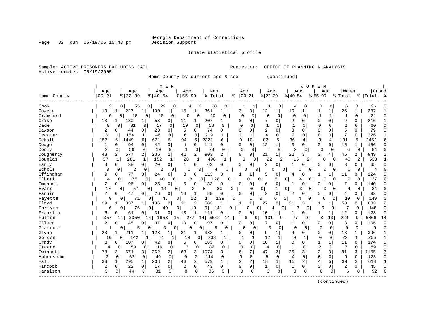Page 32 Run 05/19/05 15:48 pm

### Inmate statistical profile

Sample: ACTIVE PRISONERS EXCLUDING JAIL **Requestor:** OFFICE OF PLANNING & ANALYSIS Active inmates 05/19/2005

Home County by current age & sex (continued)

|             |                |                                |                      | M E N                 |                      |                |              |              |                  |                |              |                | WOMEN          |                |             |                |                |           |           |
|-------------|----------------|--------------------------------|----------------------|-----------------------|----------------------|----------------|--------------|--------------|------------------|----------------|--------------|----------------|----------------|----------------|-------------|----------------|----------------|-----------|-----------|
|             | Age            | Age                            | Age                  |                       | Age                  | Men            |              | Age          |                  | Age            |              | Age            |                | Age            |             | Women          |                | Grand     |           |
| Home County | $00 - 21$      | $8122 - 39$                    | $8   40 - 54$        |                       | $8155 - 99$          | %   Total      |              | နွ           | $00 - 21$        | $ 22-39$       |              | $ 40-54$       |                | $8 55-99$      |             | % Total        |                | %   Total | $\approx$ |
| Cook        | 2              | 55<br>0 <sup>1</sup>           | 29<br>0 <sup>1</sup> | 0                     |                      | 90             | $\Omega$     |              | 1                |                | 0            | 4              | 0              | 0              | 0           | 6              | 0              | 96        |           |
| Coweta      | 19             | 227<br>-1                      | 100<br>1             | $\mathbf{1}$          | 15<br>1              | 361            | 1            | 3            | 3                | 12             | 1            | 10             | $\mathbf{1}$   | 1              | 1           | 26             | 1              | 387       |           |
| Crawford    | $\Omega$       | 10<br>$\mathbf{0}$             | 10<br>0              | 0                     | $\Omega$<br>0        | 20             | 0            | $\Omega$     | 0                | 0              | $\mathbf 0$  | $\mathbf 0$    | 0              |                | $\mathbf 1$ |                | $\mathbf 0$    | 21        | $\cap$    |
| Crisp       | 13             | 130<br>1                       | 53<br>$\mathbf{1}$   | $\mathbf 0$           | 11<br>1              | 207            | 1            | O            | 0                | 7              | $\Omega$     | 2              | O              | $\Omega$       | $\Omega$    | 9              | $\Omega$       | 216       |           |
| Dade        | $\Omega$       | 31<br>0                        | 17<br>0              | 0                     | 10<br>0              | 58             | $\Omega$     | $\Omega$     | $\Omega$         | $\mathbf{1}$   | $\Omega$     | 1              | $\Omega$       | $\cap$         | $\Omega$    | $\overline{2}$ | $\Omega$       | 60        | $\Omega$  |
| Dawson      | 2              | 44<br>$\Omega$                 | 23<br>0              | 0                     | 5<br>0               | 74             | $\Omega$     | Ω            | $\Omega$         | 2              | $\Omega$     | 3              | O              | $\Omega$       | $\Omega$    | 5              | 0              | 79        | $\Omega$  |
| Decatur     | 13             | 154                            | 46<br>1              | $\mathbf{0}$          | 6<br>$\Omega$        | 219            |              | 1            | $\mathbf{1}$     | $\overline{4}$ | $\Omega$     | $\overline{2}$ | O              | $\Omega$       | $\Omega$    | 7              | $\Omega$       | 226       |           |
| DeKalb      | 157            | 1449<br>6                      | 621<br>6             | 5                     | 5<br>94              | 2321           | 6            | 9            | 10               | 83             | 6            | 36             | 4              | 3              | 4           | 131            | 5              | 2452      |           |
| Dodge       | $\mathbf{1}$   | 94<br>$\Omega$                 | 0<br>42              | 0                     | 4<br>$\mathbf{0}$    | 141            | 0            | 0            | $\mathbf 0$      | 12             | 1            | 3              | 0              | 0              | $\mathbf 0$ | 15             | 1              | 156       | ∩         |
| Dooly       | $\overline{2}$ | 56<br>0                        | $\mathbf 0$<br>19    | $\mathbf{0}$          | $\mathbf{1}$<br>0    | 78             | $\Omega$     | $\Omega$     | $\mathbf 0$      | 4              | 0            | 2              | $\Omega$       | $\mathbf 0$    | 0           | 6              | $\mathbf 0$    | 84        |           |
| Dougherty   | 48             | 577<br>2                       | 2<br>236             | $\overline{2}$        | $\overline{2}$<br>42 | 903            | 2            | 0            | 0                | 21             | 1            | 22             | 3              | 3              | 4           | 46             | 2              | 949       |           |
| Douglas     | 37             | $\mathbf{1}$<br>281            | 152<br>$\mathbf{1}$  | 1                     | 28<br>1              | 498            | 1            | 3            | 3                | 22             | 2            | 15             | 2              | 0              | 0           | 40             | 2              | 538       |           |
| Early       | 3              | 38<br>0                        | 20<br>$\overline{0}$ | $\mathbf{0}$          | 0<br>1               | 62             | O            | 0            | $\mathbf 0$      | $\overline{2}$ | 0            | 1              | 0              | $\Omega$       | 0           | 3              | 0              | 65        | C         |
| Echols      | $\Omega$       | $\mathbf 0$<br>$\overline{2}$  | $\overline{2}$<br>0  | 0                     | <sup>0</sup><br>0    | 4              | N            |              | O<br>0           | O              | 0            |                | 0<br>0         | $\Omega$       | 0           | 0              | 0              | 4         |           |
| Effingham   | 9              | 77<br>0 <sup>1</sup>           | 0<br>24              | 0                     | 3<br>$\mathbf 0$     | 113            | N            |              | 1                | 5              | 0            | 4              | 0              |                |             | 11             | 0              | 124       | $\Omega$  |
| Elbert      | $\overline{4}$ | 76<br>$\mathbf 0$              | 40<br>0              | $\Omega$              | $\mathsf{R}$         | 128<br>0       |              |              | 0                | 0              | 5            | 0              | 4<br>0         | ∩              | $\Omega$    | 9              | $\mathbf 0$    | 137       |           |
| Emanuel     | 7              | 0 <sup>1</sup><br>96           | 25<br>$\Omega$       | 0                     | 5<br>$\Omega$        | 133            | O            | $\Omega$     | 0                | 6              | 0            | 1              | $\Omega$       | $\Omega$       | $\Omega$    | 7              | 0              | 140       |           |
| Evans       | 10             | 0<br>54                        | $\Omega$<br>14       | 0                     | 2                    | 0              | 80<br>0      |              | 0                | $\overline{0}$ | 1            | $\Omega$       | 0<br>ζ         | $\Omega$       | $\Omega$    | 4              | 0              | 84        |           |
| Fannin      | $\overline{2}$ | 0<br>47                        | 26<br>0              | 0                     | 13<br>1              | 88             | 0            | 0            | 0                | 2              | $\mathbf 0$  | 2              | 0              | 0              | 0           | 4              | 0              | 92        |           |
| Fayette     | 9              | 71<br>$\Omega$                 | 0                    | 47<br>0               | 12                   | $\mathbf 1$    | 139          | $\Omega$     | $\Omega$         | 0              | 6            | 4<br>0         | $\Omega$       | $\Omega$       | 0           | 10             | 0              | 149       |           |
| Floyd       | 29             | 337<br>1                       | 186                  | 2                     | 2<br>31              | 583            | 1            | -1           | $\mathbf 1$      | 27             | 2            | 21             | $\overline{3}$ | 1              | 1           | 50             | 2              | 633       | 2         |
| Forsyth     | 6              | 76<br>0                        | 0                    | 49<br>0               | 10                   | $\overline{0}$ | 141<br>0     |              | $\mathbf 0$<br>0 | 4              | 0            | 3              | 0              | Ω              | 0           |                | 0              | 148       | $\cap$    |
| Franklin    | 6              | 61<br>0                        | 31<br>0              | 0                     | 13<br>1              | 111            |              | $\Omega$     | 0                | 10             | 1            | 1              | 0              |                |             | 12             | 0              | 123       | $\Omega$  |
| Fulton      | 357            | 3350<br>14 I                   | 1<br>.4  <br>16      | 15 <sup>1</sup><br>58 | 277                  | 14 5642        | 14           |              | 8<br>9           | 131            | 9            | 77             | 9              | 8              | 10          | 224            | 9              | 5866      | 14        |
| Gilmer      | 2              | 48<br>$\Omega$                 | 37                   | 0                     | 10<br>$\Omega$       | 97             |              | 0            | 0                |                | 0            | $\mathbf{1}$   | 0              | 0              | 0           | 8              | 0              | 105       | $\bigcap$ |
| Glascock    | 1              | 5<br>$\Omega$                  | 0                    | 3<br>0                | $\Omega$             | 9<br>0         | $\Omega$     | $\Omega$     | 0                | $\Omega$       | $\Omega$     | $\Omega$       | 0              | 0              | 0           | $\mathbf 0$    | $\mathbf 0$    | 9         |           |
| Glynn       | 23             | 211<br>1                       | 128                  | 1                     | 21<br>1              | 383            | 1            | 0            | 0                | 9              | 1            | 4              | 0              | 0              | 0           | 13             | 1              | 396       |           |
| Gordon      | 10             | 142<br>0                       | 71                   |                       | 10<br>$\overline{0}$ | 233            |              | $\mathbf{1}$ | 1                | 12             | $\mathbf{1}$ | 9              | 1              | $\mathbf 0$    | 0           | 22             | $\mathbf{1}$   | 255       |           |
| Grady       | 8              | 107<br>0                       | 42<br>0              | 0                     | 6<br>0               | 163            | $\Omega$     | O            | 0                | 10             | $\mathbf{1}$ | 0              | 0              | 1              | 1           | 11             | 0              | 174       | $\cap$    |
| Greene      | $\overline{4}$ | 59<br>0                        | 16<br>0              | $\mathbf 0$           | 3<br>0               | 82             | $\Omega$     | $\Omega$     | $\Omega$         | 4              | $\Omega$     | $\mathbf{1}$   | 0              | $\overline{2}$ | 3           | 7              | $\Omega$       | 89        | $\cap$    |
| Gwinnett    | 78             | $\overline{\mathbf{3}}$<br>671 | 3<br>262             | 2                     | 63<br>3              | 1074           | 3            | 6            | 7                | 47             | 3            | 26             | 3              | $\overline{2}$ | 3           | 81             | 3              | 1155      |           |
| Habersham   | 3              | 62<br>0                        | 0<br>49              | $\mathbf 0$           | $\Omega$<br>$\Omega$ | 114            | 0            | $\Omega$     | $\Omega$         | 5              | $\Omega$     | 4              | $\Omega$       | $\Omega$       | 0           | 9              | $\Omega$       | 123       | ∩         |
| Hall        | 33             | 1<br>295                       | 208<br>1             | $\overline{a}$        | 2<br>43              | 579            | $\mathbf{1}$ | 2            | 2                | 18             | $\mathbf{1}$ | 15             | 2              | $\overline{4}$ | 5           | 39             | $\overline{a}$ | 618       |           |
| Hancock     | 2              | $\mathbf 0$<br>22              | 0<br>17              | $\mathbf 0$           | 2<br>$\mathbf 0$     | 43             | 0            | $\Omega$     | 0                | $\mathbf{1}$   | 0            | $\mathbf{1}$   | $\Omega$       | 0              | 0           | 2              | 0              | 45        | C         |
| Haralson    | 3              | 44<br>0                        | 31<br>0              | 0                     | 8<br>0               | 86             | $\Omega$     | $\Omega$     | $\mathbf 0$      | 3              | 0            | 3              | 0              | $\mathbf 0$    | 0           | 6              | U              | 92        |           |
|             |                |                                |                      |                       |                      |                |              |              |                  |                |              |                |                |                |             |                |                |           |           |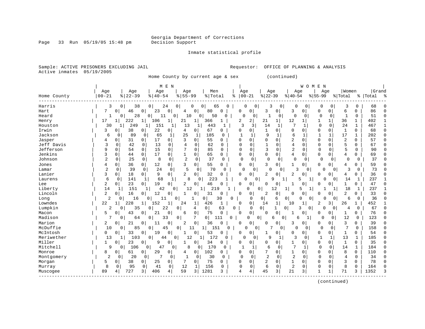Page 33 Run 05/19/05 15:48 pm

### Inmate statistical profile

Sample: ACTIVE PRISONERS EXCLUDING JAIL **Requestor:** OFFICE OF PLANNING & ANALYSIS Active inmates 05/19/2005

Home County by current age & sex (continued)

|             |                |                     | M E N                                  |                     |                      |                 |              |                               |                            |                | WOMEN         |             |                |                            |              |           |    |
|-------------|----------------|---------------------|----------------------------------------|---------------------|----------------------|-----------------|--------------|-------------------------------|----------------------------|----------------|---------------|-------------|----------------|----------------------------|--------------|-----------|----|
|             | Age            | Age                 | Age                                    | Age                 | Men                  |                 | Age          |                               | Age                        | Age            |               | Age         |                | Women                      |              | Grand     |    |
| Home County | $00 - 21$      | $8   22 - 39$       | $\frac{1}{6}$   40 - 54                | $8155 - 99$         | % Total              | နွ              | $00 - 21$    |                               | $ 22-39$                   | $8 40-54$      |               | $8155 - 99$ | % Total        |                            |              | %   Total | °, |
| Harris      | 3              | 38<br>0             | $\overline{0}$<br>24                   | 0<br>0              | $\Omega$             | 65<br>n         | U            | 0                             | 0<br>3                     | 0              | 0             | 0           | 0              | 3                          | $\Omega$     | 68        |    |
| Hart        | 7              | 46<br>0             | $\mathbf 0$<br>23<br>0                 | 4                   | 80<br>$\overline{0}$ | $\Omega$        | 0            | 0                             | 3<br>0                     | 3              | 0             | $\Omega$    | 0              | 0<br>6                     |              | 86        |    |
| Heard       |                | 28<br>0             | 0<br>11                                | 0<br>10             | 50<br>0              | 0               | $\Omega$     | 0                             | $\mathbf{1}$<br>0          | $\mathbf 0$    | 0             | 0           | 0              | 1                          | 0            | 51        |    |
| Henry       | 17             | 222                 | 106<br>$\mathbf{1}$<br>$\mathbf 1$     | 21                  | 366<br>$1\vert$      | 1               | 2            | 2                             | 21<br>1                    | 12             | $\mathbf{1}$  | 1           | 1              | $\mathbf{1}$<br>36         |              | 402       |    |
| Houston     | 30             | 249                 | 151<br>$\mathbf{1}$                    | 13<br>1             | 443<br>1             | 1               | 3            | 3                             | 14<br>1                    | 7              | 1             | $\Omega$    | 0              | 24                         | 1            | 467       |    |
| Irwin       | 3              | 38<br>0             | 22<br>0 <sup>1</sup><br>$\overline{0}$ | 4                   | 67<br>$\overline{0}$ | 0               | ი            | 0                             | 1<br>$\Omega$              | 0              | 0             | $\Omega$    | 0              | 1<br>0                     |              | 68        |    |
| Jackson     | 6              | 89<br>$\Omega$      | 65<br>$\Omega$                         | 25<br>1             | 1<br>185             | $\Omega$        |              | 1                             | 9                          | 6              |               | -1          | 1              | 17<br>$\mathbf{1}$         |              | 202       | C  |
| Jasper      | 4              | 31<br>O             | 17<br>0<br>0                           | 3                   | 55<br>0              | O               | U            | $\Omega$                      | $\Omega$<br>$\Omega$       | 2              | O             | $\Omega$    | $\Omega$       | $\overline{2}$<br>0        |              | 57        |    |
| Jeff Davis  | 3              | 42<br>0             | 13<br>$\mathbf 0$<br>0                 | 4                   | 62<br>$\Omega$       | $\Omega$        | $\Omega$     | $\Omega$                      | $\Omega$<br>$\mathbf{1}$   | $\overline{4}$ | $\Omega$      | $\Omega$    | $\Omega$       | 5<br>$\mathbf 0$           |              | 67        |    |
| Jefferson   | 9              | 0<br>54             | $\mathbf 0$<br>0<br>15                 | 7                   | $\mathbf 0$<br>85    | $\Omega$        | $\Omega$     | 0                             | 3<br>$\Omega$              | $\overline{2}$ | $\Omega$      | $\Omega$    | $\Omega$       | 5                          | $\mathbf 0$  | 90        |    |
| Jenkins     | 3              | 0<br>44             | 17<br>0<br>0                           |                     | 65<br>0              | 0               | 0            | 0                             | $\Omega$<br>$\mathbf 0$    | 4              | 0             | $\mathbf 0$ | 0              | 0<br>4                     |              | 69        |    |
| Johnson     | $\overline{c}$ | 25<br>0             | 8<br>0                                 | $\overline{2}$<br>0 | 37<br>0              | $\Omega$        | $\Omega$     | 0                             | $\Omega$<br>$\Omega$       | 0              | 0             | 0           | 0              | $\cap$                     | $\Omega$     | 37        |    |
| Jones       | 4              | 36<br>0             | $\overline{0}$<br>12<br>$\circ$        | 3                   | 55<br>$\overline{0}$ | 0               | U            | 0                             | 0<br>κ                     | $\mathbf{1}$   | 0             | $\Omega$    | $\overline{0}$ | 0<br>4                     |              | 59        |    |
| Lamar       | $\overline{2}$ | 39<br>$\mathbf 0$   | 24<br>$\mathbf 0$                      | 5<br>0              | 70<br>$\mathbf 0$    | 0               | O            | 0                             | $\Omega$<br>0              | ζ              | $\mathbf{0}$  | $\Omega$    | $\overline{0}$ | 3                          | 0            | 73        |    |
| Lanier      | 3              | 18<br>0             | 9<br>0<br>0 <sup>1</sup>               | 2                   | 32<br>0              | $\Omega$        | O            | 0                             | $\overline{2}$<br>0        | 2              | O             | $\Omega$    | 0              | 0<br>4                     |              | 36        |    |
| Laurens     | 6              | $\Omega$<br>141     | 68<br>1                                | 8<br>1              | 223<br>0             |                 | U            | $\Omega$                      | 9                          |                | 5<br>1        | N           | $\overline{0}$ | 14                         | 1            | 237       |    |
| Lee         | 2              | 0<br>23             | 19<br>0<br>$\Omega$                    | 2                   | 46<br>$\Omega$       |                 | U            | 0                             | $\Omega$<br>U              | 1              | 0             | ∩           | 0              | 1<br>0                     |              | 47        |    |
| Liberty     | 14             | 151                 | 42<br>-1                               | 12<br>$\Omega$      | 21<br>1              | 9               | 0            | 0                             | 12                         | 1              | 5<br>-1       |             | 1              | 18                         | 1            | 237       |    |
| Lincoln     | 2              | 16<br>0             | 12<br>0<br>0                           |                     | 31<br>0              | 0               | 0            | 0                             | 2<br>0                     | U              | 0             | O           | 0              | 2<br>0                     |              | 33        |    |
| Long        | 2              | 16<br>$\mathbf 0$   | 11<br>0                                | 0<br>1              | 0                    | 30<br>O         |              | $\mathbf 0$<br>$\overline{0}$ | 6                          | 0              | 0<br>$\Omega$ | $\cap$      | $\overline{0}$ | 6                          | $\Omega$     | 36        |    |
| Lowndes     | 22             | 228<br>$\mathbf{1}$ | 152<br>1<br>1                          | 24                  | 426<br>$\mathbf{1}$  | 1               | $\Omega$     | 0                             | 14<br>1                    | 10             | $\mathbf{1}$  | 2           | 3              | 26<br>1                    |              | 452       |    |
| Lumpkin     | 2              | 35<br>0             | 22<br>0                                | 0                   | 0 I<br>4             | 63              | 0            | $\Omega$<br>$\overline{0}$    | 1                          | 0              | 3<br>0        | 0           | $\Omega$       | 4                          | 0            | 67        | Λ  |
| Macon       | 5              | 43<br>0             | 21<br>0<br>0                           | 6                   | 75<br>0              | $\Omega$        | 0            | 0                             | $\mathbf 0$<br>O           |                | 0             | 0           | 0              | $\mathbf{1}$<br>0          |              | 76        |    |
| Madison     | 7              | 64<br>0             | 0<br>33                                | 0                   | 7<br>0               | 111<br>$\Omega$ | O            | $\mathbf 0$                   | 0<br>6                     | 6              | 1             | O           | $\Omega$       | 12                         | $\Omega$     | 123       |    |
| Marion      | 2              | 21<br>0             | U<br>11<br>0                           | $\overline{2}$      | 0<br>36              | O               | <sup>0</sup> | 0                             | $\Omega$<br>U              | 3              | $\Omega$      | $\Omega$    | 0              | 3<br>0                     |              | 39        |    |
| McDuffie    | 10             | 85<br>0             | 0<br>45                                | 0<br>11             | 151<br>11            | 0               | 0            | $\Omega$                      | 7<br>$\Omega$              |                | $\Omega$      | $\Omega$    | $\Omega$       | 7                          | $\Omega$     | 158       |    |
| McIntosh    | 0              | 0<br>33             | 0 <sup>1</sup><br>19<br>0              |                     | 53<br>$\mathbf 0$    | $\Omega$        | 0            | 0                             | 0 <sup>1</sup>             | 0              | 0             | 0           | 0              | 1<br>0                     |              | 54        |    |
| Meriwether  | 13             | 103                 | $\overline{0}$<br>44                   | 0<br>12             | 172                  | O               | $\Omega$     | 0                             | 9                          | 3              | 0             | 1           | 1              | 13                         | $\mathbf{1}$ | 185       |    |
| Miller      | $\mathbf 1$    | 23<br>0             | 9<br>0<br>0                            | $\mathbf{1}$        | 34<br>0              | 0               | U            | 0                             | <sup>0</sup><br>0          | $\mathbf{1}$   | 0             | $\Omega$    | $\overline{0}$ | 1<br>$\Omega$              |              | 35        |    |
| Mitchell    | 9              | 106<br>$\mathbf{0}$ | 47<br>0                                | $\mathsf{R}$<br>0   | 170<br>0             | 0               | -1           | 1                             | 6<br>0                     | 7              | 1             | $\Omega$    | $\mathbf 0$    | 14<br>$\mathbf{1}$         |              | 184       |    |
| Monroe      | 8              | 61<br>0             | 29<br>0<br>0 <sup>1</sup>              | 4                   | 102<br>$\mathbf{0}$  | 0               | <sup>0</sup> | 0                             | $\Omega$                   | 1              | 0             | $\Omega$    | $\Omega$       | 8<br>0                     |              | 110       | C  |
| Montgomery  | $\overline{c}$ | 20<br>0             | 0                                      | 0                   | 30<br>$\Omega$       | $\Omega$        | $\Omega$     | $\Omega$                      | $\overline{a}$<br>$\Omega$ | $\overline{a}$ | 0             | $\Omega$    | $\Omega$       | $\Omega$<br>$\overline{4}$ |              | 34        |    |
| Morgan      | 5              | 38<br>0             | 25<br>0<br>0                           | 7                   | 75<br>$\Omega$       | O               | U            | 0                             | $\overline{2}$<br>$\Omega$ | $\mathbf{1}$   | O             | $\Omega$    | $\Omega$       | 3<br>$\Omega$              |              | 78        |    |
| Murray      | 8              | 95<br>0             | 41<br>0                                | 12<br>0             | 156<br>1             | 0               | $\Omega$     | $\mathbf 0$                   | 6<br>$\Omega$              | $\overline{2}$ | 0             | 0           | 0              | 8<br>$\mathbf 0$           |              | 164       |    |
| Muscogee    | 89             | 727<br>4            | $\overline{3}$<br>406<br>4             | 59                  | 1281<br>3            | 3               | 4            | 4                             | 45<br>3                    | 21             | 3             |             | 1              | 71<br>3                    |              | 1352      |    |
|             |                |                     |                                        |                     |                      |                 |              |                               |                            |                |               |             |                |                            |              |           |    |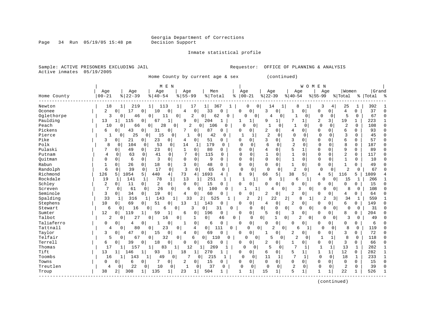Page 34 Run 05/19/05 15:48 pm

### Inmate statistical profile

Sample: ACTIVE PRISONERS EXCLUDING JAIL **Requestor:** OFFICE OF PLANNING & ANALYSIS Active inmates 05/19/2005

Home County by current age & sex (continued)

|                          | Age<br>Age           | Age                                   |                             |                       |                 |                      |                  |                            |                     |              |                   |                               |                    |            |
|--------------------------|----------------------|---------------------------------------|-----------------------------|-----------------------|-----------------|----------------------|------------------|----------------------------|---------------------|--------------|-------------------|-------------------------------|--------------------|------------|
|                          |                      |                                       | Age                         | Men                   |                 | Age                  | Age              |                            | Age                 | Age          |                   | Women                         |                    | Grand      |
| $00 - 21$<br>Home County | $8   22 - 39$        | $8   40 - 54$                         | $8 55-99$                   | % Total               | ႜ               | $00 - 21$            | $ 22-39$         | $8140 - 54$                |                     | $8 55-99$    | % Total           |                               | %   Total          |            |
| Newton                   | 18<br>219            | 113<br>1                              | 17<br>1                     | 367<br>$1 \vert$      |                 |                      | 0<br>14          |                            | 8<br>1              | 3            | 4                 | 25<br>1                       | 392                |            |
| 2<br>Oconee              | 17<br>$\Omega$       | 10<br>0<br>0                          | $\mathbf 0$<br>4            | 33                    | ∩               | 0<br>O               | 3                | 0<br>1                     | O                   | $\Omega$     | 0                 | 0<br>4                        | 37                 |            |
| Oglethorpe               | 3<br>46<br>$\Omega$  | 0<br>11                               | 2<br>$\overline{0}$         | 0<br>62               | $\Omega$        | O                    | $\mathbf 0$<br>4 | 0                          | 0 <sup>1</sup>      | $\mathbf 0$  | $\Omega$          | 5<br>0                        | 67                 |            |
| Paulding<br>13           | 115                  | $\mathbf 1$<br>0<br>67                | $\overline{0}$<br>9         | 204                   |                 | 1                    | 9                | 1                          | $1\vert$            | 2            | 19<br>3           | 1                             | 223                |            |
| Peach                    | 10<br>$\Omega$<br>66 | 28<br>0                               | 2<br>0                      | 106<br>0              | U               | <sup>0</sup>         | 1<br>0           | $\mathbf{1}$<br>$\Omega$   | 0                   | $\Omega$     | $\Omega$          | $\overline{2}$<br>$\Omega$    | 108                | $\sqrt{ }$ |
| Pickens<br>6             | 0<br>43              | 31<br>0<br>0                          | 7<br>0                      | 87                    | $\Omega$        | 0<br>O               | $\overline{2}$   | $\Omega$<br>4              | 0                   | $\Omega$     | $\Omega$          | 6<br>0                        | 93                 | C          |
| Pierce                   | 25<br>0              | 15<br>0                               | $\Omega$                    | 42<br>0               | U               | -1                   | $\overline{a}$   | $\mathbf 0$<br>$\Omega$    | 0                   | $\Omega$     | $\mathbf 0$       | 3<br>$\Omega$                 | 45                 | n          |
| Pike<br>3                | 0<br>21              | 23<br>0<br>0                          | 0<br>4                      | 51                    | 0               | 0<br>0               | 3                | 3<br>0                     | O                   | $\Omega$     | $\Omega$          | 6<br>0                        | 57                 |            |
| Polk                     | 8<br>104<br>$\Omega$ | 53<br>$\mathbf 0$<br>$\Omega$         | 14<br>1                     | 179                   | <sup>0</sup>    | $\Omega$<br>$\Omega$ | 6                | $\overline{2}$<br>$\Omega$ | $\Omega$            | $\Omega$     | $\Omega$          | 8<br>$\Omega$                 | 187                |            |
| Pulaski                  | $\Omega$<br>49       | 23<br>0<br>0                          | $\mathbf{1}$<br>$\mathbf 0$ | 80                    | U               | 0<br>O               | $\overline{4}$   | 5<br>$\Omega$              |                     | $\Omega$     | $\Omega$          | 9<br>0                        | 89                 |            |
| Putnam                   | 4<br>63<br>0         | 41<br>$\mathbf 0$<br>0                | 7<br>$\Omega$               | 115                   | $\Omega$        | $\Omega$<br>0        | $\mathbf{1}$     | $\mathbf{1}$<br>$\Omega$   | $\Omega$            | $\Omega$     | $\Omega$          | $\overline{2}$<br>0           | 117                | C          |
| Ouitman<br>0             | $\Omega$<br>6        | 3<br>$\Omega$<br>$\Omega$             | $\Omega$<br>$\mathbf 0$     | 9                     | 0               | $\Omega$<br>$\Omega$ | $\Omega$         | $\Omega$<br>$\mathbf{1}$   | $\Omega$            | $\Omega$     | 0                 | $\mathbf{1}$<br>$\Omega$      | 10                 |            |
| Rabun                    | $\Omega$<br>26       | 18<br>0<br>0                          | 0<br>3                      | 48                    | $\Omega$        | $\Omega$<br>0        | $\Omega$         | 0<br>1                     | 0                   | $\Omega$     | $\mathbf{1}$<br>0 | 0                             | 49                 |            |
| Randolph                 | 6<br>39<br>$\Omega$  | $\mathbf 0$<br>17<br>$\Omega$         | 3<br>0                      | 65                    | $\Omega$        | $\Omega$<br>$\Omega$ | $\Omega$         | 2<br>$\Omega$              | $\Omega$            | $\Omega$     | $\Omega$          | $\overline{2}$                | $\Omega$<br>67     |            |
| Richmond<br>126          | 5<br>1054            | 5<br>440<br>4                         | 73<br>4                     | 1693                  | 4               | 8<br>9               | 66               | 5<br>38                    | 5                   | 4            | 5<br>116          | 5                             | 1809               |            |
| Rockdale<br>19           | 141<br>1             | 78<br>1<br>1                          | 13                          | 251                   | 1               | 1                    | 8                | 1                          | б                   | $\Omega$     | 0                 | 15                            | 266<br>1           |            |
| Schley<br>2              | 11<br>0              | 2<br>$\overline{0}$<br>$\overline{0}$ | $\Omega$<br>$\Omega$        | 15                    | $\Omega$        | 0<br>O               | $\Omega$         | $\Omega$<br>0              | O                   | $\Omega$     | $\Omega$          | 0<br>0                        | 15                 |            |
| Screven                  | 7<br>61<br>$\Omega$  | 26<br>$\Omega$                        | $\Omega$<br>6               | 100<br>$\Omega$       | ∩               |                      | 1                | 0                          | ζ<br>$\Omega$       | $\cap$       | $\Omega$          | 8                             | 108<br>$\mathbf 0$ |            |
| Seminole<br>3            | $\circ$<br>34        | 19<br>0<br>0                          | 0<br>4                      | 60                    | $\Omega$        | 0<br>0               | 2                | 0<br>2                     | 0                   | $\Omega$     | $\Omega$          | 4<br>0                        | 64                 |            |
| Spalding                 | 33<br>316<br>1       | 143<br>-1                             | 33<br>1                     | 2<br>525              |                 | 2                    | 2<br>22          | 2                          | 8                   | 2            | 3                 | 34                            | 559<br>1           |            |
| Stephens<br>10           | 69<br>0              | 51<br>0<br>0                          | 13<br>1                     | 143                   | 0               | 0<br>0               | 4                | $\mathbf 0$<br>2           | 0                   | O            | 0                 | 6<br>0                        | 149                |            |
| Stewart                  | 6<br>16<br>0         | 6<br>0                                | 3<br>0                      | 0 <sup>1</sup>        | 31<br>$\Omega$  | 0                    | 0                | 0<br>0                     | 0<br>0              | $\cap$       | 0                 | 0                             | 31<br>0            |            |
| 12<br>Sumter             | 119<br>0             | 59<br>1                               | 6<br>0                      | 196                   | 0               | 0<br>$\Omega$        | 5                | 0<br>ζ                     | $\mathbf 0$         | $\Omega$     | <sup>0</sup>      | 8<br>0                        | 204                | C          |
| Talbot                   | 2<br>27<br>$\Omega$  | 16<br>0                               | 0<br>1                      | $\overline{0}$        | 0<br>46         | $\Omega$             | $\overline{0}$   | $\overline{0}$             | $\overline{2}$<br>0 | O            | $\Omega$          | ς                             | 0<br>49            |            |
| Taliaferro<br>0          | O<br>4               | 0<br>0                                | $\mathbf 0$<br>1            | 6                     | 0               | 0<br>$\cap$          | $\cap$           | 0<br>0                     | O                   | $\Omega$     | $\Omega$          | U<br>0                        | 6                  |            |
| Tattnall                 | 80<br>$\Omega$<br>4  | 23<br>0                               | 0<br>4                      | 0 <sup>1</sup>        | $\Omega$<br>111 | $\Omega$             | $\Omega$<br>2    | $\Omega$                   | 6<br>1              | $\Omega$     | $\Omega$          | 8<br>$\Omega$                 | 119                |            |
| Taylor<br>3              | 47<br>$\Omega$       | $\Omega$<br>15<br>0                   | $\mathbf 0$<br>4            | 69                    | $\Omega$        | 0<br>0               | 1                | 0<br>2                     | 0                   | 0            | 0                 | 3<br>0                        | 72                 |            |
| Telfair                  | 5<br>67<br>$\Omega$  | 32<br>0                               | $\overline{0}$<br>6         | $\overline{0}$<br>110 | 0               | 0                    | $\mathbf 0$<br>5 | 0<br>2                     | 0                   | 1            |                   | 8<br>$\Omega$                 | 118                |            |
| Terrell<br>6             | 39<br>0              | 18<br>$\mathbf 0$<br>0                | $\mathbf 0$<br>$\Omega$     | 63                    | 0               | 0<br>0               |                  | 0<br>1                     | 0                   | $\Omega$     | 0                 | 3<br>0                        | 66                 |            |
| Thomas                   | 17<br>157            | 83<br>1                               | 12<br>1                     | 269<br>1              |                 | $\Omega$             | 5<br>0           | 7<br>0                     | 1                   | $\mathbf{1}$ | 1                 | 13<br>$\mathbf{1}$            | 282                |            |
| Tift<br>13               | 146<br>1             | 93<br>$\mathbf 1$                     | 18<br>1                     | 270                   | -1              | 0<br>0               | 6                | 5<br>$\overline{0}$        | $\mathbf{1}$        |              | 12<br>1           | 0                             | 282                |            |
| Toombs                   | 16<br>143            | 1<br>49                               | 7<br>0                      | 215<br>0              | 1               | 0<br>$\Omega$        | 11               | 1                          | 1                   | $\Omega$     | 18<br>$\Omega$    | $\mathbf{1}$                  | 233                |            |
| Towns<br>$\Omega$        | $\Omega$<br>6        | 7<br>0<br>0                           | 2<br>$\Omega$               | 15                    | 0               | 0<br>0               | $\Omega$         | 0<br>0                     | 0                   | $\Omega$     | $\Omega$          | $\Omega$<br>0                 | 15                 | C          |
| Treutlen                 | 22<br>4<br>0         | 10<br>0                               | 0<br>0<br>-1                | 37                    | 0               | $\Omega$<br>0        | $\mathbf 0$      | 2<br>0                     | 0                   | $\mathbf 0$  | 0                 | $\overline{2}$<br>$\mathbf 0$ | 39                 |            |
| 38<br>Troup              | 308<br>2             | 135<br>1                              | 23<br>1                     | 504                   |                 | $\mathbf{1}$<br>1    | 15               | 5<br>1                     | 1                   |              | 22                | 1                             | 526                |            |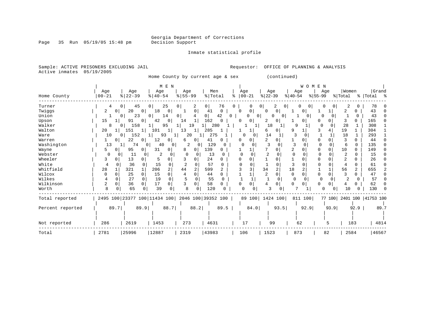Inmate statistical profile

Page 35 Run 05/19/05 15:48 pm

Sample: ACTIVE PRISONERS EXCLUDING JAIL **Requestor:** OFFICE OF PLANNING & ANALYSIS Active inmates 05/19/2005

Home County by current age & sex (continued)

|                  |               |                      | M E N                                           |                     |                        |   |                   |                      | WOMEN                |               |                                |                           |
|------------------|---------------|----------------------|-------------------------------------------------|---------------------|------------------------|---|-------------------|----------------------|----------------------|---------------|--------------------------------|---------------------------|
|                  | Age           | Age                  | Age                                             | Age                 | Men                    |   | Age               | Age                  | Age                  | Age           | Women                          | Grand                     |
| Home County      | $ 00 - 21$    | $ 22-39$             | $8   40 - 54$                                   | $8 55-99$           | % Total                | ႜ | $ 00-21$          | $ 22-39$             | $8 40-54$            | $ 55-99 $     | % Total                        | % Total %                 |
| Turner           | 4             | 45<br>$\Omega$       | 25<br>0 <sup>1</sup>                            | 0 <sup>1</sup><br>2 | 76<br>0                | 0 | O                 | 2<br>0<br>0          | 0<br>0               | 0             | 2<br>0                         | 78                        |
| Twiggs           | 2<br>0 I      | 20<br>$\Omega$       | 18<br>$\Omega$                                  | 0                   | 41<br>0                |   | 0<br>$\Omega$     | 0<br>$\Omega$        | 0                    |               | 2                              | 43                        |
| Union            |               | 23<br>0              | 14<br>0 I                                       | 0 <sup>1</sup>      | 42<br>0                | 0 | 0                 | $\Omega$<br>0        | $\Omega$             |               | U                              | 43                        |
| Upson            | 15            | 91<br>0              | 42<br>0                                         | 14<br>1             | 162<br>O               |   | 0<br>O            | 0<br>2               | O                    | 0             | 3                              | 165                       |
| Walker           | 8             | 158<br>$\Omega$      | 95                                              | 19                  | 280                    |   | 1                 | 18                   | q                    | ∩             | 28                             | 308                       |
| Walton           | 20            | 151<br>-1            | 101<br>$\mathbf{1}$                             | 13                  | 285                    |   |                   | 0<br>6               | 9                    | 4             | 19                             | 304                       |
| Ware             | 10            | 152<br>$\Omega$      | 93                                              | 20                  | 275                    |   | O<br><sup>0</sup> | 14                   | 3                    |               | 18                             | 293                       |
| Warren           | 01            | 22<br>0              | 12<br>0                                         | 6<br>0              | 41                     |   |                   | 0                    |                      | 0<br>0        | U                              | 44                        |
| Washington       | 13            | 74<br>$\overline{0}$ | 40<br>$\Omega$                                  | $\overline{2}$      | 129                    |   | O                 | 0                    |                      | $\Omega$<br>O | $\Omega$<br>6                  | 135                       |
| Wayne            | 5             | 95                   | 31<br>$\Omega$                                  | 8<br>$\Omega$       | 139<br>0               |   |                   | 0                    |                      | $\Omega$<br>O | 10<br>0                        | 149                       |
| Webster          | $\Omega$      | 11<br>$\Omega$       | 2                                               | $\Omega$            | 13<br>$\left( \right)$ |   | U                 |                      |                      |               | $\overline{2}$<br><sup>n</sup> | 15                        |
| Wheeler          | 3             | 13                   |                                                 | 0                   | 24<br>O                |   |                   | O                    |                      |               |                                | 26                        |
| White            | 4<br>O        | 36<br>$\Omega$       | 15<br>$\Omega$                                  | 2                   | 57                     |   |                   | $\Omega$             |                      |               | 0                              | 61                        |
| Whitfield        | 28            | 321                  | 206<br>2                                        | 44<br>2             | 599                    |   |                   | $\overline{2}$<br>34 | 18                   |               | 56<br>2                        | 655                       |
| Wilcox           | $\Omega$<br>∩ | 25<br>0              | 15<br>0                                         | $\Omega$<br>4       | 44<br>O                |   |                   | $\overline{2}$<br>0  | $\Omega$             | $\Omega$      | 0                              | 47                        |
| Wilkes           |               | 27<br>0              | 19<br>$\Omega$                                  |                     | 55<br>O                |   |                   | $\Omega$             | $\Omega$<br>$\Omega$ | $\Omega$      | 2<br>0                         | 57                        |
| Wilkinson        | 2<br>$\Omega$ | 36<br>0              | 17<br>0                                         | $\Omega$            | 58<br>0                |   | 0<br>$\Omega$     | O<br>4               | 0<br>∩               | $\Omega$<br>0 | 4<br>0                         | 62                        |
| Worth            | 8             | 65                   | 39<br>0                                         | 8<br>0              | 120                    |   | ∩<br>0            |                      |                      | U             | 10                             | 130                       |
| Total reported   |               |                      | 2495 100 23377 100 11434 100 2046 100 39352 100 |                     |                        |   |                   | 89 100   1424 100    | 811 100              |               |                                | 77 100 2401 100 41753 100 |
| Percent reported | 89.7          | 89.9                 | 88.7                                            | 88.2                | 89.5                   |   | 84.0              | 93.5                 | 92.9                 | 93.9          | 92.9                           | 89.7                      |
|                  |               |                      |                                                 |                     |                        |   |                   |                      |                      |               |                                |                           |
| Not reported     | 286           | 2619                 | 1453                                            | 273                 | 4631                   |   | 17                | 99                   | 62                   | 5             | 183                            | 4814                      |
| Total            | 2781          | 25996                | 12887                                           | 2319                | 43983                  |   | 106               | 1523                 | 873                  | 82            | 2584                           | 46567                     |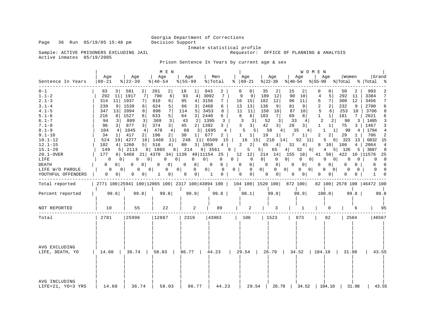Sample: ACTIVE PRISONERS EXCLUDING JAIL Active inmates 05/19/2005

Inmate statistical profile<br>Requestor: OFFICE OF PLANNING & ANALYSIS

Prison Sentence In Years by current age & sex

|                                                                                                                                                                                                                                                          |                                                                                                                                                                                                                                                                                             |                                                                                                                                                                                                                                                                                                                                                                       | M E N                                                                                                                                                                                                                                                                                   |                                                                                                                                                                                                                                                                                                                       |                                                                                                                                                                                                                                                   |                                                                                                                                                                                                                                                                                                                 |                                                                                                                                                                                                                                                                                                                |                                                                                                                                                                                                                                                                              | <b>WOMEN</b>                                                                                                                                                                                                                                                                    |                                                                                                                                                                                                                                                                                                                                                             |                                                                                                                                                                                                                                                                          |
|----------------------------------------------------------------------------------------------------------------------------------------------------------------------------------------------------------------------------------------------------------|---------------------------------------------------------------------------------------------------------------------------------------------------------------------------------------------------------------------------------------------------------------------------------------------|-----------------------------------------------------------------------------------------------------------------------------------------------------------------------------------------------------------------------------------------------------------------------------------------------------------------------------------------------------------------------|-----------------------------------------------------------------------------------------------------------------------------------------------------------------------------------------------------------------------------------------------------------------------------------------|-----------------------------------------------------------------------------------------------------------------------------------------------------------------------------------------------------------------------------------------------------------------------------------------------------------------------|---------------------------------------------------------------------------------------------------------------------------------------------------------------------------------------------------------------------------------------------------|-----------------------------------------------------------------------------------------------------------------------------------------------------------------------------------------------------------------------------------------------------------------------------------------------------------------|----------------------------------------------------------------------------------------------------------------------------------------------------------------------------------------------------------------------------------------------------------------------------------------------------------------|------------------------------------------------------------------------------------------------------------------------------------------------------------------------------------------------------------------------------------------------------------------------------|---------------------------------------------------------------------------------------------------------------------------------------------------------------------------------------------------------------------------------------------------------------------------------|-------------------------------------------------------------------------------------------------------------------------------------------------------------------------------------------------------------------------------------------------------------------------------------------------------------------------------------------------------------|--------------------------------------------------------------------------------------------------------------------------------------------------------------------------------------------------------------------------------------------------------------------------|
| Sentence In Years                                                                                                                                                                                                                                        | Aqe<br>$00 - 21$                                                                                                                                                                                                                                                                            | Age<br>$\frac{8}{22} - 39$                                                                                                                                                                                                                                                                                                                                            | Age<br>$ 40-54 $                                                                                                                                                                                                                                                                        | Age<br>$8 55-99$                                                                                                                                                                                                                                                                                                      | Men<br>% Total                                                                                                                                                                                                                                    | Age<br>$8   00 - 21$                                                                                                                                                                                                                                                                                            | Age<br>$ 22-39$                                                                                                                                                                                                                                                                                                | Aqe<br>୫∣40-54                                                                                                                                                                                                                                                               | Age<br>$ 55-99 \t{ Total}$                                                                                                                                                                                                                                                      | Women                                                                                                                                                                                                                                                                                                                                                       | Grand<br>%   Total<br>ႜ                                                                                                                                                                                                                                                  |
| $0 - 1$<br>$1.1 - 2$<br>$2.1 - 3$<br>$3.1 - 4$<br>$4.1 - 5$<br>$5.1 - 6$<br>$6.1 - 7$<br>$7.1 - 8$<br>$8.1 - 9$<br>$9.1 - 10$<br>$10.1 - 12$<br>$12.1 - 15$<br>$15.1 - 20$<br>20.1-OVER<br>LIFE<br><b>DEATH</b><br>LIFE W/O PAROLE<br>YOUTHFUL OFFENDERS | 83<br>31<br>292<br>11<br>314<br>11<br>9<br>239<br>347<br>13<br>8 <sup>1</sup><br>216<br>94<br>3<br>96<br>$\overline{3}$<br>104<br>4<br>34<br>$1\vert$<br>524<br>4 <br>102<br>149<br>177<br>$\Omega$<br>$\Omega$<br>$\Omega$<br>0 <sup>1</sup><br>0 <sup>1</sup><br>0<br>0<br>0 <sup>1</sup> | 2<br>581<br>1917<br>7<br>1937<br>7<br>1539<br>6<br>2094<br>8<br>1527<br>6 <br>889<br>3<br>877<br>3 <br>1045<br>4 <br>417<br>2 <br>19 4277<br>16<br>1260<br>$5 \mid$<br>5 2113<br>6   5468 21   4370 34   1139 49   11154 25   12 12  <br>$\mathbf{0}$<br>0 <sup>1</sup><br>$\Omega$<br>$\Omega$<br>0 <sup>1</sup><br>$\overline{0}$<br>0 <sup>1</sup><br>$\mathbf{0}$ | 261<br>$\overline{2}$<br>790<br>6<br>810<br>6 <br>624<br>5 <br>898<br>7 <sup>1</sup><br>5 <br>633<br>369<br>$\overline{3}$<br>374<br>3 <br>478<br>4<br>196<br>2 <br>1460<br>11<br>516<br>$4 \mid$<br>8 1085<br>$\mathbf{0}$<br>0 <sup>1</sup><br>0<br>$\mathbf{0}$<br>0<br>$\mathbf{1}$ | 18<br>$1\vert$<br>93<br>4<br>95<br>4 <br>3 <sup>1</sup><br>66<br>114<br>5<br>3 <sup>1</sup><br>64<br>2 1395<br>43<br>2 1392<br>45<br>68<br>3   1695<br>30<br>$1 \mid$<br>248<br>$11$   6509<br>80<br>3   1958<br>8 214<br>$0 \mid$<br>$\mathbf{0}$<br>0 <sup>1</sup><br>0<br>0 <sup>1</sup><br>$\mathbf{0}$<br>0<br>0 | 943<br>2<br>3092<br>7<br>7<br>3156<br>2468<br>6<br>3453<br>8<br>2440<br>6<br>3<br>3  <br>$4\overline{ }$<br>677<br>2<br>15<br>$4 \mid$<br>9   3561 8  <br>$0$  <br>0<br>$\overline{0}$<br>0<br>$\overline{0}$<br>0 <sup>1</sup><br>$\overline{1}$ | 0<br>$\Omega$<br>9<br>9<br>16<br>15<br>13<br>13<br>11<br>11<br>8<br>8 <sup>1</sup><br>3<br>3 <sup>1</sup><br>3 <br>3<br>5<br>5 <br>$\mathbf{1}$<br>$1\vert$<br>16<br>15<br>$2^{\circ}$<br>2 <br>5<br>$0$  <br>$\overline{0}$<br>$0 \quad 0$<br>0 <sup>1</sup><br>$0$  <br>$\mathbf{0}$<br> 0 <br>$\overline{0}$ | 35<br>2<br>189<br>12<br>12<br>182<br>136<br>9<br>150<br>10<br>103<br>7 <sup>1</sup><br>52<br>3<br>42<br>3 <br>58<br>4<br>19<br>$1\vert$<br>210<br>14<br>65<br>4 <br>$5 \mid$<br>65<br>214 14 155 18<br>0 <sup>1</sup><br>$\mathbf 0$<br>$\mathbf 0$<br> 0 <br>$0$  <br>$\overline{0}$<br> 0 <br>$\overline{0}$ | 15<br>90<br>10<br>96<br>11<br>9<br>81<br>87<br>10<br>8<br>69<br>33<br>4<br>29<br>3 <br>35<br>7<br>$\mathbf{1}$<br>$92 \quad 11$<br>4 <br>31<br>52<br>4 <br>$0 \quad 0$<br>0 <sup>1</sup><br>0 <sup>1</sup><br>$\mathbf{0}$<br>$0 \quad 0$<br>$0 \mid$<br>0 <sup>1</sup><br>0 | 0<br>5<br>4<br>7 <br>6<br>2 <br>2<br>5<br>$6 \mid$<br>$\mathbf{1}$<br>$1\vert$<br>2<br>2<br>$\mathbf{1}$<br>$1\vert$<br>4 <br>1<br>2<br>2 <sup>1</sup><br>5<br>8<br>6<br>4<br>0<br>$\Omega$<br>0 <sup>1</sup><br>$\mathbf 0$<br>$\overline{\phantom{0}}$<br>0<br>0 <sup>1</sup> | 50<br>292<br>11<br>300<br>12<br>232<br>9<br>253<br>10<br>181<br>$7\overline{ }$<br>90<br>3<br>75<br>$3-1$<br>99<br>$4\overline{ }$<br>$1\vert$<br>29<br>1<br>6 323<br>13<br>$4 \mid$<br>10 106<br>5 126<br>5 <sub>1</sub><br>41 50 422 16 11576<br>$\mathbf{0}$<br>0 <sup>1</sup><br>0<br>$\Omega$<br>$\Omega$<br>$\Omega$<br>$\Omega$<br>0<br>$\mathbf{0}$ | 993<br>2<br>3384<br>7<br>7<br>3456<br>2700<br>6<br>3706<br>8<br>2621<br>6<br>1485<br>3<br>3<br>1467<br>1794<br>4<br>706<br>2<br>6832 15<br>4<br>2064<br>3687<br>$_{\rm 8}$<br>25<br>$\overline{\phantom{0}}$<br>$\Omega$<br>$\Omega$<br>$\Omega$<br>$\Omega$<br>$\Omega$ |
| Total reported                                                                                                                                                                                                                                           |                                                                                                                                                                                                                                                                                             | 2771 100 25941 100 12865 100 2317 100 43894 100   104 100   1520 100   872 100                                                                                                                                                                                                                                                                                        |                                                                                                                                                                                                                                                                                         |                                                                                                                                                                                                                                                                                                                       |                                                                                                                                                                                                                                                   |                                                                                                                                                                                                                                                                                                                 |                                                                                                                                                                                                                                                                                                                |                                                                                                                                                                                                                                                                              |                                                                                                                                                                                                                                                                                 | 82 100 2578 100 46472 100                                                                                                                                                                                                                                                                                                                                   |                                                                                                                                                                                                                                                                          |
| Percent reported                                                                                                                                                                                                                                         | 99.6                                                                                                                                                                                                                                                                                        | 99.8                                                                                                                                                                                                                                                                                                                                                                  | 99.8                                                                                                                                                                                                                                                                                    | 99.9                                                                                                                                                                                                                                                                                                                  | $99.8$                                                                                                                                                                                                                                            | 98.1                                                                                                                                                                                                                                                                                                            | 99.8                                                                                                                                                                                                                                                                                                           | 99.9                                                                                                                                                                                                                                                                         | 100.0                                                                                                                                                                                                                                                                           | $99.8 \text{ }$                                                                                                                                                                                                                                                                                                                                             | 99.8                                                                                                                                                                                                                                                                     |
| NOT REPORTED                                                                                                                                                                                                                                             | 10                                                                                                                                                                                                                                                                                          | 55                                                                                                                                                                                                                                                                                                                                                                    | 22                                                                                                                                                                                                                                                                                      | 2                                                                                                                                                                                                                                                                                                                     | 89                                                                                                                                                                                                                                                | 2                                                                                                                                                                                                                                                                                                               | 3                                                                                                                                                                                                                                                                                                              | 1                                                                                                                                                                                                                                                                            | 0                                                                                                                                                                                                                                                                               | 6                                                                                                                                                                                                                                                                                                                                                           | 95                                                                                                                                                                                                                                                                       |
| Total                                                                                                                                                                                                                                                    | 2781                                                                                                                                                                                                                                                                                        | 25996                                                                                                                                                                                                                                                                                                                                                                 | 12887                                                                                                                                                                                                                                                                                   | 2319                                                                                                                                                                                                                                                                                                                  | 43983                                                                                                                                                                                                                                             | 106                                                                                                                                                                                                                                                                                                             | 1523                                                                                                                                                                                                                                                                                                           | 873                                                                                                                                                                                                                                                                          | 82                                                                                                                                                                                                                                                                              | 2584                                                                                                                                                                                                                                                                                                                                                        | 46567                                                                                                                                                                                                                                                                    |
| AVG EXCLUDING<br>LIFE, DEATH, YO                                                                                                                                                                                                                         |                                                                                                                                                                                                                                                                                             |                                                                                                                                                                                                                                                                                                                                                                       |                                                                                                                                                                                                                                                                                         |                                                                                                                                                                                                                                                                                                                       |                                                                                                                                                                                                                                                   |                                                                                                                                                                                                                                                                                                                 |                                                                                                                                                                                                                                                                                                                |                                                                                                                                                                                                                                                                              |                                                                                                                                                                                                                                                                                 |                                                                                                                                                                                                                                                                                                                                                             | 43.55                                                                                                                                                                                                                                                                    |
| AVG INCLUDING<br>LIFE=21, YO=3 YRS                                                                                                                                                                                                                       | 14.60                                                                                                                                                                                                                                                                                       | 36.74                                                                                                                                                                                                                                                                                                                                                                 | 58.03                                                                                                                                                                                                                                                                                   | 86.77                                                                                                                                                                                                                                                                                                                 | 44.23                                                                                                                                                                                                                                             | 29.54                                                                                                                                                                                                                                                                                                           |                                                                                                                                                                                                                                                                                                                | 26.79   34.52                                                                                                                                                                                                                                                                | 104.10                                                                                                                                                                                                                                                                          | 31.98                                                                                                                                                                                                                                                                                                                                                       | 43.55                                                                                                                                                                                                                                                                    |

Page 36 Run 05/19/05 15:48 pm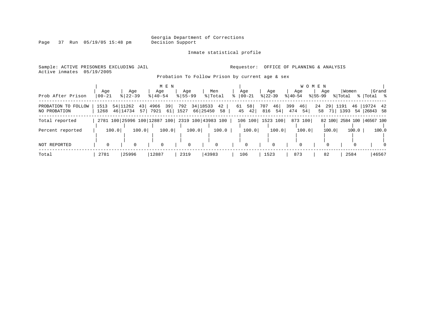Page 37 Run 05/19/05 15:48 pm

### Inmate statistical profile

Sample: ACTIVE PRISONERS EXCLUDING JAIL **Requestor:** OFFICE OF PLANNING & ANALYSIS Active inmates 05/19/2005

Probation To Follow Prison by current age & sex

| Prob After Prison                   | Age<br>$00 - 21$ | Age<br>$8 22-39$                    | M E N<br>Age<br>$8140 - 54$ | Age<br>$8155 - 99$ | Men<br>%   Total                                | Age<br>$ 00-21$      | Age<br>$ 22-39 $       | Age<br>$ 40-54 $       | W O M E N<br>Age<br>$ 55-99 $ | Women<br>% Total     | Grand<br>%  Total %     |
|-------------------------------------|------------------|-------------------------------------|-----------------------------|--------------------|-------------------------------------------------|----------------------|------------------------|------------------------|-------------------------------|----------------------|-------------------------|
| PROBATION TO FOLLOW<br>NO PROBATION | 1513<br>1268     | 54 11262<br>43 <br>46 14734<br>57 I | 39<br>4966<br>7921<br>61    | 792<br>1527        | 34 18533<br>42<br>66 25450<br>58                | 58<br>61<br>45<br>42 | 46<br>707<br>54<br>816 | 399<br>46<br>474<br>54 | 24<br>29<br>58<br>71          | 1191<br>46  <br>1393 | 19724 42<br>54 26843 58 |
| Total reported                      |                  |                                     |                             |                    | 2781 100 25996 100 12887 100 2319 100 43983 100 |                      | 106 100   1523 100     | 873 100                | 82 100                        |                      | 2584 100 46567 100      |
| Percent reported                    | 100.0            | 100.0                               | 100.0                       | 100.0              | 100.0                                           | 100.0                | 100.0                  | 100.0                  | 100.0                         | 100.0                | 100.0                   |
| <b>NOT REPORTED</b>                 |                  | $\Omega$                            | $\Omega$                    | 0                  | $\Omega$                                        | $\Omega$             | $\Omega$               |                        |                               |                      | $\Omega$                |
| Total                               | 2781             | 25996                               | 12887                       | 2319               | 43983                                           | 106                  | 1523                   | 873                    | 82                            | 2584                 | 46567                   |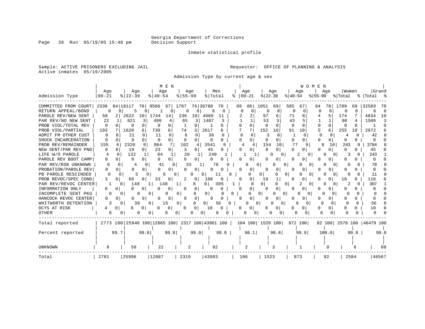Inmate statistical profile

Sample: ACTIVE PRISONERS EXCLUDING JAIL **Requestor:** OFFICE OF PLANNING & ANALYSIS Active inmates 05/19/2005

Admission Type by current age & sex

|                      |           |                                                 | M E N                      |                              |                |               |                    | WOMEN         |                          |            |                           |
|----------------------|-----------|-------------------------------------------------|----------------------------|------------------------------|----------------|---------------|--------------------|---------------|--------------------------|------------|---------------------------|
|                      | Age       | Aqe                                             | Age                        | Aqe                          | Men            | Age           | Age                | Age           | Aqe                      | Women      | Grand                     |
| Admission Type       | $00 - 21$ | $8$   22-39                                     | $8140 - 54$                | $8155 - 99$                  | % Total        | $ 00-21$<br>÷ | $ 22-39$           | $ 40-54$      | $ 55-99$                 | % Total    | % Total %                 |
| COMMITTED FROM COURT | 2330      | 84   18117<br>70                                | 8566<br>671                | 1767                         | 76 30780<br>70 | 86<br>89      | 1051<br>69         | 585<br>67     | 78<br>64                 | 1789<br>69 | 32569<br>70               |
| RETURN APPEAL/BOND   |           | 5                                               |                            |                              | 6<br>$\Omega$  | $\Omega$      |                    | $\Omega$<br>O | 0                        | U          | $\sqrt{ }$                |
| PAROLE REV/NEW SENT  | 58        | 2622<br>10                                      | 1744<br>14                 | 236<br>10                    | 4660<br>11     |               | 97                 | 71            |                          | 174        | 4834<br>10                |
| PAR REV/NO NEW SENT  | 22        | 821<br>3                                        | 499                        | 65                           | 1407           |               | 53                 | 43            |                          | 98         | 1505                      |
| PROB VIOL/TOTAL REV  | $\Omega$  | $\cap$                                          | $\Omega$<br>0              |                              |                | O<br>O        | U                  | $\Omega$      | $\Omega$<br>$\Omega$     |            |                           |
| PROB VIOL/PARTIAL    | 193       | 1620<br>6                                       | 730<br>6                   | 74<br>3                      | 2617<br>6      | 7             | 152<br>10          | 91<br>10      | 5<br>6                   | 255<br>10  | 2872                      |
| ADMIT FM OTHER CUST  | 0         | 21<br>0                                         | 11<br>$\Omega$             | $\Omega$<br>6                | 38<br>0        | O<br>$\Omega$ | 3<br>$\Omega$      | -1<br>0       | <sup>0</sup><br>$\Omega$ | 0<br>4     | 42                        |
| SHOCK INCARCERATION  | O<br>0    | 0<br>∩                                          | $\overline{0}$<br>$\Omega$ | <sup>0</sup><br>$\Omega$     | 0<br>0         | 0             | O<br>0             | 0<br>0        | $\Omega$<br>0            | 0          | 0                         |
| PROB REV/REMAINDER   | 155<br>6  | 2320                                            | 7<br>964                   | 102<br>4                     | 3541           | 4             | 154<br>10          | 77<br>9       | 8<br>10                  | 243        | 3784                      |
| NEW SENT/PAR REV PND | 0<br>0    | 19<br>0                                         | 23<br>0                    | 3<br>0                       | 45<br>O        | 0             | $\Omega$<br>0      | O.            | 0                        |            | 45                        |
| LIFE W/O PAROLE      | 4<br>0    | 132<br>$\mathbf{1}$                             | 84<br>1                    | 20                           | 240            |               | ∩                  | O             |                          |            | 243                       |
| PAROLE REV BOOT CAMP | 0         | $\Omega$<br>0                                   | O<br>0 I                   | $\Omega$                     | U              | O             | 0                  | O             |                          |            |                           |
| PAR REV/RSN UNKNOWN  | 0<br>0    | O                                               | 41                         | 33                           | 78<br>U        | 0             | N                  | 0             |                          | U          | 78                        |
| PROBATION/PAROLE REV | 0         | $\Omega$<br>0                                   | 0                          | <sup>n</sup>                 |                | 0             | 0                  | O             |                          |            | O                         |
| PB PAROLE RESCINDED  | ∩         | U<br>5                                          |                            |                              | n              |               | 0<br>0             | $\Omega$      |                          | U          | 11                        |
| PROB REVOC/SPEC COND | 3         | 68                                              | 33<br>0                    |                              | 106            | 0<br>O        | 10                 | U             |                          | 10         | 116                       |
| PAR REV/REVOC CENTER |           | 148<br>O                                        | 148                        |                              | 305<br>01      |               | $\Omega$<br>0      | $\Omega$      |                          |            | 307                       |
| INFORMATION ONLY     | 0<br>Ω    | 0                                               | 0                          | 0                            |                | 0             | 0                  | 0             |                          |            |                           |
| INCOMPLETE SENT PKG  | U         | 0                                               | 0                          | 0<br>O                       | $\overline{0}$ | 0             | $\Omega$<br>0<br>0 | $\Omega$      | O                        |            |                           |
| HANCOCK REVOC CENTER |           | 0                                               | 0                          | 0<br><sup>0</sup>            | O              | 0             | 0                  | O             | 0                        | U          | O                         |
| WHITWORTH DETENTION  |           | 38<br>0                                         | 15<br>0 <sup>1</sup>       | $\mathbf{0}$<br><sup>0</sup> | 56<br>0        | 0             | O<br>$\Omega$      | $\Omega$<br>∩ | $\Omega$<br><sup>0</sup> | 0          | 56                        |
| DCYS AT RISK         | 0         | 6                                               | C<br>0                     | 0<br>0                       | 10             | 0             | 0                  | 0             | <sup>n</sup>             | 0          | 10                        |
| OTHER                | 0         | $\Omega$<br>0                                   | 0<br>0                     | 0                            | 0              | 0             |                    | O             | O                        |            |                           |
| Total reported       |           | 2773 100 25946 100 12865 100 2317 100 43901 100 |                            |                              |                |               | 104 100 1520 100   | 872 100       |                          |            | 82 100 2578 100 46479 100 |
| Percent reported     | 99.7      | 99.8                                            | 99.8                       | 99.9                         | 99.8           | 98.1          | 99.8               | 99.9          | 100.0                    | 99.8       | 99.8                      |
|                      |           |                                                 |                            |                              |                |               |                    |               |                          |            |                           |
|                      |           |                                                 |                            |                              |                |               |                    |               |                          |            |                           |
| <b>UNKNOWN</b>       | 8         | 50                                              | 22                         | 2                            | 82             | 2             | 3                  |               |                          |            | 88                        |
| Total                | 2781      | 25996                                           | 12887                      | 2319                         | 43983          | 106           | 1523               | 873           | 82                       | 2584       | 46567                     |

Page 38 Run 05/19/05 15:48 pm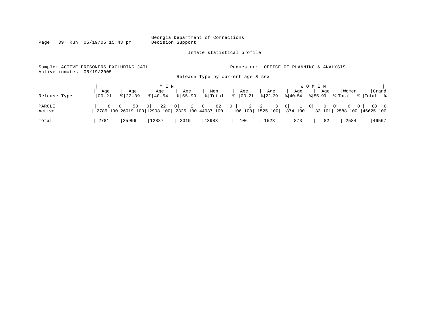Inmate statistical profile

Page 39 Run 05/19/05 15:48 pm

Sample: ACTIVE PRISONERS EXCLUDING JAIL **Requestor:** OFFICE OF PLANNING & ANALYSIS Active inmates 05/19/2005

Release Type by current age & sex

|                  |                  |                    | M E N                          |                    |                |                                                                                                                                                                              |                  |                                                  | W O M E N |                  |                     |
|------------------|------------------|--------------------|--------------------------------|--------------------|----------------|------------------------------------------------------------------------------------------------------------------------------------------------------------------------------|------------------|--------------------------------------------------|-----------|------------------|---------------------|
| Release Type     | Age<br>$00 - 21$ | Age<br>$8122 - 39$ | Age<br>$\frac{8}{6}$   40 – 54 | Age<br>$8155 - 99$ | Men<br>% Total | Age<br>$\frac{1}{6}$   00-21                                                                                                                                                 | Age<br>$ 22-39 $ | Age<br>$\frac{1}{2}$  40-54 $\frac{1}{2}$  55-99 | Aqe       | Women<br>% Total | Grand<br>े शाotal % |
| PAROLE<br>Active |                  |                    |                                |                    |                | 8 0   50 0   22 0   2 0   82 0   2 2   3 0   1 0   0 0   6 0   88 0<br>$100$ 26019 26019 200 2808 200 2325 200 44037 200 200 200 2525 200 274 200 283 201 2588 200 46625 200 |                  |                                                  |           |                  |                     |
| Total            | 2781             | 25996              | 12887                          | 2319               | 43983          | 106                                                                                                                                                                          | 1523             | 873                                              | 82        | 2584             | 46567               |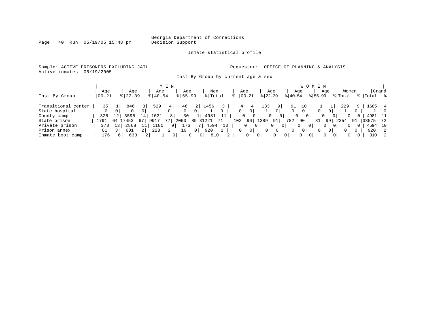Page 40 Run 05/19/05 15:48 pm

### Inmate statistical profile

Sample: ACTIVE PRISONERS EXCLUDING JAIL **Requestor:** OFFICE OF PLANNING & ANALYSIS Active inmates 05/19/2005

Inst By Group by current age & sex

|                     |           |      |             |                |             | M E N          |             |            |    |              |     |           |                |                | W O M E N       |          |                      |          |          |       |           |
|---------------------|-----------|------|-------------|----------------|-------------|----------------|-------------|------------|----|--------------|-----|-----------|----------------|----------------|-----------------|----------|----------------------|----------|----------|-------|-----------|
|                     | Aqe       |      | Aqe         |                | Aqe         |                | Aqe         | Men        |    | Age          |     |           | Aqe            |                | Aqe             |          | Aqe                  | Women    |          | Grand |           |
| Inst By Group       | $00 - 21$ |      | $8$   22-39 |                | $8140 - 54$ |                | $8155 - 99$ | % Total    |    | 00-21        |     | $ 22-39 $ |                | $ 40-54 $      |                 | $ 55-99$ |                      | % Total  |          | Total | $\approx$ |
| Transitional center | 35        |      | 846         |                | 529         |                | 46          | 1456       |    |              |     | 133       |                | 91             | 10 <sub>1</sub> |          |                      | 229      | 9        | 1685  | 4         |
| State hospital      | 0         |      |             |                |             |                |             |            |    | $\mathbf{0}$ | 0'  |           | $\overline{0}$ |                |                 |          |                      |          | $\Omega$ |       |           |
| County camp         | 325       | L 2. | 3595        | 14             | 1031        | 8              | 30          | 4981       |    |              |     |           | 01             | 0              | 01              |          | 0<br>()              | $\Omega$ | $\Omega$ | 4981  | - 11      |
| State prison        | 1791      | 64   | 7453        | 67             | 9917        |                | 2060        | 89 31221   |    | 102          | 96  | 1389      | 91             | 782            | 90              | 81       | 99                   | 2354     | 91       | 33575 | 72        |
| Private prison      | 373       | 13   | 2868        |                | 1180        |                | 173         | 4594       | 10 | 0            | 0 I |           | 0              |                | $\Omega$<br>0   |          | $\Omega$             | 0        | 0        | 4594  | 10        |
| Prison annex        | 81        |      | 601         | 2 <sup>1</sup> | 228         | 2 <sub>1</sub> | 10          | 920        | 2  | 0            | 0   | $\Omega$  | $\circ$        |                | 0 <sup>1</sup>  |          | 0                    | $\Omega$ | 0        | 920   | 2         |
| Inmate boot camp    | 176       |      | 633         |                |             |                | 0 I         | 810<br>0 I |    | $\Omega$     |     | $\circ$   | 0              | $\overline{0}$ | 0<br>$\Omega$   |          | $\Omega$<br>$\Omega$ | $\Omega$ | 0        | 810   | -2        |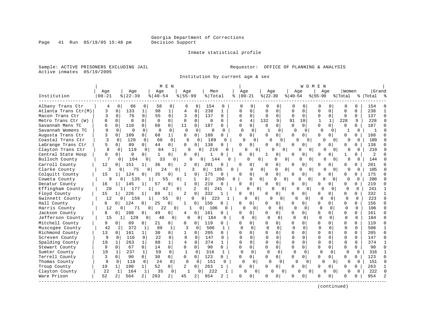Page 41 Run 05/19/05 15:48 pm

### Inmate statistical profile

Sample: ACTIVE PRISONERS EXCLUDING JAIL **Requestor:** OFFICE OF PLANNING & ANALYSIS Active inmates 05/19/2005

Institution by current age & sex

|                      |              |                |          |                |          | M E N          |                |                |                |              |          |                      |                |               |              |                | WOMEN    |                          |                          |                   |           |                |
|----------------------|--------------|----------------|----------|----------------|----------|----------------|----------------|----------------|----------------|--------------|----------|----------------------|----------------|---------------|--------------|----------------|----------|--------------------------|--------------------------|-------------------|-----------|----------------|
|                      | Age          |                | Age      |                | Age      |                | Aqe            |                | Men            |              |          | Age                  | Age            |               |              | Age            |          | Aqe                      |                          | Women             | Grand     |                |
| Institution          | $00 - 21$    |                | $ 22-39$ |                | $ 40-54$ |                | $8 55-99$      |                | % Total        |              | ిక       | $ 00-21$             | $ 22-39$       |               | $ 40-54$     |                | $ 55-99$ |                          | % Total                  |                   | %   Total |                |
| Albany Trans Ctr     | 4            | $\Omega$       | 86       | $\Omega$       | 58       | 0              | 6              | <sup>0</sup>   | 154            | 0            |          | O                    | O              | $\Omega$      | 0            | 0              |          | O                        | O                        | 0                 | 154       |                |
| Atlanta Trans Ctr(M) | 3            | $\mathbf 0$    | 133      |                | 98       | 1              | $\overline{4}$ | $\mathbf 0$    | 238            | $\mathbf{1}$ | O        | $\Omega$             | $\Omega$       | $\Omega$      | $\Omega$     | $\mathbf 0$    | O        | $\Omega$                 | $\Omega$                 | $\Omega$          | 238       |                |
| Macon Trans Ctr      | 3            | $\Omega$       | 76       | $\Omega$       | 55       | $\Omega$       | 3              | $\Omega$       | 137            | $\Omega$     | $\Omega$ | $\Omega$             | $\Omega$       | $\Omega$      | $\Omega$     | $\Omega$       | $\Omega$ | $\Omega$                 | $\Omega$                 | $\Omega$          | 137       | $\Omega$       |
| Metro Trans Ctr (W)  | $\Omega$     | $\Omega$       | $\Omega$ | $\Omega$       | $\Omega$ | $\mathbf 0$    | $\Omega$       | $\Omega$       | 0              | 0            | 4        | 4                    | 132            | 9             | 91           | 10             |          | $\mathbf{1}$             | 228                      | 9                 | 228       | $\Omega$       |
| Savannah Mens TC     | 6            | $\Omega$       | 110      | 0              | 60       | $\mathbf{0}$   | 11             | $\Omega$       | 187            | 0            | $\Omega$ | 0                    | 0              | $\Omega$      | $\Omega$     | $\Omega$       | O        | $\Omega$                 | $\Omega$                 |                   | 187       | $\Omega$       |
| Savannah Womens TC   | $\Omega$     | $\Omega$       | ∩        | 0              | $\Omega$ | $\Omega$       | $\Omega$       | $\Omega$       | <sup>0</sup>   | $\Omega$     |          | $\Omega$<br>$\Omega$ |                | $\Omega$      | $\Omega$     | $\Omega$       |          | $\Omega$<br><sup>0</sup> | -1                       | $\Omega$          | -1        | n              |
| Augusta Trans Ctr    | 3            | $\Omega$       | 109      | $\Omega$       | 68       | $1\vert$       | 8              | $\Omega$       | 188            | 0            | $\Omega$ | $\Omega$             | 0              | $\Omega$      | $\Omega$     | $\Omega$       | U        | $\Omega$                 | $\Omega$                 | <sup>o</sup>      | 188       | $\Omega$       |
| Coastal Trans Ctr    | 3            | 0              | 120      | 0              | 60       | $\mathbf 0$    | 6              | 0              | 189            | 0            |          | O<br>$\Omega$        | O              | 0             |              | $\overline{0}$ |          | O                        | $\Omega$                 | O<br>O            | 189       |                |
| LaGrange Trans Ctr   | 5            | $\Omega$       | 89       | $\Omega$       | 44       | 0 <sup>1</sup> | 0              | $\Omega$       | 138            | O            |          | $\Omega$             | U              | $\Omega$      | <sup>0</sup> | <sup>o</sup>   | U        | 0 I                      |                          | <sup>o</sup>      | 138       | $\Omega$       |
| Clayton Trans Ctr    | $\mathsf{R}$ | $\Omega$       | 119      | 0              | 84       |                | $\mathsf{R}$   | 0              | 219            |              |          |                      | 0              | $\Omega$<br>Λ |              | $\Omega$       | $\Omega$ | O                        | $\Omega$                 | N<br>$\Omega$     | 219       | $\Omega$       |
| Central State Hosp   | 0            | $\Omega$       | $\Omega$ | 0              | 1        | 0              | $\Omega$       | $\Omega$       | 1              | $\Omega$     | $\cap$   | $\Omega$             |                | 0             | <sup>n</sup> | 0              | U        |                          | 1                        | $\Omega$          | 2         |                |
| Bulloch County       | 7            | 0              | 104      | $\Omega$       | 33       | 0              | 0              | 0              | 144            | U            |          |                      | 0              | 0             | 0            | 0              | $\Omega$ |                          | $\Omega$                 | U<br>$\Omega$     | 144       |                |
| Carroll County       | 12           | $\overline{0}$ | 151      | 1              | 36       | 0              | 2              | 0              | 201            | 0            | $\cap$   | 0                    | O              | 0             | $\cap$       | $\Omega$       | U        | 0                        | $\Omega$                 | $\Omega$          | 201       |                |
| Clarke County        | 3            | 0              | 75       | 0              | 24       | 0              |                | 3              | 0 <sup>1</sup> | 105          |          | 0                    | 0              | U             | 0            | $\Omega$       | $\Omega$ | O                        | $\Omega$                 | 0<br>$\Omega$     | 105       |                |
| Colquitt County      | 15           | 1 <sup>1</sup> | 124      | 0              | 35       | 0              | 1              | 0              | 175            | $\mathbf 0$  | $\cap$   | $\overline{0}$       | 0              | 0             | U            | $\Omega$       | U        | 0                        | $\Omega$                 | $\Omega$          | 175       | $\Omega$       |
| Coweta County        | 9            | 0              | 135      |                | 55       |                | 0              | 1              | 0 <sup>1</sup> | 200          | 0        | $\Omega$             | 0              | O             | 0            | U              | $\Omega$ | $\cap$                   | $\Omega$<br><sup>0</sup> | $\Omega$          | 200       | $\cap$         |
| Decatur County       | 16           | 11             | 145      | 1              | 57       | 0              | 1              | 0              | 219            | $\Omega$     | $\cap$   | 0                    | 0              | 0             | $\Omega$     | $\Omega$       | U        | $\Omega$                 | $\Omega$                 | $\cap$            | 219       | $\Omega$       |
| Effingham County     | 20           | $\mathbf{1}$   | 177      |                | 42       |                | 0              | 2              | 0              | 241<br>1     |          | 0                    | $\overline{0}$ | U<br>$\Omega$ |              | O<br>0         |          | $\Omega$<br>$\Omega$     | $\cap$                   | $\Omega$          | 241       | $\mathbf{1}$   |
| Floyd County         | 15           | 11             | 226      |                | 89       |                | 2              | 0              | 332            |              | 0        | 0                    | O              | 0             |              | $\Omega$       | U        | $\Omega$                 | $\Omega$                 | 0                 | 332       |                |
| Gwinnett County      | 12           | $\Omega$       | 156      | 1 <sup>1</sup> | 55       |                | $\overline{0}$ | 0              | 223<br>0       | 1            |          | $\Omega$<br>0        | 0              | $\Omega$      | $\cap$       | 0              |          | $\Omega$<br>$\Omega$     | 0                        | $\Omega$          | 223       | $\Omega$       |
| Hall County          | 6            | 0 <sup>1</sup> | 124      | 0              | 25       | 0              | -1             | 0 I            | 156            | $\Omega$     | ∩        | $\Omega$             |                | 0             | <sup>0</sup> | $\Omega$       | U        | $\Omega$                 | $\Omega$                 | $\Omega$          | 156       | $\Omega$       |
| Harris County        | 12           | 0              | 71       | 0 <sup>1</sup> | 22       | 0 <sup>1</sup> |                | 0 <sup>1</sup> | 106            | ∩            |          | $\Omega$             | U              | $\Omega$      | $\Omega$     | $\Omega$       | $\cap$   | $\Omega$                 | $\cap$                   | U                 | 106       |                |
| Jackson County       | 8            | $\Omega$       | 100      | 0              | 49       | 0              | 4              | 0              | 161            | 0            | O        | $\Omega$             | U              | 0             | $\Omega$     | $\Omega$       | U        | n I                      | $\Omega$                 | $\Omega$          | 161       | $\Omega$       |
| Jefferson County     | 15           | 1 <sup>1</sup> | 129      | $\mathbf 0$    | 40       | 0              | 0              | $\overline{0}$ | 184            | $\Omega$     |          | $\Omega$<br>$\Omega$ | $\Omega$       | 0             | 0            | 0              | $\Omega$ | 0                        | $\Omega$                 | $\Omega$          | 184       | $\cap$         |
| Mitchell County      | 9            | $\Omega$       | 89       | $\Omega$       | 21       | $\overline{0}$ | O              | 0              | 119            | $\Omega$     | O        | $\Omega$             |                | 0             | $\Omega$     | $\Omega$       | U        | $\Omega$                 | $\Omega$                 | O                 | 119       | $\Omega$       |
| Muscogee County      | 42           | 2              | 372      | 1              | 89       | $\mathbf{1}$   | 3              | $\Omega$       | 506            | 1            |          | $\cap$<br>$\Omega$   | $\Omega$       | $\Omega$      | $\Omega$     | $\Omega$       | $\cap$   | $\Omega$                 | $\Omega$                 | U                 | 506       | 1              |
| Richmond County      | 13           | $\Omega$       | 161      | 1 <sup>1</sup> | 30       | 0              | 1              | 0              | 205            | $\Omega$     |          | $\Omega$             | U              | 0             | $\Omega$     | $\Omega$       | U        | 0                        | $\Omega$                 | $\Omega$          | 205       | $\Omega$       |
| Screven County       | 9            | $\Omega$       | 116      | $\Omega$       | 22       | $\Omega$       | $\Omega$       | $\Omega$       | 147            | 0            |          | 0                    |                | $\Omega$      | <sup>0</sup> | $\Omega$       | $\Omega$ | $\Omega$                 | $\Omega$                 |                   | 147       | $\Omega$       |
| Spalding County      | 19           | $\mathbf{1}$   | 263      | $\mathbf{1}$   | 88       | $\mathbf 1$    | $\overline{4}$ | $\Omega$       | 374            | 1            | $\cap$   | $\Omega$             | $\Omega$       | $\Omega$      | $\Omega$     | $\Omega$       | $\Omega$ | $\cap$                   | $\Omega$                 | $\Omega$          | 374       | $\mathbf{1}$   |
| Stewart County       | 9            | $\Omega$       | 67       | $\Omega$       | 14       | $\overline{0}$ | $\Omega$       | $\Omega$       | 90             | $\Omega$     | $\Omega$ | $\Omega$             | O              | 0             | $\Omega$     | $\Omega$       | U        | $\Omega$                 | $\Omega$                 | 0                 | 90        | $\Omega$       |
| Sumter County        | 19           | 1              | 237      | 1              | 59       | $\Omega$       | $\mathbf{1}$   | $\Omega$       | 316            | 1            |          | $\Omega$<br>$\Omega$ | $\Omega$       | $\Omega$      | $\mathbf 0$  | $\Omega$       | O        | $\Omega$                 | $\Omega$                 | $\Omega$          | 316       | $\mathbf{1}$   |
| Terrell County       | 3            | $\Omega$       | 90       | $\Omega$       | 30       | $\circ$        | 0              | $\Omega$       | 123            | $\Omega$     | $\Omega$ | $\Omega$             | 0              | 0             | $\Omega$     | $\Omega$       | U        | 01                       | $\Omega$                 | $\Omega$          | 123       | $\Omega$       |
| Thomas County        | 9            | $\Omega$       | 118      | 0              | 24       | $\Omega$       | $\Omega$       | 0              | 151            | 0            |          | $\Omega$<br>$\Omega$ | O              | $\Omega$      | U            | 0              |          | O                        | $\Omega$                 | U<br>$\Omega$     | 151       | $\Omega$       |
| Troup County         | 19           | $\mathbf{1}$   | 190      | 1              | 52       | $\overline{0}$ | 2              | 0              | 263            | 1            | $\Omega$ | $\Omega$             | 0              | 0             | $\Omega$     | <sup>0</sup>   | U        | 0                        | $\Omega$                 | $\Omega$          | 263       | 1              |
| Clayton County       | 22           | 1              | 164      | 1              | 35       | 0              | 1              | $\Omega$       | 222            | $\mathbf{1}$ |          | 0<br>O               |                | O<br>0        |              | O              | 0        | O                        | 0 <sup>1</sup>           | <sup>0</sup><br>O | 222       | $\cap$         |
| Ware Prison          | 52           | 2              | 564      | 2              | 293      | 2 <sup>1</sup> | 45             | 2              | 954            | 2            | O        | $\overline{0}$       |                | 0             |              | $\Omega$       |          | $\Omega$                 | O                        |                   | 954       | $\overline{a}$ |
|                      |              |                |          |                |          |                |                |                |                |              |          |                      |                |               |              |                |          |                          |                          |                   |           |                |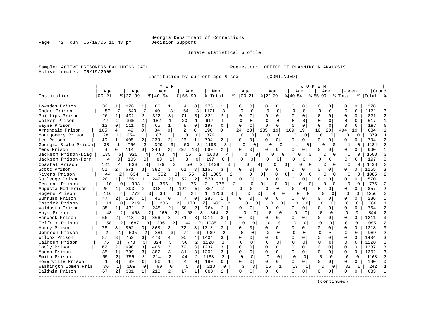Page 42 Run 05/19/05 15:48 pm

Inmate statistical profile

Sample: ACTIVE PRISONERS EXCLUDING JAIL **Requestor:** OFFICE OF PLANNING & ANALYSIS Active inmates 05/19/2005

Institution by current age & sex (CONTINUED)

|                      |                |                |               |                       | M E N                 |                |                |                        |                |          |                         |                            |                |             | W O M                | E N          |               |             |              |           |                         |
|----------------------|----------------|----------------|---------------|-----------------------|-----------------------|----------------|----------------|------------------------|----------------|----------|-------------------------|----------------------------|----------------|-------------|----------------------|--------------|---------------|-------------|--------------|-----------|-------------------------|
|                      | Age            |                | Age           |                       | Age                   | Age            |                | Men                    |                |          | Age                     |                            | Age            |             | Aqe                  |              | Aqe           | Women       |              | Grand     |                         |
| Institution          | $00 - 21$      |                | $8   22 - 39$ |                       | $8140 - 54$           | $8155 - 99$    |                | % Total                |                | °        | $00 - 21$               | $ 22-39$                   |                | $ 40-54$    |                      | $ 55-99$     |               | % Total     |              | %   Total |                         |
| Lowndes Prison       | 32             |                | 176           |                       | 66                    | 4              |                | 278                    |                |          | 0                       |                            |                | 0           |                      |              |               | $\Omega$    | 0            | 278       |                         |
| Dodge Prison         | 57             | 2              | 649           | 3                     | 3<br>401              | 64             | $\overline{3}$ | 1171                   | 3              |          | $\mathbf 0$<br>$\Omega$ | $\Omega$                   | 0              | $\mathbf 0$ | $\mathbf 0$          | O            | $\mathbf 0$   | $\Omega$    | $\Omega$     | 1171      | 3                       |
| Phillips Prison      | 26             | $\mathbf{1}$   | 402           | $\overline{a}$<br>322 | 3                     | 71             | 3              | 821                    | $\overline{a}$ |          | 0                       | $\Omega$                   | $\Omega$       | O           | <sup>0</sup>         | $\cap$       | $\Omega$      | $\Omega$    | $\Omega$     | 821       | $\overline{2}$          |
| Walker Prison        | 47             | 2              | 365           | 182<br>$\mathbf{1}$   | $\mathbf{1}$          | 23             | 1              | 617                    | $\mathbf{1}$   |          | $\Omega$                | O                          | $\Omega$       | $\Omega$    | $\Omega$             |              | $\Omega$      | $\Omega$    | 0            | 617       | 1                       |
| Wayne Prison         | 13             | $\Omega$       | 111           | 0                     | 65<br>1               | 8              | 0              | 197                    | 0              |          | $\Omega$<br>O           | $\Omega$                   | $\Omega$       | O           | $\Omega$             | $\Omega$     | $\Omega$      | $\Omega$    | $\Omega$     | 197       | $\Omega$                |
| Arrendale Prison     | 105            | 4              | 49            | 34<br>0               | $\Omega$              |                | $\Omega$       | 190                    | 0              | 24       | 23                      | 285                        | 19             | 169         | 19                   | 16           | 20            | 494         | 19           | 684       |                         |
| Montgomery Prison    | 28             | -1             | 254           | -1                    | 87<br>1               | 10             | $\Omega$       | 379                    | -1             |          | $\Omega$<br>0           | U                          | 0              | ∩           | $\Omega$             | $\Omega$     | $\Omega$      | O           | $\Omega$     | 379       |                         |
| Lee Prison           | 40             | $\mathbf{1}$   | 405           | 2<br>233              | 2                     | 26             | $\mathbf{1}$   | 704                    | 2              | $\Omega$ | 0                       | $\Omega$                   | 0              | 0           | 0                    | $\Omega$     | 0             | $\Omega$    | $\Omega$     | 704       | $\overline{c}$          |
| Georgia State Prison | 38             | <sup>1</sup>   | 756           | 3                     | 329<br>3              | 60             | 3              | 1183                   | 3              |          | $\Omega$                | $\Omega$<br>n              | $\Omega$       |             | $\Omega$             |              | U<br>$\Omega$ |             | 0            | 1184      | 3                       |
| Mens Prison          | 3              | $\Omega$       | 114           | 0<br>246              | 2 <sup>1</sup>        | 297            | 13             | 660                    | 2              |          | $\Omega$<br>O           | U                          | $\Omega$       | 0           | 0                    | $\Omega$     | $\Omega$      | $\Omega$    | $\Omega$     | 660       | 1                       |
| Jackson Prison-Diag  | 135            | 5              | 925           | 4                     | 493                   | 55<br>4        |                | 1608<br>2              | 4              |          | U                       | 0                          | n              | 0           |                      |              | U<br>$\Omega$ | 0           | $\Omega$     | 1608      | 3                       |
| Jackson Prison-Perm  | $\overline{4}$ | $\Omega$       | 105           | 0                     | 80<br>1               | 8              | 0              | 197                    | O              |          | $\Omega$<br>0           | $\cap$                     | 0              | ∩           |                      | Λ            | 0             | O           | 0            | 197       | $\Omega$                |
| Coastal Prison       | 121            | 4              | 838           | 3                     | 429                   | 3<br>50        |                | 2<br>1438              |                |          |                         | 0                          | $\Omega$       | 0           | U<br>0               |              |               | U           | 0            | 1438      |                         |
| Scott Prison         | 51             |                | 671           | 382<br>3 I            | 3                     | 61             | 3              | 1165                   | 3              |          | O<br>0                  |                            | $\Omega$       | O           | O                    | ∩            | 0             | $\Omega$    |              | 1165      | 3                       |
| Rivers Prison        | 44             |                | 634           |                       | 352                   | 3              | 55             | 2<br>1085              |                | 2        | 0                       | $\Omega$                   | O              | $\Omega$    | $\Omega$<br>$\Omega$ |              | $\Omega$      | 0           | $\Omega$     | 1085      | $\mathcal{D}$           |
| Rutledge Prison      | 20             | $\mathbf{1}$   | 256           | 242<br>11             | 2                     | 52             | 2              | 570                    |                |          | 0<br>O                  | $\Omega$                   | $\mathbf 0$    | 0           | 0                    | $\Omega$     | $\Omega$      | $\Omega$    | 0            | 570       |                         |
| Central Prison       | 10             | 0              | 333           | 1                     | 356                   | 3              | 76             | 3                      | 775            | 2        | $\Omega$                | $\Omega$                   | 0              | 0           | 0<br>$\Omega$        |              | $\Omega$<br>0 | $\Omega$    | 0            | 775       | $\overline{\mathbf{c}}$ |
| Augusta Med Prison   | 25             | $\mathbf{1}$   | 393           | 2<br>318              | 2                     | 121            | 5              | 857                    | 2              |          | $\Omega$                | U                          | $\mathbf 0$    | 0           | 0                    | $\Omega$     | 0             | 0           | 0            | 857       | $\overline{a}$          |
| Rogers Prison        | 116            | 4              | 772           | $\overline{3}$        | 344                   | 3              | 24             | 1 <br>1256             |                | 3        | U                       | 0 <sup>1</sup>             | U              | 0           | $\cap$<br>$\Omega$   | $\Omega$     | 0             | $\Omega$    | $\Omega$     | 1256      | $\mathbf{3}$            |
| Burruss Prison       | 47             | $\overline{2}$ | 186           | 1                     | 46<br>0               | 7              | 0              | 286                    |                |          | $\Omega$<br>O           |                            | $\Omega$       | 0           | O                    | <sup>0</sup> | $\Omega$      | $\Omega$    | $\Omega$     | 286       |                         |
| Bostick Prison       | 11             | 0              | 219           | 1 <sup>1</sup>        | 286                   | 2              | 170            | 7<br>686               | $\overline{2}$ |          |                         | $\Omega$                   | O              | $\Omega$    | <sup>0</sup>         | $\Omega$     | $\Omega$      | $\Omega$    | $\Omega$     | 686       | $\mathbf{1}$            |
| Valdosta Prison      | 35             |                | 431           | 2 <sub>1</sub><br>248 |                       | 50             |                | 764                    | 2              |          | 0<br>0                  | O                          | $\Omega$       | U           | 0                    | $\Omega$     | 0             | $\Omega$    | $\Omega$     | 764       | $\overline{c}$          |
| Hays Prison          | 48             | 2              | 468           | 2                     | 260                   | $\overline{2}$ | 68             | 3<br>844               | 2              |          |                         | $\overline{0}$<br>$\Omega$ | $\Omega$       | ∩           | $\Omega$             | $\Omega$     | $\Omega$      | 0           | $\Omega$     | 844       | $\mathcal{D}$           |
| Hancock Prison       | 56             | $\overline{2}$ | 718           | 3<br>366              | 3                     | 71             | 3 I            | 1211                   | 3              |          | 0<br>0                  | $\Omega$                   | 0 <sup>1</sup> | 0           | 0                    | 0            | $\Omega$      | 0           | $\Omega$     | 1211      | 3                       |
| Telfair Prison       | 58             | 2              | 687           | 3                     | 296                   | 2<br>44        |                | 1085<br>2 <sup>1</sup> | 2              |          | $\mathbf 0$<br>$\Omega$ | $\Omega$                   | 0              | ∩           | $\Omega$             | U            | $\Omega$      | $\Omega$    | $\Omega$     | 1085      | $\overline{2}$          |
| Autry Prison         | 76             | 3 I            | 802           | 3 <br>368             | 3                     | 72             | 31             | 1318                   | 3              |          | 0<br>0                  |                            | $\Omega$       | O           | 0                    | $\Omega$     | $\Omega$      | $\mathbf 0$ | $\Omega$     | 1318      | 3                       |
| Johnson Prison       | 29             | 1              | 505           | 2 <sup>1</sup>        | 381<br>$\overline{3}$ | 74             | 3 I            | 989                    | 2              |          | $\Omega$<br>$\Omega$    | $\Omega$                   | $\Omega$       | $\Omega$    | $\Omega$             | $\Omega$     | $\Omega$      | $\Omega$    | $\Omega$     | 989       | $\overline{2}$          |
| Wilcox Prison        | 87             | 3 <sup>1</sup> | 752           | 470<br>31             | 4                     | 95             | 4              | 1404                   | 3              |          | $\Omega$<br>U           | $\Omega$                   | $\Omega$       | 0           | 0                    | $\Omega$     | 0             | 0           | <sup>0</sup> | 1404      | 3                       |
| Calhoun Prison       | 75             | 3              | 773           | 324<br>3              | 3                     | 56             | 2              | 1228                   | 3              |          | $\Omega$<br>U           | U                          | 0              | $\Omega$    | $\Omega$             |              | $\Omega$      | $\Omega$    |              | 1228      | 3                       |
| Dooly Prison         | 62             | $\overline{2}$ | 690           | 406<br>3              | $\overline{3}$        | 79             | 3              | 1237                   | 3              |          | $\Omega$<br>U           | $\Omega$                   | $\Omega$       | U           | $\Omega$             | $\Omega$     | <sup>n</sup>  | 0           | $\cap$       | 1237      | $\mathbf{3}$            |
| Macon Prison         | 35             | 1              | 799           | 3<br>387              | $\overline{3}$        | 81             | 3              | 1302                   | 3              |          | $\Omega$<br>U           | $\Omega$                   | $\Omega$       | $\Omega$    | $\Omega$             | $\Omega$     | $\Omega$      | $\Omega$    | $\Omega$     | 1302      | 3                       |
| Smith Prison         | 55             | 2              | 755           | 3<br>314              | 2                     | 44             | 2              | 1168                   | 3              |          | $\Omega$<br>$\Omega$    | $\Omega$                   | $\Omega$       | $\Omega$    | $\Omega$             | $\Omega$     | $\Omega$      | 0           | $\Omega$     | 1168      | 3                       |
| Homerville Prison    | $\mathbf{1}$   | $\Omega$       | 89            | $\mathbf 0$           | 1<br>86               | 4              | $\Omega$       | 180                    | 0              |          | 0<br>0                  | $\Omega$                   | 0 <sup>1</sup> | 0           | $\Omega$             | $\Omega$     | $\Omega$      | $\Omega$    | $\Omega$     | 180       | $\Omega$                |
| Washingtn Women Pris | 36             | $\mathbf{1}$   | 109           | 0                     | $\mathbf 0$<br>60     | 5              | $\Omega$       | 210                    | $\Omega$       |          | 3<br>$\overline{3}$     | 16                         | 1              | 13          |                      | ∩            | $\Omega$      | 32          | $\mathbf{1}$ | 242       | $\mathbf{1}$            |
| Baldwin Prison       | 67             | 2              | 381           | 218<br>1              | 2                     | 17             | -1.            | 683                    | 2              |          | U<br>0                  | $\Omega$                   | 0 <sup>1</sup> | 0           | 0                    | ∩            | 0             | $\Omega$    | 0            | 683       |                         |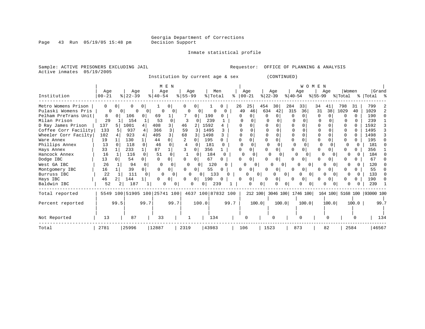Inmate statistical profile

Page 43 Run 05/19/05 15:48 pm

Active inmates 05/19/2005

Sample: ACTIVE PRISONERS EXCLUDING JAIL **Requestor:** OFFICE OF PLANNING & ANALYSIS

Institution by current age & sex (CONTINUED)

| Institution          | Age<br>$00 - 21$ |          | Age<br>$\frac{8}{22} - 39$   |          | Age<br>$8   40 - 54$ | M E N          | Age<br>$8 55-99$ |                | % Total            | Men      |          | Age<br>$8   00 - 21$ |                     | $ 22-39 $ | Age           | $ 40-54 $    | W O M E<br>Age            | N<br>$ 55-99 $ | Age            | Women<br>% Total |              | Grand<br>%   Total %       |      |
|----------------------|------------------|----------|------------------------------|----------|----------------------|----------------|------------------|----------------|--------------------|----------|----------|----------------------|---------------------|-----------|---------------|--------------|---------------------------|----------------|----------------|------------------|--------------|----------------------------|------|
| Metro Womens Prison  | 0                | $\Omega$ |                              | 0        |                      | 0              |                  | 0              |                    |          |          | 26                   | 25                  | 454       | 30            | 284          | 33                        | 34             | 41             | 798              | 31           | 799                        |      |
| Pulaski Womens Pris  | $\Omega$         | $\Omega$ | $\Omega$                     | 0        | $\Omega$             | 0              |                  | 0              | $\Omega$           |          |          | 49                   | 46                  | 634       | 42            | 315          | 36                        | 31             | 38             | 1029             | 40           | 1029                       |      |
| Pelham PreTrans Unit | 8                | $\Omega$ | 106                          | 0        | 69                   |                |                  | $\Omega$       | 190                |          |          | U                    | <sup>0</sup>        | 0         | $\Omega$      | <sup>0</sup> |                           | 0              | $\cap$         | <sup>n</sup>     | 0            | 190                        |      |
| Milan Prison         | 29               |          | 154                          |          | 53                   | 0              |                  | O              | 239                |          |          |                      |                     |           |               |              |                           | $\Omega$       |                |                  | <sup>n</sup> | 239                        |      |
| D Ray James Prison   | 137              | 5        | 1001                         | 4        | 408                  | 3              | 46               |                | 1592               |          |          |                      |                     |           |               |              |                           |                |                |                  |              | 1592                       |      |
| Coffee Corr Facility | 133              |          | 937                          |          | 366                  |                | 59               | 3              | 1495               |          |          |                      |                     |           |               |              |                           |                |                |                  |              | 1495                       |      |
| Wheeler Corr Facilty | 102              |          | 923                          |          | 405                  |                | 68               |                | 1498               |          |          |                      |                     |           |               |              |                           |                |                |                  |              | 1498                       |      |
| Ware Annex           | 19               |          | 130                          |          | 44                   | $\Omega$       |                  |                | 195                | $\Omega$ |          | O                    | 0                   |           |               | U            |                           | $\Omega$       |                | 0                |              | 195                        |      |
| Phillips Annex       | 13               | $\Omega$ | 118                          | $\Omega$ | 46                   | $\Omega$       | 4                |                | 181                | $\Omega$ |          | $\Omega$             | 0                   |           | $\Omega$      | $\Omega$     | <sup>0</sup>              | 0              |                |                  |              | 181                        |      |
| Hays Annex           | 33               |          | 233                          |          | 87                   |                | ζ                | $\Omega$       | 356                |          |          | O                    | 0                   |           | $\cap$        | U            |                           | U              | 0              |                  |              | 356                        |      |
| Hancock Annex        | 16               |          | 116                          | $\Omega$ | 51                   | 0              |                  | $\Omega$       | 184                | $\Omega$ |          |                      | n                   |           |               | <sup>n</sup> | 0                         | O              |                |                  |              | 184                        |      |
| Dodge IBC            | 13               | 0 I      | 54                           | 0        | 0                    | 0              | 0                | $\Omega$       | 67                 | 0        |          |                      | $\Omega$            |           | $\Omega$      | 0            |                           | O              | 0 <sup>1</sup> |                  |              | 67                         |      |
| West GA IBC          | 26               |          | 94                           | $\Omega$ | $\Omega$             | $\Omega$       | $\Omega$         | 0              | 120                |          |          |                      | 0                   |           | O<br>$\Omega$ |              | n<br>0                    |                | $\Omega$       |                  | <sup>n</sup> | 120                        |      |
| Montgomery IBC       | 16               |          | 39                           | $\Omega$ |                      | $\Omega$       | $\Omega$         | $\Omega$       | 55                 |          |          | 0                    | $\Omega$            |           | $\Omega$      | 0            | 0                         |                | $\Omega$       |                  | 0.           | 55                         |      |
| Burruss IBC          | 22               |          | 111                          | $\Omega$ | <sup>0</sup>         | 0              | $\Omega$         |                | 133<br>0           |          | $\Omega$ |                      | 0<br>0 <sup>1</sup> |           | U             | 0            | 0<br>0                    |                | $\overline{0}$ | O                | $\Omega$     | 133                        |      |
| Hays IBC             | 46               |          | 144                          |          |                      | $\overline{0}$ | 0                | $\overline{0}$ | 190                | 0        |          | 0                    | 0 <sub>1</sub>      |           | 01            | 0            | 01                        |                |                |                  | 0            | 190                        |      |
| Baldwin IBC          | 52               | 2        | 187                          |          |                      | 0              |                  | 0              | 0                  | 239      |          |                      | 0                   |           | 0             | 0            | 0<br>0                    |                |                |                  |              | 239                        |      |
| Total reported       |                  |          | 5549 100 51905 100 25741 100 |          |                      |                |                  |                | 4637 100 87832 100 |          |          |                      |                     |           |               |              | 212 100 3046 100 1746 100 |                |                |                  |              | 164 100 5168 100 93000 100 |      |
| Percent reported     |                  | 99.5     |                              | 99.7     |                      | 99.7           |                  | 100.0          |                    |          | 99.7     |                      | 100.0               |           | 100.0         |              | 100.0                     |                | 100.0          |                  | 100.0        |                            | 99.7 |
| Not Reported         | 13               |          | 87                           |          | 33                   |                |                  |                | 134                |          |          | <sup>0</sup>         |                     |           |               |              | $\Omega$                  |                | 0              |                  |              |                            | 134  |
| Total                | 2781             |          | 25996                        |          | 12887                |                | 2319             |                | 43983              |          |          | 106                  |                     | 1523      |               |              | 873                       |                | 82             | 2584             |              | 46567                      |      |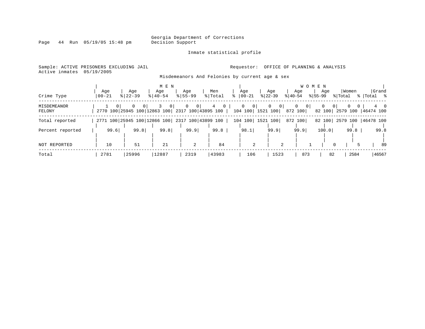Inmate statistical profile

Page 44 Run 05/19/05 15:48 pm

# Active inmates 05/19/2005

### Sample: ACTIVE PRISONERS EXCLUDING JAIL **Requestor:** OFFICE OF PLANNING & ANALYSIS

Misdemeanors And Felonies by current age & sex

| Crime Type            | Aqe<br>$00 - 21$ | Age<br>$8122 - 39$                              | M E N<br>Age<br>$8140 - 54$ | Age<br>$8155 - 99$                                   | Men<br>%   Total | Age<br>$8   00 - 21$                               | Age<br>$ 22-39 $    | W O<br>Aqe<br>$ 40-54 $ | M E N<br>Age<br>$ 55-99 $                                          | Women<br>% Total                           | Grand<br>%  Total %     |
|-----------------------|------------------|-------------------------------------------------|-----------------------------|------------------------------------------------------|------------------|----------------------------------------------------|---------------------|-------------------------|--------------------------------------------------------------------|--------------------------------------------|-------------------------|
| MISDEMEANOR<br>FELONY | $\Omega$         | 2770 100 25945 100 12863 100                    | 0                           | 0 <sup>1</sup><br>$\mathbf{0}$<br>2317 100 43895 100 | 4                | 0 <sup>1</sup><br>$\mathbf{0}$<br>104 100 1521 100 | 0<br>0 <sup>1</sup> | $\mathbf{0}$<br>872 100 | $\begin{array}{c} \circ \\ \circ \circ \end{array}$<br>0<br>82 100 | $\mathbf{0}$<br>0 <sup>1</sup><br>2579 100 | $4\quad 0$<br>46474 100 |
| Total reported        |                  | 2771 100 25945 100 12866 100 2317 100 43899 100 |                             |                                                      |                  | 104 100                                            | 1521 100            | 872 100                 |                                                                    | 82 100 2579 100 46478 100                  |                         |
| Percent reported      | 99.6             | 99.8                                            | 99.8                        | 99.9                                                 | 99.8             | 98.1                                               | 99.9                | 99.9                    | 100.0                                                              | 99.8                                       | 99.8                    |
| NOT REPORTED          | 10               | 51                                              | 21                          | 2                                                    | 84               | 2                                                  | 2                   |                         |                                                                    | $\mathbf 0$                                | 89                      |
| Total                 | 2781             | 25996                                           | 12887                       | 2319                                                 | 43983            | 106                                                | 1523                | 873                     | 82                                                                 | 2584                                       | 46567                   |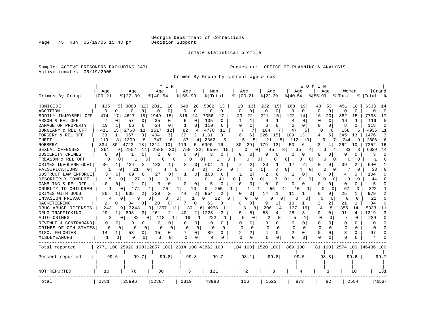Inmate statistical profile

Sample: ACTIVE PRISONERS EXCLUDING JAIL **Requestor:** OFFICE OF PLANNING & ANALYSIS Active inmates 05/19/2005

Crimes By Group by current age & sex

|                      |                         |                                                 | M E N             |                          |                          |                         |                            | WOMEN                |                      |                      |                           |
|----------------------|-------------------------|-------------------------------------------------|-------------------|--------------------------|--------------------------|-------------------------|----------------------------|----------------------|----------------------|----------------------|---------------------------|
|                      | Age                     | Age                                             | Age               | Age                      | Men                      | Age                     | Age                        | Age                  | Age                  | Women                | Grand                     |
| Crimes By Group      | $00 - 21$               | $8   22 - 39$                                   | $8140 - 54$       | $8155 - 99$              | % Total                  | $00 - 21$               | $ 22-39$                   | $8140 - 54$          | $ 55-99$             | % Total              | %  Total                  |
| HOMICIDE             | 135                     | 12 <br>5<br>3088                                | 2011<br>16        | 28<br>648                | 5882<br>13               | 13<br>13                | 232<br>15                  | 163<br>19            | 43<br>53             | 451<br>18            | 6333<br>14                |
| <b>ABORTION</b>      | $\mathbf 0$<br>$\Omega$ | 0<br>0                                          | $\Omega$<br>0     | 0<br>0                   | $\mathbf 0$<br>0         | $\Omega$<br>$\mathbf 0$ | $\mathbf 0$<br>$\mathbf 0$ | $\Omega$<br>$\Omega$ | $\Omega$<br>$\Omega$ | $\Omega$<br>$\Omega$ | $\Omega$<br>O             |
| BODILY INJRY&REL OFF | 474<br>17               | 4617<br>18                                      | 1949<br>15        | 316<br>14                | 7356<br>17               | 22<br>23                | 221<br>15                  | 122<br>14            | 20<br>16             | 382<br>15            | 7738<br>17                |
| ARSON & REL OFF      | 7<br>$\Omega$           | 57<br>0                                         | 35<br>0           | $\Omega$<br>6            | 105<br>O                 |                         | 9<br>1                     | 4<br>∩               | O<br>0               | 14<br>1              | 119<br>-0                 |
| DAMAGE OF PROPERTY   | 19                      | 66<br>0                                         | 24<br>0           | $\cap$                   | 110<br>O                 | n<br>0                  | O<br>6                     | 2<br>$\Omega$        | O<br>U               | 8<br><sup>n</sup>    | 118<br>n                  |
| BURGLARY & REL OFF   | 411<br>15               | 2768<br>11                                      | 1517<br>12        | 82<br>4                  | 4778<br>11               | 7                       | 104<br>7                   | 47<br>.5             | $\Omega$<br>$\Omega$ | 158<br>6             | 4936<br>11                |
| FORGERY & REL OFF    | 1<br>33                 | 3<br>657                                        | 404<br>3          | 37                       | 2 1131<br>3              | 6<br>6                  | 226<br>15                  | 109<br>13            | 5 I<br>4             | 345<br>13            | 1476<br>3                 |
| <b>THEFT</b>         | 219                     | 1309<br>5 <br>8                                 | 747<br>6          | 87<br>4                  | 2362                     | 5<br>5                  | 121<br>8                   | 112<br>13            | 6                    | 244<br>9             | 2606<br>6                 |
| <b>ROBBERY</b>       | 834<br>30               | 4723<br>18                                      | 1314<br>10        | 119                      | 5 6990<br>16             | 30<br>29                | 179<br>12                  | 50<br>6              | 3<br>4               | 262<br>10            | 7252<br>16                |
| SEXUAL OFFENSES      | 261                     | 9<br>2957<br>11                                 | 2588<br>20        | 750<br>32                | 6556<br>15               |                         | 45<br>3                    | 35                   |                      | 83<br>3              | 6639<br>14                |
| OBSCENITY CRIMES     | $\Omega$<br>$\Omega$    | 1<br>0                                          | 2<br>0 I          | 0<br>0                   | 3<br>0                   | O                       | 0<br>0                     | 0<br>0               | 0                    | 0<br>0               | n                         |
| TREASON & REL OFF    | 0                       | 0<br>0                                          | 0                 | 0                        | 0                        |                         | 0<br>0                     | $\Omega$<br>0<br>0   | 0<br>$\Omega$        | 0                    |                           |
| CRIMES INVOLVNG GOVT | 36                      | 424<br>2                                        | 133<br>1          | 8<br>0                   | 601                      | 2<br>2                  | 20<br>1                    | 17<br>2              | O<br>0               | 39                   | 640                       |
| FALSIFICATIONS       |                         | 21<br>0                                         | 0<br>4            | 0<br>0                   | 26<br>0                  | 0                       | 3<br>$\Omega$              | $\Omega$<br>0<br>4   | O<br>0               | O                    | 33                        |
| OBSTRUCT LAW ENFORCE | 3                       | 69<br>U<br>0                                    | 27<br>0           | 0                        | 100<br>0                 | 1                       | 2<br>0                     | 0                    | O<br>0               | 4                    | 104                       |
| DISORDERLY CONDUCT   |                         | 27<br>0                                         | 0                 | 0                        | 0<br>41                  | $\Omega$<br>0           | 0<br>3                     | 0<br>በ<br>0          | O                    | O                    | 44                        |
| GAMBLING & REL OFF   | 0                       | 0                                               | 0<br>3            | $\Omega$<br><sup>0</sup> | $\Omega$<br>5            | $\Omega$                | $\Omega$<br>U              | O<br><sup>0</sup>    | O                    | $\Omega$<br>U.       | 5                         |
| CRUELTY TO CHILDREN  |                         | 174<br>0                                        | 70<br>1           | 10<br>1                  | 255<br>0                 | ı                       | 11<br>56                   | 10<br>Τ.             | 0<br>O               | 67<br>3              | 322                       |
| CRIMES WITH GUNS     | 36                      | 635                                             | 239<br>2          | 2<br>44                  | 954                      | 0                       | 14<br>1                    | 11<br>ı              | U<br>0               | 25                   | 979                       |
| INVASION PRIVACY     |                         | 9<br>0                                          | 0                 | 1<br>0                   | 22<br>0<br>0             | 0<br>0                  | 0                          | C<br>0               | $\Omega$<br>0        | O<br>$\Omega$        | 22<br>∩                   |
| <b>RACKETEERING</b>  | 2<br>0                  | 34<br>0                                         | 20                | 0                        | 63<br>0                  | O                       | 9<br>1                     | 10<br>1              | 2<br>2               | 21                   | 84<br>$\Omega$            |
| DRUG ABUSE OFFENSES  | 243                     | 9   3248                                        | 13 <br>1357<br>11 | 130                      | 6 4978<br>11             | 8                       | 206<br>14                  | 137<br>16            | 5<br>4               | 355<br>14            | 5333<br>11                |
| DRUG TRAFFICKING     | 29                      | 898<br>11<br>3                                  | 2<br>261          | 2 <sub>1</sub><br>40     | 1228<br>3                | 5<br>5                  | 58<br>4                    | 28<br>3 I            | 0<br>0               | 91<br>4              | 1319<br>3                 |
| AUTO CRIMES          |                         | 82<br>0<br>$\circ$                              | 118               | 19                       | 222                      | 0<br>0                  | 2<br>0                     | 5<br>1               | 0<br>0               | U                    | 229<br>$\Omega$           |
| REVENUE & CONTRABAND | 0                       | 0<br>$\Omega$<br>0                              | $\Omega$<br>0     | 0<br>0                   | $\Omega$<br>0            | 0<br>0                  | 0<br>0                     | $\Omega$<br>0        | 0                    | 0<br>0               | $\Omega$<br>O             |
| CRIMES OF OTH STATES | $\Omega$                | $\Omega$<br>O<br>$\Omega$                       | $\sqrt{ }$<br>0   | $\Omega$<br>0            | <sup>0</sup><br>$\Omega$ | U<br>$\Omega$           | $\Omega$<br>$\Omega$       | $\Omega$<br>$\Omega$ | $\Omega$<br>$\Omega$ | $\Omega$<br>O        | <sup>0</sup><br>∩         |
| MISC. FELONIES       | 14<br>1                 | 53<br>0                                         | 15<br>0           | $\Omega$                 | 89<br>0                  | 2<br>2                  | 0<br>4                     | 2<br>$\Omega$        | U<br>O               | 8<br>0               | 97<br>n                   |
| MISDEMEANORS         | 1                       | 0<br>0<br>0                                     | 3<br>$\Omega$     | <sup>0</sup>             | 4                        | $\cap$<br>0             | $\Omega$                   | O                    | $\cap$<br>0          | ∩                    |                           |
| Total reported       |                         | 2771 100 25920 100 12857 100 2314 100 43862 100 |                   |                          |                          | 104 100 1520 100        |                            | 869 100              |                      |                      | 81 100 2574 100 46436 100 |
| Percent reported     | 99.6                    | 99.7                                            | 99.8              | 99.8                     | 99.7                     | 98.1                    | 99.8                       | 99.5                 | 98.8                 | 99.6                 | 99.7                      |
|                      |                         |                                                 |                   |                          |                          |                         |                            |                      |                      |                      |                           |
| NOT REPORTED         | 10                      | 76                                              | 30                | 5                        | 121                      | 2                       | 3                          | 4                    | 1                    | 10                   | 131                       |
| Total                | 2781                    | 25996                                           | 12887             | 2319                     | 43983                    | 106                     | 1523                       | 873                  | 82                   | 2584                 | 46567                     |
|                      |                         |                                                 |                   |                          |                          |                         |                            |                      |                      |                      |                           |

Page 45 Run 05/19/05 15:48 pm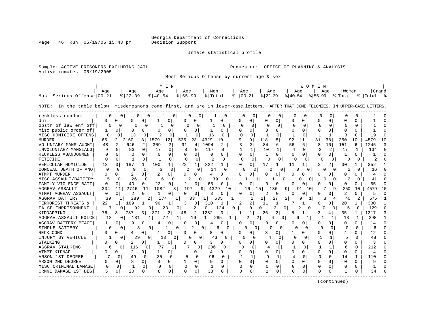Page 46 Run 05/19/05 15:48 pm

### Inmate statistical profile

Sample: ACTIVE PRISONERS EXCLUDING JAIL **Requestor:** OFFICE OF PLANNING & ANALYSIS Active inmates 05/19/2005

Most Serious Offense by current age & sex

|                                                                                                                                   |              |                           |                          | M E N                |              |                                |                |              |   |                          |              |              |                | <b>WOMEN</b> |              |                |              |              |           |    |
|-----------------------------------------------------------------------------------------------------------------------------------|--------------|---------------------------|--------------------------|----------------------|--------------|--------------------------------|----------------|--------------|---|--------------------------|--------------|--------------|----------------|--------------|--------------|----------------|--------------|--------------|-----------|----|
|                                                                                                                                   | Age          | Aqe                       |                          | Age                  | Aqe          |                                | Men            |              |   | Age                      | Age          |              |                | Aqe          |              | Aqe            | l Women      |              | l Grand   |    |
| Most Serious Offense 00-21                                                                                                        |              | $8 22-39$                 |                          | $8140 - 54$          | $8155 - 99$  |                                | % Total        |              |   | $8   00 - 21$            | $ 22-39 $    |              | $8 40-54$      |              | $ 55-99 $    |                | % Total      |              | %   Total |    |
| NOTE: In the table below, misdemeanors come first, and are in lower-case letters. AFTER THAT COME FELONIES, IN UPPER-CASE LETTERS |              |                           |                          |                      |              |                                |                |              |   |                          |              |              |                |              |              |                |              |              |           |    |
| reckless conduct                                                                                                                  |              | 0                         | 0<br>0                   | 1                    | 0            | 0<br>0                         | 1              | n            |   | 0<br>O                   | U            | $\Omega$     | O              | 0            | 0            | C              | O            | O            |           |    |
| dui                                                                                                                               | O.           | n<br>O                    | <sup>0</sup>             | 0                    |              | $\Omega$                       |                | 0            | Ω | 0                        | <sup>0</sup> | $\Omega$     | 0              | <sup>o</sup> | $\Omega$     | $\Omega$       | U            | U            |           |    |
| obstr of law enf off                                                                                                              |              | $\Omega$                  | <sup>0</sup><br>$\Omega$ | $\Omega$             | 0            | 0                              |                | <sup>0</sup> |   | $\Omega$<br>$\Omega$     | O            | $\Omega$     | $\Omega$       | $\Omega$     | $\Omega$     | $\Omega$       | <sup>0</sup> | <sup>0</sup> |           |    |
| misc public order of                                                                                                              |              | O<br>0                    | 0                        | 0                    |              | 0                              |                | 0            |   | 0                        |              | $\Omega$     | 0              | U            |              | 0              |              | O            |           |    |
| MISC HOMICIDE OFFENS                                                                                                              | $\Omega$     | 13<br>$\Omega$            |                          | $\Omega$             | -1           | 0                              | 16             | U            |   | $\cap$<br>$\Omega$       | 1            | $\Omega$     | $\mathbf{1}$   | ∩            | -1           | $\mathbf{1}$   |              | $\cap$       | 19        |    |
| <b>MURDER</b>                                                                                                                     | 65           | 2160<br>2                 | 8                        | 1579<br>12           | 525          | 23                             | 4329           | 10           |   | q<br>9                   | 118          | 8            | 92             | 11           | 31           | 38             | 250          | 10           | 4579      | 10 |
| VOLUNTARY MANSLAUGHT                                                                                                              | 48           | 2<br>646                  | 2                        | 2<br>309             | 91           | 4                              | 1094           | 2            |   | 3                        | 84           | 6            | 56             | 6            | 8            | 10             | 151          | 6            | 1245      |    |
| INVOLUNTARY MANSLAUG                                                                                                              |              | $\cap$<br>83              | $\Omega$                 | 17<br>$\Omega$       | 8            |                                | 117            | 0            |   | 1                        | 10           |              | $\overline{4}$ | U            |              | $\overline{2}$ | 17           | -1           | 134       |    |
| RECKLESS ABANDONMENT                                                                                                              | $\Omega$     | $\Omega$<br>O             | $\Omega$                 | $\Omega$<br>∩        | 0            | <sup>0</sup>                   | $\Omega$       | $\Omega$     |   | $\Omega$<br><sup>0</sup> | 1            | <sup>0</sup> | <sup>0</sup>   |              | <sup>0</sup> | $\Omega$       | 1            | 0            |           |    |
| FETICIDE                                                                                                                          | <sup>0</sup> | <sup>0</sup><br>-1        | $\Omega$                 | 0                    | $\Omega$     | 0                              | 2              | $\Omega$     |   | $\Omega$<br>$\Omega$     |              | $\Omega$     | $\Omega$       | $\Omega$     | $\Omega$     | $\Omega$       | O            | $\Omega$     |           |    |
| VEHICULAR HOMICIDE                                                                                                                | 13           | $\Omega$<br>187           | 1                        | 100<br>$\mathbf{1}$  | 22           |                                | 322            |              |   | 0<br><sup>0</sup>        | 17           | 1            | 11             | $\mathbf{1}$ | 2            | 2              | 30           |              | 352       |    |
| CONCEAL DEATH OF ANO                                                                                                              | 0            | $\Omega$<br>9             | 0                        | 0                    | 2            | $\Omega$                       | 14             | $\Omega$     |   | 0<br>$\Omega$            |              | $\Omega$     | 0              | 0            |              | 0<br>$\Omega$  | 2            |              | 16        |    |
| <b>ATMPT MURDER</b>                                                                                                               | O            | $\mathcal{D}$<br>$\Omega$ | $\Omega$                 | 2<br>0               | U            | $\Omega$                       | 4              | U            |   | 0                        |              | $\Omega$     | 0              |              | U            | 0              |              | U            | 4         |    |
| MISC ASSAULT/BATTERY                                                                                                              | 5            | $\Omega$<br>26            | 0                        | 6                    | 0            | $\mathfrak{D}$<br><sup>0</sup> | 39             | 0            |   |                          |              |              |                | n            |              | O<br>0         |              |              | 41        |    |
| FAMILY VIOLENCE BATT                                                                                                              | 0            | 40                        | 0                        | 23<br>0              | 2            | O                              | 65             |              |   | 0                        |              | 0            | <sup>0</sup>   |              |              | O.             | 0            |              | 65        |    |
| AGGRAV ASSAULT                                                                                                                    | 304          | 2746<br>11                | 11                       | 1082                 | 8<br>19      |                                | 9<br>4329      | 10           |   | 16                       | 15           | 136          | 9              | 91<br>10     |              | 9              | 250          | 10           | 4579      |    |
| ATMPT AGGRAV ASSAULT                                                                                                              | $\Omega$     | 2<br>0                    | 0                        | 0                    | 0            | $\Omega$                       | 3              | O            |   | 0                        | 2            | $\Omega$     | <sup>0</sup>   | O            | 0            | $\Omega$       | 2            | 0            | 5         |    |
| AGGRAV BATTERY                                                                                                                    | 39           | 389                       | 2                        | 174                  |              | 33                             | 11             | 635          |   | -1                       | ı            | 27           | 2              | 9            |              | 3<br>4         | 40           |              | 675       |    |
| TERRORIST THREATS &                                                                                                               | 22           | $\mathbf{1}$<br>189       | 1                        | 96<br>1              | 3            | $\circ$                        | 310            |              |   | 2                        | 11           |              |                |              |              | 0              | 20           | 1            | 330       |    |
| FALSE IMPRISONMENT                                                                                                                |              |                           | 92<br>$\Omega$           | 23                   | 0            | 2                              | $\overline{0}$ | 124          |   | 0                        | $\Omega$     | 3            |                | 2<br>U       | <sup>0</sup> |                | 5            | 0            | 129       |    |
| KIDNAPPING                                                                                                                        | 76           | $\overline{3}$<br>787     | 3                        | 3<br>371             | 48           | 2                              | 1282           | 3            |   | 1                        | 26           | 2            | 5              |              | 3            | 4              | 35           | 1            | 1317      |    |
| AGGRAV ASSAULT POLCE                                                                                                              | 13           | 181<br>0                  |                          | 72                   |              | 19                             | 11             | 285          |   | 2                        | 2            |              | 6              |              |              | 1              | 13           |              | 298       |    |
| AGGRAV BATTERY PEACE                                                                                                              |              | 0<br>q                    | 0                        | 0                    | U            | 0                              | 14             |              |   | 0<br><sup>0</sup>        |              | 0            | <sup>0</sup>   |              | O            | 0              |              | U            | 14        |    |
| SIMPLE BATTERY                                                                                                                    | $\Omega$     | <sup>n</sup>              | 3<br>$\Omega$            |                      | 0            | 2                              | <sup>0</sup>   | 6            |   | 0<br>0                   |              | 0            | U              | $\Omega$     | ∩            |                |              | U            | 6         |    |
| RECK COND                                                                                                                         | 0            | $\Omega$                  | 0                        | 0                    | <sup>0</sup> | $\Omega$                       | 8              | O            |   | 0<br>Ω                   |              | $\Omega$     | 1              | 0            | $\Omega$     | 0              |              | U            | 12        |    |
| INJURY BY VEHICLE                                                                                                                 | ı.           | $\Omega$                  | 29<br>$\Omega$           | 13                   | $\Omega$     | 0<br>$\Omega$                  | 43             | O            |   | 0<br>0                   | 4            | 0            | 0              | $\Omega$     | 1            |                | 5            | $\Omega$     | 48        |    |
| STALKING                                                                                                                          |              | 2<br>0                    | 0                        | 0                    |              | 0                              | 3              | 0            | Ω | 0                        |              | 0            | 0              | 0            | O            | $\Omega$       | O            | U            | 3         |    |
| AGGRAV STALKING                                                                                                                   | 6            | 116<br>$\Omega$           | $\Omega$                 | 77                   | 7<br>1       |                                | 206            | $\Omega$     |   | O<br>$\Omega$            | 4            | $\Omega$     |                | $\Omega$     |              | 1              | 6            | $\cap$       | 212       |    |
| ATMPT KIDNAP                                                                                                                      | 0            | 2<br>$\Omega$             | 0                        | 0                    | 1            | $\Omega$                       | 4              | $\Omega$     | U | 0                        |              | $\Omega$     | 0              | 0            | U            | $\Omega$       | $\Omega$     | $\Omega$     | 4         |    |
| ARSON 1ST DEGREE                                                                                                                  |              | O<br>49                   | 0                        | 35<br>0              | 5            | 0                              | 96             | $\Omega$     |   |                          | 9            |              |                | 0            | O            | 0              | 14           |              | 110       |    |
| ARSON 2ND DEGREE                                                                                                                  | U            | 0                         | $\Omega$                 | $\Omega$<br>$\Omega$ | $\mathbf{1}$ | $\Omega$                       | 9              | 0            |   | 0                        | $\Omega$     | $\cap$       | $\Omega$       | $\Omega$     | U            | $\Omega$       | $\Omega$     | U            | q         |    |
| MISC CRIMINAL DAMAGE                                                                                                              |              | $\Omega$<br>$\mathbf{1}$  | $\Omega$                 | $\Omega$<br>O        | $\Omega$     | $\Omega$                       | 1              | 0            |   | $\Omega$                 | 0            | O            | <sup>0</sup>   | 0            | O            | $\Omega$       | <sup>0</sup> | O            | 1         |    |
| CRMNL DAMAGE 1ST DEG                                                                                                              | 5            | $\Omega$<br>20            | 0                        | 0                    | O            | 0                              | 33             |              |   | $\Omega$<br><sup>0</sup> |              | U            | <sup>0</sup>   |              | O            | 0              |              |              | 34        |    |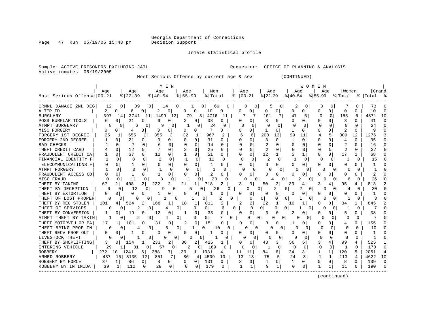Page 47 Run 05/19/05 15:48 pm

### Inmate statistical profile

Sample: ACTIVE PRISONERS EXCLUDING JAIL **Requestor:** OFFICE OF PLANNING & ANALYSIS Active inmates 05/19/2005

Most Serious Offense by current age & sex (CONTINUED)

|                            |          |                         |                   | M E N                    |                     |                   |                      |                    |               | W O M E N     |                      |          |           |        |
|----------------------------|----------|-------------------------|-------------------|--------------------------|---------------------|-------------------|----------------------|--------------------|---------------|---------------|----------------------|----------|-----------|--------|
|                            | Aqe      | Age                     | Aqe               | Aqe                      | Men                 |                   | Age                  | Aqe                | Age           | Aqe           | Women                |          | Grand     |        |
| Most Serious Offense 00-21 |          | $ 22-39$                | $ 40-54 $         | $8155 - 99$              | % Total             | ႜ                 | $ 00-21 $            | $ 22-39 $          | $8 40-54$     | $8155 - 99$   | % Total              |          | %   Total |        |
| CRMNL DAMAGE 2ND DEG       | 12       | 0<br>39                 | 0 <sup>1</sup>    | 14<br>0                  | 0 <sub>1</sub>      | 66<br>$\cup$      |                      | 0<br>5<br>0        | 2             | 0<br>$\Omega$ | $\Omega$             | O        | 73        |        |
| ALTER ID                   | 2        | 0<br>6                  | $\Omega$<br>2     | 0<br><sup>0</sup>        | $\Omega$<br>10      | O                 | $\Omega$<br>$\Omega$ | 0<br>0             | 0<br>U        | O             | $\Omega$<br>$\Omega$ | 0        | 10        | C      |
| BURGLARY                   | 397      | 2741<br>14              | 11<br>1499        | 12                       | 79<br>4716<br>3 I   | 11                | 7                    | 101                | 47<br>5       | O             | 155<br>$\Omega$      | 6        | 4871      | 10     |
| POSS BURGLAR TOOLS         | б        | 21<br>0                 | q<br>0            | 0<br>2                   | 38<br>0             | 0                 | 0                    | κ<br>0             | U<br>U        | ∩             | 3<br>$\Omega$        | 0        | 41        | $\cap$ |
| ATMPT BURGLARY             |          | 0<br>6                  | 9                 | O                        | 24<br>0             | n                 | O<br>C               | 0                  | $\Omega$<br>U |               | $\Omega$             |          | 24        | n      |
| MISC FORGERY               | U        | O<br>4                  | 0<br>3            | U                        | <sup>0</sup><br>7   | U                 | N                    | O                  | O             | <sup>0</sup>  | <sup>0</sup>         |          | Q         |        |
| FORGERY 1ST DEGREE         | 25       | 555                     | 355               | 32<br>3                  | 967<br>1            |                   | 6<br>6               | 200<br>13          | 99<br>11      | 4             | 5<br>309             | 12       | 1276      |        |
| FORGERY 2ND DEGREE         |          | 21<br>U                 | 9<br><sup>0</sup> | 0<br>O                   | 31<br>$\Omega$      | 0                 | U<br>0               | 3<br>$\Omega$      | 1<br>O        | $\Omega$      | $\Omega$<br>4        | 0        | 35        |        |
| <b>BAD CHECKS</b>          |          | 7<br>$\Omega$           | $\Omega$          | $\Omega$<br><sup>0</sup> | 14<br>$\Omega$      | 0                 | $\Omega$<br>U        | 2<br>$\cap$        | $\Omega$<br>U | n             | $\Omega$<br>2        | U        | 16        |        |
| THEFT CREDIT CARD          |          | 12<br>O                 | 0                 | $\Omega$<br>2            | 25<br>$\Omega$      | 0                 | $\Omega$<br>O        | 2<br>$\Omega$      | O<br>O        | O             | $\Omega$             | 0        | 27        |        |
| FRAUDULENT CREDIT CA       |          | O<br>37                 | 12<br>$\Omega$    | 0                        | 51<br>$\Omega$      | O                 | $\Omega$<br>U        | 12<br>1            | 5             | O             | 17<br>$\Omega$       |          | 68        |        |
| FINANCIAL IDENTITY F       |          | U                       | 2<br>$\Omega$     | O                        | 12<br>0             | $\Omega$          | $\Omega$<br>0        | 0                  | <sup>0</sup>  | $\Omega$      | 0                    | $\Omega$ | 15        |        |
| TELECOMMUNICATIONS F       |          |                         | 0                 | 0<br>O                   | 0                   | 0                 | 0                    | 0                  | 0<br>0        | O             | 0<br>0               | N        |           |        |
| ATMPT FORGERY              |          | O<br>0                  | n                 | $\Omega$                 | $\Omega$            | n                 | ∩<br>0               | U<br>$\Omega$      |               | $\Omega$<br>n | O                    | U        |           |        |
| FRAUDULENT ACCESS CO       | U        | U<br>-1                 | 0                 | O<br>U                   | $\mathfrak{D}$<br>O | O                 | 0                    | $\Omega$           | U             | ∩             | 0<br>U               | U        | 2         |        |
| MISC FRAUD                 | ∩        | 11                      | Я<br>0            | ∩                        | 20<br>0             |                   |                      | O                  | 0             | n             | 6                    | O        | 26        |        |
| THEFT BY TAKING            | 67       | 408                     | 222               | 2<br>21                  | 718                 |                   | 3                    | 3<br>50            | 39            | 3             | 95                   |          | 813       |        |
| THEFT BY DECEPTION         | $\Omega$ | 12                      | Q                 | O                        | 5<br>Ω              | 26                |                      | 0                  | 0             | 0             | 4                    | O        | 30        |        |
| THEFT BY EXTORTION         | U        | O                       | -1<br>U           | O<br><sup>0</sup>        | -1<br>$\Omega$      | U                 | O<br>0               | <sup>0</sup>       | O             | ∩             | O                    |          |           |        |
| THEFT OF LOST PROPER       |          | U<br>O                  | 0                 | 0                        | 0                   | 2<br><sup>0</sup> | 0                    | 0<br>O             | 0             | $\Omega$<br>U |                      | O        | Р         |        |
| THEFT BY REC STOLEN        | 101      | 524                     | 2<br>168          | 18<br>1                  | 811                 |                   | 2<br>2               | 22                 | 10            | O             | 34                   |          | 845       |        |
| THEFT OF SERVICES          |          | 2                       | $\Omega$          | 4<br>0                   | 0<br>0              | 6                 | $\Omega$<br>N        | 0<br>0             | $\Omega$      | $\Omega$<br>O | <sup>0</sup>         | O        |           |        |
| THEFT BY CONVERSION        |          | 19                      | 0<br>12           | 0                        | 33<br>$\Omega$      | 0                 | 0<br>U               | 0                  | 2<br>0        |               | 5<br>0               | Ω        | 38        |        |
| ATMPT THEFT BY TAKIN       |          | 2                       | $\Omega$          | 4<br>0                   | 0<br>0              | 0                 | U                    | O<br>$\Omega$      | 0<br>∩        | O<br>0        | $\Omega$<br>Ω        | $\Omega$ |           |        |
| THEFT MOTORVEH OR PA       | 17       | 101                     | 31<br>0           | <sup>0</sup><br>2        | 151<br>0            |                   | 0                    | ੨<br>0             |               | O             |                      | O.       | 155       |        |
| THEFT BRING PROP IN        | U        | 4                       | $\Omega$          | 5<br>0                   | 1<br>$\Omega$       | 10<br>U           | U                    | $\Omega$<br>U<br>O |               | 0<br>$\Omega$ | ∩                    | $\Omega$ | 10        |        |
| THEFT RECV PROP OUT        | 0        |                         | 0                 | 0<br>O                   | $\Omega$            |                   | 0<br>U               | 0                  | 0<br>Ω        | n             | 0<br>O               | 0        |           |        |
| LIVESTOCK THEFT            | 0        | 0                       | $\Omega$          | $\Omega$<br>$\Omega$     | U<br>0              | U                 | O                    | <sup>0</sup><br>O  | O<br>U        | $\Omega$      | $\Omega$<br>O        | $\Omega$ |           | C      |
| THEFT BY SHOPLIFTING       | 3        | 154<br>0                | 233               | 2<br>36                  | 2 I<br>426          |                   | 0                    | 40<br>3            | 56<br>6       | 3             | 99                   | 4        | 525       |        |
| ENTERING VEHICLE           | 29       | 81<br>1                 | 57                | 0<br>2                   | 169<br>0            | U                 | $\Omega$             | 0                  | $\Omega$<br>O | $\Omega$      | $\Omega$             | $\cap$   | 170       |        |
| <b>ROBBERY</b>             | 272      | 10 <sup>1</sup><br>1241 | 388<br>51         | 3  <br>30                | 1931<br>11          | 4                 | 11<br>11             | 84<br>6            | 24<br>3       |               | 1<br>120             | 5        | 2051      |        |
| ARMED ROBBERY              | 437      | 3135<br>16              | 12<br>851         | 7<br>86                  | 4509<br>4           | 10                | 13<br>13             | 75                 | 24<br>3       | -1            | 1<br>113             | 4        | 4622      | 10     |
| ROBBERY BY FORCE           | 37       | 86<br>1                 | 0<br>8            | 0<br>O                   | $\Omega$<br>131     | 0                 | 3<br>3               | 4<br>0             | 1<br>O        | $\Omega$      | $\Omega$<br>8        | 0        | 139       | $\cap$ |
| ROBBERY BY INTIMIDAT       | 39       | 112<br>1                | 28<br>0           | 0<br><sup>0</sup>        | 179<br>0            | 0                 |                      | 9<br>1             | $\Omega$<br>0 |               | 11                   | O        | 190       |        |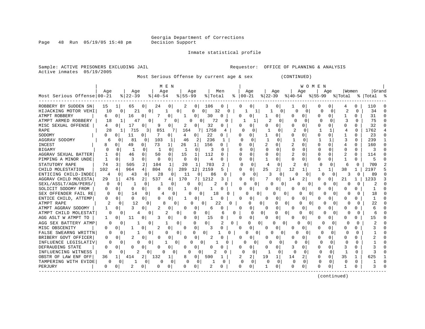Page 48 Run 05/19/05 15:48 pm

Inmate statistical profile

Sample: ACTIVE PRISONERS EXCLUDING JAIL **Requestor:** OFFICE OF PLANNING & ANALYSIS Active inmates 05/19/2005

Most Serious Offense by current age & sex (CONTINUED)

|                            |                |                       |                    | M E N                |              |                |           |              |              |                      |              |               |                | W O M E N      |          |              |                |              |                |              |
|----------------------------|----------------|-----------------------|--------------------|----------------------|--------------|----------------|-----------|--------------|--------------|----------------------|--------------|---------------|----------------|----------------|----------|--------------|----------------|--------------|----------------|--------------|
|                            | Aqe            |                       | Age                | Aqe                  |              | Age            |           | Men          |              | Age                  |              | Age           |                | Aqe            |          | Aqe          | Women          |              | Grand          |              |
| Most Serious Offense 00-21 |                | $ 22-39$              |                    | $ 40-54 $            | $8 55-99$    |                | % Total   | ႜ            |              | $00 - 21$            | $ 22-39$     |               | $ 40-54 $      |                | $ 55-99$ |              | % Total        |              | %   Total      |              |
| ROBBERY BY SUDDEN SN       | 15             | 65<br>1 <sub>1</sub>  | 0 <sup>1</sup>     | 24<br>0              | 2            | 0 <sup>1</sup> | 106       | 0            | 0            | 0                    |              | 0             |                | 0              | 0        | 0            |                |              | 110            |              |
| HIJACKING MOTOR VEHI       | 10             | $\mathbf{0}$          | 21<br>0            |                      | 0            | 0              | 32<br>0 I | 0            |              | 1                    |              | 0             | O              | 0 <sup>1</sup> | $\Omega$ | $\Omega$     | 2              | $\Omega$     | 34             |              |
| ATMPT ROBBERY              | 6              | $\mathbf{0}$<br>16    | 0                  | 0                    |              | 0              | 30        | 0            |              | U                    |              | 0             |                | $\Omega$       | 0        | 0            |                |              | 31             |              |
| ATMPT ARMED ROBBERY        | 18             | 1                     | $\Omega$<br>47     |                      | 0            | $\Omega$<br>0  | 72        | n            | 1            |                      | 2            | $\Omega$      | <sup>0</sup>   | $\Omega$       | $\Omega$ | $\cap$       | 3              | $\cap$       | 75             | $\cap$       |
| MISC SEXUAL OFFENSE        | 4              | 17<br>0               | 0                  | 9<br>0               | 2            | $\Omega$       | 32        | O            | U            | 0                    |              | 0             | 0              | 0              | O        | 0            | <sup>0</sup>   | <sup>n</sup> | 32             | $\Omega$     |
| <b>RAPE</b>                | 28             | $\mathbf{1}$          | 715<br>3           | 851                  | 164          | 7              | 1758      | 4            | $\Omega$     | 0                    |              | 0             | $\overline{c}$ | 0              |          | 1            | 4              | 0            | 1762           | 4            |
| SODOMY                     |                | 11<br>$\Omega$        | $\Omega$           | 7<br>$\Omega$        | 4            | 0              | 22        | $\Omega$     | <sup>0</sup> |                      |              | U             | <sup>0</sup>   | $\Omega$       | O        | 0            |                |              | 23             | $\Omega$     |
| AGGRAV SODOMY              |                | 81<br>O               | 0                  | 103<br>1             | 46           | 2              | 236       |              | O            | n                    |              | $\Omega$      | -1             | $\Omega$       |          | 1            | 3              | U            | 239            | $\mathbf{1}$ |
| <b>INCEST</b>              |                | 49<br>$\Omega$        | O                  | 73<br>11             | 26           | 1              | 156       | $\Omega$     |              |                      |              | 0             |                | $\Omega$       | U        | n.           | 4              | <sup>n</sup> | 160            | n            |
| <b>BIGAMY</b>              | n              | $\Omega$<br>-1        | $\Omega$           | $\Omega$<br>-1       | -1           | $\Omega$       | 3         | O            | O            | $\Omega$             | $\Omega$     | $\Omega$      | $\Omega$       | $\Omega$       | $\Omega$ | $\Omega$     | $\Omega$       | 0            | 3              | $\cap$       |
| AGGRAV SEXUAL BATTER       |                | 0<br>46               | $\cap$             | 50<br>0              | 15           | 1              | 112       | O            | U            | $\Omega$             | $\Omega$     | $\Omega$      | 2              | $\Omega$       | O        | 0            | $\overline{2}$ | $\Omega$     | 114            |              |
| PIMPING A MINOR UNDE       | 1              | 3<br>0                | $\Omega$           | $\Omega$<br>$\Omega$ | $\Omega$     | $\Omega$       | 4         | 0            | $\Omega$     | $\Omega$             |              | 0             | 0              | $\Omega$       | 0        | 0            | -1             | 0            | 5              |              |
| STATUTORY RAPE             | 74             | ζ<br>505              | 2                  | 104<br>1             | 20           | 1              | 703       | 2            | O            | $\Omega$             | 4            | $\Omega$      | 2              | 0              |          | 0            | 6              | $\Omega$     | 709            |              |
| CHILD MOLESTATION          | 102            | 964<br>4              | 4                  | 804<br>б.            | 289          | 12             | 2159      | 5            | Ω            | 0                    | 25           | 2             | 12             |                | 1        | $\mathbf{1}$ | 38             |              | 2197           |              |
| ENTICING CHILD-INDEC       | 4              | $\Omega$<br>43        | $\Omega$           | 28<br>0              | 11           | U              | 86        | $\cap$       | $\cap$       | $\Omega$             | 3            | 0             | n              | 0              | U        | $\Omega$     | 3              | O            | 89             |              |
| AGGRAV CHILD MOLESTA       | 29             | 476<br>$\mathbf{1}$   | $\overline{2}$     | 537<br>4             | 170          | 7              | 1212      | 3            | U            | 0                    |              | 0             | 14             | 2              | O        | 0            | 21             |              | 1233           | ર            |
| SEXL/ASSLT/AGN/PERS/       | $\Omega$       | 0<br>-1               | 0                  | 0                    | $\Omega$     | 0              |           | U            | O            | 0                    | U            | O             | n              | 0              | N        | $\Omega$     | $\Omega$       | 0            |                | n            |
| SOLICIT SODOMY FROM        | 0              | O<br>O                | 0                  | O<br>0               |              | O              |           |              | $\Omega$     | 0                    | O            | 0             | <sup>0</sup>   | 0              | O        |              | <sup>0</sup>   |              |                |              |
| SEX OFFENDER FAIL RE       | ∩              | O<br>14               | $\Omega$           | 4                    |              | O              | 18        | O            |              | O<br>0               |              | U<br>0        | U              | 0              |          | 0            |                | O            | 18             |              |
| ENTICE CHILD, ATTEMP       | 0              | $\Omega$<br>0         | 0                  | $\Omega$<br>0        | 1            | 0              | 1         |              | $\Omega$     | $\Omega$             | $\Omega$     | $\Omega$      | 0              | $\Omega$       | O        |              | $\Omega$       |              |                |              |
| ATMPT RAPE                 | $\mathfrak{D}$ | $\Omega$              | 12<br><sup>0</sup> | 8                    | 0            | O<br>$\Omega$  | 22        | <sup>0</sup> |              | U                    | 0            | 0<br>$\Omega$ | 0              | $\Omega$       | N        | $\Omega$     | U              | O            | 22             |              |
| ATMPT AGGRAV SODOMY        |                | 3<br>0                | 0                  | 2<br>0               | $\Omega$     | 0              | 6         | O            | $\Omega$     | 0                    | $\Omega$     | $\mathbf 0$   | 0              | 0              | 0        | 0            | <sup>0</sup>   | 0            | 6              |              |
| ATMPT CHILD MOLESTAT       |                | 0                     | $\Omega$<br>4      | 2                    | $\Omega$     | 0              | $\Omega$  | 6            |              | $\Omega$             | $\Omega$     | $\Omega$<br>0 | 0              | $\Omega$       | 0        | $\Omega$     | O              | 0            | 6              |              |
| AGG ASLT W ATMPT TO        |                | 11<br>0               | 0                  | 3<br>0               | O            | 0              | 15        | 0            | $\Omega$     | 0                    | 0            | 0             | 0              | 0              | 0        | 0            | O              | U            | 15             |              |
| AGG SEX BATTERY ATMP       | $\Omega$       | 0                     | 0                  |                      | 0            | 0              | $\Omega$  | 0            |              | $\Omega$<br>$\Omega$ | 0            | 0             | $\Omega$       | 0              | 0        | $\Omega$     | 0              | $\Omega$     | $\overline{c}$ |              |
| MISC OBSCENITY             | 0              | 0<br>1                | U                  | $\Omega$             | $\Omega$     | 0              | ζ         | O            | ∩            | 0                    | <sup>0</sup> | 0             | U              | $\mathbf 0$    | U        | 0            | $\Omega$       | 0            |                |              |
| FALSE SWEARNG WRITTN       | <sup>0</sup>   | 0                     | $\Omega$<br>1      | O                    | $\Omega$     | O              | 0         | 0            |              | 0<br>0               | U            | 0             | ∩              | 0              | $\Omega$ | $\Omega$     | $\Omega$       | $\Omega$     |                |              |
| BRIBERY GOVT OFFICER       | U              | 0<br>2                | 0                  | 0<br>U               | n            | $\Omega$       | 2         |              | U            | 0                    | U            | 0             | 0              | $\Omega$       | O        | 0            | $\Omega$       | 0            |                |              |
| INFLUENCE LEGISLATIV       |                | 0                     | 0                  |                      | 0            | $\Omega$<br>U  |           |              | $\Omega$     |                      |              | 0             | O              | $\Omega$       | $\Omega$ | $\Omega$     | ſ              |              |                |              |
| DEFRAUDING STATE           | O              | U<br>0                | <sup>0</sup>       | 0<br>Ω               | <sup>o</sup> | 0              |           | O            | n            | 0                    | U            | 0             | 3              | 0              | O        | U            |                |              |                |              |
| INFLUENCING WITNESS        |                | 0                     | 0                  |                      | 0            | 0              |           | O            | <sup>0</sup> | $\Omega$             |              | $\Omega$      | $\Omega$       | $\Omega$       | $\cap$   | $\Omega$     | -1             | $\cap$       |                |              |
| OBSTR OF LAW ENF OFF       | 36             | 1 <sup>1</sup><br>414 | 2                  | 132<br>$\mathbf{1}$  | 8            | $\Omega$       | 590       |              | 2            | 2 <sub>1</sub>       | 19           | 1             | 14             | 2              | U        | $\Omega$     | 35             | 1            | 625            |              |
| TAMPERING WITH EVIDE       | O              | 0                     | 0                  | 0                    | $\Omega$     | $\Omega$       |           | $\Omega$     | 0            | 0                    | $\Omega$     | $\Omega$      | 0              | $\Omega$       | 0        | $\Omega$     | $\Omega$       | 0            |                | $\cap$       |
| PERJURY                    | 0              | 2<br>$\Omega$         | 0                  | $\Omega$<br>O        | 0            | 0              | 2         | 0            | <sup>0</sup> |                      |              | 0             | O              | 0              | N        | 0            |                |              |                |              |
|                            |                |                       |                    |                      |              |                |           |              |              |                      |              |               |                |                |          |              |                |              |                |              |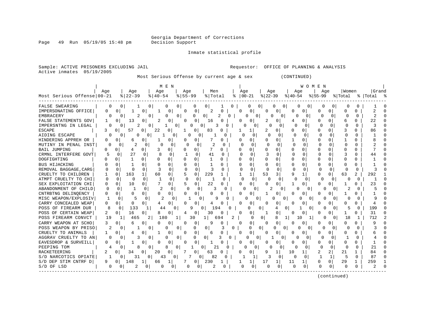Georgia Department of Corrections

Page 49 Run 05/19/05 15:48 pm

### Inmate statistical profile

Active inmates 05/19/2005

Sample: ACTIVE PRISONERS EXCLUDING JAIL **Requestor:** OFFICE OF PLANNING & ANALYSIS

Most Serious Offense by current age & sex (CONTINUED)

| Most Serious Offense   00-21 | Aqe            |          | Age<br>$ 22-39$ |          | Aqe<br>$8   40 - 54$ | M E N         | Age<br>$8 55-99$ |              | Men<br>% Total |              | ႜ            | Age          | $ 00-21$    | Age<br>$ 22-39$ |                      | Aqe<br>$ 40-54$ | W O M E N            | Aqe<br>$ 55-99$ |                | Women<br>% Total |                         | Grand<br>%   Total |            |
|------------------------------|----------------|----------|-----------------|----------|----------------------|---------------|------------------|--------------|----------------|--------------|--------------|--------------|-------------|-----------------|----------------------|-----------------|----------------------|-----------------|----------------|------------------|-------------------------|--------------------|------------|
| FALSE SWEARING               | $\Omega$       | 0        |                 | 0        |                      | O             | 0                | <sup>0</sup> | 0              |              | 0            |              | 0           |                 | 0<br>0               | O               |                      | O               | <sup>0</sup>   | <sup>0</sup>     |                         |                    |            |
| IMPERSONATING OFFICE         | 0              | 0        |                 | 0        |                      | $\Omega$      | $\Omega$         | 0            | 2              | 0            |              | <sup>0</sup> | 0           | $\Omega$        | $\Omega$             | O               | $\Omega$             | 0               | 0              | 0                | O                       | 2                  | $\cap$     |
| <b>EMBRACERY</b>             | 0              | 0        | $\overline{2}$  | 0        |                      | 0<br>0        |                  | 0            | 0              | 2            | 0            |              | 0<br>0      |                 | 0<br>0               | U               | 0                    | 0               | 0              | 0                | O                       | $\overline{c}$     |            |
| FALSE STATEMENTS GOV         | 1              | 0        | 13              | $\Omega$ | 2                    | $\Omega$      | $\Omega$         | 0            | 16             | O            |              |              | $\Omega$    | 2               | 0                    | 4               | 0                    | $\Omega$        | 0              | б                | 0                       | 22                 | $\sqrt{ }$ |
| IMPERSNTNG IN LEGAL          | 0              | 0        | $\overline{c}$  | 0        |                      | 1<br>0        |                  | U            | 0              |              | 0            | O            | 0           | <sup>0</sup>    | 0                    | ∩               | 0                    | ∩               | 0              | $\Omega$         | $\Omega$                | 3                  | $\cap$     |
| <b>ESCAPE</b>                | 3              | O        | 57              | 0        | 22                   | $\Omega$      |                  | $\Omega$     | 83             | O            |              |              | 1           | 2               | $\Omega$             | U               | O.                   | O               | 0              | 3                |                         | 86                 | ∩          |
| AIDING ESCAPE                | O              | 0        | N               | 0        |                      | 0             |                  | 0<br>0       |                | ∩            |              |              | 0           | U               | 0                    | C               | 0                    | O               | 0              | O                | ∩                       |                    | C          |
| HINDERING APPREH OR          | 0              | 0        | 6               | 0        |                      | $\Omega$      | O                | 0            | 7              | 0            |              | O            | 0           | U               | $\Omega$             | 1               | <sup>0</sup>         | U               | 0              | 1                | U                       | R                  |            |
| MUTINY IN PENAL INST         | 0              | $\Omega$ | 2               | $\Omega$ | 0                    | $\Omega$      | $\Omega$         | $\Omega$     | 2              | 0            |              | $\Omega$     | $\Omega$    | $\Omega$        | $\Omega$             | $\Omega$        | $\Omega$             | $\Omega$        | $\Omega$       | $\Omega$         | $\Omega$                | 2                  |            |
| <b>BAIL JUMPING</b>          | $\Omega$       | 0        | 4               | 0        | 3                    | 0             | O                | 0            |                | 0            |              | 0            | 0           | $\Omega$        | $\Omega$             | 0               | 0                    | $\Omega$        | $\Omega$       | Ω                | U                       |                    |            |
| CRMNL INTERFERE GOVT         | 5              | $\Omega$ | 27              | $\Omega$ | 8                    | $\Omega$      | -1               | $\Omega$     | 41             | $\Omega$     |              | <sup>0</sup> | $\Omega$    | 3               | $\Omega$             | $\Omega$        | $\Omega$             | $\Omega$        | $\Omega$       | 3                | <sup>0</sup>            | 44                 |            |
| DOGFIGHTING                  | n              | 0        | $\mathbf{1}$    | 0        | <sup>0</sup>         | 0             | <sup>0</sup>     | 0            | 1              | <sup>0</sup> |              | U            | $\Omega$    | $\Omega$        | <sup>o</sup>         | 0               | 0                    | $\Omega$        | $\Omega$       | O                | 0                       |                    | C          |
| BUS HIJACKING                | $\Omega$       | $\Omega$ | $\mathbf{1}$    | 0        | 0                    | $\Omega$      | 0                | 0            | -1             | 0            |              | U            | 0           | 0               | $\Omega$             | O               | 0                    | $\Omega$        | 0              | <sup>0</sup>     | 0                       |                    | C          |
| REMOVAL BAGGAGE, CARG        | $\Omega$       | $\Omega$ | $\Omega$        | $\Omega$ |                      | $\Omega$      | $\Omega$         | $\Omega$     | 3              | 0            |              | <sup>0</sup> | $\Omega$    | $\cap$          | $\Omega$             | $\Omega$        | $\Omega$             |                 | $\Omega$       | U                | 0                       |                    |            |
| CRUELTY TO CHILDREN          |                | $\Omega$ | 163             | 1        | 60                   | $\Omega$      | 5                | $\Omega$     | 229            | 1            |              |              | 1           | 53              | 3                    | 9               | $\mathbf{1}$         | U               | 0              | 63               | $\overline{\mathbf{c}}$ | 292                |            |
| ATMPT CRUELTY TO CHI         | $\Omega$       | $\Omega$ | O               | $\Omega$ |                      | $\Omega$      | $\Omega$         | 0            | -1             | $\Omega$     |              | $\Omega$     | $\Omega$    | 0               | $\Omega$             | ∩               | $\mathbf 0$          | $\Omega$        | $\Omega$       | O                | $\Omega$                |                    |            |
| SEX EXPLOITATION CHI         | 0              | $\Omega$ | 10              | 0        |                      | 0             | 5                | 0            | 22             | 0            |              | 0            | 0           | N               | $\overline{0}$       | 1               | 0                    | 0               | 0              | 1                | U                       | 23                 |            |
| ABANDONMENT OF CHILD         | 0              | $\Omega$ |                 | 0        | 2                    | $\Omega$      | $\Omega$         | $\Omega$     | 3              | $\Omega$     |              | $\Omega$     | 0           | 2               | $\Omega$             | $\Omega$        | $\Omega$             | O               | $\Omega$       | 2                | $\Omega$                | 5                  |            |
| CNTRBTNG DELINOENCY          | 0              | 0        | 0               | 0        | 0                    | 0             | 0                | 0            | ∩              | 0            |              | <sup>0</sup> | 0           |                 | 0                    | O               | $\Omega$             | O               | 0              | -1               | O                       | 1                  |            |
| MISC WEAPON/EXPLOSIV         |                | $\Omega$ |                 | $\Omega$ | 2                    | 0             |                  |              | O              | 9            | <sup>0</sup> |              | 0           |                 | 0                    |                 | O<br>0               |                 | $\Omega$       | U                | 0                       | 9                  |            |
| CARRY CONCEALED WEAP         | 0              | 0        | 0               | 0        | 4                    | 0             | $\Omega$         | 0            | 4              | O            |              | <sup>0</sup> | 0           | O               | 0                    | 0               | 0                    | O               | 0              | 0                | O                       | 4                  |            |
| POSS OF FIREARM DUR          | 8              | $\Omega$ | 133             | 1        | 44                   | $\Omega$      |                  | 9            | $\Omega$       | 194          | ∩            |              | $\Omega$    | 0               | 4                    | $\Omega$        | 0                    |                 | $\Omega$       | 5                | O                       | 199                |            |
| POSS OF CERTAIN WEAP         | 2              | 0        | 16              | $\Omega$ | 8                    | 0             | 4                | 0            | 30             | 0            |              | O            | 0           | 1               | 0                    | 0               | 0                    | 0               | $\Omega$       | 1                | 0                       | 31                 | C          |
| POSS FIREARM CONVCT          | 19             |          | 465             |          | 180                  | $\mathbf{1}$  |                  | 30           | $\mathbf{1}$   | 694          | 2            |              | 0           | $\circ$         | 8                    | 1<br>10         |                      |                 | 0              | 18               |                         | 712                |            |
| CARRY WEAPON AT SCHO         | 3              | 0        | 6               | 0        | $\Omega$             | 0             | 0                | 0            | 9              | 0            |              | $\Omega$     | 0           | $\Omega$        | $\mathbf 0$          | $\Omega$        | 0                    | 0               | 0              | 0                | O                       | 9                  |            |
| POSS WEAPON BY PRISO         | $\mathfrak{D}$ | $\Omega$ | 1               | 0        |                      | $\Omega$<br>0 |                  | $\Omega$     | 0              | 3            | 0            |              | 0           | $\Omega$        | $\Omega$<br>$\Omega$ |                 | $\Omega$<br>$\Omega$ | $\cap$          | <sup>0</sup>   | $\cap$           | 0                       | 3                  |            |
| CRUELTY TO ANIMALS           | 1              | 0        | 4               | 0        |                      | 0             | 0                | 0            | 6              | 0            |              | <sup>0</sup> | $\mathbf 0$ | <sup>0</sup>    | 0                    | 0               | 0                    | O               | 0              | U                | 0                       | 6                  |            |
| AGGRAV CRUELTY TO AN         | $\Omega$       | $\Omega$ | 3               | 0        |                      | 0<br>$\Omega$ |                  | $\Omega$     | $\Omega$       | 3            | $\Omega$     |              | 0           |                 | 0                    | 0               | $\Omega$             |                 | $\Omega$       |                  |                         |                    |            |
| EAVESDROP & SURVEILL         | O              | 0        | 1               | 0        | U                    | 0             | $\Omega$         | <sup>0</sup> | 1              | $\Omega$     |              | 0            | 0           | 0               | 0                    | 0               | O                    | O               | 0              | O                | U                       |                    |            |
| PEEPING TOM                  | 4              | 0        | 8               | 0        |                      | 0<br>8        |                  |              | 0              | 21           | $\Omega$     | U            | 0           | 0               | 0                    | O               | 0                    | $\Omega$        | $\Omega$       | $\Omega$         | 0                       | 21                 |            |
| RACKETEERING                 | 2              | 0        | 34              | 0        | 20                   | 0             |                  | 0            | 63             | 0            |              | 0            | 0           | 9               | 1                    | 10              | $\mathbf{1}$         | 2               | $\overline{2}$ | 21               | 1                       | 84                 | C          |
| S/D NARCOTICS OPIATE         | $\mathbf{1}$   | 0        | 31              | $\Omega$ | 43                   | $\Omega$      |                  |              | 82<br>0        | O            |              |              | 1           | 3               | $\Omega$             | $\Omega$        | $\Omega$             | $\mathbf{1}$    | $\mathbf{1}$   | 5                | $\Omega$                | 87                 | $\sqrt{ }$ |
| S/D DEP STIM CNTRF D         | q              | 0        | 148             | 1        | 66                   | 1             | 7                | 0            | 230            |              |              | 1            | 1           | 17              | 1                    | 11              | 1                    | <sup>0</sup>    | $\mathbf{0}$   | 29               | 1                       | 259                |            |
| S/D OF LSD                   | 0              | 0        | 2               | 0        | O                    | 0             | 0                | 0            |                | 0            |              |              | 0           | O               | 0                    | <sup>0</sup>    | 0                    | $\Omega$        | 0              | $\Omega$         | $\Omega$                | 2                  | C          |
|                              |                |          |                 |          |                      |               |                  |              |                |              |              |              |             |                 |                      |                 |                      |                 | (continued)    |                  |                         |                    |            |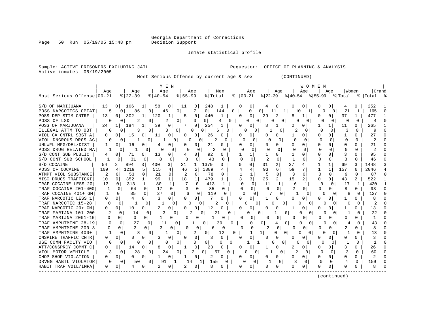Page 50 Run 05/19/05 15:48 pm

Inmate statistical profile

Active inmates 05/19/2005

Sample: ACTIVE PRISONERS EXCLUDING JAIL **Requestor:** OFFICE OF PLANNING & ANALYSIS

Most Serious Offense by current age & sex (CONTINUED)

|                            |              |                       |                   | M E N              |              |                   |                |                |              |                      |                |                      |              | WOMEN         |          |              |       |              |                                         |          |
|----------------------------|--------------|-----------------------|-------------------|--------------------|--------------|-------------------|----------------|----------------|--------------|----------------------|----------------|----------------------|--------------|---------------|----------|--------------|-------|--------------|-----------------------------------------|----------|
|                            | Aqe          |                       | Age               | Age                |              | Age               |                | Men            |              | Age                  |                | Age                  |              | Aqe           |          | Aqe          | Women |              | Grand                                   |          |
| Most Serious Offense 00-21 |              | $ 22-39 $             |                   | $8   40 - 54$      | $8 55-99$    |                   | % Total        |                |              | $8   00 - 21$        |                |                      |              |               |          |              |       |              | % 22-39 % 40-54 % 55-99 % Total % Total |          |
| S/D OF MARIJUANA           | 13           | 0<br>166              | $\mathbf{1}$      | 58<br>01           | -11          | 0                 | 248            | 1              |              | 0<br>0               | 4              | 0 <sup>1</sup>       | 0            | 01            | U        | 01           |       | U            | 252                                     |          |
| POSS NARCOTICS OPIAT       | 5            | 0 <sup>1</sup>        | 86<br>$\Omega$    | 46                 | $\Omega$     | 7                 | 0 <sup>1</sup> | 144            | $\mathbf{0}$ | <sup>0</sup>         | $\circ$        | 11                   | 10           |               | O        | $\Omega$     | 21    | 1            | 165                                     | $\Omega$ |
| POSS DEP STIM CNTRF        | 13           | 302                   | 120<br>1          |                    | 5            | 0                 | 440            |                |              | 0<br>O               | 29             | 2                    | 8            |               |          |              | 37    |              | 477                                     |          |
| POSS OF LSD                | O            | $\Omega$              | 2<br>0            | 2                  | $\mathbf{0}$ | 0                 | 0              | 4              | $\Omega$     | <sup>0</sup>         | $\Omega$<br>O  | $\Omega$             | U            | 0             |          | O            | C     | <sup>0</sup> | 4                                       |          |
| POSS OF MARIJUANA          | 24           | 184<br>1 <sup>1</sup> | 1                 | 0<br>39            |              | $\Omega$          | 254            |                |              | O<br>$\Omega$        |                |                      | 2            |               |          |              | 11    | 0            | 265                                     |          |
| ILLEGAL ATTM TO OBT        | $\Omega$     | $\Omega$              | 3<br>$\mathbf{0}$ | 3                  | 01           | 0                 | <sup>n</sup>   | 0<br>6         |              |                      | 0              | 0                    | 2            | O             | $\cap$   |              | κ     | $\Omega$     | 9                                       |          |
| VIOL GA CNTRL SBST A       | 0            | 15<br>0 <sup>1</sup>  | 0                 | 0<br>11            | 0            | 0                 | 26             | 0              |              | 0<br>0               |                | $\Omega$             | 1            | 0.            | O        | 0            |       | 0            | 27                                      |          |
| VIOL DNGROUS DRGS AC       | 0            | $\Omega$              | 0                 | 0                  |              | 0<br>$\mathbf{0}$ | 2              | 0              |              | U<br>0               | N              | 0                    | O            | $\Omega$      | $\Omega$ | $\Omega$     | 0     | $\Omega$     | 2                                       |          |
| UNLWFL MFG/DEL/DIST        |              | 16<br>$\Omega$        | 0                 | 0<br>4             | 0            | 0                 | 21             | 0              |              | 0<br>0               |                | $\Omega$             | 0            | 0             | 0        | $\Omega$     | 0     | 0            | 21                                      |          |
| POSS DRUG RELATED MA       | 1            | 0                     | $\mathbf{1}$<br>O | 0<br>0             | $\Omega$     | 0                 |                | $\Omega$       |              | 0<br>0               |                | $\Omega$             | <sup>0</sup> | O             |          | $\Omega$     |       | $\cap$       | 2                                       |          |
| S/D CONT SUB PUBLIC        |              | <sup>o</sup><br>71    | 0                 | 13<br>0            |              | 0                 | 92             | 0              |              | 1<br>1               |                | 0                    | 1            |               | $\Omega$ | $\Omega$     | 3     | 0            | 95                                      | ∩        |
| S/D CONT SUB SCHOOL        | $\mathbf{1}$ | 31<br>0               | 0                 | 8<br>0             | 3            | 0                 | 43             | 0              |              | $\cap$<br>$\Omega$   | $\overline{c}$ | $\Omega$             | $\mathbf{1}$ |               | n        | 0            |       | <sup>0</sup> | 46                                      | n        |
| S/D COCAINE                | 54           | $\overline{2}$<br>894 | 3<br>400          | 3                  | 31           | 1                 | 1379           | 3.             |              | n<br>0               | 31             | 2                    | 37           |               |          |              | 69    | 3            | 1448                                    |          |
| POSS OF COCAINE            | 109          | 1219<br>4             | 5<br>515          | 4                  | 46           | 2                 | 1889           | 4              |              | 4<br>4               | 93             | 6                    | 59           |               |          | 1            | 157   | б            | 2046                                    |          |
| ATMPT VIOL SUBSTANCE       | 2            | $\Omega$<br>53        | 0                 | $\Omega$<br>21     | 2            | $\Omega$          | 78             | 0              |              | 1                    | 5              | 0                    | 3            |               | O        | $\Omega$     | q     | $\Omega$     | 87                                      | O        |
| MISC DRUGS TRAFFICKI       | 10           | 352<br>0              |                   | $\mathbf{1}$<br>99 | 18           |                   | 479            |                |              | 3<br>ζ               | 25             | $\overline{a}$       | 15           |               | O        |              | 43    | 2            | 522                                     |          |
| TRAF COCAINE LESS 20       | 13           | 313<br>0              | 1                 | 80                 |              | 0                 | 413            |                |              | $\Omega$<br>$\Omega$ | 11             | $\mathbf{1}$         | 6            |               | $\Omega$ | $\Omega$     | 17    | 1            | 430                                     |          |
| TRAF COCAINE 201-400       |              | 64                    |                   | 17<br>$\Omega$     |              | $\Omega$          | 85             | $\Omega$       |              | U<br>0               |                |                      | 2            | 0             | U        | 0            |       | $\Omega$     | 93                                      |          |
| TRAF COCAINE 401+ GM       | 1            | 85<br>$\Omega$        | $\Omega$          | 27<br>$\Omega$     | 6            | $\Omega$          | 119            | O              |              | $\Omega$<br>U        | 7              | $\Omega$             |              | $\Omega$      | O        |              | 8     | 0            | 127                                     |          |
| TRAF NARCOTIC LESS 1       | 0            | 4<br><sup>n</sup>     | 0                 | 3<br>$\Omega$      | 0            | 0 <sup>1</sup>    |                | 0              |              | $\overline{0}$<br>U  |                | $\Omega$             | 0            | 0             | $\Omega$ | $\Omega$     | 1     | 0            | 8                                       |          |
| TRAF NARCOTIC 15-28        | $\Omega$     | 0                     | 0<br>1            | 1<br>$\Omega$      |              | 0<br>0            |                | 2<br>Ω         |              | 0                    | 0              | 0<br>0               | 0            | 0             | 0        | $\Omega$     | 0     | 0            | 2                                       |          |
| TRAF NARCOTIC 29+ GM       | 0            | 10<br>0               | 0                 | 0                  | O            | 0                 | 12             |                |              | 0                    |                | 0                    |              | 0             | 0        | 0            |       | Ω            | 13                                      |          |
| TRAF MARIJNA 101-200       |              | 14<br>0               | 0                 | 3                  | 0            |                   | $\Omega$       | 21             |              | U                    | 0              | -1<br>0              | $\Omega$     | O             | O        | O            |       | O            | 22                                      |          |
| TRAF MARIJNA 2001-10       |              | 0<br>0                | 0                 | 0                  |              | 0                 |                | 0              |              | 0<br>0               | n              | $\Omega$             | n            | 0             |          | 0            |       | <sup>0</sup> | 1                                       |          |
| TRAF AMPHTMINE 28-19       |              | $\mathbf 0$           | 27<br>0           | 11                 | 0            |                   | 0              | 39             | 0            | 0                    | 0              | $\Omega$<br>4        |              | $\Omega$<br>O | U        | U            | 4     | U            | 43                                      |          |
| TRAF AMPHTMINE 200-3       |              | 01                    | 3<br>0            | 0                  |              | 0                 | 6              | $\Omega$       |              | $\Omega$<br>$\Omega$ | 2              | $\Omega$             |              | 0             |          | 0            |       | <sup>0</sup> | 8                                       |          |
| TRAF AMPHTMINE 400+        |              | $\Omega$              | 8<br>O            |                    | 0            | 2                 | 0              | 12             | 0            |                      | 11             | $\Omega$<br>$\Omega$ | O            | 0             | O        | 0            |       | 0            | 13                                      |          |
| CNSPIRE TRAFFIC CNTR       |              |                       | 0                 | $\Omega$           | O            | 0                 |                | $\Omega$       |              | 0<br>U               |                |                      | U            | O             |          |              |       |              | 3                                       |          |
| USE COMM FACLTY VIO        | 0            | 0                     | $\Omega$<br>O     | 0                  | $\Omega$     | 0                 | 01             | 0              | 0            |                      | $\mathbf{1}$   | $\Omega$             | ∩            | 0             |          | $\Omega$     |       |              |                                         |          |
| ATT/CONSPRCY COMMT C       | 0            | 14                    | 0                 | $\Omega$           | 1            | $\Omega$          | 23             |                |              | U<br>0               |                | $\Omega$             | 2            |               | O        | <sup>n</sup> | 3     |              | 26                                      |          |
| VIOL MOTOR VEHICLE L       | 3            | $\Omega$              | 28<br>$\Omega$    | 24                 | $\Omega$     |                   | $\Omega$       | 57<br>$\Omega$ |              | U                    | $\Omega$       | $\Omega$             | 2            | $\Omega$      | $\Omega$ |              | 3     | 0            | 60                                      |          |
| CHOP SHOP VIOLATION        | 0            | 0<br>$^{(1)}$         | 0                 | 0                  | 1            | 0 <sup>1</sup>    | 2              | 0              |              | 0<br>0               |                | $\Omega$             | 0            | 0             | U        | $\Omega$     | 0     | 0            | 2                                       |          |
| DRVNG HABTL VIOLATOR       | $\Omega$     | $\Omega$              | 50<br>$\Omega$    | 91                 | 14           |                   | 155            | $\Omega$       |              | $\Omega$<br>$\Omega$ | ı.             | $\Omega$             | 3            | O             | U        | $\Omega$     | 4     | $\Omega$     | 159                                     |          |
| HABIT TRAF VOIL/IMPA       | 0            |                       | 0                 | 0<br>2             | 2            | 0                 | 8              |                |              | 0<br>0               |                | 0                    | U            | 0             | O        |              |       |              | 8                                       |          |
|                            |              |                       |                   |                    |              |                   |                |                |              |                      |                |                      |              |               |          |              |       |              |                                         |          |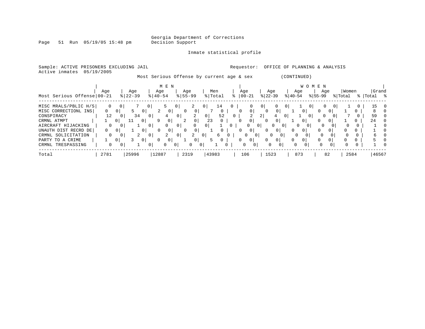Georgia Department of Corrections

Page 51 Run 05/19/05 15:48 pm

### Inmate statistical profile

| Sample: ACTIVE<br>Active inmates | PRISONERS EXCLUDING JAIL<br>05/19/2005 |                |                    |                                           |                |                  |                |                |                |                |                 | Requestor:     |                                | OFFICE OF PLANNING & ANALYSIS |                  |                |           |                |                  |          |                      |          |
|----------------------------------|----------------------------------------|----------------|--------------------|-------------------------------------------|----------------|------------------|----------------|----------------|----------------|----------------|-----------------|----------------|--------------------------------|-------------------------------|------------------|----------------|-----------|----------------|------------------|----------|----------------------|----------|
|                                  |                                        |                |                    | Most Serious Offense by current age & sex |                |                  |                |                |                |                |                 |                |                                |                               | (CONTINUED)      |                |           |                |                  |          |                      |          |
|                                  | M E N                                  |                |                    |                                           |                |                  |                |                |                |                |                 |                | W O M E N                      |                               |                  |                |           | Age            |                  |          |                      |          |
| Most Serious Offense 00-21       | Age                                    |                | Age<br>$8$   22-39 | Age<br>$\frac{1}{6}$   40-54              |                | Age<br>$8 55-99$ |                |                | Men<br>% Total |                | Age<br>$ 00-21$ |                | Age<br>$ 22 - 39 $             |                               | Age<br>$ 40-54 $ |                | $ 55-99 $ |                | Women<br>% Total |          | Grand<br>%   Total % |          |
| MISC MRALS/PBLIC H/S             | 0                                      | 0              |                    | 0 <sup>1</sup>                            |                | 0                | 2              | 0 <sup>1</sup> | 14             | $\Omega$       |                 | 0              | 0 <sup>1</sup>                 |                               |                  |                |           | 0 <sup>1</sup> |                  |          | 15                   |          |
| MISC CORRECTIONL INS             | $\mathbf{0}$                           | 0 <sup>1</sup> | 5<br>0 I           | 2                                         | $\overline{0}$ |                  | 0              |                | $\mathbf{0}$   |                |                 | 0 <sup>1</sup> |                                | 0                             |                  | 0 <sup>1</sup> | 0         | 0              |                  |          | 8                    |          |
| CONSPIRACY                       | 12                                     | $\mathbf{0}$   | 34                 | 0 I                                       | 4              | 0 <sup>1</sup>   | 2              | 0 <sup>1</sup> | 52             | $\overline{0}$ |                 | 2              | 2                              | 4<br>0 <sup>1</sup>           |                  | $\Omega$       |           | 0 I            |                  |          | 59                   |          |
| CRMNL ATMPT                      |                                        | 0 <sup>1</sup> | 11<br>0 I          | 9                                         | 0              |                  | $\circ$        | 23             | 0              |                |                 |                |                                | 0                             |                  | 0 <sup>1</sup> | 0         | 0 <sup>1</sup> |                  |          | 24                   |          |
| AIRCRAFT HIJACKING               | 0                                      | $\overline{0}$ |                    | 0 <sup>1</sup>                            | $\Omega$       | 0                |                | 0 <sup>1</sup> |                |                |                 | $\Omega$       | 0 <sup>1</sup>                 | 0<br>0 I                      | $\Omega$         |                | $\Omega$  |                |                  |          |                      |          |
| UNAUTH DIST RECRD DE             | $\mathbf{0}$                           | 0 <sup>1</sup> | 0 <sup>1</sup>     |                                           | $\circ$        |                  | 0 <sup>1</sup> |                | 0              |                |                 | 0 <sup>1</sup> | 0                              | 0 <sup>1</sup>                | $\Omega$         | 0 <sup>1</sup> | 0         |                |                  |          |                      |          |
| CRMNL SOLICITATION               | 0                                      |                |                    | 0 <sup>1</sup>                            | 2              | 0 <sup>1</sup>   | 2              | 0 <sup>1</sup> | 6              |                | $\Omega$        |                | 0 <sup>1</sup><br>$\mathbf{0}$ | 0                             | $\Omega$         |                |           |                |                  | $\Omega$ | 6.                   |          |
| PARTY TO A CRIME                 |                                        | 0 <sup>1</sup> | 0 <sup>1</sup>     |                                           | 0 <sup>1</sup> |                  | 0 <sup>1</sup> | 5.             | $\overline{0}$ |                | $\Omega$        | 0 <sup>1</sup> | $\mathbf 0$                    | 0                             | 0                | 0 <sup>1</sup> | 0         | 01             |                  |          |                      | $\Omega$ |
| CRMNL TRESPASSING                | $\mathbf{0}$                           | 0 <sub>1</sub> |                    | 0 I                                       | $\Omega$       | $\overline{0}$   | $\Omega$       | $\overline{0}$ |                |                | $\Omega$        | $\Omega$       | $\Omega$                       | $\Omega$                      | 0                | 0 <sup>1</sup> | $\Omega$  |                |                  | $\Omega$ |                      |          |
| Total                            | 2781                                   |                | 25996              | 12887                                     |                | 2319             |                | 43983          |                |                | 106             |                | 1523                           |                               | 873              |                |           | 82             | 2584             |          | 46567                |          |